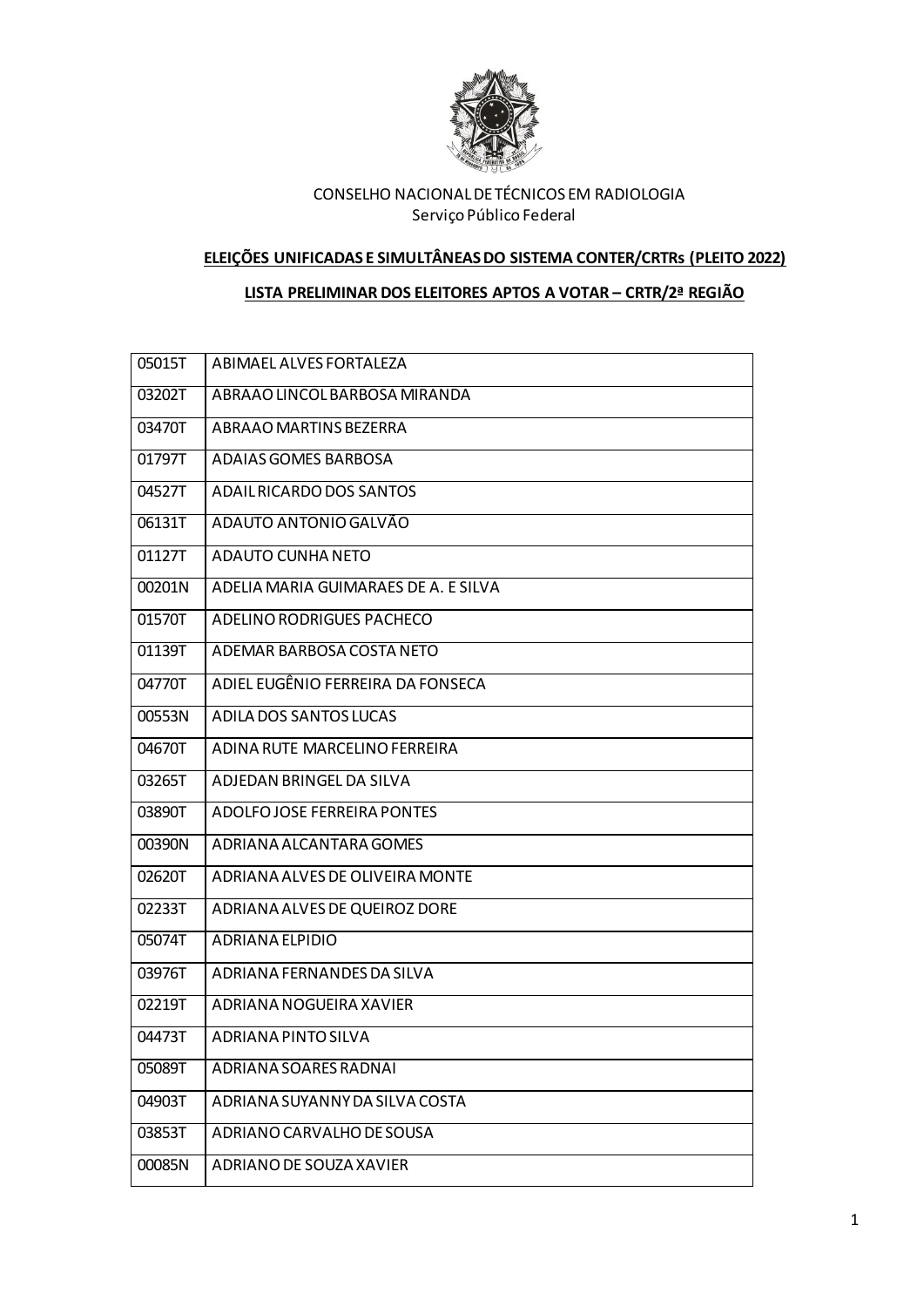

#### **ELEIÇÕES UNIFICADAS E SIMULTÂNEAS DO SISTEMA CONTER/CRTRs (PLEITO 2022)**

### **LISTA PRELIMINAR DOS ELEITORES APTOS A VOTAR – CRTR/2ª REGIÃO**

| ABIMAEL ALVES FORTALEZA              |
|--------------------------------------|
| ABRAAO LINCOL BARBOSA MIRANDA        |
| ABRAAO MARTINS BEZERRA               |
| ADAIAS GOMES BARBOSA                 |
| ADAIL RICARDO DOS SANTOS             |
| ADAUTO ANTONIO GALVÃO                |
| ADAUTO CUNHA NETO                    |
| ADELIA MARIA GUIMARAES DE A. E SILVA |
| ADELINO RODRIGUES PACHECO            |
| ADEMAR BARBOSA COSTA NETO            |
| ADIEL EUGÊNIO FERREIRA DA FONSECA    |
| ADILA DOS SANTOS LUCAS               |
| ADINA RUTE MARCELINO FERREIRA        |
| ADJEDAN BRINGEL DA SILVA             |
| ADOLFO JOSE FERREIRA PONTES          |
| ADRIANA ALCANTARA GOMES              |
| ADRIANA ALVES DE OLIVEIRA MONTE      |
| ADRIANA ALVES DE QUEIROZ DORE        |
| ADRIANA ELPIDIO                      |
| ADRIANA FERNANDES DA SILVA           |
| ADRIANA NOGUEIRA XAVIER              |
| ADRIANA PINTO SILVA                  |
| ADRIANA SOARES RADNAI                |
| ADRIANA SUYANNY DA SILVA COSTA       |
| ADRIANO CARVALHO DE SOUSA            |
| ADRIANO DE SOUZA XAVIER              |
|                                      |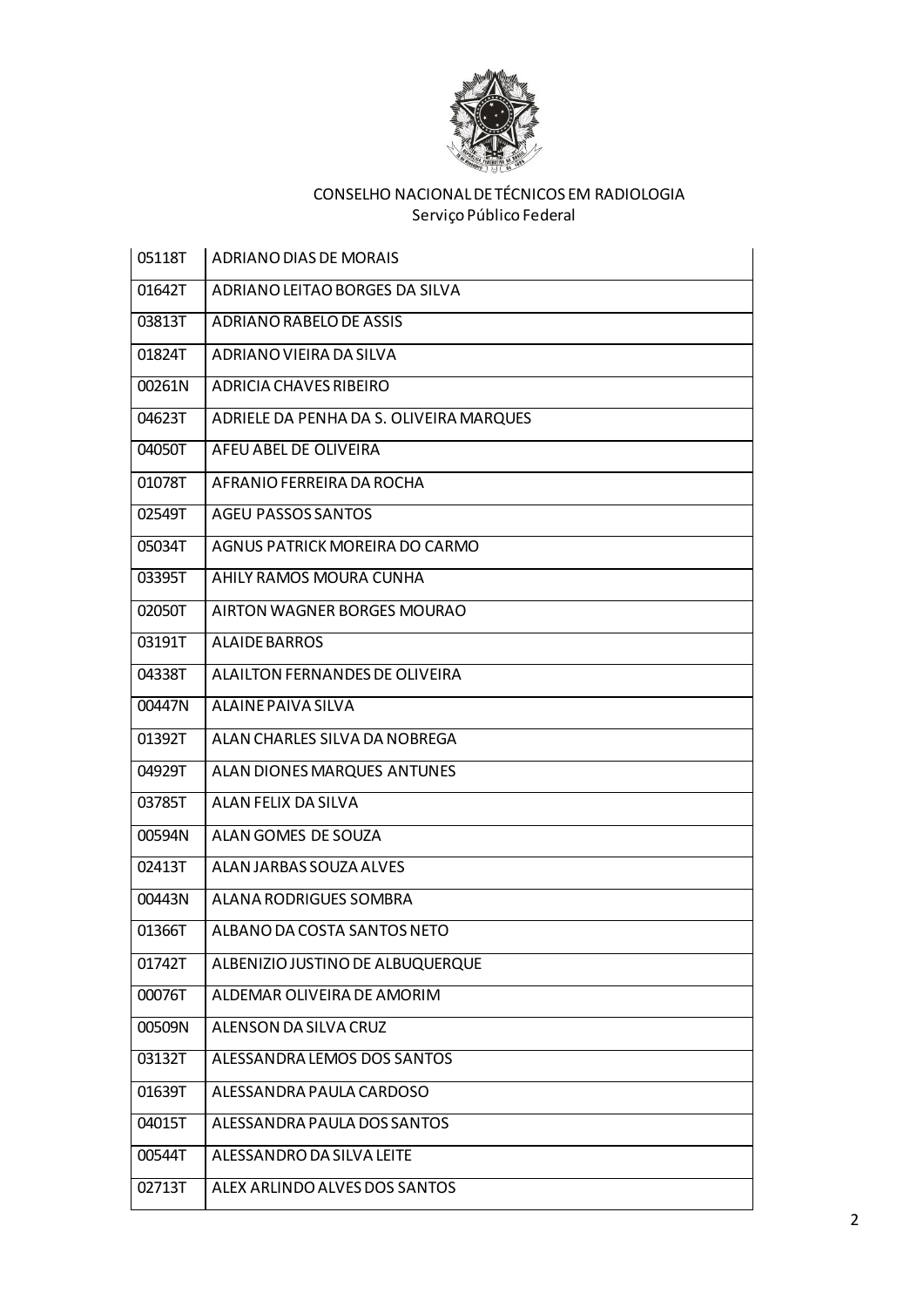

| 05118T | ADRIANO DIAS DE MORAIS                  |
|--------|-----------------------------------------|
| 01642T | ADRIANO LEITAO BORGES DA SILVA          |
| 03813T | ADRIANO RABELO DE ASSIS                 |
| 01824T | ADRIANO VIEIRA DA SILVA                 |
| 00261N | ADRICIA CHAVES RIBEIRO                  |
| 04623T | ADRIELE DA PENHA DA S. OLIVEIRA MARQUES |
| 04050T | AFEU ABEL DE OLIVEIRA                   |
| 01078T | AFRANIO FERREIRA DA ROCHA               |
| 02549T | <b>AGEU PASSOS SANTOS</b>               |
| 05034T | AGNUS PATRICK MOREIRA DO CARMO          |
| 03395T | AHILY RAMOS MOURA CUNHA                 |
| 02050T | AIRTON WAGNER BORGES MOURAO             |
| 03191T | <b>ALAIDE BARROS</b>                    |
| 04338T | ALAILTON FERNANDES DE OLIVEIRA          |
| 00447N | ALAINE PAIVA SILVA                      |
| 01392T | ALAN CHARLES SILVA DA NOBREGA           |
| 04929T | ALAN DIONES MARQUES ANTUNES             |
| 03785T | ALAN FELIX DA SILVA                     |
| 00594N | ALAN GOMES DE SOUZA                     |
| 02413T | ALAN JARBAS SOUZA ALVES                 |
| 00443N | ALANA RODRIGUES SOMBRA                  |
| 01366T | ALBANO DA COSTA SANTOS NETO             |
| 01742T | ALBENIZIO JUSTINO DE ALBUQUERQUE        |
| 00076T | ALDEMAR OLIVEIRA DE AMORIM              |
| 00509N | ALENSON DA SILVA CRUZ                   |
| 03132T | ALESSANDRA LEMOS DOS SANTOS             |
| 01639T | ALESSANDRA PAULA CARDOSO                |
| 04015T | ALESSANDRA PAULA DOS SANTOS             |
| 00544T | ALESSANDRO DA SILVA LEITE               |
| 02713T | ALEX ARLINDO ALVES DOS SANTOS           |
|        |                                         |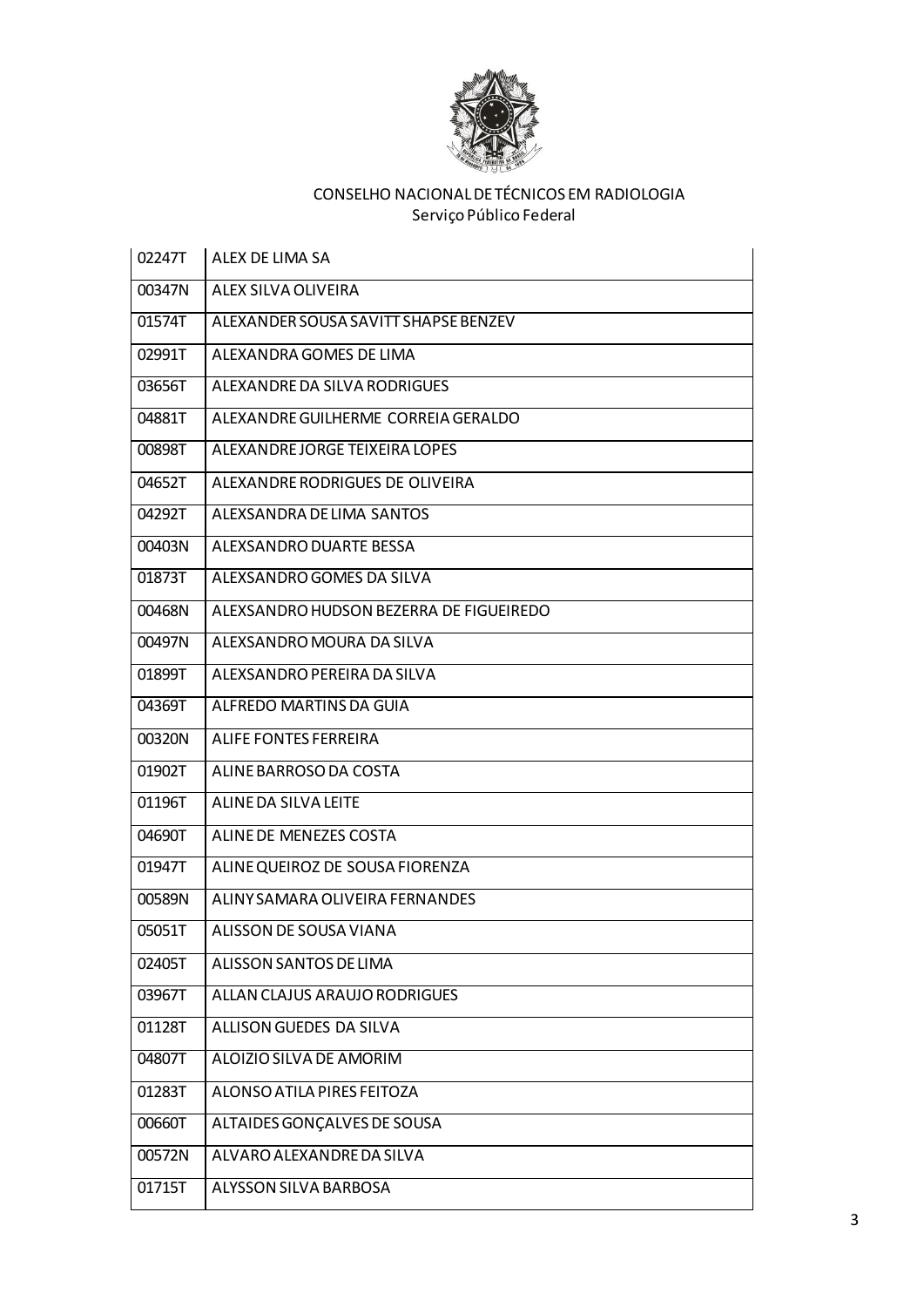

| 02247T | ALEX DE LIMA SA                         |
|--------|-----------------------------------------|
| 00347N | ALEX SILVA OLIVEIRA                     |
| 01574T | ALEXANDER SOUSA SAVITT SHAPSE BENZEV    |
| 02991T | ALEXANDRA GOMES DE LIMA                 |
| 03656T | ALEXANDRE DA SILVA RODRIGUES            |
| 04881T | ALEXANDRE GUILHERME CORREIA GERALDO     |
| 00898T | ALEXANDRE JORGE TEIXEIRA LOPES          |
| 04652T | ALEXANDRE RODRIGUES DE OLIVEIRA         |
| 04292T | ALEXSANDRA DE LIMA SANTOS               |
| 00403N | ALEXSANDRO DUARTE BESSA                 |
| 01873T | ALEXSANDRO GOMES DA SILVA               |
| 00468N | ALEXSANDRO HUDSON BEZERRA DE FIGUEIREDO |
| 00497N | ALEXSANDRO MOURA DA SILVA               |
| 01899T | ALEXSANDRO PEREIRA DA SILVA             |
| 04369T | ALFREDO MARTINS DA GUIA                 |
| 00320N | ALIFE FONTES FERREIRA                   |
| 01902T | ALINE BARROSO DA COSTA                  |
| 01196T | ALINE DA SILVA LEITE                    |
| 04690T | ALINE DE MENEZES COSTA                  |
| 01947T | ALINE QUEIROZ DE SOUSA FIORENZA         |
| 00589N | ALINY SAMARA OLIVEIRA FERNANDES         |
| 05051T | ALISSON DE SOUSA VIANA                  |
| 02405T | ALISSON SANTOS DE LIMA                  |
| 03967T | ALLAN CLAJUS ARAUJO RODRIGUES           |
| 01128T | ALLISON GUEDES DA SILVA                 |
| 04807T | ALOIZIO SILVA DE AMORIM                 |
| 01283T | ALONSO ATILA PIRES FEITOZA              |
| 00660T | ALTAIDES GONÇALVES DE SOUSA             |
| 00572N | ALVARO ALEXANDRE DA SILVA               |
| 01715T | ALYSSON SILVA BARBOSA                   |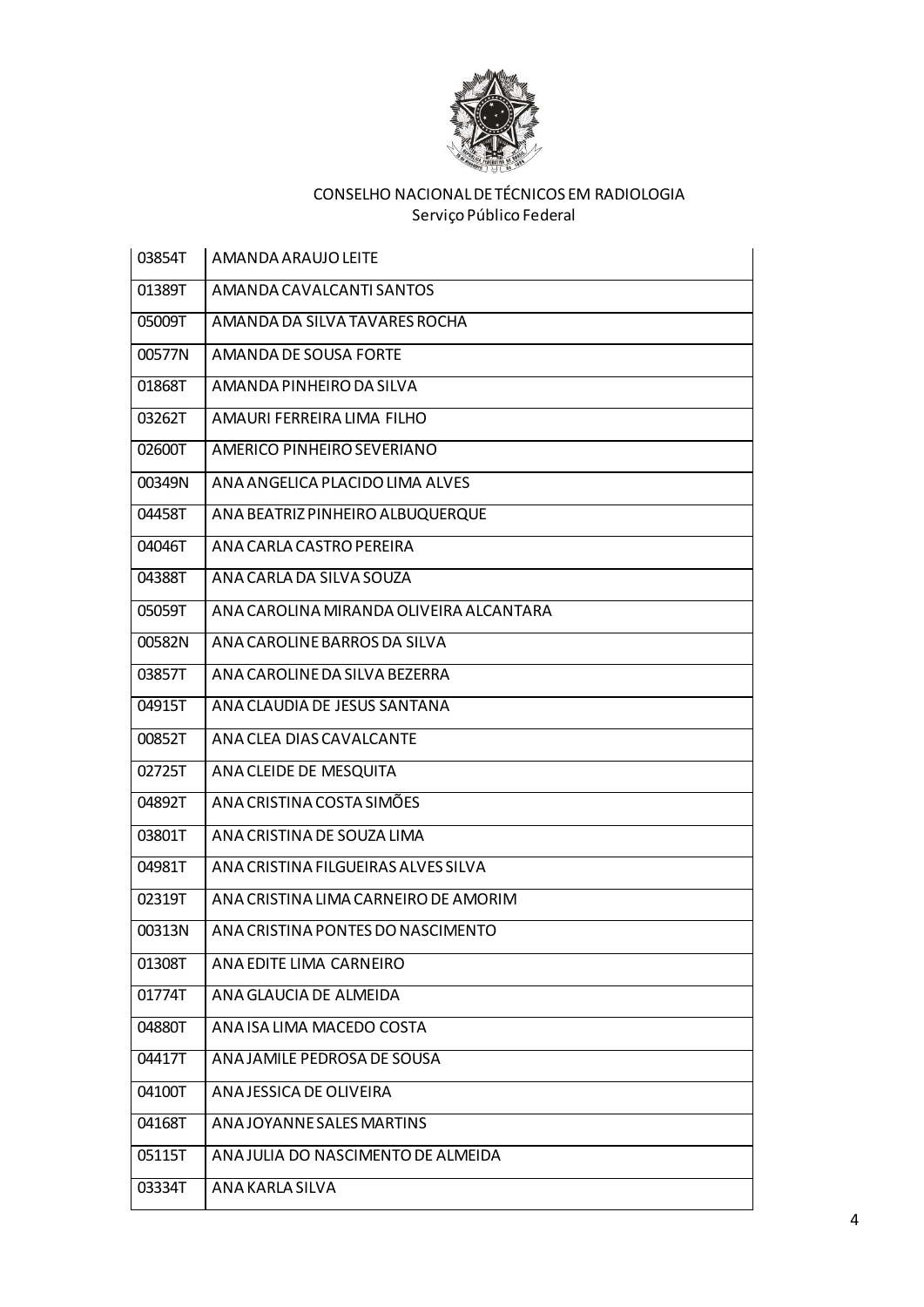

| 03854T | AMANDA ARAUJO LEITE                     |
|--------|-----------------------------------------|
| 01389T | AMANDA CAVALCANTI SANTOS                |
| 05009T | AMANDA DA SILVA TAVARES ROCHA           |
| 00577N | AMANDA DE SOUSA FORTE                   |
| 01868T | AMANDA PINHEIRO DA SILVA                |
| 03262T | AMAURI FERREIRA LIMA FILHO              |
| 02600T | AMERICO PINHEIRO SEVERIANO              |
| 00349N | ANA ANGELICA PLACIDO LIMA ALVES         |
| 04458T | ANA BEATRIZ PINHEIRO ALBUQUERQUE        |
| 04046T | ANA CARLA CASTRO PEREIRA                |
| 04388T | ANA CARLA DA SILVA SOUZA                |
| 05059T | ANA CAROLINA MIRANDA OLIVEIRA ALCANTARA |
| 00582N | ANA CAROLINE BARROS DA SILVA            |
| 03857T | ANA CAROLINE DA SILVA BEZERRA           |
| 04915T | ANA CLAUDIA DE JESUS SANTANA            |
| 00852T | ANA CLEA DIAS CAVALCANTE                |
| 02725T | ANA CLEIDE DE MESQUITA                  |
| 04892T | ANA CRISTINA COSTA SIMÕES               |
| 03801T | ANA CRISTINA DE SOUZA LIMA              |
| 04981T | ANA CRISTINA FILGUEIRAS ALVES SILVA     |
| 02319T | ANA CRISTINA LIMA CARNEIRO DE AMORIM    |
| 00313N | ANA CRISTINA PONTES DO NASCIMENTO       |
| 01308T | ANA EDITE LIMA CARNEIRO                 |
| 01774T | ANA GLAUCIA DE ALMEIDA                  |
| 04880T | ANA ISA LIMA MACEDO COSTA               |
| 04417T | ANA JAMILE PEDROSA DE SOUSA             |
| 04100T | ANA JESSICA DE OLIVEIRA                 |
| 04168T | ANA JOYANNE SALES MARTINS               |
| 05115T | ANA JULIA DO NASCIMENTO DE ALMEIDA      |
| 03334T | ANA KARLA SILVA                         |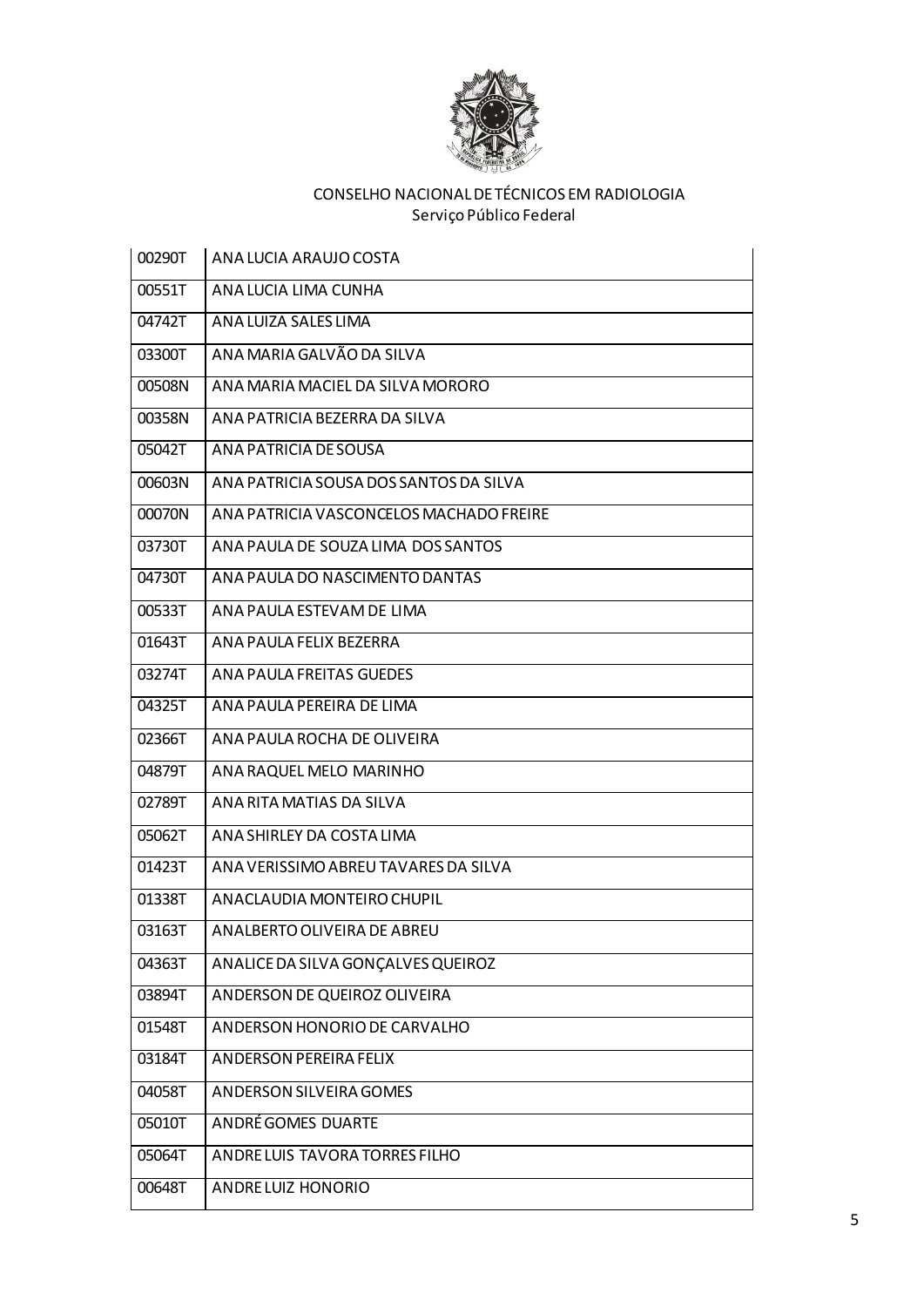

| 00290T | ANA LUCIA ARAUJO COSTA                  |
|--------|-----------------------------------------|
| 00551T | ANA LUCIA LIMA CUNHA                    |
| 04742T | ANA LUIZA SALES LIMA                    |
| 03300T | ANA MARIA GALVÃO DA SILVA               |
| 00508N | ANA MARIA MACIEL DA SILVA MORORO        |
| 00358N | ANA PATRICIA BEZERRA DA SILVA           |
| 05042T | ANA PATRICIA DE SOUSA                   |
| 00603N | ANA PATRICIA SOUSA DOS SANTOS DA SILVA  |
| 00070N | ANA PATRICIA VASCONCELOS MACHADO FREIRE |
| 03730T | ANA PAULA DE SOUZA LIMA DOS SANTOS      |
| 04730T | ANA PAULA DO NASCIMENTO DANTAS          |
| 00533T | ANA PAULA ESTEVAM DE LIMA               |
| 01643T | ANA PAULA FELIX BEZERRA                 |
| 03274T | ANA PAULA FREITAS GUEDES                |
| 04325T | ANA PAULA PEREIRA DE LIMA               |
| 02366T | ANA PAULA ROCHA DE OLIVEIRA             |
| 04879T | ANA RAQUEL MELO MARINHO                 |
| 02789T | ANA RITA MATIAS DA SILVA                |
| 05062T | ANA SHIRLEY DA COSTA LIMA               |
| 01423T | ANA VERISSIMO ABREU TAVARES DA SILVA    |
| 01338T | ANACLAUDIA MONTEIRO CHUPIL              |
| 03163T | ANALBERTO OLIVEIRA DE ABREU             |
| 04363T | ANALICE DA SILVA GONÇALVES QUEIROZ      |
| 03894T | ANDERSON DE QUEIROZ OLIVEIRA            |
| 01548T | ANDERSON HONORIO DE CARVALHO            |
| 03184T | <b>ANDERSON PEREIRA FELIX</b>           |
| 04058T | ANDERSON SILVEIRA GOMES                 |
| 05010T | <b>ANDRÉ GOMES DUARTE</b>               |
| 05064T | ANDRE LUIS TAVORA TORRES FILHO          |
| 00648T | ANDRE LUIZ HONORIO                      |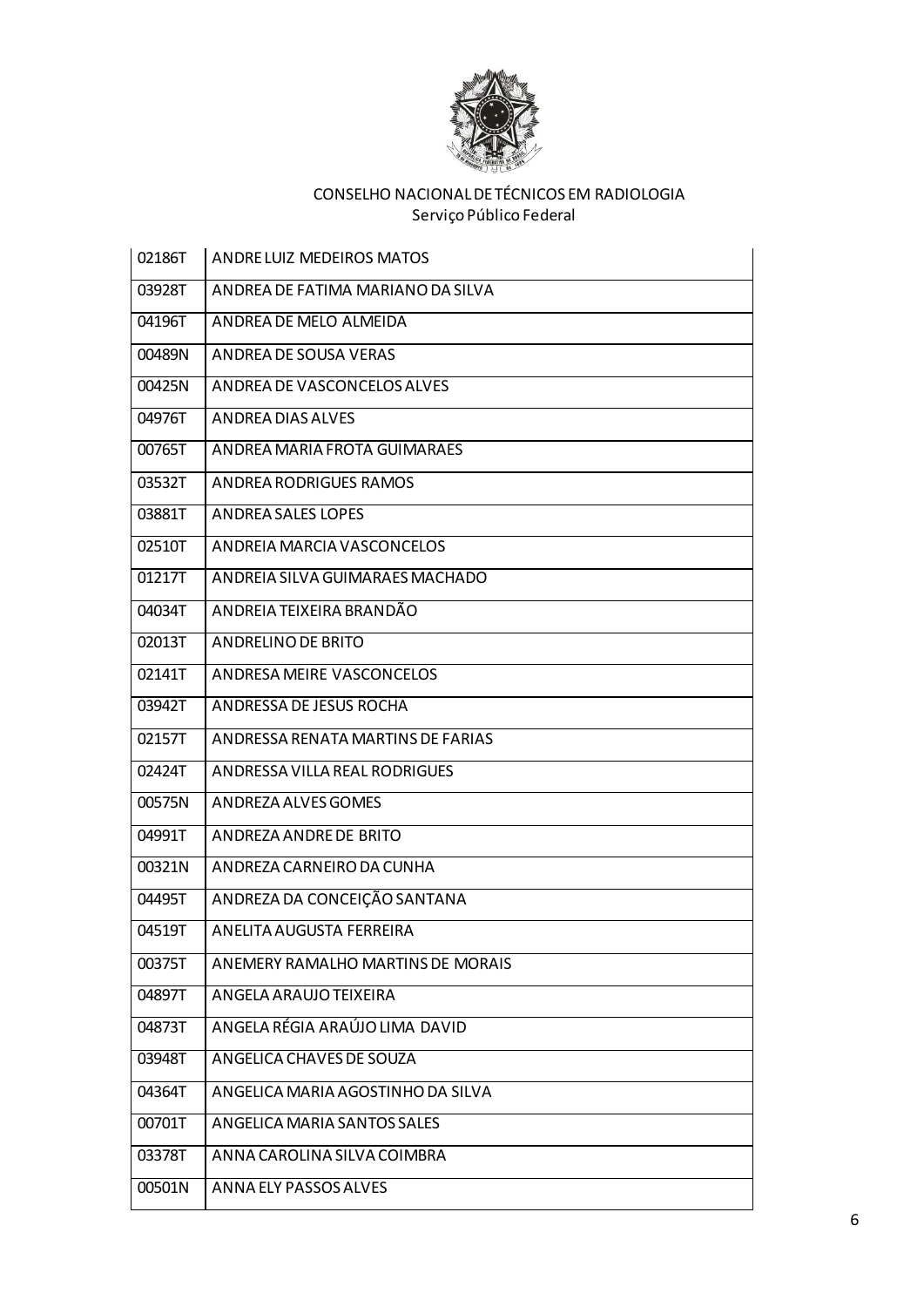

| 02186T | <b>ANDRE LUIZ MEDEIROS MATOS</b>  |
|--------|-----------------------------------|
| 03928T | ANDREA DE FATIMA MARIANO DA SILVA |
| 04196T | ANDREA DE MELO ALMEIDA            |
| 00489N | ANDREA DE SOUSA VERAS             |
| 00425N | ANDREA DE VASCONCELOS ALVES       |
| 04976T | ANDREA DIAS ALVES                 |
| 00765T | ANDREA MARIA FROTA GUIMARAES      |
| 03532T | ANDREA RODRIGUES RAMOS            |
| 03881T | <b>ANDREA SALES LOPES</b>         |
| 02510T | ANDREIA MARCIA VASCONCELOS        |
| 01217T | ANDREIA SILVA GUIMARAES MACHADO   |
| 04034T | ANDREIA TEIXEIRA BRANDÃO          |
| 02013T | ANDRELINO DE BRITO                |
| 02141T | ANDRESA MEIRE VASCONCELOS         |
| 03942T | ANDRESSA DE JESUS ROCHA           |
| 02157T | ANDRESSA RENATA MARTINS DE FARIAS |
| 02424T | ANDRESSA VILLA REAL RODRIGUES     |
| 00575N | ANDREZA ALVES GOMES               |
| 04991T | ANDREZA ANDRE DE BRITO            |
| 00321N | ANDREZA CARNEIRO DA CUNHA         |
| 04495T | ANDREZA DA CONCEIÇÃO SANTANA      |
| 04519T | ANELITA AUGUSTA FERREIRA          |
| 00375T | ANEMERY RAMALHO MARTINS DE MORAIS |
| 04897T | ANGELA ARAUJO TEIXEIRA            |
| 04873T | ANGELA RÉGIA ARAÚJO LIMA DAVID    |
| 03948T | ANGELICA CHAVES DE SOUZA          |
| 04364T | ANGELICA MARIA AGOSTINHO DA SILVA |
| 00701T | ANGELICA MARIA SANTOS SALES       |
| 03378T | ANNA CAROLINA SILVA COIMBRA       |
| 00501N | ANNA ELY PASSOS ALVES             |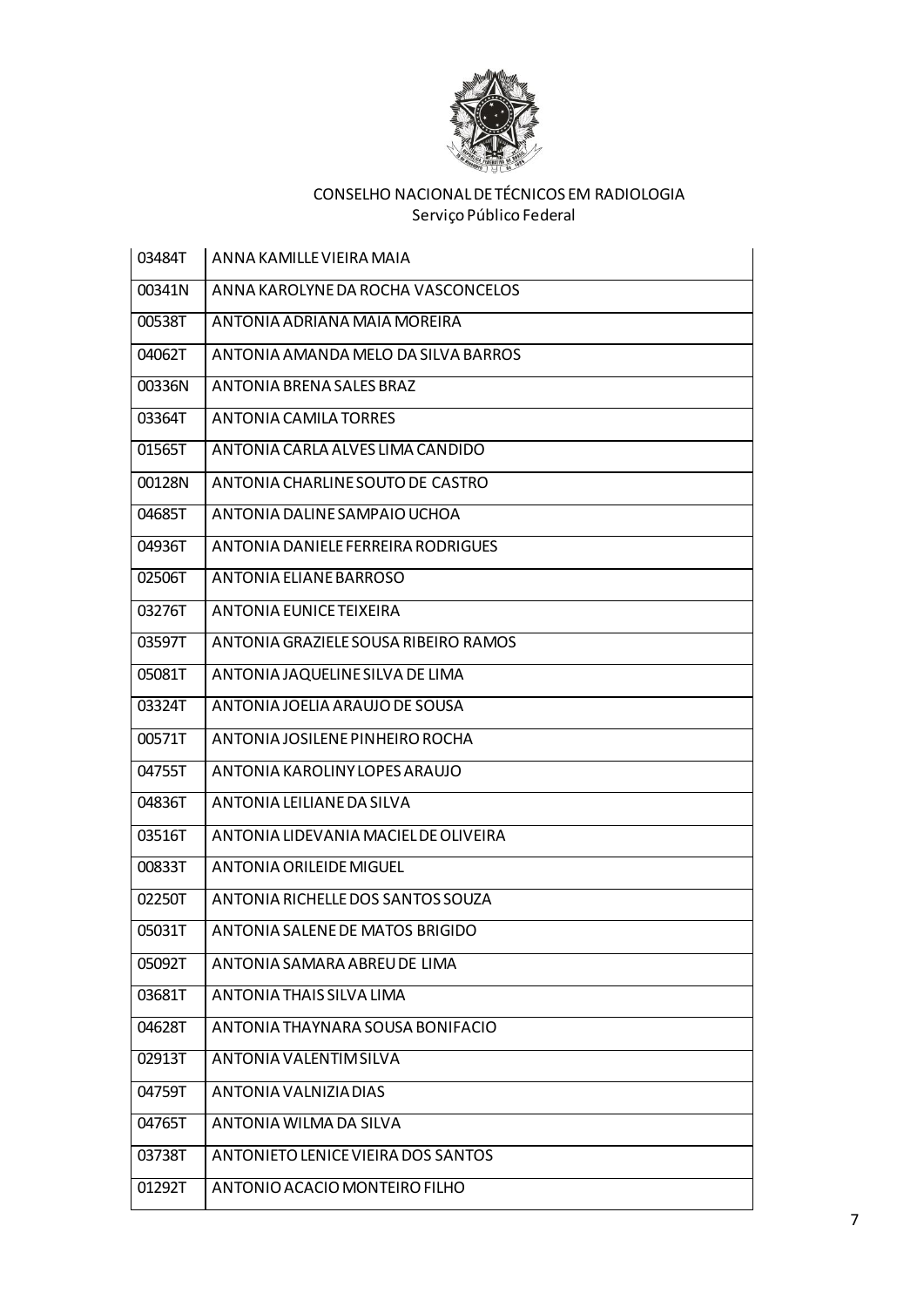

| 03484T | ANNA KAMILLE VIEIRA MAIA             |
|--------|--------------------------------------|
| 00341N | ANNA KAROLYNE DA ROCHA VASCONCELOS   |
| 00538T | ANTONIA ADRIANA MAIA MOREIRA         |
| 04062T | ANTONIA AMANDA MELO DA SILVA BARROS  |
| 00336N | ANTONIA BRENA SALES BRAZ             |
| 03364T | ANTONIA CAMILA TORRES                |
| 01565T | ANTONIA CARLA ALVES LIMA CANDIDO     |
| 00128N | ANTONIA CHARLINE SOUTO DE CASTRO     |
| 04685T | ANTONIA DALINE SAMPAIO UCHOA         |
| 04936T | ANTONIA DANIELE FERREIRA RODRIGUES   |
| 02506T | ANTONIA ELIANE BARROSO               |
| 03276T | ANTONIA EUNICE TEIXEIRA              |
| 03597T | ANTONIA GRAZIELE SOUSA RIBEIRO RAMOS |
| 05081T | ANTONIA JAQUELINE SILVA DE LIMA      |
| 03324T | ANTONIA JOELIA ARAUJO DE SOUSA       |
| 00571T | ANTONIA JOSILENE PINHEIRO ROCHA      |
| 04755T | ANTONIA KAROLINY LOPES ARAUJO        |
| 04836T | ANTONIA LEILIANE DA SILVA            |
| 03516T | ANTONIA LIDEVANIA MACIEL DE OLIVEIRA |
| 00833T | ANTONIA ORILEIDE MIGUEL              |
| 02250T | ANTONIA RICHELLE DOS SANTOS SOUZA    |
| 05031T | ANTONIA SALENE DE MATOS BRIGIDO      |
| 05092T | ANTONIA SAMARA ABREU DE LIMA         |
| 03681T | ANTONIA THAIS SILVA LIMA             |
| 04628T | ANTONIA THAYNARA SOUSA BONIFACIO     |
| 02913T | ANTONIA VALENTIM SILVA               |
| 04759T | ANTONIA VALNIZIA DIAS                |
| 04765T | ANTONIA WILMA DA SILVA               |
| 03738T | ANTONIETO LENICE VIEIRA DOS SANTOS   |
| 01292T | ANTONIO ACACIO MONTEIRO FILHO        |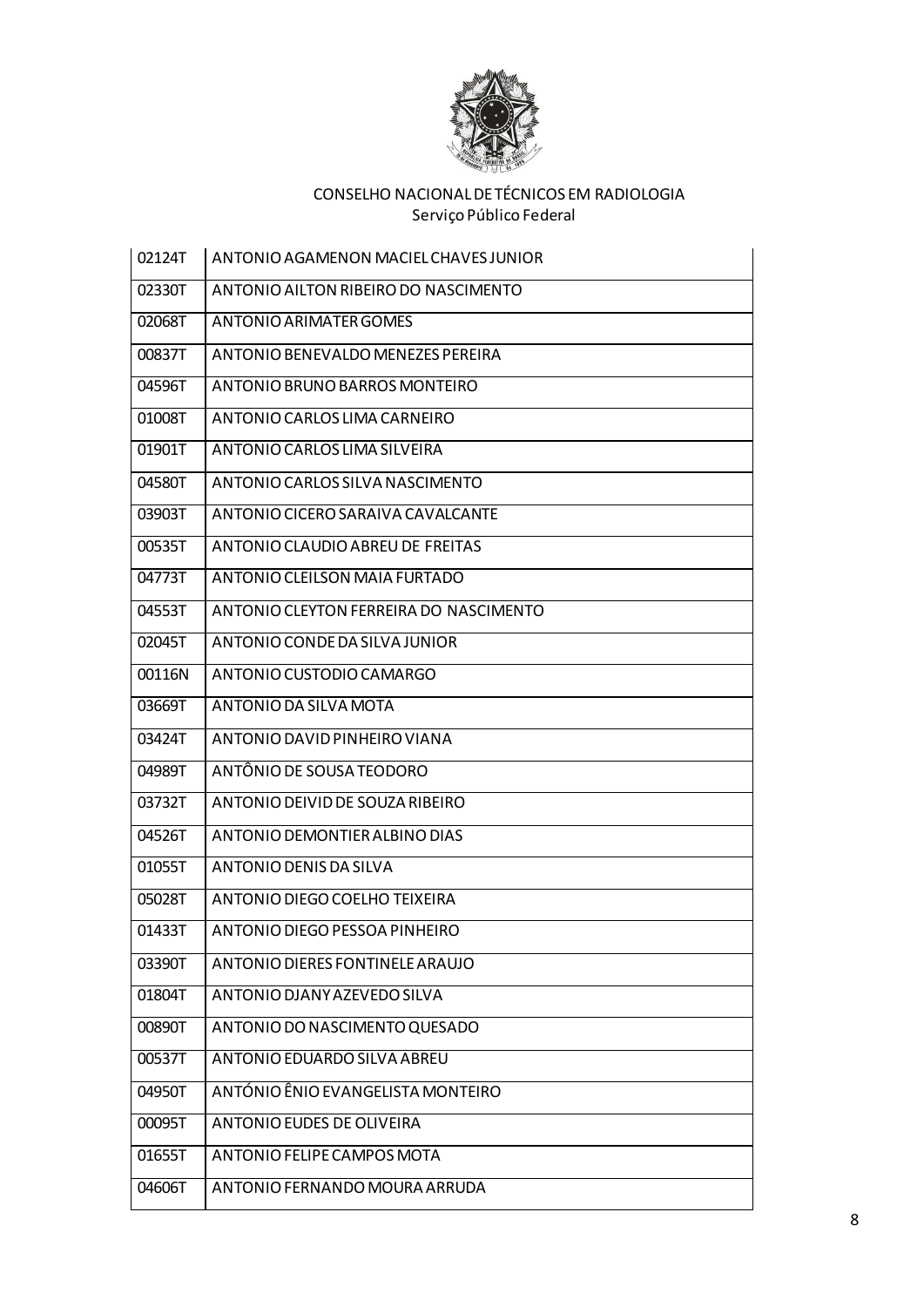

| 02124T | ANTONIO AGAMENON MACIEL CHAVES JUNIOR  |
|--------|----------------------------------------|
| 02330T | ANTONIO AILTON RIBEIRO DO NASCIMENTO   |
| 02068T | ANTONIO ARIMATER GOMES                 |
| 00837T | ANTONIO BENEVALDO MENEZES PEREIRA      |
| 04596T | ANTONIO BRUNO BARROS MONTEIRO          |
| 01008T | ANTONIO CARLOS LIMA CARNEIRO           |
| 01901T | ANTONIO CARLOS LIMA SILVEIRA           |
| 04580T | ANTONIO CARLOS SILVA NASCIMENTO        |
| 03903T | ANTONIO CICERO SARAIVA CAVALCANTE      |
| 00535T | ANTONIO CLAUDIO ABREU DE FREITAS       |
| 04773T | ANTONIO CLEILSON MAIA FURTADO          |
| 04553T | ANTONIO CLEYTON FERREIRA DO NASCIMENTO |
| 02045T | ANTONIO CONDE DA SILVA JUNIOR          |
| 00116N | ANTONIO CUSTODIO CAMARGO               |
| 03669T | ANTONIO DA SILVA MOTA                  |
| 03424T | ANTONIO DAVID PINHEIRO VIANA           |
| 04989T | ANTÔNIO DE SOUSA TEODORO               |
| 03732T | ANTONIO DEIVID DE SOUZA RIBEIRO        |
| 04526T | ANTONIO DEMONTIER ALBINO DIAS          |
| 01055T | ANTONIO DENIS DA SILVA                 |
| 05028T | ANTONIO DIEGO COELHO TEIXEIRA          |
| 01433T | ANTONIO DIEGO PESSOA PINHEIRO          |
| 03390T | ANTONIO DIERES FONTINELE ARAUJO        |
| 01804T | ANTONIO DJANY AZEVEDO SILVA            |
| 00890T | ANTONIO DO NASCIMENTO QUESADO          |
| 00537T | ANTONIO EDUARDO SILVA ABREU            |
| 04950T | ANTÓNIO ÊNIO EVANGELISTA MONTEIRO      |
| 00095T | ANTONIO EUDES DE OLIVEIRA              |
| 01655T | ANTONIO FELIPE CAMPOS MOTA             |
| 04606T | ANTONIO FERNANDO MOURA ARRUDA          |
|        |                                        |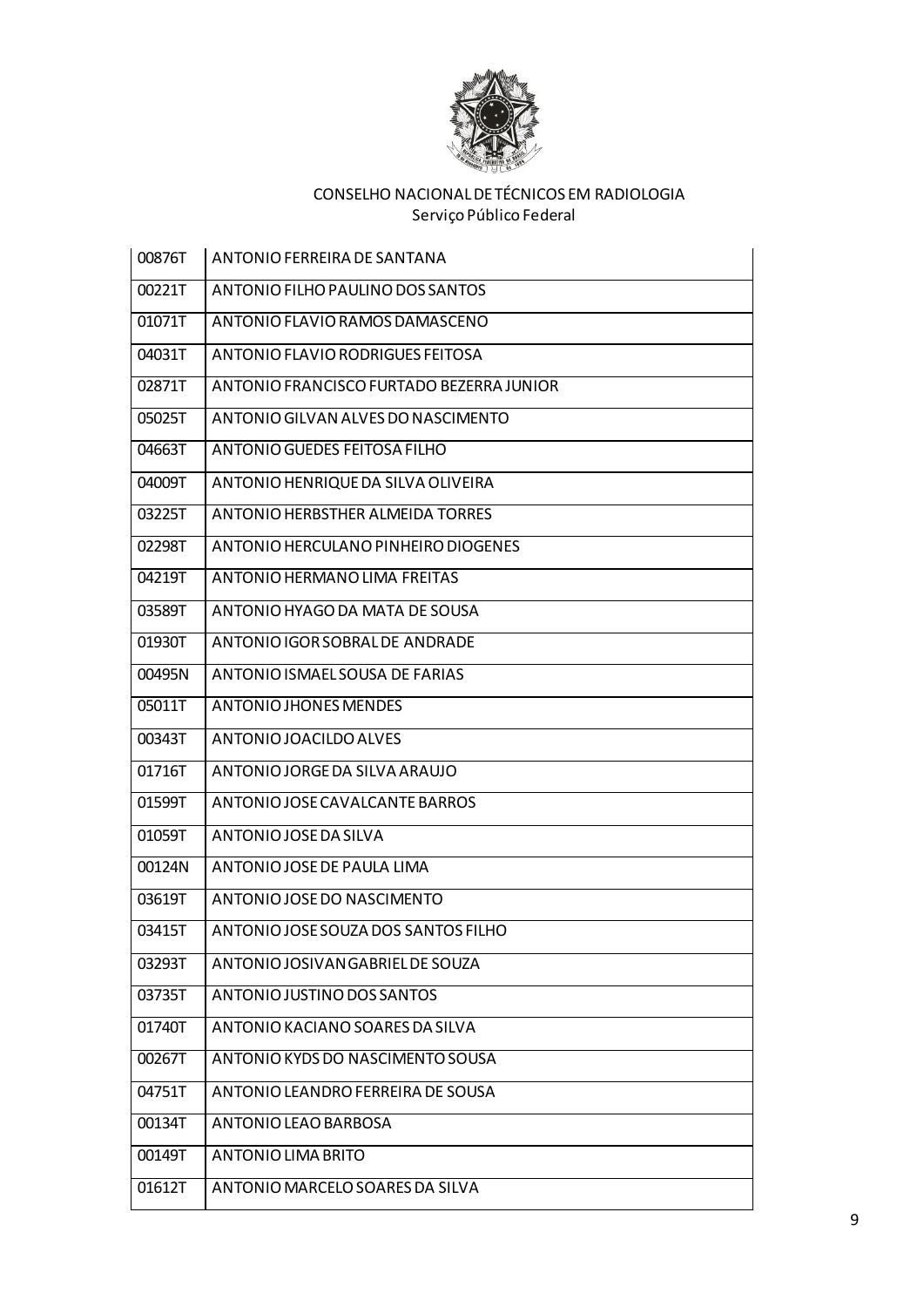

| 00876T | ANTONIO FERREIRA DE SANTANA              |
|--------|------------------------------------------|
| 00221T | ANTONIO FILHO PAULINO DOS SANTOS         |
| 01071T | ANTONIO FLAVIO RAMOS DAMASCENO           |
| 04031T | ANTONIO FLAVIO RODRIGUES FEITOSA         |
| 02871T | ANTONIO FRANCISCO FURTADO BEZERRA JUNIOR |
| 05025T | ANTONIO GILVAN ALVES DO NASCIMENTO       |
| 04663T | ANTONIO GUEDES FEITOSA FILHO             |
| 04009T | ANTONIO HENRIQUE DA SILVA OLIVEIRA       |
| 03225T | <b>ANTONIO HERBSTHER ALMEIDA TORRES</b>  |
| 02298T | ANTONIO HERCULANO PINHEIRO DIOGENES      |
| 04219T | ANTONIO HERMANO LIMA FREITAS             |
| 03589T | ANTONIO HYAGO DA MATA DE SOUSA           |
| 01930T | ANTONIO IGOR SOBRAL DE ANDRADE           |
| 00495N | ANTONIO ISMAEL SOUSA DE FARIAS           |
| 05011T | <b>ANTONIO JHONES MENDES</b>             |
| 00343T | ANTONIO JOACILDO ALVES                   |
| 01716T | ANTONIO JORGE DA SILVA ARAUJO            |
| 01599T | ANTONIO JOSE CAVALCANTE BARROS           |
| 01059T | ANTONIO JOSE DA SILVA                    |
| 00124N | ANTONIO JOSE DE PAULA LIMA               |
| 03619T | ANTONIO JOSE DO NASCIMENTO               |
| 03415T | ANTONIO JOSE SOUZA DOS SANTOS FILHO      |
| 03293T | ANTONIO JOSIVAN GABRIEL DE SOUZA         |
| 03735T | ANTONIO JUSTINO DOS SANTOS               |
| 01740T | ANTONIO KACIANO SOARES DA SILVA          |
| 00267T | ANTONIO KYDS DO NASCIMENTO SOUSA         |
| 04751T | ANTONIO LEANDRO FERREIRA DE SOUSA        |
| 00134T | ANTONIO LEAO BARBOSA                     |
| 00149T | ANTONIO LIMA BRITO                       |
| 01612T | ANTONIO MARCELO SOARES DA SILVA          |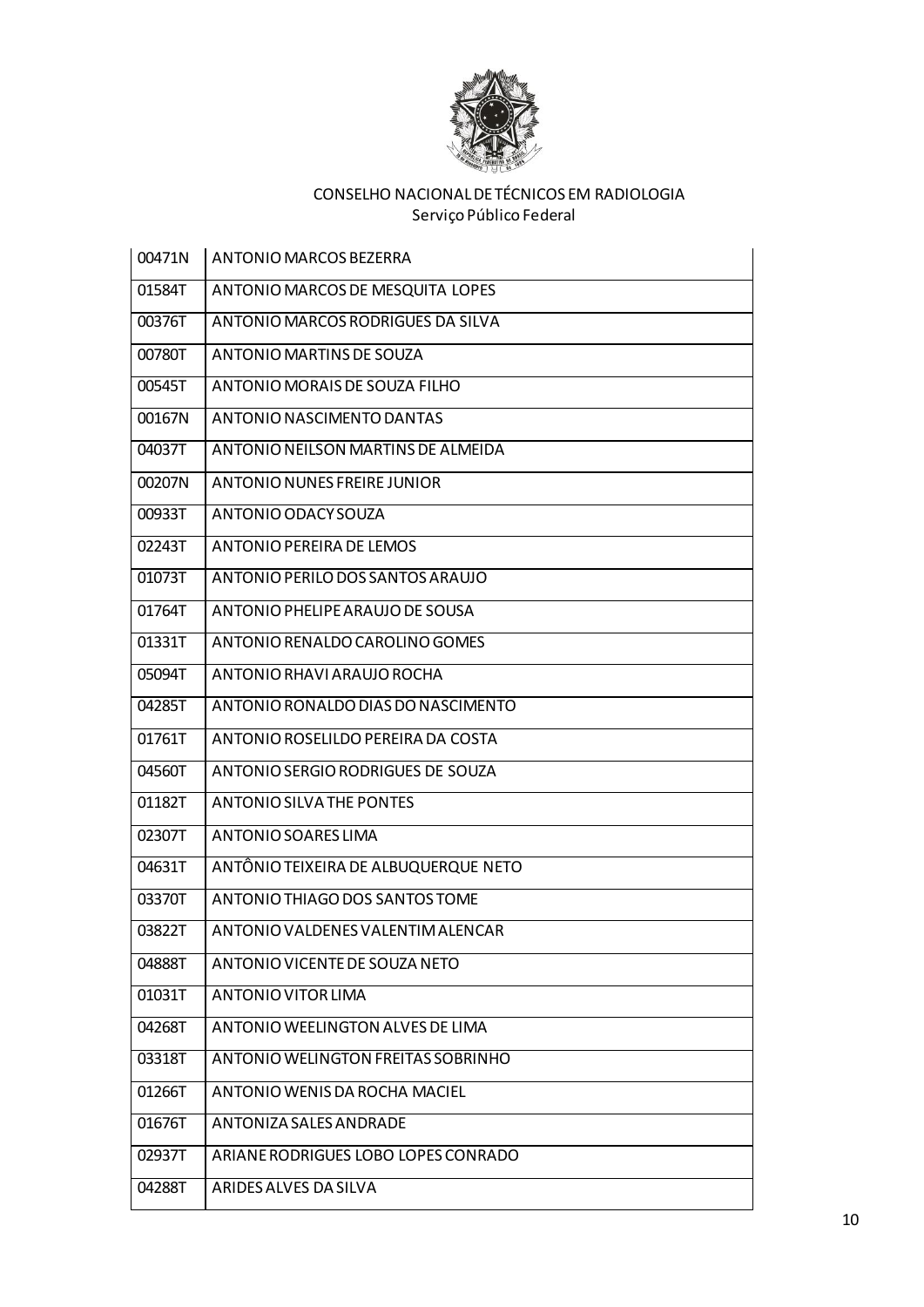

| 00471N | ANTONIO MARCOS BEZERRA               |
|--------|--------------------------------------|
| 01584T | ANTONIO MARCOS DE MESQUITA LOPES     |
| 00376T | ANTONIO MARCOS RODRIGUES DA SILVA    |
| 00780T | ANTONIO MARTINS DE SOUZA             |
| 00545T | ANTONIO MORAIS DE SOUZA FILHO        |
| 00167N | ANTONIO NASCIMENTO DANTAS            |
| 04037T | ANTONIO NEILSON MARTINS DE ALMEIDA   |
| 00207N | ANTONIO NUNES FREIRE JUNIOR          |
| 00933T | ANTONIO ODACY SOUZA                  |
| 02243T | ANTONIO PEREIRA DE LEMOS             |
| 01073T | ANTONIO PERILO DOS SANTOS ARAUJO     |
| 01764T | ANTONIO PHELIPE ARAUJO DE SOUSA      |
| 01331T | ANTONIO RENALDO CAROLINO GOMES       |
| 05094T | ANTONIO RHAVI ARAUJO ROCHA           |
| 04285T | ANTONIO RONALDO DIAS DO NASCIMENTO   |
| 01761T | ANTONIO ROSELILDO PEREIRA DA COSTA   |
| 04560T | ANTONIO SERGIO RODRIGUES DE SOUZA    |
| 01182T | ANTONIO SILVA THE PONTES             |
| 02307T | ANTONIO SOARES LIMA                  |
| 04631T | ANTÔNIO TEIXEIRA DE ALBUQUERQUE NETO |
| 03370T | ANTONIO THIAGO DOS SANTOS TOME       |
| 03822T | ANTONIO VALDENES VALENTIM ALENCAR    |
| 04888T | ANTONIO VICENTE DE SOUZA NETO        |
| 01031T | ANTONIO VITOR LIMA                   |
| 04268T | ANTONIO WEELINGTON ALVES DE LIMA     |
| 03318T | ANTONIO WELINGTON FREITAS SOBRINHO   |
| 01266T | ANTONIO WENIS DA ROCHA MACIEL        |
| 01676T | ANTONIZA SALES ANDRADE               |
| 02937T | ARIANE RODRIGUES LOBO LOPES CONRADO  |
| 04288T | ARIDES ALVES DA SILVA                |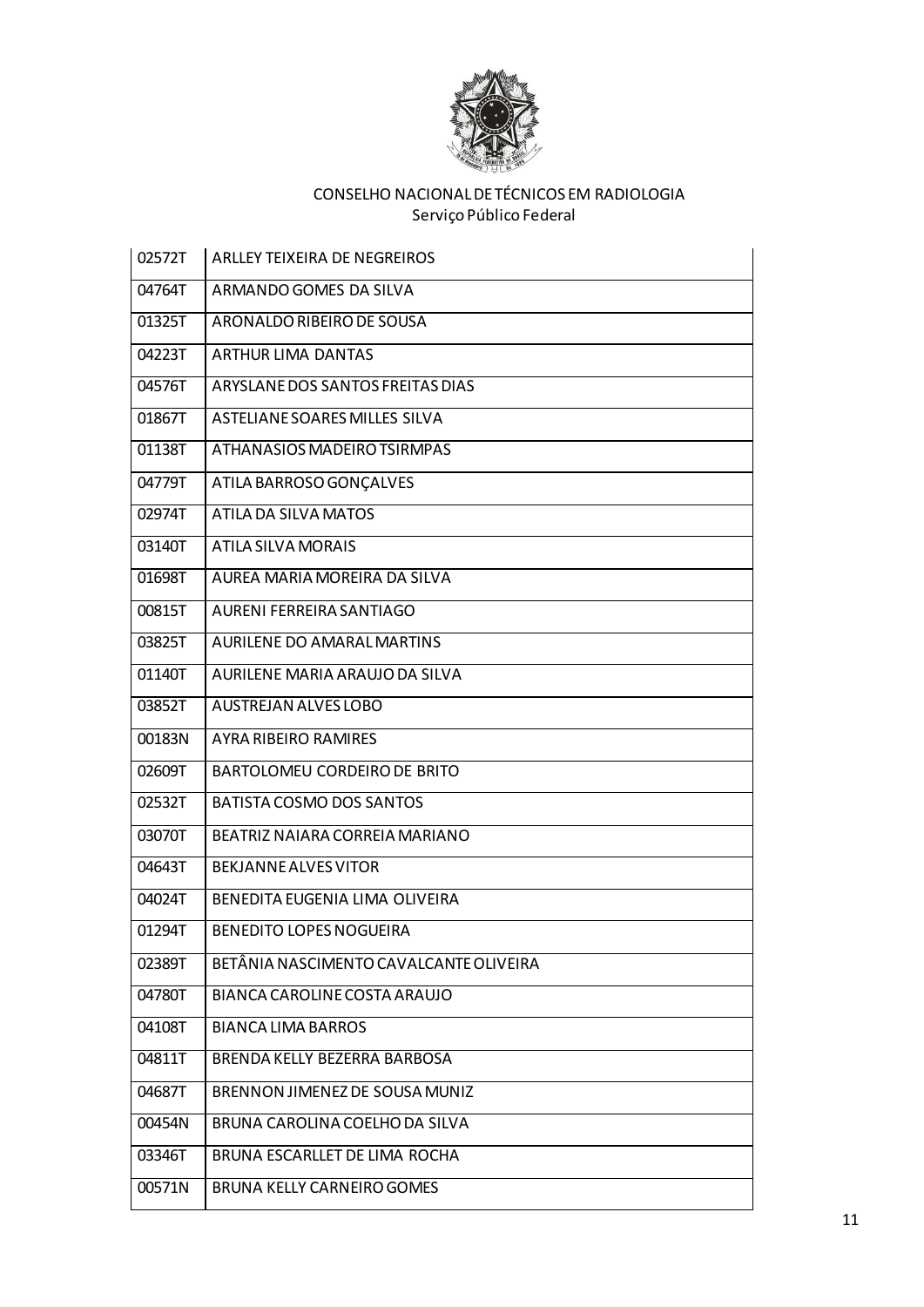

| 02572T | <b>ARLLEY TEIXEIRA DE NEGREIROS</b>    |
|--------|----------------------------------------|
| 04764T | ARMANDO GOMES DA SILVA                 |
| 01325T | ARONALDO RIBEIRO DE SOUSA              |
| 04223T | <b>ARTHUR LIMA DANTAS</b>              |
| 04576T | ARYSLANE DOS SANTOS FREITAS DIAS       |
| 01867T | ASTELIANE SOARES MILLES SILVA          |
| 01138T | ATHANASIOS MADEIRO TSIRMPAS            |
| 04779T | ATILA BARROSO GONÇALVES                |
| 02974T | ATILA DA SILVA MATOS                   |
| 03140T | ATILA SILVA MORAIS                     |
| 01698T | AUREA MARIA MOREIRA DA SILVA           |
| 00815T | AURENI FERREIRA SANTIAGO               |
| 03825T | <b>AURILENE DO AMARAL MARTINS</b>      |
| 01140T | AURILENE MARIA ARAUJO DA SILVA         |
| 03852T | <b>AUSTREJAN ALVES LOBO</b>            |
| 00183N | <b>AYRA RIBEIRO RAMIRES</b>            |
| 02609T | BARTOLOMEU CORDEIRO DE BRITO           |
| 02532T | BATISTA COSMO DOS SANTOS               |
| 03070T | BEATRIZ NAIARA CORREIA MARIANO         |
| 04643T | BEKJANNE ALVES VITOR                   |
| 04024T | BENEDITA EUGENIA LIMA OLIVEIRA         |
| 01294T | <b>BENEDITO LOPES NOGUEIRA</b>         |
| 02389T | BETÂNIA NASCIMENTO CAVALCANTE OLIVEIRA |
| 04780T | BIANCA CAROLINE COSTA ARAUJO           |
| 04108T | <b>BIANCA LIMA BARROS</b>              |
| 04811T | BRENDA KELLY BEZERRA BARBOSA           |
| 04687T | BRENNON JIMENEZ DE SOUSA MUNIZ         |
| 00454N | BRUNA CAROLINA COELHO DA SILVA         |
| 03346T | BRUNA ESCARLLET DE LIMA ROCHA          |
| 00571N | <b>BRUNA KELLY CARNEIRO GOMES</b>      |
|        |                                        |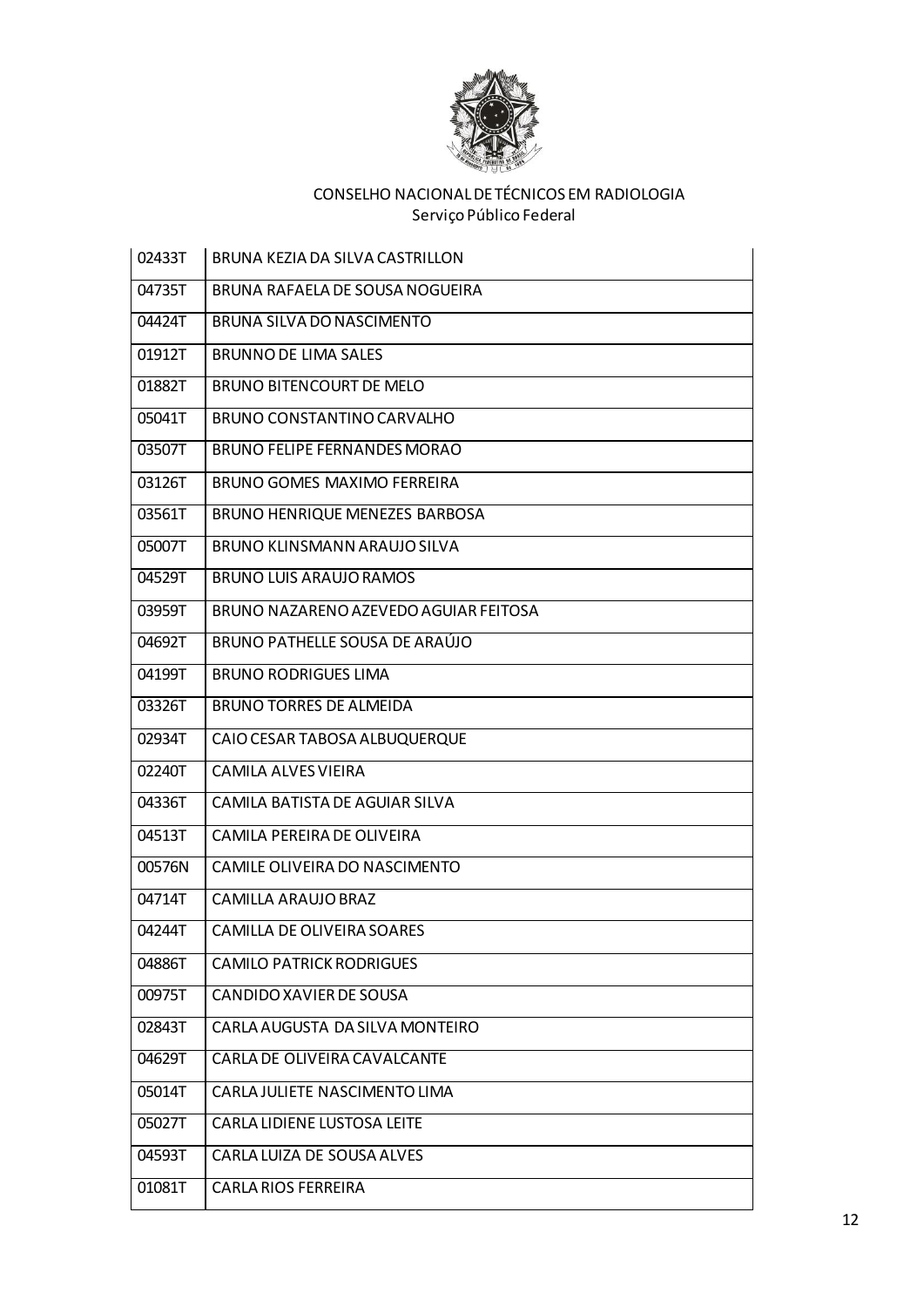

| 02433T | BRUNA KEZIA DA SILVA CASTRILLON       |
|--------|---------------------------------------|
| 04735T | BRUNA RAFAELA DE SOUSA NOGUEIRA       |
| 04424T | BRUNA SILVA DO NASCIMENTO             |
| 01912T | <b>BRUNNO DE LIMA SALES</b>           |
| 01882T | <b>BRUNO BITENCOURT DE MELO</b>       |
| 05041T | BRUNO CONSTANTINO CARVALHO            |
| 03507T | <b>BRUNO FELIPE FERNANDES MORAO</b>   |
| 03126T | BRUNO GOMES MAXIMO FERREIRA           |
| 03561T | BRUNO HENRIQUE MENEZES BARBOSA        |
| 05007T | BRUNO KLINSMANN ARAUJO SILVA          |
| 04529T | <b>BRUNO LUIS ARAUJO RAMOS</b>        |
| 03959T | BRUNO NAZARENO AZEVEDO AGUIAR FEITOSA |
| 04692T | <b>BRUNO PATHELLE SOUSA DE ARAÚJO</b> |
| 04199T | <b>BRUNO RODRIGUES LIMA</b>           |
| 03326T | <b>BRUNO TORRES DE ALMEIDA</b>        |
| 02934T | CAIO CESAR TABOSA ALBUQUERQUE         |
| 02240T | CAMILA ALVES VIEIRA                   |
| 04336T | CAMILA BATISTA DE AGUIAR SILVA        |
| 04513T | CAMILA PEREIRA DE OLIVEIRA            |
| 00576N | CAMILE OLIVEIRA DO NASCIMENTO         |
| 04714T | CAMILLA ARAUJO BRAZ                   |
| 04244T | CAMILLA DE OLIVEIRA SOARES            |
| 04886T | <b>CAMILO PATRICK RODRIGUES</b>       |
| 00975T | CANDIDO XAVIER DE SOUSA               |
| 02843T | CARLA AUGUSTA DA SILVA MONTEIRO       |
| 04629T | CARLA DE OLIVEIRA CAVALCANTE          |
| 05014T | CARLA JULIETE NASCIMENTO LIMA         |
| 05027T | CARLA LIDIENE LUSTOSA LEITE           |
| 04593T | CARLA LUIZA DE SOUSA ALVES            |
| 01081T | <b>CARLA RIOS FERREIRA</b>            |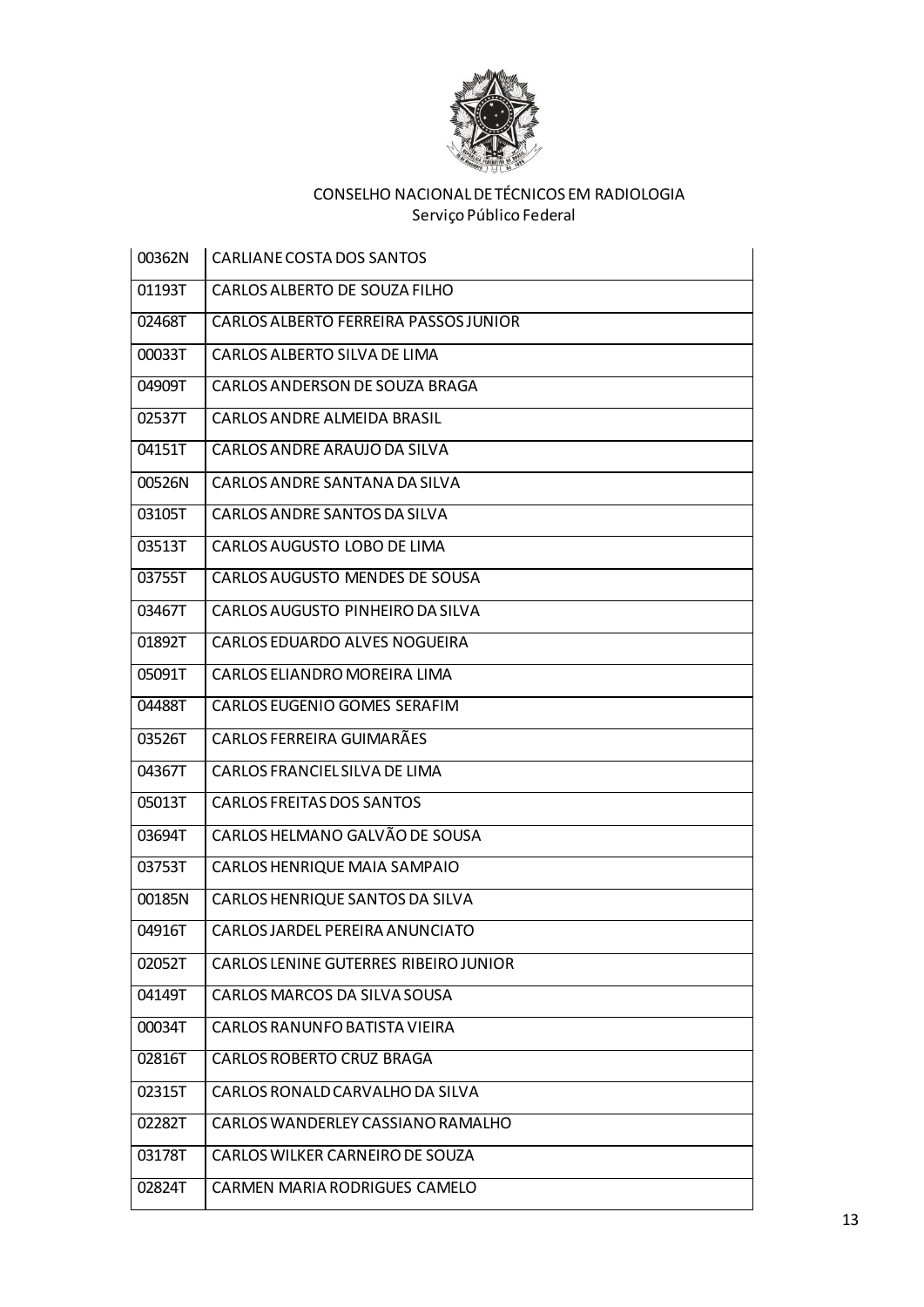

| 00362N | CARLIANE COSTA DOS SANTOS             |
|--------|---------------------------------------|
| 01193T | CARLOS ALBERTO DE SOUZA FILHO         |
| 02468T | CARLOS ALBERTO FERREIRA PASSOS JUNIOR |
| 00033T | CARLOS ALBERTO SILVA DE LIMA          |
| 04909T | CARLOS ANDERSON DE SOUZA BRAGA        |
| 02537T | CARLOS ANDRE ALMEIDA BRASIL           |
| 04151T | CARLOS ANDRE ARAUJO DA SILVA          |
| 00526N | CARLOS ANDRE SANTANA DA SILVA         |
| 03105T | CARLOS ANDRE SANTOS DA SILVA          |
| 03513T | CARLOS AUGUSTO LOBO DE LIMA           |
| 03755T | CARLOS AUGUSTO MENDES DE SOUSA        |
| 03467T | CARLOS AUGUSTO PINHEIRO DA SILVA      |
| 01892T | <b>CARLOS EDUARDO ALVES NOGUEIRA</b>  |
| 05091T | CARLOS ELIANDRO MOREIRA LIMA          |
| 04488T | CARLOS EUGENIO GOMES SERAFIM          |
| 03526T | CARLOS FERREIRA GUIMARÃES             |
| 04367T | CARLOS FRANCIEL SILVA DE LIMA         |
| 05013T | <b>CARLOS FREITAS DOS SANTOS</b>      |
| 03694T | CARLOS HELMANO GALVÃO DE SOUSA        |
| 03753T | CARLOS HENRIQUE MAIA SAMPAIO          |
| 00185N | CARLOS HENRIQUE SANTOS DA SILVA       |
| 04916T | CARLOS JARDEL PEREIRA ANUNCIATO       |
| 02052T | CARLOS LENINE GUTERRES RIBEIRO JUNIOR |
| 04149T | CARLOS MARCOS DA SILVA SOUSA          |
| 00034T | CARLOS RANUNFO BATISTA VIEIRA         |
| 02816T | <b>CARLOS ROBERTO CRUZ BRAGA</b>      |
| 02315T | CARLOS RONALD CARVALHO DA SILVA       |
| 02282T | CARLOS WANDERLEY CASSIANO RAMALHO     |
| 03178T | CARLOS WILKER CARNEIRO DE SOUZA       |
| 02824T | CARMEN MARIA RODRIGUES CAMELO         |
|        |                                       |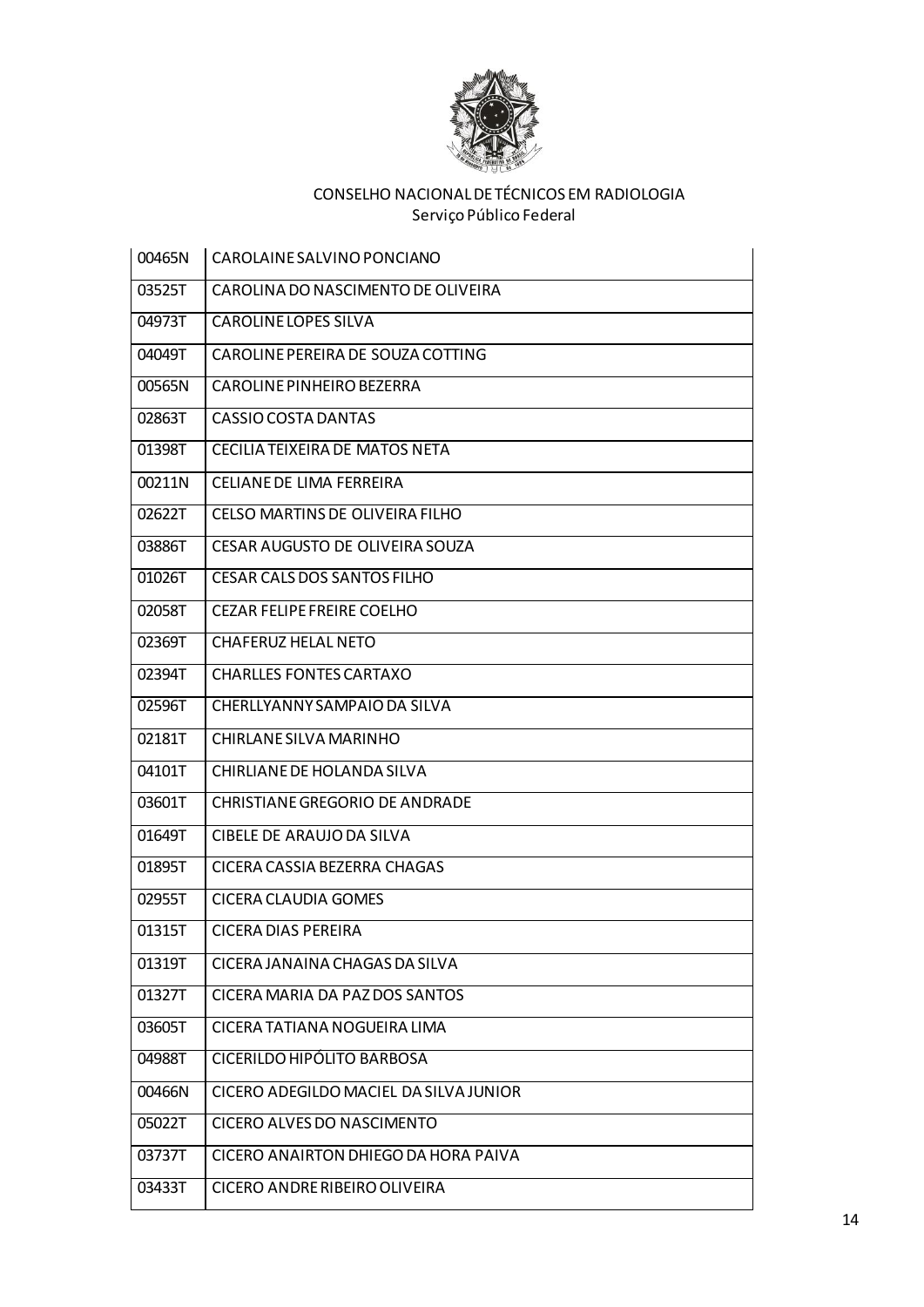

| 00465N | CAROLAINE SALVINO PONCIANO             |
|--------|----------------------------------------|
| 03525T | CAROLINA DO NASCIMENTO DE OLIVEIRA     |
| 04973T | CAROLINE LOPES SILVA                   |
| 04049T | CAROLINE PEREIRA DE SOUZA COTTING      |
| 00565N | CAROLINE PINHEIRO BEZERRA              |
| 02863T | CASSIO COSTA DANTAS                    |
| 01398T | CECILIA TEIXEIRA DE MATOS NETA         |
| 00211N | CELIANE DE LIMA FERREIRA               |
| 02622T | CELSO MARTINS DE OLIVEIRA FILHO        |
| 03886T | CESAR AUGUSTO DE OLIVEIRA SOUZA        |
| 01026T | CESAR CALS DOS SANTOS FILHO            |
| 02058T | <b>CEZAR FELIPE FREIRE COELHO</b>      |
| 02369T | <b>CHAFERUZ HELAL NETO</b>             |
| 02394T | <b>CHARLLES FONTES CARTAXO</b>         |
| 02596T | CHERLLYANNY SAMPAIO DA SILVA           |
| 02181T | CHIRLANE SILVA MARINHO                 |
| 04101T | CHIRLIANE DE HOLANDA SILVA             |
| 03601T | <b>CHRISTIANE GREGORIO DE ANDRADE</b>  |
| 01649T | CIBELE DE ARAUJO DA SILVA              |
| 01895T | CICERA CASSIA BEZERRA CHAGAS           |
| 02955T | CICERA CLAUDIA GOMES                   |
| 01315T | CICERA DIAS PEREIRA                    |
| 01319T | CICERA JANAINA CHAGAS DA SILVA         |
| 01327T | CICERA MARIA DA PAZ DOS SANTOS         |
| 03605T | CICERA TATIANA NOGUEIRA LIMA           |
| 04988T | CICERILDO HIPÓLITO BARBOSA             |
| 00466N | CICERO ADEGILDO MACIEL DA SILVA JUNIOR |
| 05022T | CICERO ALVES DO NASCIMENTO             |
| 03737T | CICERO ANAIRTON DHIEGO DA HORA PAIVA   |
| 03433T | CICERO ANDRE RIBEIRO OLIVEIRA          |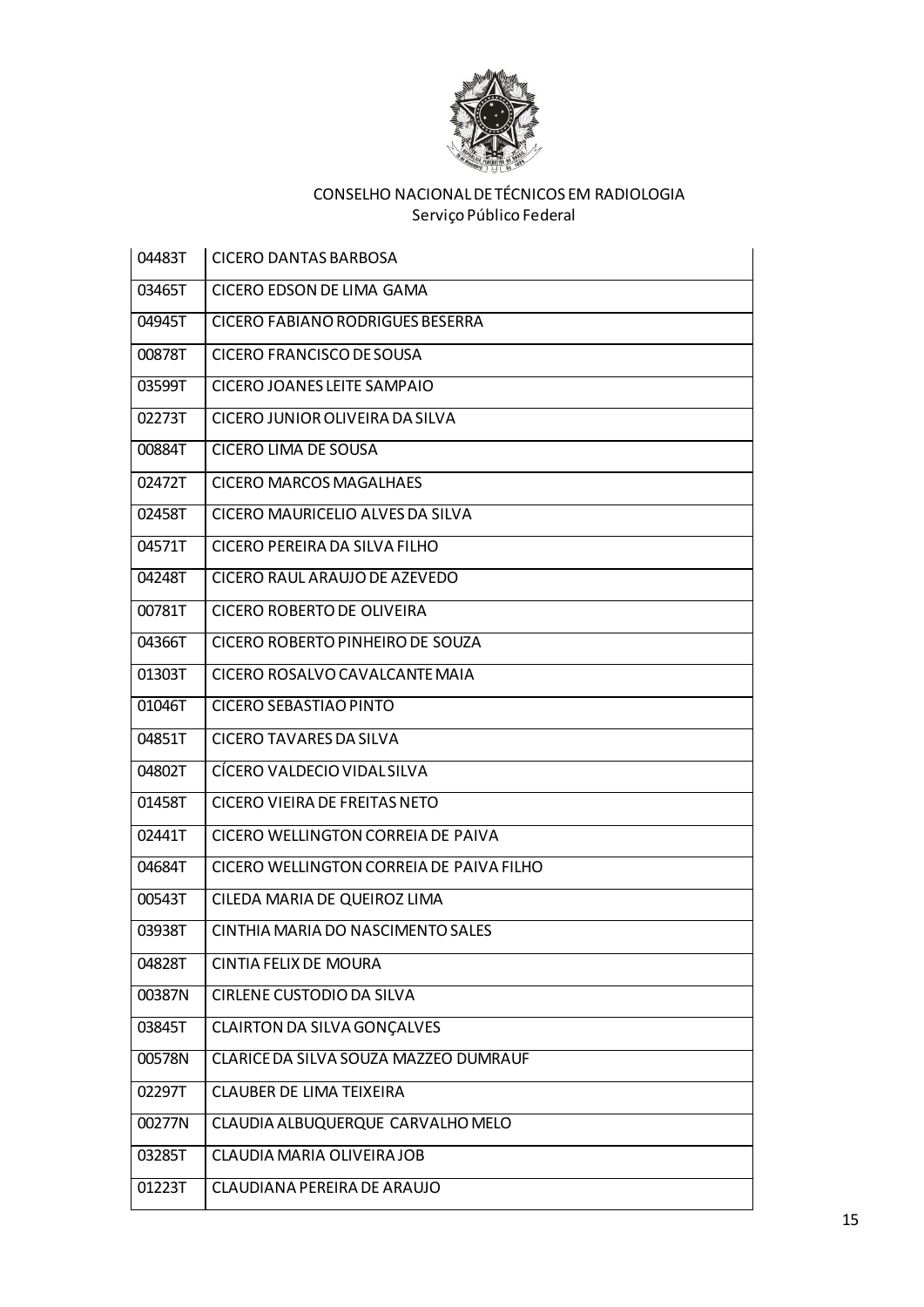

| 04483T | <b>CICERO DANTAS BARBOSA</b>             |
|--------|------------------------------------------|
| 03465T | CICERO EDSON DE LIMA GAMA                |
| 04945T | CICERO FABIANO RODRIGUES BESERRA         |
| 00878T | <b>CICERO FRANCISCO DE SOUSA</b>         |
| 03599T | CICERO JOANES LEITE SAMPAIO              |
| 02273T | CICERO JUNIOR OLIVEIRA DA SILVA          |
| 00884T | CICERO LIMA DE SOUSA                     |
| 02472T | <b>CICERO MARCOS MAGALHAES</b>           |
| 02458T | CICERO MAURICELIO ALVES DA SILVA         |
| 04571T | CICERO PEREIRA DA SILVA FILHO            |
| 04248T | CICERO RAUL ARAUJO DE AZEVEDO            |
| 00781T | CICERO ROBERTO DE OLIVEIRA               |
| 04366T | CICERO ROBERTO PINHEIRO DE SOUZA         |
| 01303T | CICERO ROSALVO CAVALCANTE MAIA           |
| 01046T | <b>CICERO SEBASTIAO PINTO</b>            |
| 04851T | <b>CICERO TAVARES DA SILVA</b>           |
| 04802T | CÍCERO VALDECIO VIDAL SILVA              |
| 01458T | CICERO VIEIRA DE FREITAS NETO            |
| 02441T | CICERO WELLINGTON CORREIA DE PAIVA       |
| 04684T | CICERO WELLINGTON CORREIA DE PAIVA FILHO |
| 00543T | CILEDA MARIA DE QUEIROZ LIMA             |
| 03938T | CINTHIA MARIA DO NASCIMENTO SALES        |
| 04828T | CINTIA FELIX DE MOURA                    |
| 00387N | CIRLENE CUSTODIO DA SILVA                |
| 03845T | CLAIRTON DA SILVA GONÇALVES              |
| 00578N | CLARICE DA SILVA SOUZA MAZZEO DUMRAUF    |
| 02297T | CLAUBER DE LIMA TEIXEIRA                 |
| 00277N | CLAUDIA ALBUQUERQUE CARVALHO MELO        |
| 03285T | CLAUDIA MARIA OLIVEIRA JOB               |
| 01223T | CLAUDIANA PEREIRA DE ARAUJO              |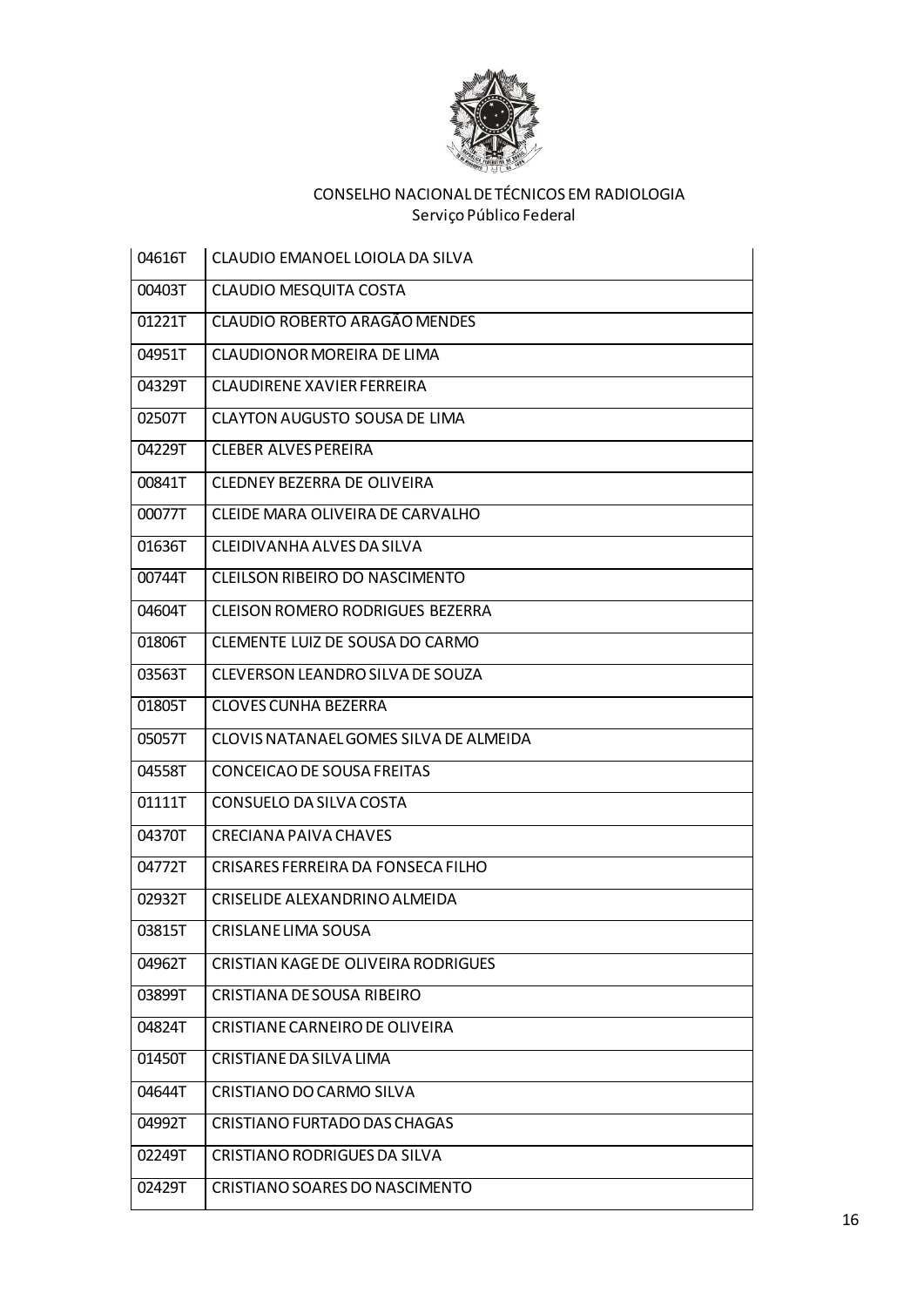

| 04616T | CLAUDIO EMANOEL LOIOLA DA SILVA         |
|--------|-----------------------------------------|
| 00403T | <b>CLAUDIO MESQUITA COSTA</b>           |
| 01221T | CLAUDIO ROBERTO ARAGÃO MENDES           |
| 04951T | CLAUDIONOR MOREIRA DE LIMA              |
| 04329T | CLAUDIRENE XAVIER FERREIRA              |
| 02507T | <b>CLAYTON AUGUSTO SOUSA DE LIMA</b>    |
| 04229T | <b>CLEBER ALVES PEREIRA</b>             |
| 00841T | CLEDNEY BEZERRA DE OLIVEIRA             |
| 00077T | CLEIDE MARA OLIVEIRA DE CARVALHO        |
| 01636T | CLEIDIVANHA ALVES DA SILVA              |
| 00744T | CLEILSON RIBEIRO DO NASCIMENTO          |
| 04604T | <b>CLEISON ROMERO RODRIGUES BEZERRA</b> |
| 01806T | CLEMENTE LUIZ DE SOUSA DO CARMO         |
| 03563T | CLEVERSON LEANDRO SILVA DE SOUZA        |
| 01805T | <b>CLOVES CUNHA BEZERRA</b>             |
| 05057T | CLOVIS NATANAEL GOMES SILVA DE ALMEIDA  |
| 04558T | CONCEICAO DE SOUSA FREITAS              |
| 01111T | CONSUELO DA SILVA COSTA                 |
| 04370T | <b>CRECIANA PAIVA CHAVES</b>            |
| 04772T | CRISARES FERREIRA DA FONSECA FILHO      |
| 02932T | CRISELIDE ALEXANDRINO ALMEIDA           |
| 03815T | CRISLANE LIMA SOUSA                     |
| 04962T | CRISTIAN KAGE DE OLIVEIRA RODRIGUES     |
| 03899T | CRISTIANA DE SOUSA RIBEIRO              |
| 04824T | CRISTIANE CARNEIRO DE OLIVEIRA          |
| 01450T | CRISTIANE DA SILVA LIMA                 |
| 04644T | CRISTIANO DO CARMO SILVA                |
| 04992T | CRISTIANO FURTADO DAS CHAGAS            |
| 02249T | CRISTIANO RODRIGUES DA SILVA            |
| 02429T | CRISTIANO SOARES DO NASCIMENTO          |
|        |                                         |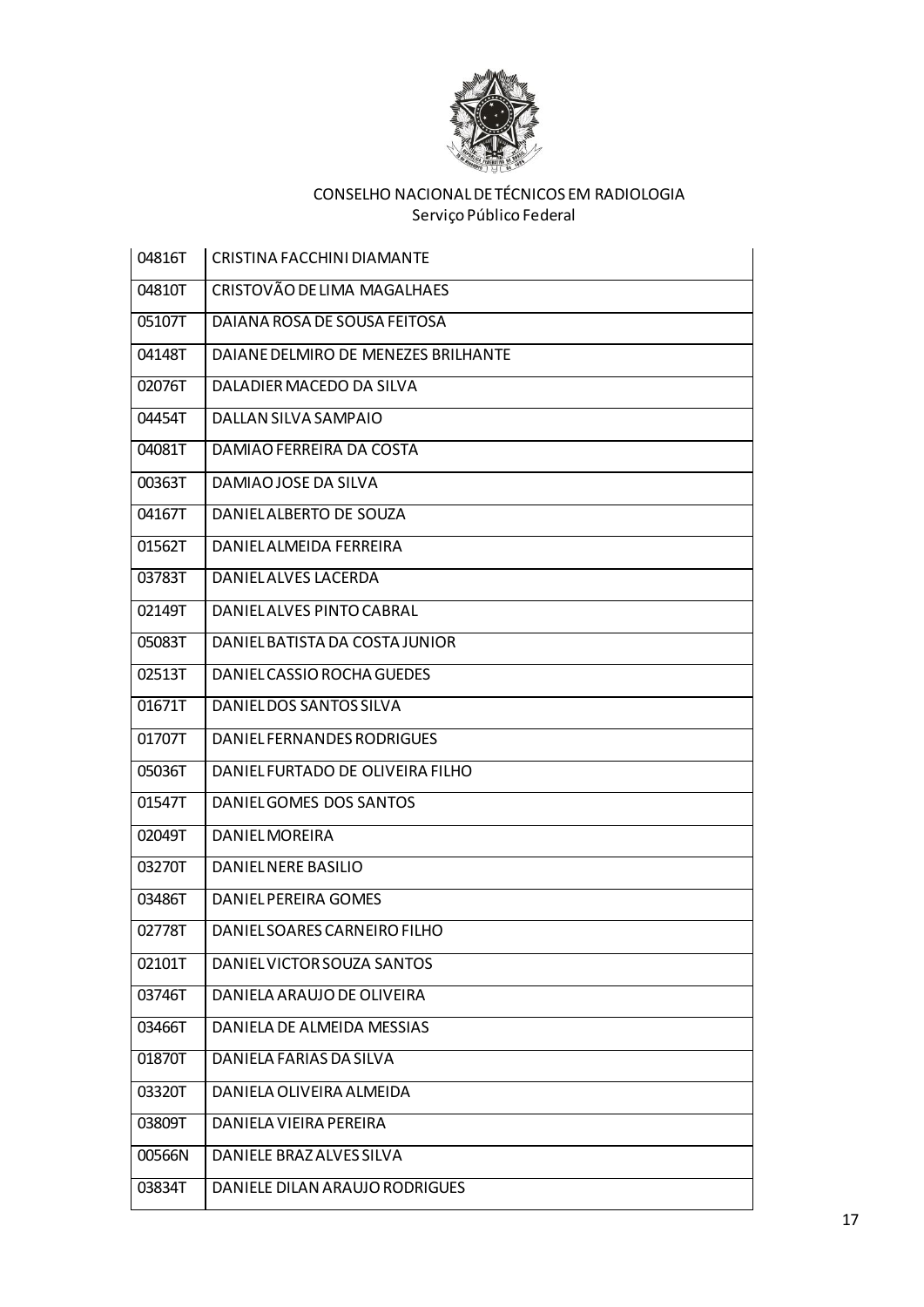

| 04816T | CRISTINA FACCHINI DIAMANTE          |
|--------|-------------------------------------|
| 04810T | CRISTOVÃO DE LIMA MAGALHAES         |
| 05107T | DAIANA ROSA DE SOUSA FEITOSA        |
| 04148T | DAIANE DELMIRO DE MENEZES BRILHANTE |
| 02076T | DALADIER MACEDO DA SILVA            |
| 04454T | DALLAN SILVA SAMPAIO                |
| 04081T | DAMIAO FERREIRA DA COSTA            |
| 00363T | DAMIAO JOSE DA SILVA                |
| 04167T | DANIEL ALBERTO DE SOUZA             |
| 01562T | DANIEL ALMEIDA FERREIRA             |
| 03783T | DANIEL ALVES LACERDA                |
| 02149T | DANIEL ALVES PINTO CABRAL           |
| 05083T | DANIEL BATISTA DA COSTA JUNIOR      |
| 02513T | DANIEL CASSIO ROCHA GUEDES          |
| 01671T | DANIELDOS SANTOS SILVA              |
| 01707T | DANIEL FERNANDES RODRIGUES          |
| 05036T | DANIEL FURTADO DE OLIVEIRA FILHO    |
| 01547T | DANIEL GOMES DOS SANTOS             |
| 02049T | <b>DANIEL MOREIRA</b>               |
| 03270T | DANIEL NERE BASILIO                 |
| 03486T | DANIEL PEREIRA GOMES                |
| 02778T | DANIEL SOARES CARNEIRO FILHO        |
| 02101T | DANIEL VICTOR SOUZA SANTOS          |
| 03746T | DANIELA ARAUJO DE OLIVEIRA          |
| 03466T | DANIELA DE ALMEIDA MESSIAS          |
| 01870T | DANIELA FARIAS DA SILVA             |
| 03320T | DANIELA OLIVEIRA ALMEIDA            |
| 03809T | DANIELA VIEIRA PEREIRA              |
| 00566N | DANIELE BRAZ ALVES SILVA            |
| 03834T | DANIELE DILAN ARAUJO RODRIGUES      |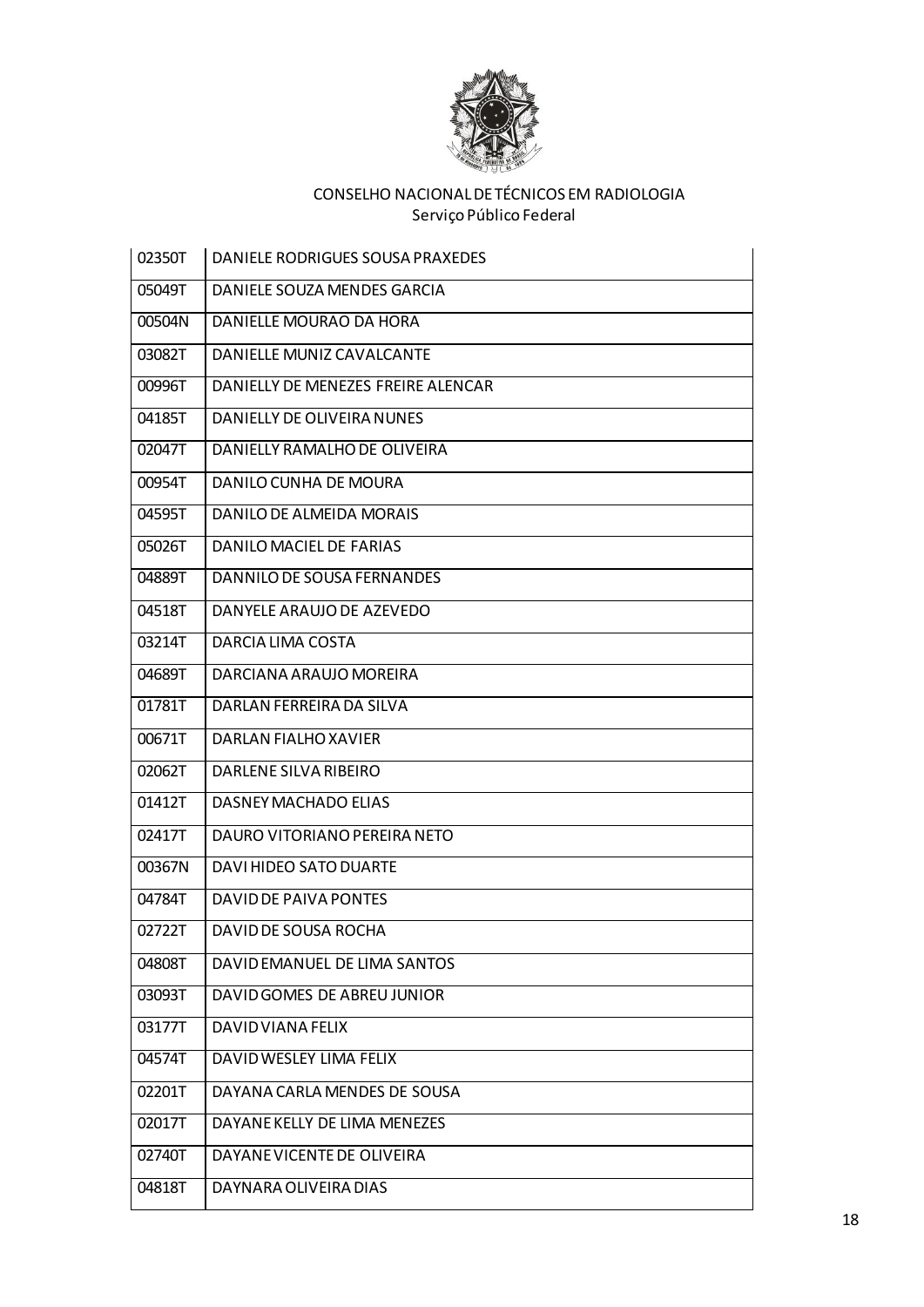

| 02350T | DANIELE RODRIGUES SOUSA PRAXEDES   |
|--------|------------------------------------|
| 05049T | DANIELE SOUZA MENDES GARCIA        |
| 00504N | DANIELLE MOURAO DA HORA            |
| 03082T | DANIELLE MUNIZ CAVALCANTE          |
| 00996T | DANIELLY DE MENEZES FREIRE ALENCAR |
| 04185T | DANIELLY DE OLIVEIRA NUNES         |
| 02047T | DANIELLY RAMALHO DE OLIVEIRA       |
| 00954T | DANILO CUNHA DE MOURA              |
| 04595T | DANILO DE ALMEIDA MORAIS           |
| 05026T | DANILO MACIEL DE FARIAS            |
| 04889T | DANNILO DE SOUSA FERNANDES         |
| 04518T | DANYELE ARAUJO DE AZEVEDO          |
| 03214T | DARCIA LIMA COSTA                  |
| 04689T | DARCIANA ARAUJO MOREIRA            |
| 01781T | DARLAN FERREIRA DA SILVA           |
| 00671T | DARLAN FIALHO XAVIER               |
| 02062T | DARLENE SILVA RIBEIRO              |
| 01412T | DASNEY MACHADO ELIAS               |
| 02417T | DAURO VITORIANO PEREIRA NETO       |
| 00367N | DAVI HIDEO SATO DUARTE             |
| 04784T | DAVID DE PAIVA PONTES              |
| 02722T | DAVID DE SOUSA ROCHA               |
| 04808T | DAVID EMANUEL DE LIMA SANTOS       |
| 03093T | DAVID GOMES DE ABREU JUNIOR        |
| 03177T | DAVID VIANA FELIX                  |
| 04574T | DAVID WESLEY LIMA FELIX            |
| 02201T | DAYANA CARLA MENDES DE SOUSA       |
| 02017T | DAYANE KELLY DE LIMA MENEZES       |
| 02740T | DAYANE VICENTE DE OLIVEIRA         |
| 04818T | DAYNARA OLIVEIRA DIAS              |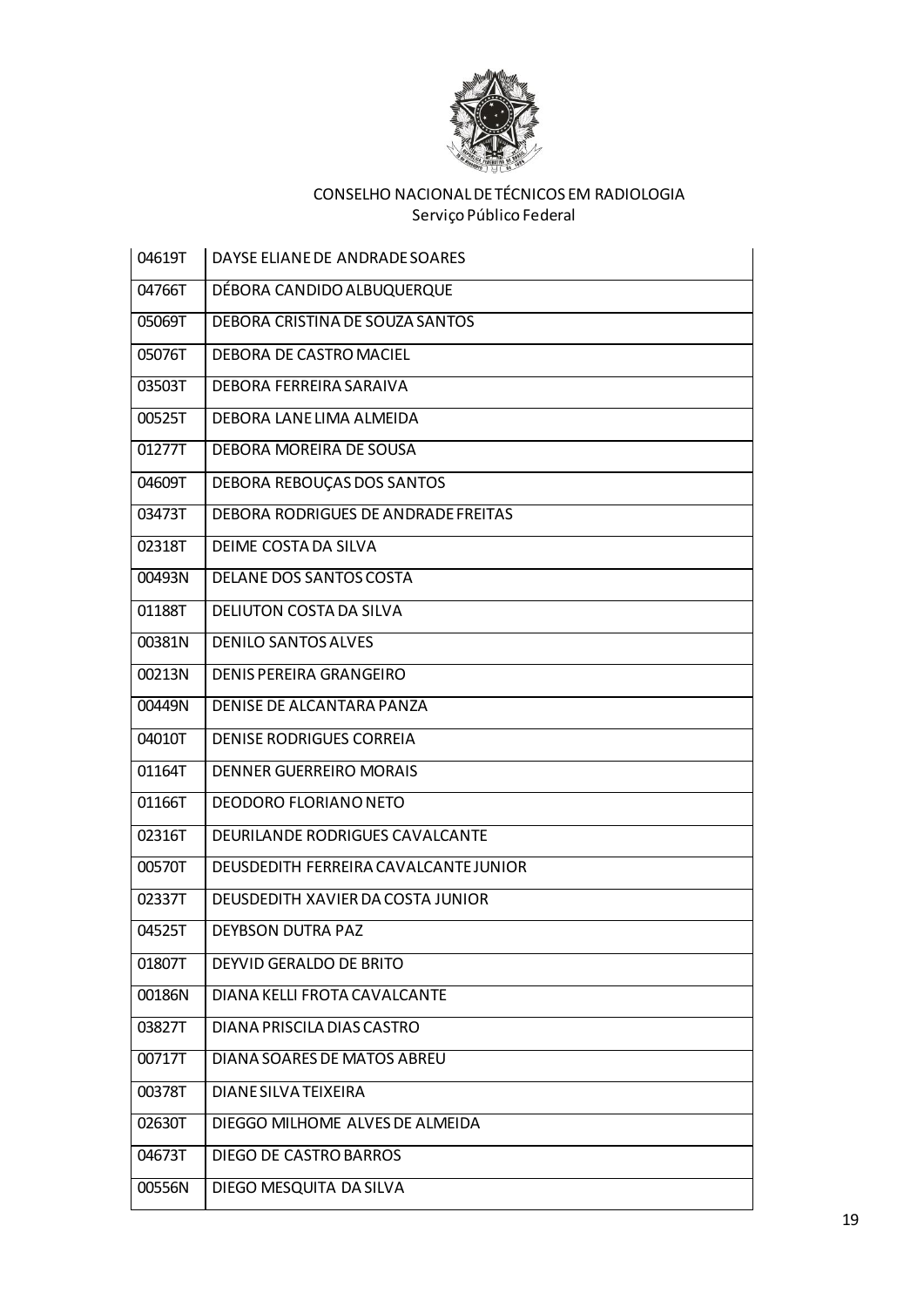

| 04619T | DAYSE ELIANE DE ANDRADE SOARES        |
|--------|---------------------------------------|
| 04766T | DÉBORA CANDIDO ALBUQUERQUE            |
| 05069T | DEBORA CRISTINA DE SOUZA SANTOS       |
| 05076T | DEBORA DE CASTRO MACIEL               |
| 03503T | DEBORA FERREIRA SARAIVA               |
| 00525T | DEBORA LANE LIMA ALMEIDA              |
| 01277T | DEBORA MOREIRA DE SOUSA               |
| 04609T | DEBORA REBOUÇAS DOS SANTOS            |
| 03473T | DEBORA RODRIGUES DE ANDRADE FREITAS   |
| 02318T | DEIME COSTA DA SILVA                  |
| 00493N | DELANE DOS SANTOS COSTA               |
| 01188T | <b>DELIUTON COSTA DA SILVA</b>        |
| 00381N | <b>DENILO SANTOS ALVES</b>            |
| 00213N | DENIS PEREIRA GRANGEIRO               |
| 00449N | DENISE DE ALCANTARA PANZA             |
| 04010T | <b>DENISE RODRIGUES CORREIA</b>       |
| 01164T | DENNER GUERREIRO MORAIS               |
| 01166T | <b>DEODORO FLORIANO NETO</b>          |
| 02316T | DEURILANDE RODRIGUES CAVALCANTE       |
| 00570T | DEUSDEDITH FERREIRA CAVALCANTE JUNIOR |
| 02337T | DEUSDEDITH XAVIER DA COSTA JUNIOR     |
| 04525T | DEYBSON DUTRA PAZ                     |
| 01807T | DEYVID GERALDO DE BRITO               |
| 00186N | DIANA KELLI FROTA CAVALCANTE          |
| 03827T | DIANA PRISCILA DIAS CASTRO            |
| 00717T | DIANA SOARES DE MATOS ABREU           |
| 00378T | <b>DIANE SILVA TEIXEIRA</b>           |
| 02630T | DIEGGO MILHOME ALVES DE ALMEIDA       |
| 04673T | <b>DIEGO DE CASTRO BARROS</b>         |
| 00556N | DIEGO MESQUITA DA SILVA               |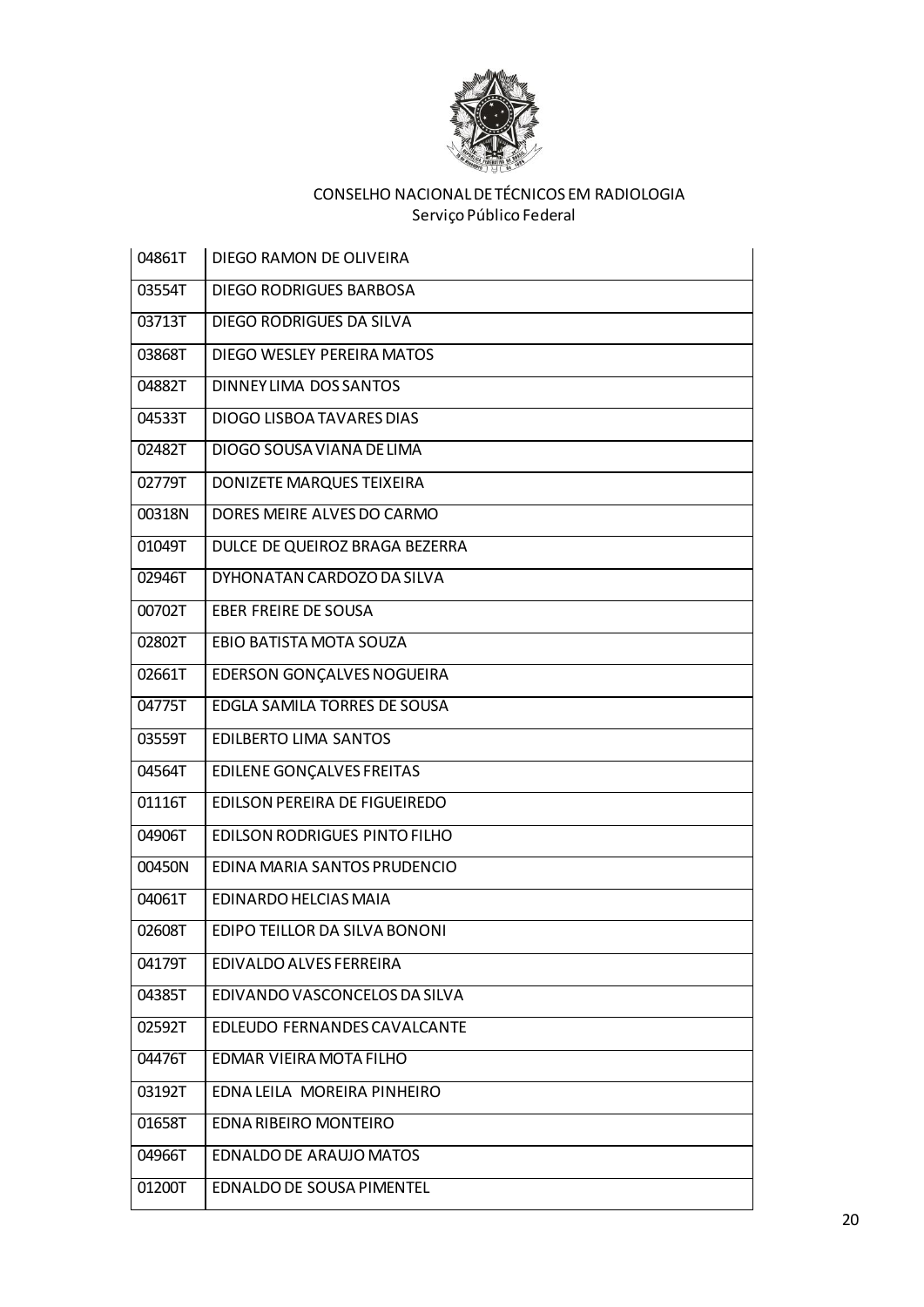

| 04861T | DIEGO RAMON DE OLIVEIRA          |
|--------|----------------------------------|
| 03554T | DIEGO RODRIGUES BARBOSA          |
| 03713T | DIEGO RODRIGUES DA SILVA         |
| 03868T | DIEGO WESLEY PEREIRA MATOS       |
| 04882T | DINNEY LIMA DOS SANTOS           |
| 04533T | DIOGO LISBOA TAVARES DIAS        |
| 02482T | DIOGO SOUSA VIANA DE LIMA        |
| 02779T | DONIZETE MARQUES TEIXEIRA        |
| 00318N | DORES MEIRE ALVES DO CARMO       |
| 01049T | DULCE DE QUEIROZ BRAGA BEZERRA   |
| 02946T | DYHONATAN CARDOZO DA SILVA       |
| 00702T | EBER FREIRE DE SOUSA             |
| 02802T | EBIO BATISTA MOTA SOUZA          |
| 02661T | EDERSON GONÇALVES NOGUEIRA       |
| 04775T | EDGLA SAMILA TORRES DE SOUSA     |
| 03559T | <b>EDILBERTO LIMA SANTOS</b>     |
| 04564T | <b>EDILENE GONÇALVES FREITAS</b> |
| 01116T | EDILSON PEREIRA DE FIGUEIREDO    |
| 04906T | EDILSON RODRIGUES PINTO FILHO    |
| 00450N | EDINA MARIA SANTOS PRUDENCIO     |
| 04061T | EDINARDO HELCIAS MAIA            |
| 02608T | EDIPO TEILLOR DA SILVA BONONI    |
| 04179T | EDIVALDO ALVES FERREIRA          |
| 04385T | EDIVANDO VASCONCELOS DA SILVA    |
| 02592T | EDLEUDO FERNANDES CAVALCANTE     |
| 04476T | EDMAR VIEIRA MOTA FILHO          |
| 03192T | EDNA LEILA MOREIRA PINHEIRO      |
| 01658T | EDNA RIBEIRO MONTEIRO            |
| 04966T | <b>EDNALDO DE ARAUJO MATOS</b>   |
| 01200T | EDNALDO DE SOUSA PIMENTEL        |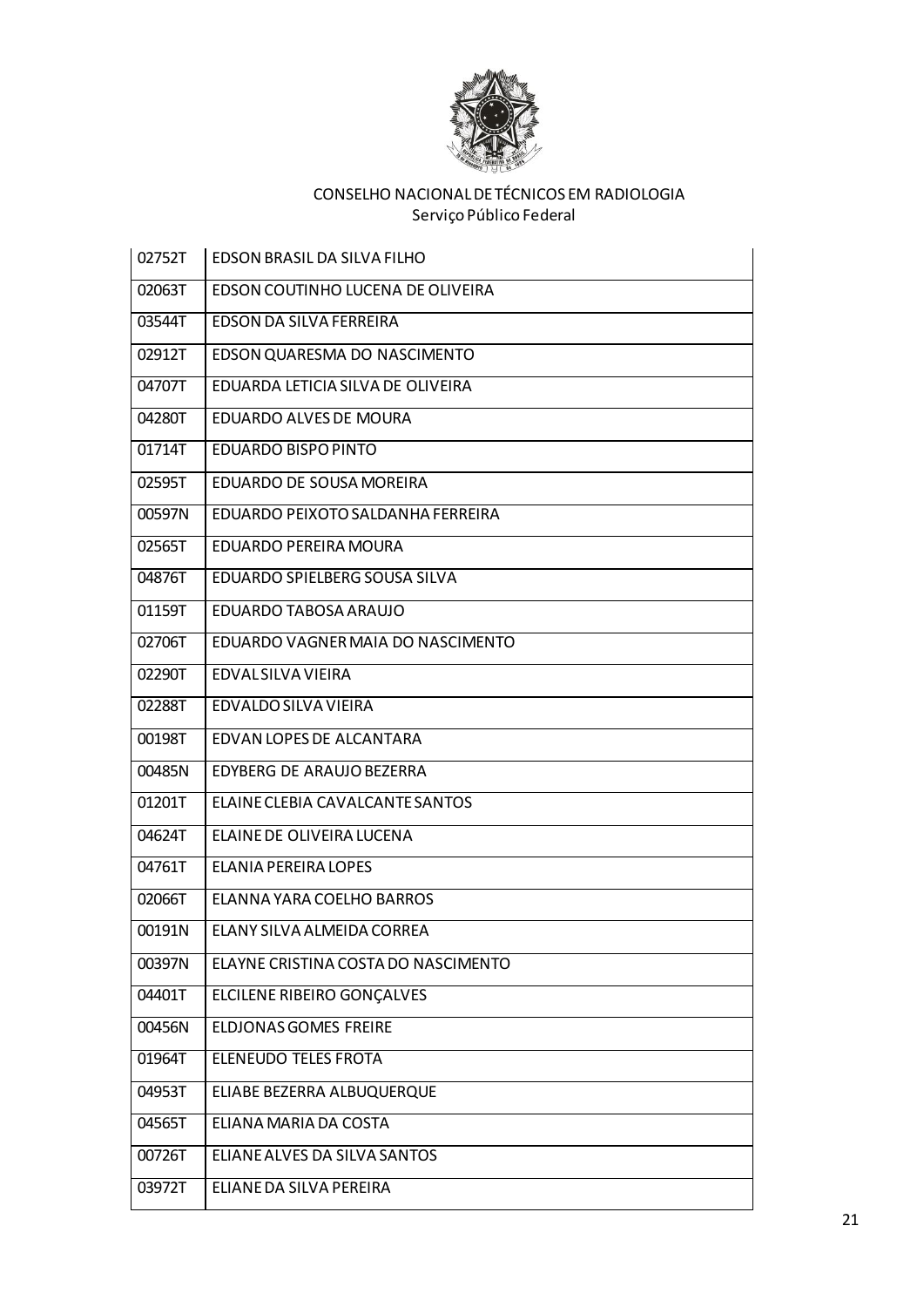

i.

| 02752T | <b>EDSON BRASIL DA SILVA FILHO</b>  |
|--------|-------------------------------------|
| 02063T | EDSON COUTINHO LUCENA DE OLIVEIRA   |
| 03544T | EDSON DA SILVA FERREIRA             |
| 02912T | EDSON QUARESMA DO NASCIMENTO        |
| 04707T | EDUARDA LETICIA SILVA DE OLIVEIRA   |
| 04280T | EDUARDO ALVES DE MOURA              |
| 01714T | EDUARDO BISPO PINTO                 |
| 02595T | EDUARDO DE SOUSA MOREIRA            |
| 00597N | EDUARDO PEIXOTO SALDANHA FERREIRA   |
| 02565T | EDUARDO PEREIRA MOURA               |
| 04876T | EDUARDO SPIELBERG SOUSA SILVA       |
| 01159T | EDUARDO TABOSA ARAUJO               |
| 02706T | EDUARDO VAGNER MAIA DO NASCIMENTO   |
| 02290T | EDVAL SILVA VIEIRA                  |
| 02288T | EDVALDO SILVA VIEIRA                |
| 00198T | EDVAN LOPES DE ALCANTARA            |
| 00485N | EDYBERG DE ARAUJO BEZERRA           |
| 01201T | ELAINE CLEBIA CAVALCANTE SANTOS     |
| 04624T | ELAINE DE OLIVEIRA LUCENA           |
| 04761T | ELANIA PEREIRA LOPES                |
| 02066T | ELANNA YARA COELHO BARROS           |
| 00191N | ELANY SILVA ALMEIDA CORREA          |
| 00397N | ELAYNE CRISTINA COSTA DO NASCIMENTO |
| 04401T | ELCILENE RIBEIRO GONÇALVES          |
| 00456N | <b>ELDJONAS GOMES FREIRE</b>        |
| 01964T | ELENEUDO TELES FROTA                |
| 04953T | ELIABE BEZERRA ALBUQUERQUE          |
| 04565T | ELIANA MARIA DA COSTA               |
| 00726T | ELIANE ALVES DA SILVA SANTOS        |
| 03972T | ELIANE DA SILVA PEREIRA             |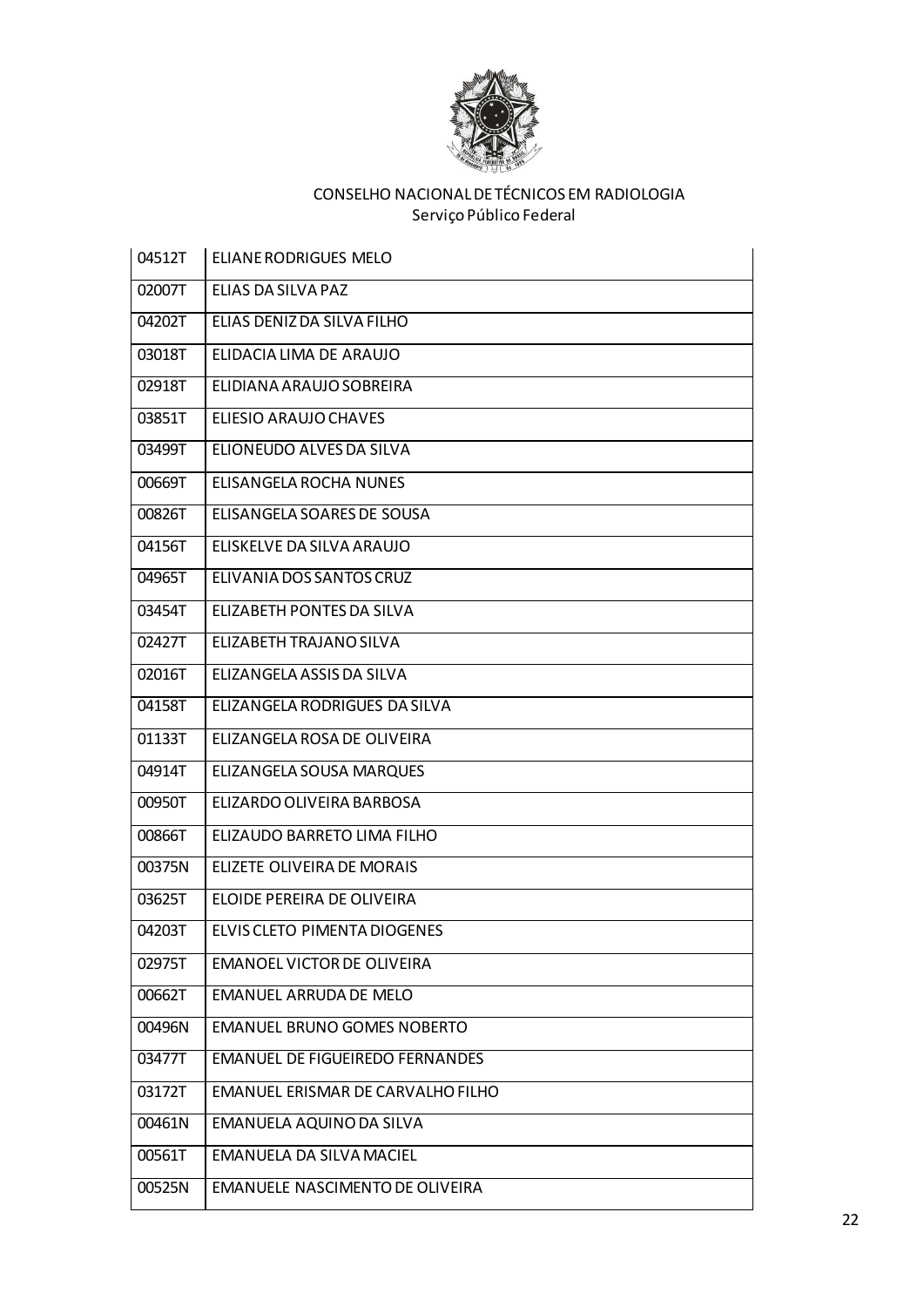

| 04512T | <b>ELIANE RODRIGUES MELO</b>           |
|--------|----------------------------------------|
| 02007T | ELIAS DA SILVA PAZ                     |
| 04202T | ELIAS DENIZ DA SILVA FILHO             |
| 03018T | ELIDACIA LIMA DE ARAUJO                |
| 02918T | ELIDIANA ARAUJO SOBREIRA               |
| 03851T | ELIESIO ARAUJO CHAVES                  |
| 03499T | ELIONEUDO ALVES DA SILVA               |
| 00669T | ELISANGELA ROCHA NUNES                 |
| 00826T | ELISANGELA SOARES DE SOUSA             |
| 04156T | ELISKELVE DA SILVA ARAUJO              |
| 04965T | ELIVANIA DOS SANTOS CRUZ               |
| 03454T | <b>ELIZABETH PONTES DA SILVA</b>       |
| 02427T | ELIZABETH TRAJANO SILVA                |
| 02016T | ELIZANGELA ASSIS DA SILVA              |
| 04158T | ELIZANGELA RODRIGUES DA SILVA          |
| 01133T | ELIZANGELA ROSA DE OLIVEIRA            |
| 04914T | ELIZANGELA SOUSA MARQUES               |
| 00950T | ELIZARDO OLIVEIRA BARBOSA              |
| 00866T | ELIZAUDO BARRETO LIMA FILHO            |
| 00375N | ELIZETE OLIVEIRA DE MORAIS             |
| 03625T | ELOIDE PEREIRA DE OLIVEIRA             |
| 04203T | ELVIS CLETO PIMENTA DIOGENES           |
| 02975T | EMANOEL VICTOR DE OLIVEIRA             |
| 00662T | EMANUEL ARRUDA DE MELO                 |
| 00496N | <b>EMANUEL BRUNO GOMES NOBERTO</b>     |
| 03477T | <b>EMANUEL DE FIGUEIREDO FERNANDES</b> |
| 03172T | EMANUEL ERISMAR DE CARVALHO FILHO      |
| 00461N | EMANUELA AQUINO DA SILVA               |
| 00561T | EMANUELA DA SILVA MACIEL               |
| 00525N | EMANUELE NASCIMENTO DE OLIVEIRA        |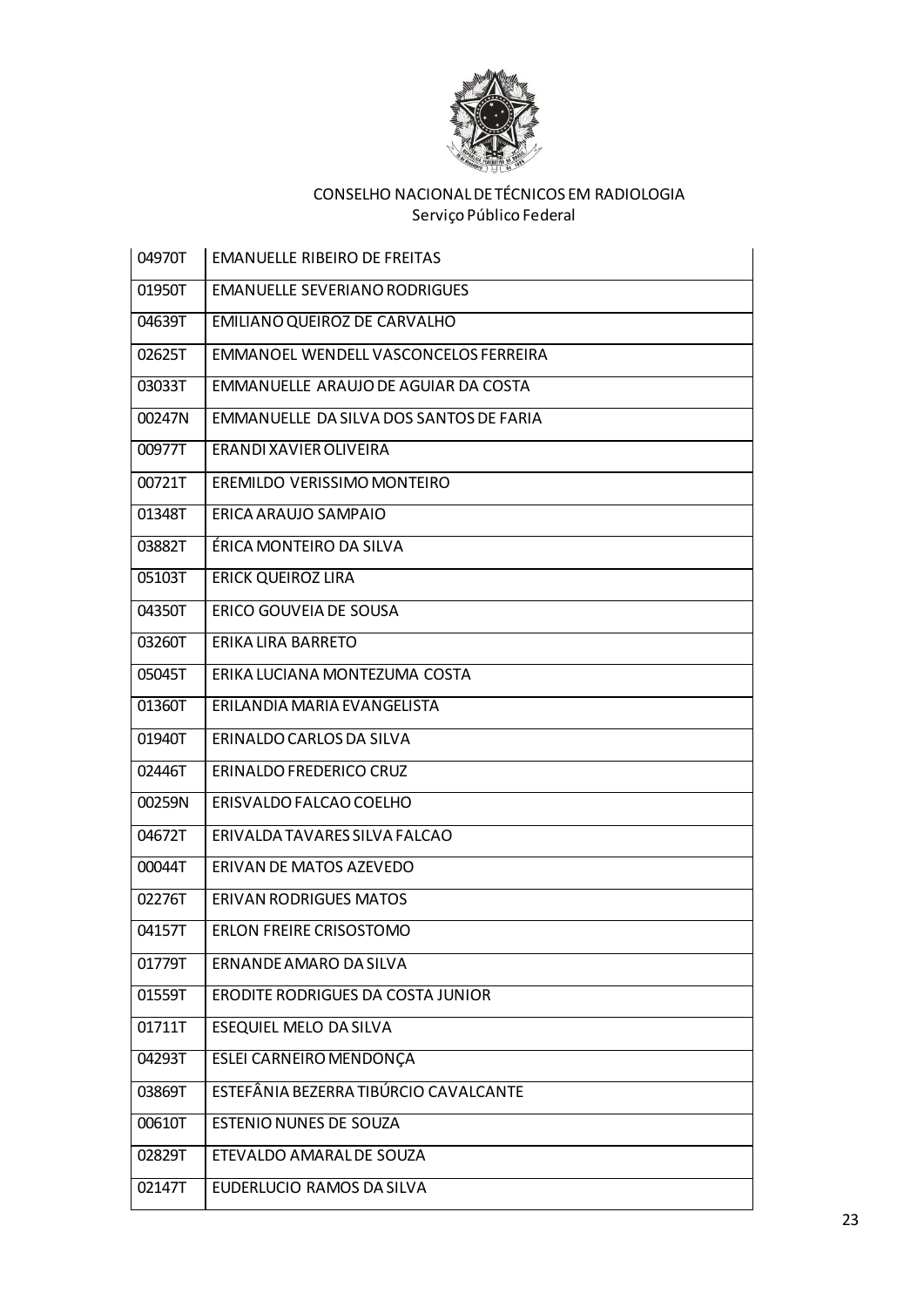

| 04970T | <b>EMANUELLE RIBEIRO DE FREITAS</b>     |
|--------|-----------------------------------------|
| 01950T | <b>EMANUELLE SEVERIANO RODRIGUES</b>    |
| 04639T | EMILIANO QUEIROZ DE CARVALHO            |
| 02625T | EMMANOEL WENDELL VASCONCELOS FERREIRA   |
| 03033T | EMMANUELLE ARAUJO DE AGUIAR DA COSTA    |
| 00247N | EMMANUELLE DA SILVA DOS SANTOS DE FARIA |
| 00977T | ERANDI XAVIER OLIVEIRA                  |
| 00721T | EREMILDO VERISSIMO MONTEIRO             |
| 01348T | ERICA ARAUJO SAMPAIO                    |
| 03882T | ÉRICA MONTEIRO DA SILVA                 |
| 05103T | <b>ERICK QUEIROZ LIRA</b>               |
| 04350T | ERICO GOUVEIA DE SOUSA                  |
| 03260T | ERIKA LIRA BARRETO                      |
| 05045T | ERIKA LUCIANA MONTEZUMA COSTA           |
| 01360T | ERILANDIA MARIA EVANGELISTA             |
| 01940T | ERINALDO CARLOS DA SILVA                |
| 02446T | ERINALDO FREDERICO CRUZ                 |
| 00259N | ERISVALDO FALCAO COELHO                 |
| 04672T | ERIVALDA TAVARES SILVA FALCAO           |
| 00044T | ERIVAN DE MATOS AZEVEDO                 |
| 02276T | <b>ERIVAN RODRIGUES MATOS</b>           |
| 04157T | ERLON FREIRE CRISOSTOMO                 |
| 01779T | ERNANDE AMARO DA SILVA                  |
| 01559T | ERODITE RODRIGUES DA COSTA JUNIOR       |
| 01711T | ESEQUIEL MELO DA SILVA                  |
| 04293T | ESLEI CARNEIRO MENDONÇA                 |
| 03869T | ESTEFÂNIA BEZERRA TIBÚRCIO CAVALCANTE   |
| 00610T | <b>ESTENIO NUNES DE SOUZA</b>           |
| 02829T | ETEVALDO AMARAL DE SOUZA                |
| 02147T | EUDERLUCIO RAMOS DA SILVA               |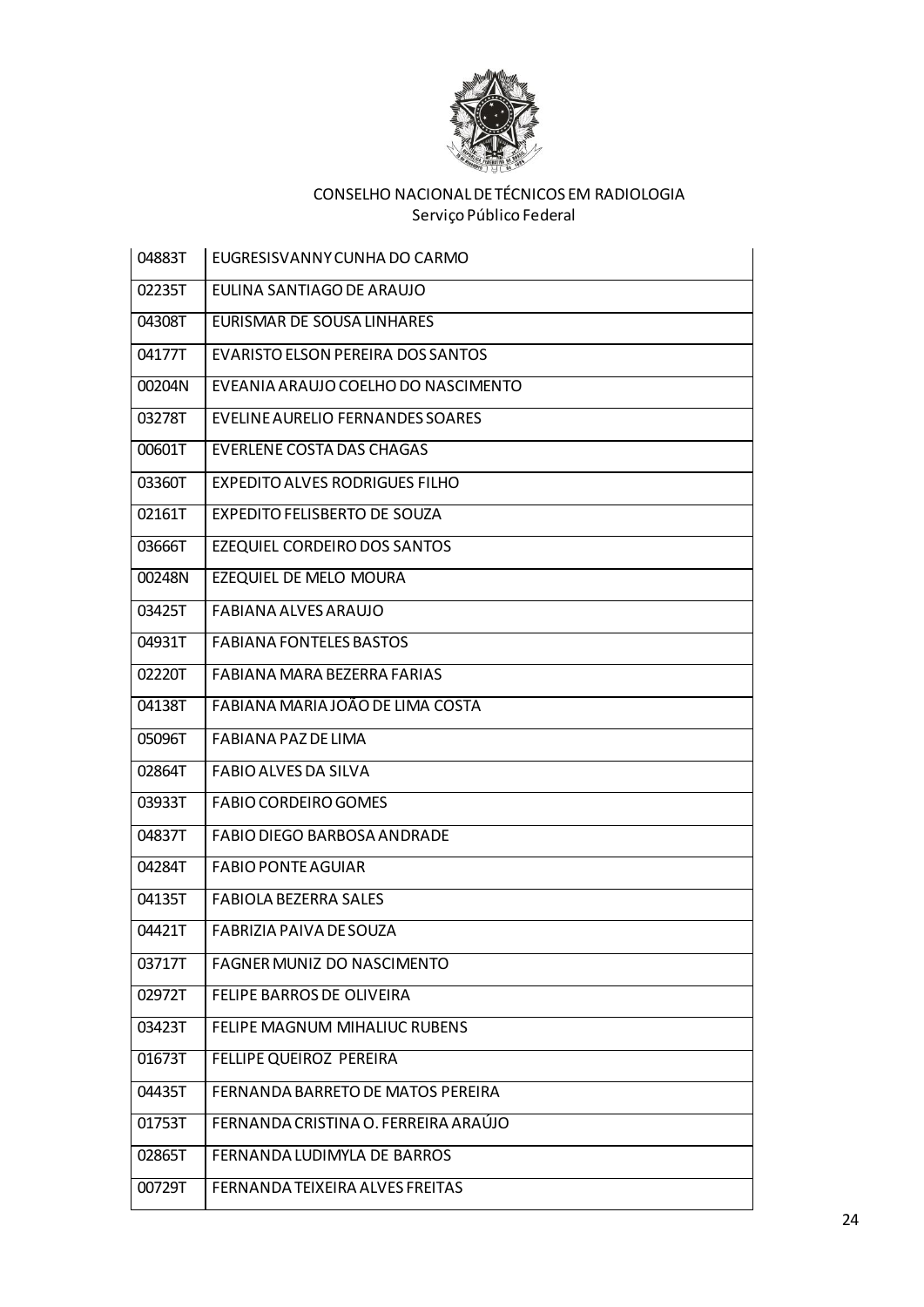

| 04883T | EUGRESISVANNY CUNHA DO CARMO         |
|--------|--------------------------------------|
| 02235T | EULINA SANTIAGO DE ARAUJO            |
| 04308T | EURISMAR DE SOUSA LINHARES           |
| 04177T | EVARISTO ELSON PEREIRA DOS SANTOS    |
| 00204N | EVEANIA ARAUJO COELHO DO NASCIMENTO  |
| 03278T | EVELINE AURELIO FERNANDES SOARES     |
| 00601T | <b>EVERLENE COSTA DAS CHAGAS</b>     |
| 03360T | EXPEDITO ALVES RODRIGUES FILHO       |
| 02161T | <b>EXPEDITO FELISBERTO DE SOUZA</b>  |
| 03666T | EZEQUIEL CORDEIRO DOS SANTOS         |
| 00248N | EZEQUIEL DE MELO MOURA               |
| 03425T | <b>FABIANA ALVES ARAUJO</b>          |
| 04931T | <b>FABIANA FONTELES BASTOS</b>       |
| 02220T | FABIANA MARA BEZERRA FARIAS          |
| 04138T | FABIANA MARIA JOÃO DE LIMA COSTA     |
| 05096T | FABIANA PAZ DE LIMA                  |
| 02864T | FABIO ALVES DA SILVA                 |
| 03933T | <b>FABIO CORDEIRO GOMES</b>          |
| 04837T | FABIO DIEGO BARBOSA ANDRADE          |
| 04284T | <b>FABIO PONTE AGUIAR</b>            |
| 04135T | <b>FABIOLA BEZERRA SALES</b>         |
| 04421T | FABRIZIA PAIVA DE SOUZA              |
| 03717T | FAGNER MUNIZ DO NASCIMENTO           |
| 02972T | FELIPE BARROS DE OLIVEIRA            |
| 03423T | FELIPE MAGNUM MIHALIUC RUBENS        |
| 01673T | FELLIPE QUEIROZ PEREIRA              |
| 04435T | FERNANDA BARRETO DE MATOS PEREIRA    |
| 01753T | FERNANDA CRISTINA O. FERREIRA ARAÚJO |
| 02865T | FERNANDA LUDIMYLA DE BARROS          |
| 00729T | FERNANDA TEIXEIRA ALVES FREITAS      |
|        |                                      |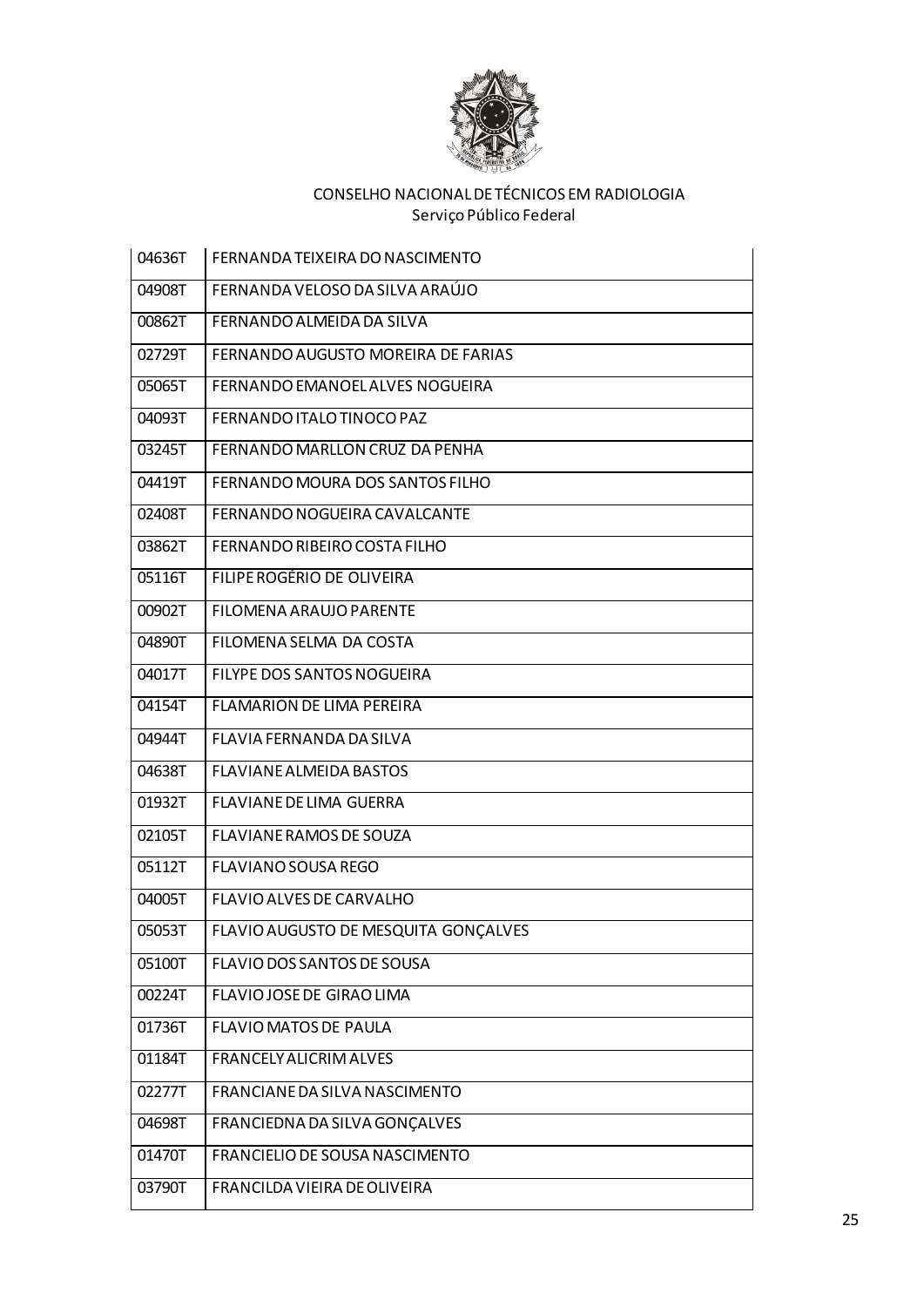

| 04636T | FERNANDA TEIXEIRA DO NASCIMENTO      |
|--------|--------------------------------------|
| 04908T | FERNANDA VELOSO DA SILVA ARAÚJO      |
| 00862T | FERNANDO ALMEIDA DA SILVA            |
| 02729T | FERNANDO AUGUSTO MOREIRA DE FARIAS   |
| 05065T | FERNANDO EMANOEL ALVES NOGUEIRA      |
| 04093T | FERNANDO ITALO TINOCO PAZ            |
| 03245T | FERNANDO MARLLON CRUZ DA PENHA       |
| 04419T | FERNANDO MOURA DOS SANTOS FILHO      |
| 02408T | FERNANDO NOGUEIRA CAVALCANTE         |
| 03862T | FERNANDO RIBEIRO COSTA FILHO         |
| 05116T | FILIPE ROGÉRIO DE OLIVEIRA           |
| 00902T | FILOMENA ARAUJO PARENTE              |
| 04890T | FILOMENA SELMA DA COSTA              |
| 04017T | FILYPE DOS SANTOS NOGUEIRA           |
| 04154T | <b>FLAMARION DE LIMA PEREIRA</b>     |
| 04944T | FLAVIA FERNANDA DA SILVA             |
| 04638T | <b>FLAVIANE ALMEIDA BASTOS</b>       |
| 01932T | <b>FLAVIANE DE LIMA GUERRA</b>       |
| 02105T | FLAVIANE RAMOS DE SOUZA              |
| 05112T | <b>FLAVIANO SOUSA REGO</b>           |
| 04005T | FLAVIO ALVES DE CARVALHO             |
| 05053T | FLAVIO AUGUSTO DE MESQUITA GONÇALVES |
| 05100T | FLAVIO DOS SANTOS DE SOUSA           |
| 00224T | FLAVIO JOSE DE GIRAO LIMA            |
| 01736T | <b>FLAVIO MATOS DE PAULA</b>         |
| 01184T | <b>FRANCELY ALICRIM ALVES</b>        |
| 02277T | FRANCIANE DA SILVA NASCIMENTO        |
| 04698T | FRANCIEDNA DA SILVA GONÇALVES        |
| 01470T | FRANCIELIO DE SOUSA NASCIMENTO       |
| 03790T | FRANCILDA VIEIRA DE OLIVEIRA         |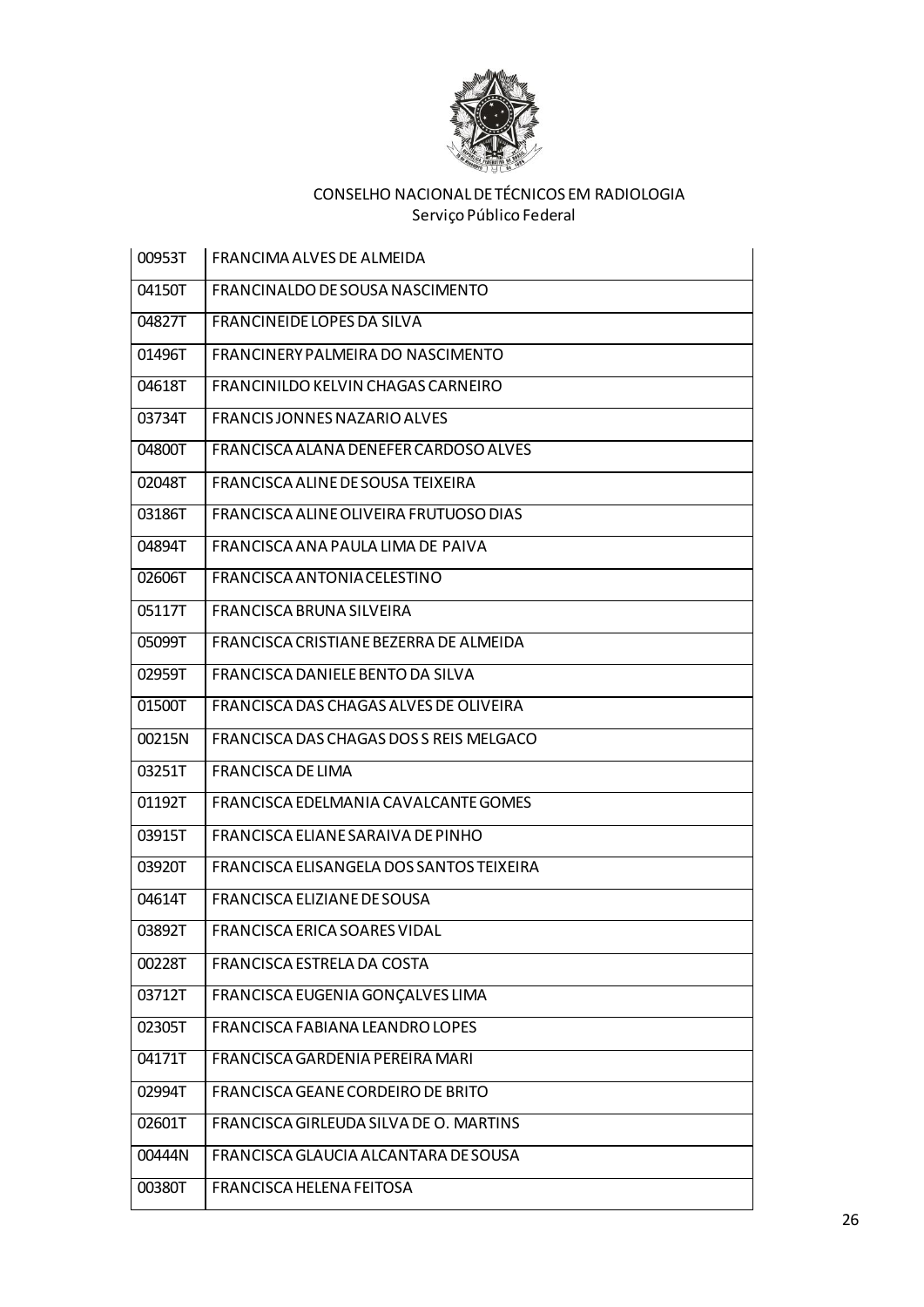

| 00953T | FRANCIMA ALVES DE ALMEIDA                |
|--------|------------------------------------------|
| 04150T | FRANCINALDO DE SOUSA NASCIMENTO          |
| 04827T | FRANCINEIDE LOPES DA SILVA               |
| 01496T | FRANCINERY PALMEIRA DO NASCIMENTO        |
| 04618T | FRANCINILDO KELVIN CHAGAS CARNEIRO       |
| 03734T | FRANCIS JONNES NAZARIO ALVES             |
| 04800T | FRANCISCA ALANA DENEFER CARDOSO ALVES    |
| 02048T | FRANCISCA ALINE DE SOUSA TEIXEIRA        |
| 03186T | FRANCISCA ALINE OLIVEIRA FRUTUOSO DIAS   |
| 04894T | FRANCISCA ANA PAULA LIMA DE PAIVA        |
| 02606T | FRANCISCA ANTONIA CELESTINO              |
| 05117T | FRANCISCA BRUNA SILVEIRA                 |
| 05099T | FRANCISCA CRISTIANE BEZERRA DE ALMEIDA   |
| 02959T | FRANCISCA DANIELE BENTO DA SILVA         |
| 01500T | FRANCISCA DAS CHAGAS ALVES DE OLIVEIRA   |
| 00215N | FRANCISCA DAS CHAGAS DOS S REIS MELGACO  |
| 03251T | FRANCISCA DE LIMA                        |
| 01192T | FRANCISCA EDELMANIA CAVALCANTE GOMES     |
| 03915T | FRANCISCA ELIANE SARAIVA DE PINHO        |
| 03920T | FRANCISCA ELISANGELA DOS SANTOS TEIXEIRA |
| 04614T | FRANCISCA ELIZIANE DE SOUSA              |
| 03892T | FRANCISCA ERICA SOARES VIDAL             |
| 00228T | FRANCISCA ESTRELA DA COSTA               |
| 03712T | FRANCISCA EUGENIA GONÇALVES LIMA         |
| 02305T | FRANCISCA FABIANA LEANDRO LOPES          |
| 04171T | FRANCISCA GARDENIA PEREIRA MARI          |
| 02994T | FRANCISCA GEANE CORDEIRO DE BRITO        |
| 02601T | FRANCISCA GIRLEUDA SILVA DE O. MARTINS   |
| 00444N | FRANCISCA GLAUCIA ALCANTARA DE SOUSA     |
| 00380T | FRANCISCA HELENA FEITOSA                 |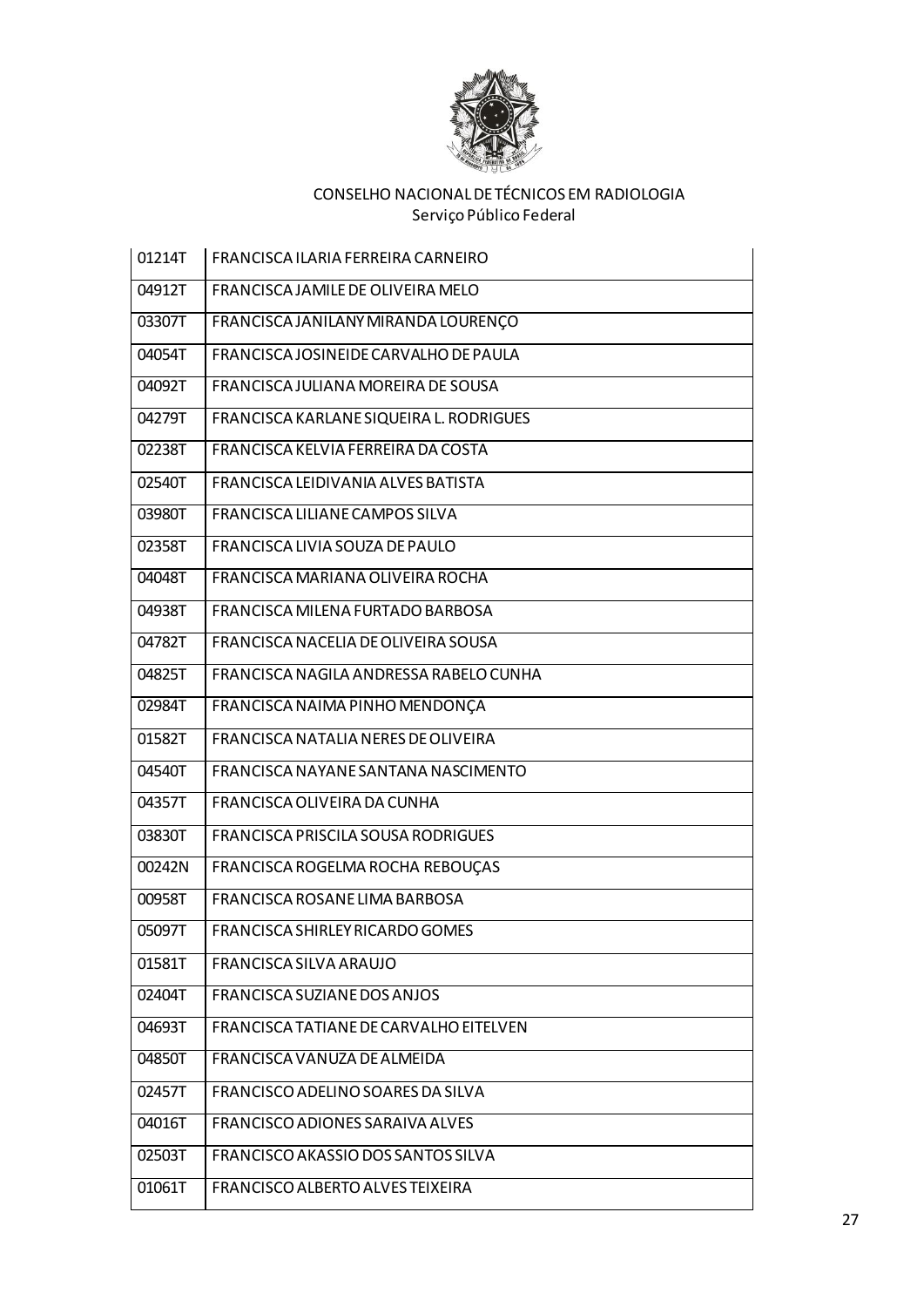

| 01214T | FRANCISCA ILARIA FERREIRA CARNEIRO        |
|--------|-------------------------------------------|
| 04912T | FRANCISCA JAMILE DE OLIVEIRA MELO         |
| 03307T | FRANCISCA JANILANY MIRANDA LOURENÇO       |
| 04054T | FRANCISCA JOSINEIDE CARVALHO DE PAULA     |
| 04092T | <b>FRANCISCA JULIANA MOREIRA DE SOUSA</b> |
| 04279T | FRANCISCA KARLANE SIQUEIRA L. RODRIGUES   |
| 02238T | FRANCISCA KELVIA FERREIRA DA COSTA        |
| 02540T | FRANCISCA LEIDIVANIA ALVES BATISTA        |
| 03980T | FRANCISCA LILIANE CAMPOS SILVA            |
| 02358T | FRANCISCA LIVIA SOUZA DE PAULO            |
| 04048T | FRANCISCA MARIANA OLIVEIRA ROCHA          |
| 04938T | FRANCISCA MILENA FURTADO BARBOSA          |
| 04782T | FRANCISCA NACELIA DE OLIVEIRA SOUSA       |
| 04825T | FRANCISCA NAGILA ANDRESSA RABELO CUNHA    |
| 02984T | FRANCISCA NAIMA PINHO MENDONÇA            |
| 01582T | FRANCISCA NATALIA NERES DE OLIVEIRA       |
| 04540T | FRANCISCA NAYANE SANTANA NASCIMENTO       |
| 04357T | FRANCISCA OLIVEIRA DA CUNHA               |
| 03830T | FRANCISCA PRISCILA SOUSA RODRIGUES        |
| 00242N | FRANCISCA ROGELMA ROCHA REBOUÇAS          |
| 00958T | FRANCISCA ROSANE LIMA BARBOSA             |
| 05097T | FRANCISCA SHIRLEY RICARDO GOMES           |
| 01581T | FRANCISCA SILVA ARAUJO                    |
| 02404T | FRANCISCA SUZIANE DOS ANJOS               |
| 04693T | FRANCISCA TATIANE DE CARVALHO EITELVEN    |
| 04850T | FRANCISCA VANUZA DE ALMEIDA               |
| 02457T | FRANCISCO ADELINO SOARES DA SILVA         |
| 04016T | FRANCISCO ADIONES SARAIVA ALVES           |
| 02503T | FRANCISCO AKASSIO DOS SANTOS SILVA        |
| 01061T | FRANCISCO ALBERTO ALVES TEIXEIRA          |
|        |                                           |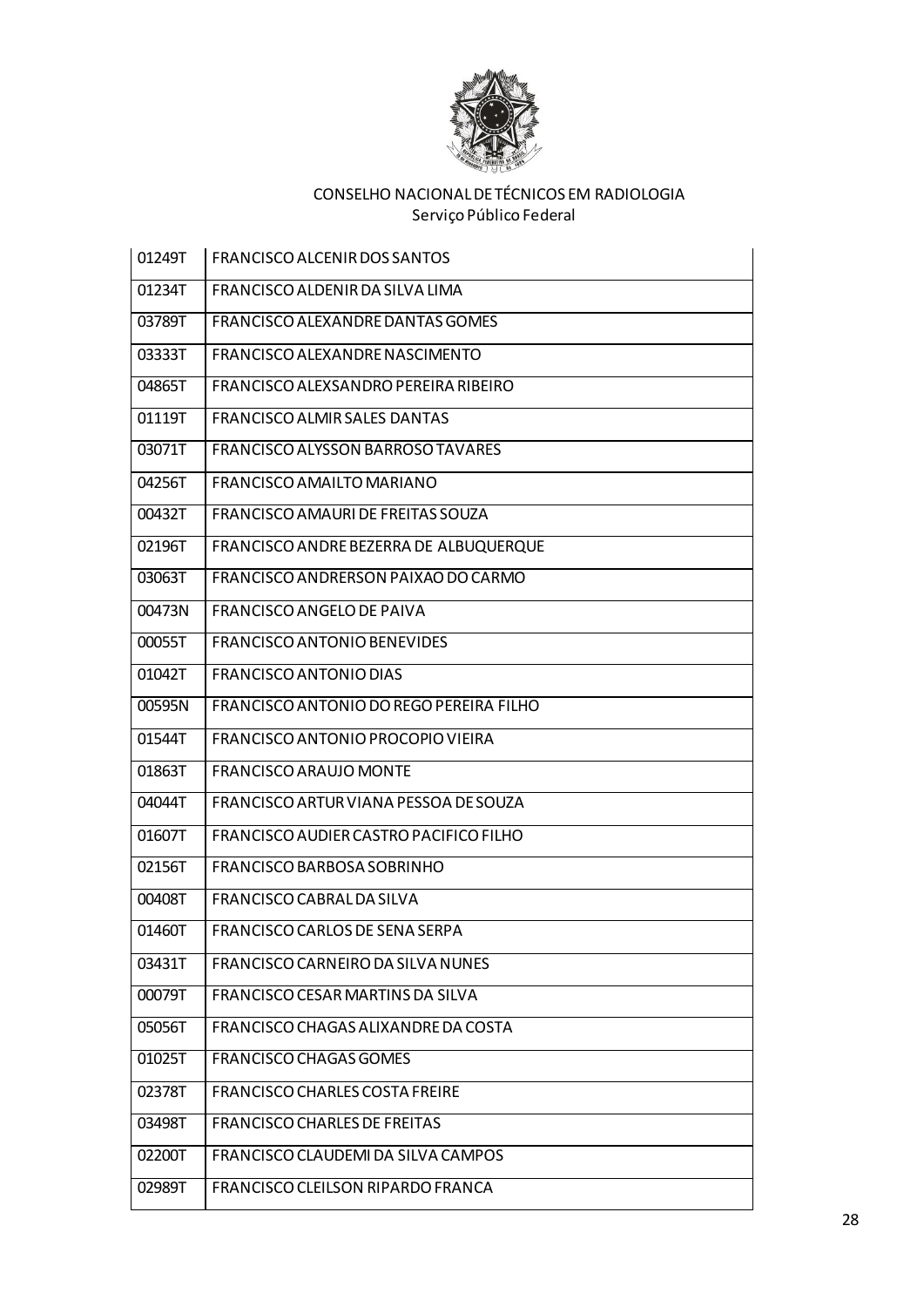

| 01249T | FRANCISCO ALCENIR DOS SANTOS             |
|--------|------------------------------------------|
| 01234T | FRANCISCO ALDENIR DA SILVA LIMA          |
| 03789T | FRANCISCO ALEXANDRE DANTAS GOMES         |
| 03333T | FRANCISCO ALEXANDRE NASCIMENTO           |
| 04865T | FRANCISCO ALEXSANDRO PEREIRA RIBEIRO     |
| 01119T | <b>FRANCISCO ALMIR SALES DANTAS</b>      |
| 03071T | <b>FRANCISCO ALYSSON BARROSO TAVARES</b> |
| 04256T | FRANCISCO AMAILTO MARIANO                |
| 00432T | FRANCISCO AMAURI DE FREITAS SOUZA        |
| 02196T | FRANCISCO ANDRE BEZERRA DE ALBUQUERQUE   |
| 03063T | FRANCISCO ANDRERSON PAIXÃO DO CARMO      |
| 00473N | <b>FRANCISCO ANGELO DE PAIVA</b>         |
| 00055T | FRANCISCO ANTONIO BENEVIDES              |
| 01042T | FRANCISCO ANTONIO DIAS                   |
| 00595N | FRANCISCO ANTONIO DO REGO PEREIRA FILHO  |
| 01544T | FRANCISCO ANTONIO PROCOPIO VIEIRA        |
| 01863T | <b>FRANCISCO ARAUJO MONTE</b>            |
| 04044T | FRANCISCO ARTUR VIANA PESSOA DE SOUZA    |
| 01607T | FRANCISCO AUDIER CASTRO PACIFICO FILHO   |
| 02156T | FRANCISCO BARBOSA SOBRINHO               |
| 00408T | FRANCISCO CABRAL DA SILVA                |
| 01460T | FRANCISCO CARLOS DE SENA SERPA           |
| 03431T | FRANCISCO CARNEIRO DA SILVA NUNES        |
| 00079T | FRANCISCO CESAR MARTINS DA SILVA         |
| 05056T | FRANCISCO CHAGAS ALIXANDRE DA COSTA      |
| 01025T | <b>FRANCISCO CHAGAS GOMES</b>            |
| 02378T | FRANCISCO CHARLES COSTA FREIRE           |
| 03498T | <b>FRANCISCO CHARLES DE FREITAS</b>      |
| 02200T | FRANCISCO CLAUDEMI DA SILVA CAMPOS       |
| 02989T | FRANCISCO CLEILSON RIPARDO FRANCA        |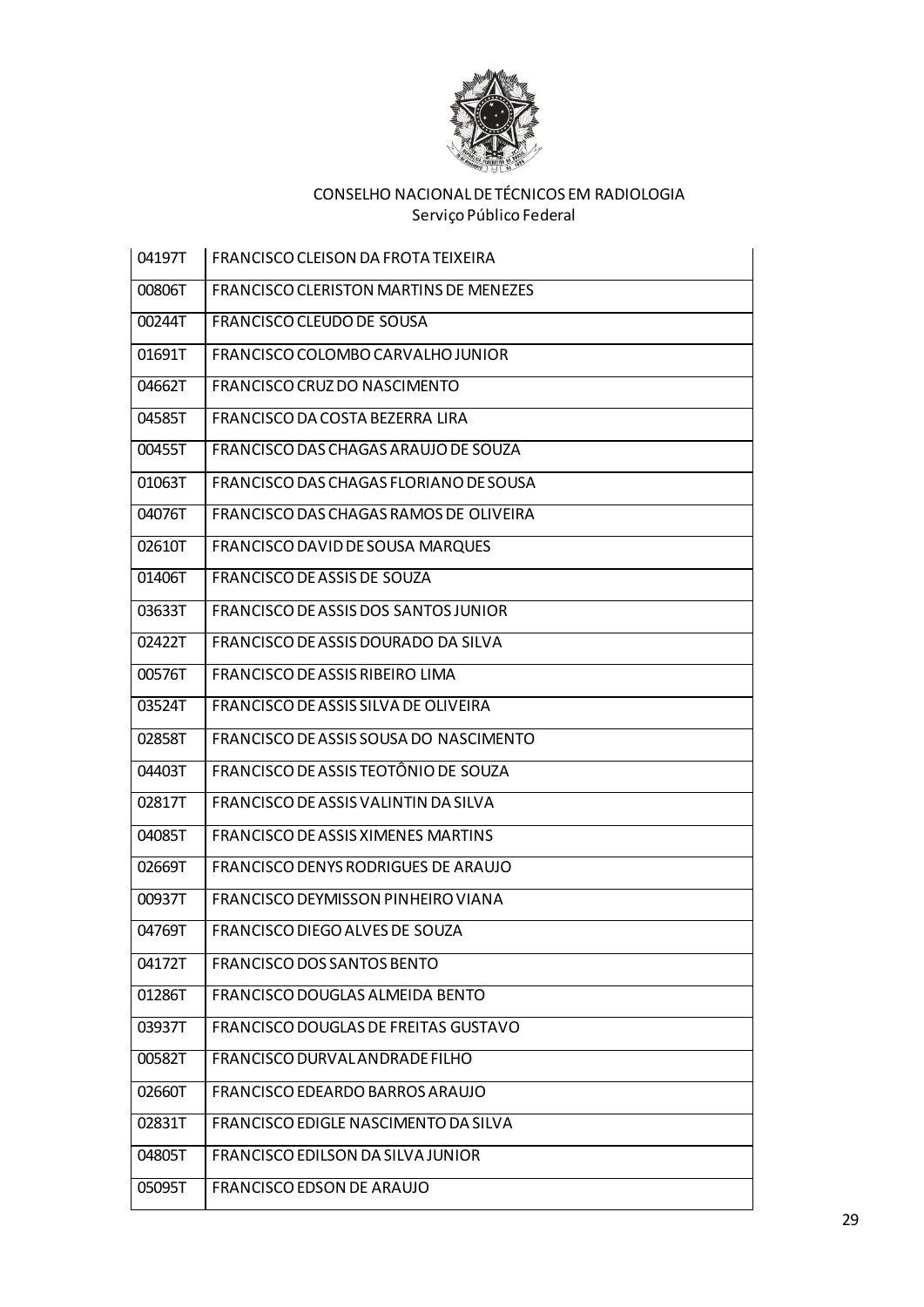

| 04197T | FRANCISCO CLEISON DA FROTA TEIXEIRA           |
|--------|-----------------------------------------------|
| 00806T | <b>FRANCISCO CLERISTON MARTINS DE MENEZES</b> |
| 00244T | FRANCISCO CLEUDO DE SOUSA                     |
| 01691T | FRANCISCO COLOMBO CARVALHO JUNIOR             |
| 04662T | FRANCISCO CRUZ DO NASCIMENTO                  |
| 04585T | FRANCISCO DA COSTA BEZERRA LIRA               |
| 00455T | FRANCISCO DAS CHAGAS ARAUJO DE SOUZA          |
| 01063T | FRANCISCO DAS CHAGAS FLORIANO DE SOUSA        |
| 04076T | FRANCISCO DAS CHAGAS RAMOS DE OLIVEIRA        |
| 02610T | FRANCISCO DAVID DE SOUSA MARQUES              |
| 01406T | FRANCISCO DE ASSIS DE SOUZA                   |
| 03633T | <b>FRANCISCO DE ASSIS DOS SANTOS JUNIOR</b>   |
| 02422T | FRANCISCO DE ASSIS DOURADO DA SILVA           |
| 00576T | FRANCISCO DE ASSIS RIBEIRO LIMA               |
| 03524T | FRANCISCO DE ASSIS SILVA DE OLIVEIRA          |
| 02858T | FRANCISCO DE ASSIS SOUSA DO NASCIMENTO        |
| 04403T | FRANCISCO DE ASSIS TEOTÔNIO DE SOUZA          |
| 02817T | FRANCISCO DE ASSIS VALINTIN DA SILVA          |
| 04085T | FRANCISCO DE ASSIS XIMENES MARTINS            |
| 02669T | FRANCISCO DENYS RODRIGUES DE ARAUJO           |
| 00937T | FRANCISCO DEYMISSON PINHEIRO VIANA            |
| 04769T | FRANCISCO DIEGO ALVES DE SOUZA                |
| 04172T | FRANCISCO DOS SANTOS BENTO                    |
| 01286T | FRANCISCO DOUGLAS ALMEIDA BENTO               |
| 03937T | FRANCISCO DOUGLAS DE FREITAS GUSTAVO          |
| 00582T | FRANCISCO DURVAL ANDRADE FILHO                |
| 02660T | FRANCISCO EDEARDO BARROS ARAUJO               |
| 02831T | FRANCISCO EDIGLE NASCIMENTO DA SILVA          |
| 04805T | FRANCISCO EDILSON DA SILVA JUNIOR             |
| 05095T | <b>FRANCISCO EDSON DE ARAUJO</b>              |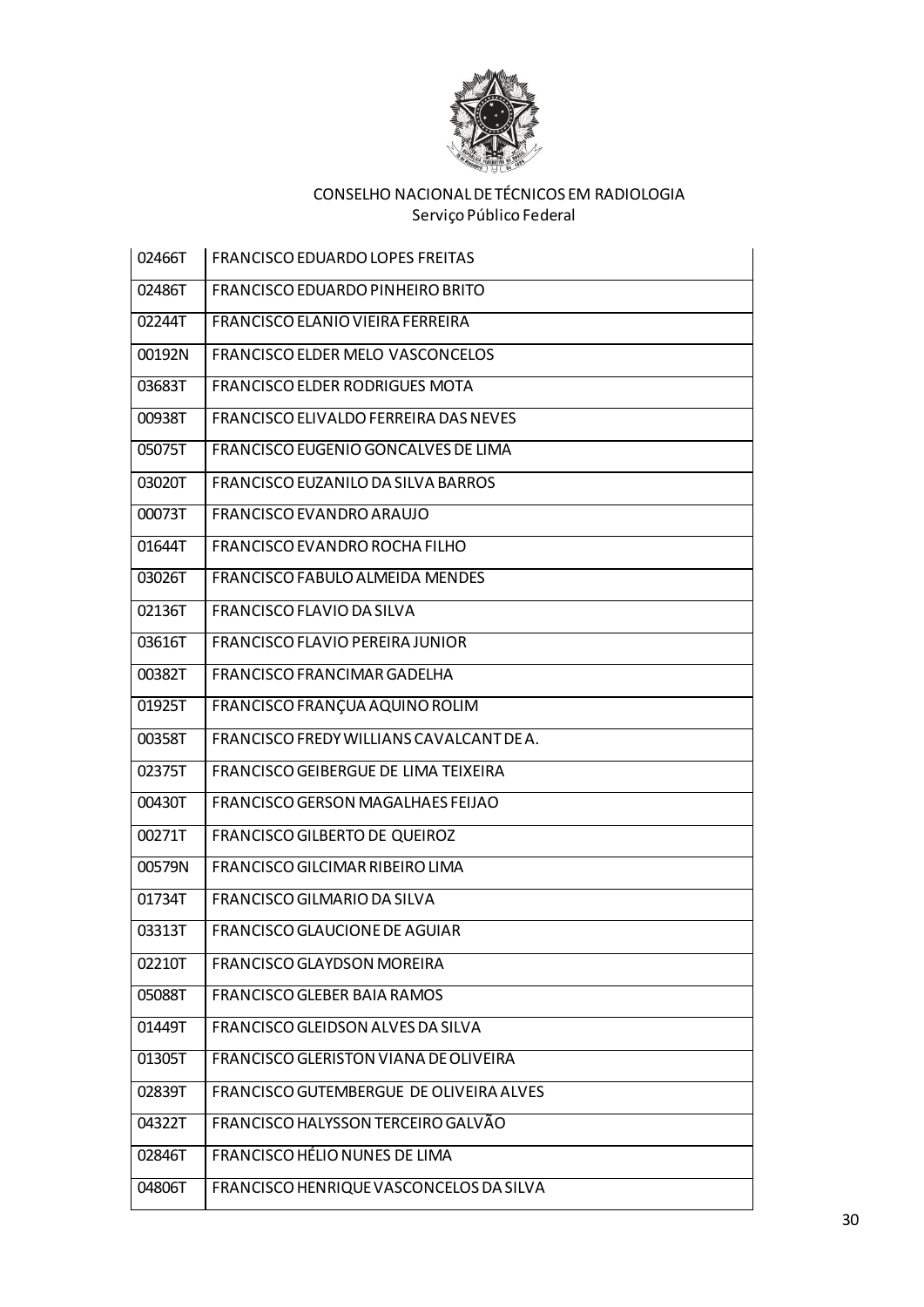

| 02466T | <b>FRANCISCO EDUARDO LOPES FREITAS</b>   |
|--------|------------------------------------------|
| 02486T | FRANCISCO EDUARDO PINHEIRO BRITO         |
| 02244T | FRANCISCO ELANIO VIEIRA FERREIRA         |
| 00192N | <b>FRANCISCO ELDER MELO VASCONCELOS</b>  |
| 03683T | <b>FRANCISCO ELDER RODRIGUES MOTA</b>    |
| 00938T | FRANCISCO ELIVALDO FERREIRA DAS NEVES    |
| 05075T | FRANCISCO EUGENIO GONCALVES DE LIMA      |
| 03020T | FRANCISCO EUZANILO DA SILVA BARROS       |
| 00073T | FRANCISCO EVANDRO ARAUJO                 |
| 01644T | FRANCISCO EVANDRO ROCHA FILHO            |
| 03026T | FRANCISCO FABULO ALMEIDA MENDES          |
| 02136T | FRANCISCO FLAVIO DA SILVA                |
| 03616T | FRANCISCO FLAVIO PEREIRA JUNIOR          |
| 00382T | FRANCISCO FRANCIMAR GADELHA              |
| 01925T | FRANCISCO FRANÇUA AQUINO ROLIM           |
| 00358T | FRANCISCO FREDY WILLIANS CAVALCANT DE A. |
| 02375T | FRANCISCO GEIBERGUE DE LIMA TEIXEIRA     |
| 00430T | FRANCISCO GERSON MAGALHAES FEIJAO        |
| 00271T | FRANCISCO GILBERTO DE QUEIROZ            |
| 00579N | FRANCISCO GILCIMAR RIBEIRO LIMA          |
| 01734T | FRANCISCO GILMARIO DA SILVA              |
| 03313T | <b>FRANCISCO GLAUCIONE DE AGUIAR</b>     |
| 02210T | <b>FRANCISCO GLAYDSON MOREIRA</b>        |
| 05088T | FRANCISCO GLEBER BAIA RAMOS              |
| 01449T | FRANCISCO GLEIDSON ALVES DA SILVA        |
| 01305T | FRANCISCO GLERISTON VIANA DE OLIVEIRA    |
| 02839T | FRANCISCO GUTEMBERGUE DE OLIVEIRA ALVES  |
| 04322T | FRANCISCO HALYSSON TERCEIRO GALVÃO       |
| 02846T | FRANCISCO HÉLIO NUNES DE LIMA            |
| 04806T | FRANCISCO HENRIQUE VASCONCELOS DA SILVA  |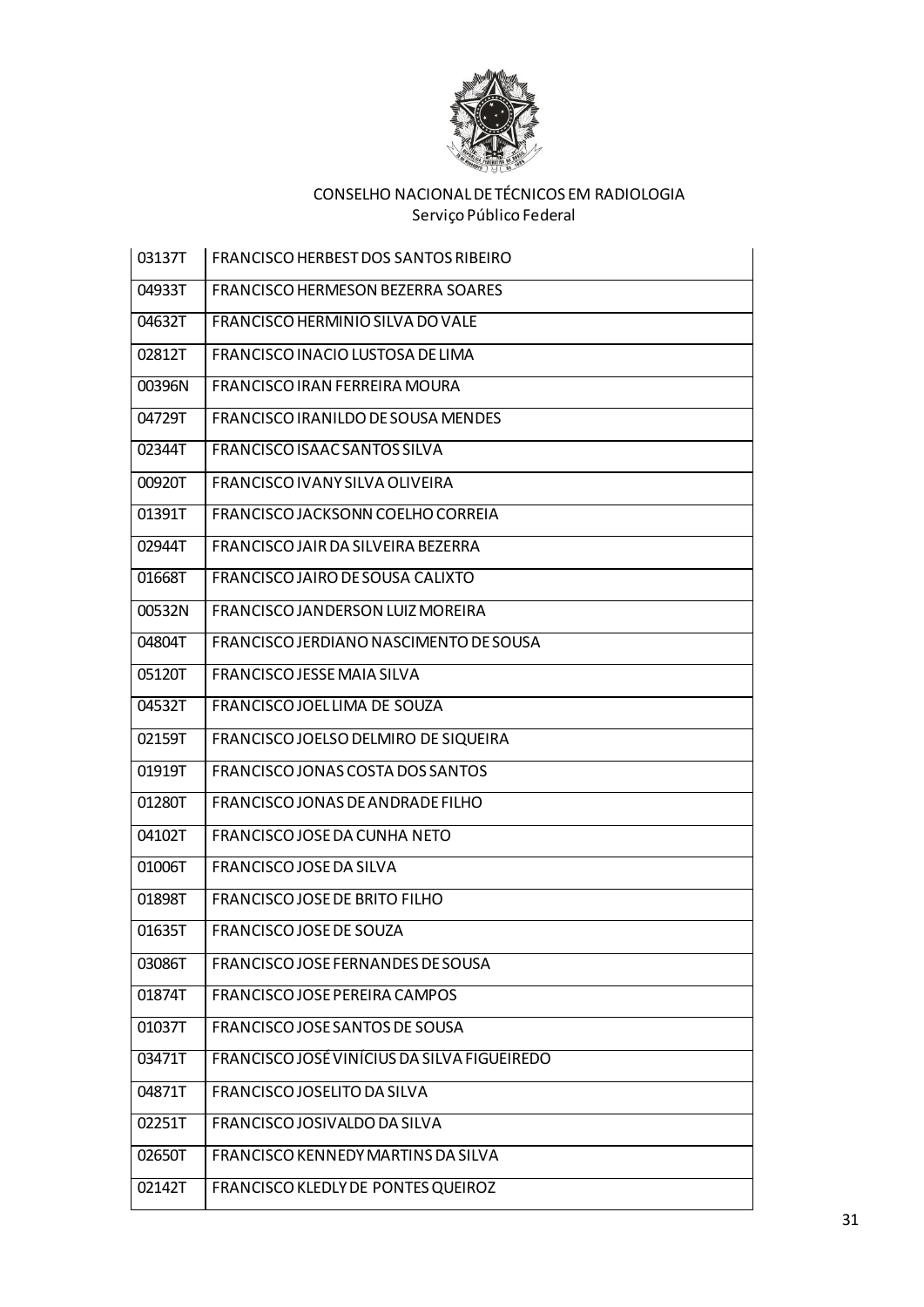

| 03137T | <b>FRANCISCO HERBEST DOS SANTOS RIBEIRO</b> |
|--------|---------------------------------------------|
| 04933T | <b>FRANCISCO HERMESON BEZERRA SOARES</b>    |
| 04632T | FRANCISCO HERMINIO SILVA DO VALE            |
| 02812T | FRANCISCO INACIO LUSTOSA DE LIMA            |
| 00396N | <b>FRANCISCO IRAN FERREIRA MOURA</b>        |
| 04729T | FRANCISCO IRANILDO DE SOUSA MENDES          |
| 02344T | FRANCISCO ISAAC SANTOS SILVA                |
| 00920T | FRANCISCO IVANY SILVA OLIVEIRA              |
| 01391T | FRANCISCO JACKSONN COELHO CORREIA           |
| 02944T | FRANCISCO JAIR DA SILVEIRA BEZERRA          |
| 01668T | FRANCISCO JAIRO DE SOUSA CALIXTO            |
| 00532N | FRANCISCO JANDERSON LUIZ MOREIRA            |
| 04804T | FRANCISCO JERDIANO NASCIMENTO DE SOUSA      |
| 05120T | FRANCISCO JESSE MAIA SILVA                  |
| 04532T | FRANCISCO JOEL LIMA DE SOUZA                |
| 02159T | FRANCISCO JOELSO DELMIRO DE SIQUEIRA        |
| 01919T | FRANCISCO JONAS COSTA DOS SANTOS            |
| 01280T | FRANCISCO JONAS DE ANDRADE FILHO            |
| 04102T | FRANCISCO JOSE DA CUNHA NETO                |
| 01006T | FRANCISCO JOSE DA SILVA                     |
| 01898T | FRANCISCO JOSE DE BRITO FILHO               |
| 01635T | FRANCISCO JOSE DE SOUZA                     |
| 03086T | FRANCISCO JOSE FERNANDES DE SOUSA           |
| 01874T | FRANCISCO JOSE PEREIRA CAMPOS               |
| 01037T | FRANCISCO JOSE SANTOS DE SOUSA              |
| 03471T | FRANCISCO JOSÉ VINÍCIUS DA SILVA FIGUEIREDO |
| 04871T | FRANCISCO JOSELITO DA SILVA                 |
| 02251T | FRANCISCO JOSIVALDO DA SILVA                |
| 02650T | FRANCISCO KENNEDY MARTINS DA SILVA          |
| 02142T | FRANCISCO KLEDLY DE PONTES QUEIROZ          |
|        |                                             |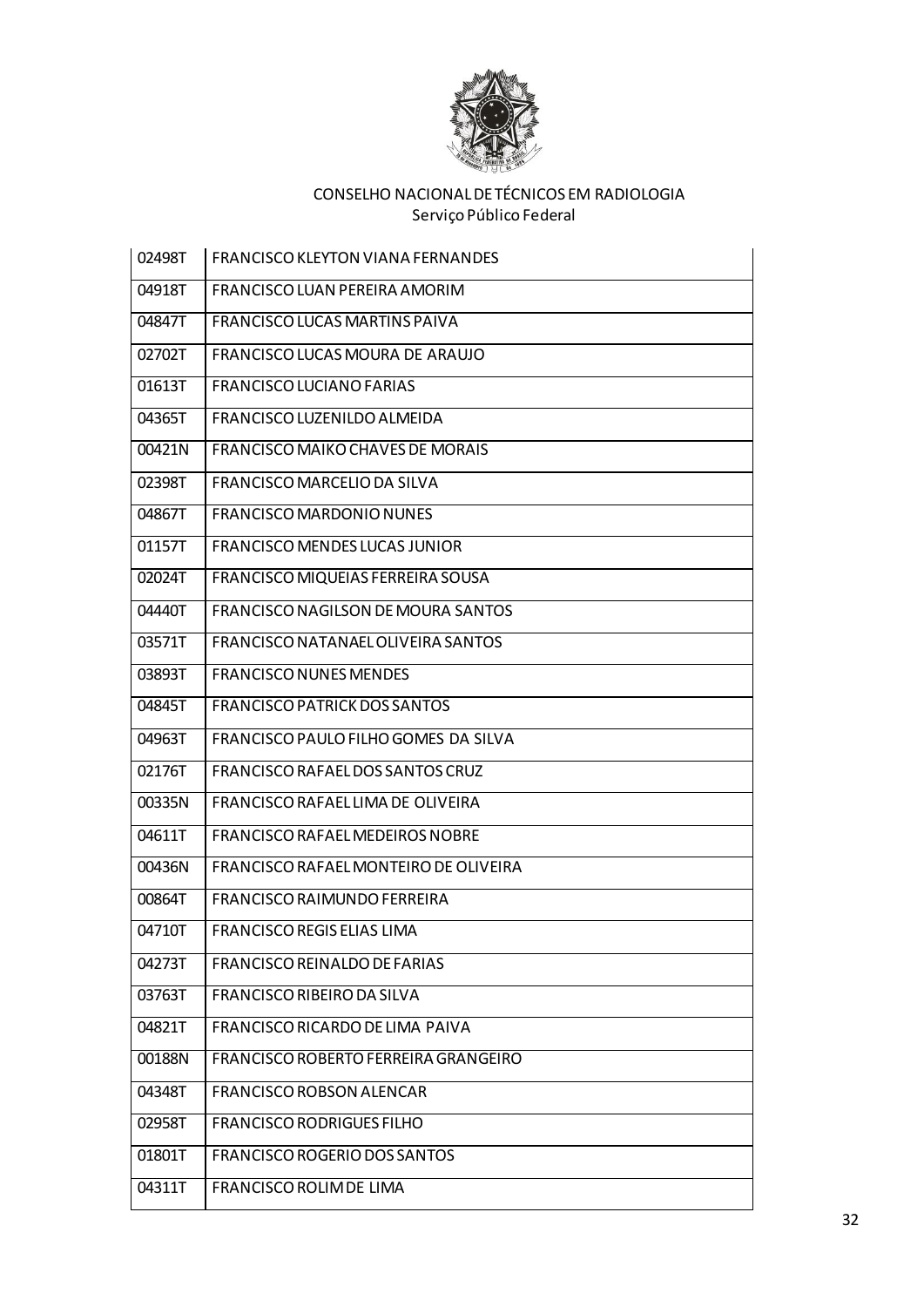

| 02498T | <b>FRANCISCO KLEYTON VIANA FERNANDES</b> |
|--------|------------------------------------------|
| 04918T | FRANCISCO LUAN PEREIRA AMORIM            |
| 04847T | FRANCISCO LUCAS MARTINS PAIVA            |
| 02702T | FRANCISCO LUCAS MOURA DE ARAUJO          |
| 01613T | <b>FRANCISCO LUCIANO FARIAS</b>          |
| 04365T | FRANCISCO LUZENILDO ALMEIDA              |
| 00421N | FRANCISCO MAIKO CHAVES DE MORAIS         |
| 02398T | FRANCISCO MARCELIO DA SILVA              |
| 04867T | <b>FRANCISCO MARDONIO NUNES</b>          |
| 01157T | FRANCISCO MENDES LUCAS JUNIOR            |
| 02024T | FRANCISCO MIQUEIAS FERREIRA SOUSA        |
| 04440T | FRANCISCO NAGILSON DE MOURA SANTOS       |
| 03571T | FRANCISCO NATANAEL OLIVEIRA SANTOS       |
| 03893T | <b>FRANCISCO NUNES MENDES</b>            |
| 04845T | <b>FRANCISCO PATRICK DOS SANTOS</b>      |
| 04963T | FRANCISCO PAULO FILHO GOMES DA SILVA     |
| 02176T | FRANCISCO RAFAEL DOS SANTOS CRUZ         |
| 00335N | FRANCISCO RAFAEL LIMA DE OLIVEIRA        |
| 04611T | FRANCISCO RAFAEL MEDEIROS NOBRE          |
| 00436N | FRANCISCO RAFAEL MONTEIRO DE OLIVEIRA    |
| 00864T | FRANCISCO RAIMUNDO FERREIRA              |
| 04710T | FRANCISCO REGIS ELIAS LIMA               |
| 04273T | FRANCISCO REINALDO DE FARIAS             |
| 03763T | FRANCISCO RIBEIRO DA SILVA               |
| 04821T | FRANCISCO RICARDO DE LIMA PAIVA          |
| 00188N | FRANCISCO ROBERTO FERREIRA GRANGEIRO     |
| 04348T | FRANCISCO ROBSON ALENCAR                 |
| 02958T | <b>FRANCISCO RODRIGUES FILHO</b>         |
| 01801T | FRANCISCO ROGERIO DOS SANTOS             |
| 04311T | FRANCISCO ROLIM DE LIMA                  |
|        |                                          |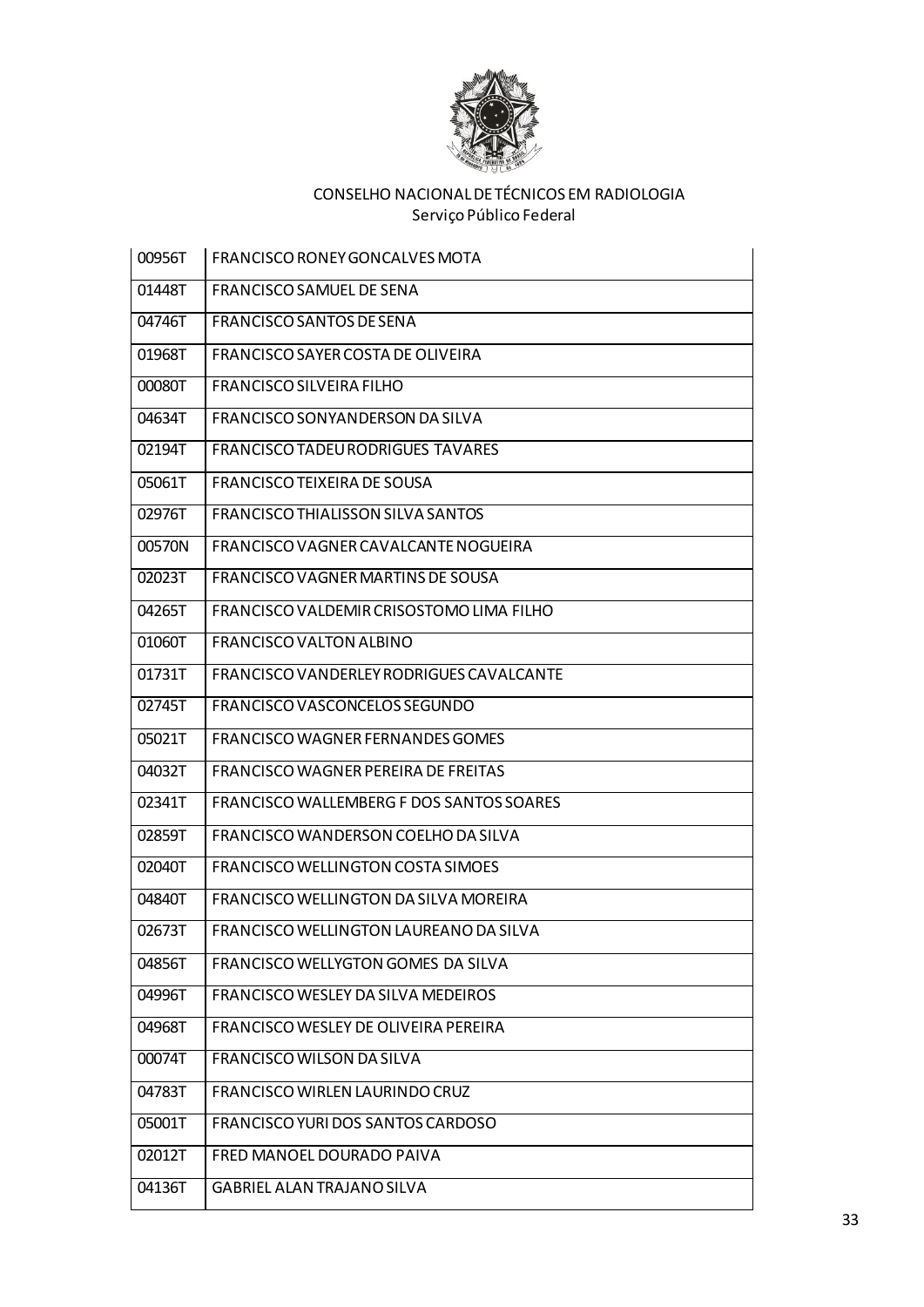

| 00956T | FRANCISCO RONEY GONCALVES MOTA           |
|--------|------------------------------------------|
| 01448T | FRANCISCO SAMUEL DE SENA                 |
| 04746T | FRANCISCO SANTOS DE SENA                 |
| 01968T | FRANCISCO SAYER COSTA DE OLIVEIRA        |
| 00080T | <b>FRANCISCO SILVEIRA FILHO</b>          |
| 04634T | FRANCISCO SONYANDERSON DA SILVA          |
| 02194T | FRANCISCO TADEU RODRIGUES TAVARES        |
| 05061T | FRANCISCO TEIXEIRA DE SOUSA              |
| 02976T | <b>FRANCISCO THIALISSON SILVA SANTOS</b> |
| 00570N | FRANCISCO VAGNER CAVALCANTE NOGUEIRA     |
| 02023T | FRANCISCO VAGNER MARTINS DE SOUSA        |
| 04265T | FRANCISCO VALDEMIR CRISOSTOMO LIMA FILHO |
| 01060T | <b>FRANCISCO VALTON ALBINO</b>           |
| 01731T | FRANCISCO VANDERLEY RODRIGUES CAVALCANTE |
| 02745T | FRANCISCO VASCONCELOS SEGUNDO            |
| 05021T | FRANCISCO WAGNER FERNANDES GOMES         |
| 04032T | FRANCISCO WAGNER PEREIRA DE FREITAS      |
| 02341T | FRANCISCO WALLEMBERG F DOS SANTOS SOARES |
| 02859T | FRANCISCO WANDERSON COELHO DA SILVA      |
| 02040T | <b>FRANCISCO WELLINGTON COSTA SIMOES</b> |
| 04840T | FRANCISCO WELLINGTON DA SILVA MOREIRA    |
| 02673T | FRANCISCO WELLINGTON LAUREANO DA SILVA   |
| 04856T | FRANCISCO WELLYGTON GOMES DA SILVA       |
| 04996T | FRANCISCO WESLEY DA SILVA MEDEIROS       |
| 04968T | FRANCISCO WESLEY DE OLIVEIRA PEREIRA     |
| 00074T | FRANCISCO WILSON DA SILVA                |
| 04783T | FRANCISCO WIRLEN LAURINDO CRUZ           |
| 05001T | FRANCISCO YURI DOS SANTOS CARDOSO        |
| 02012T | FRED MANOEL DOURADO PAIVA                |
| 04136T | <b>GABRIEL ALAN TRAJANO SILVA</b>        |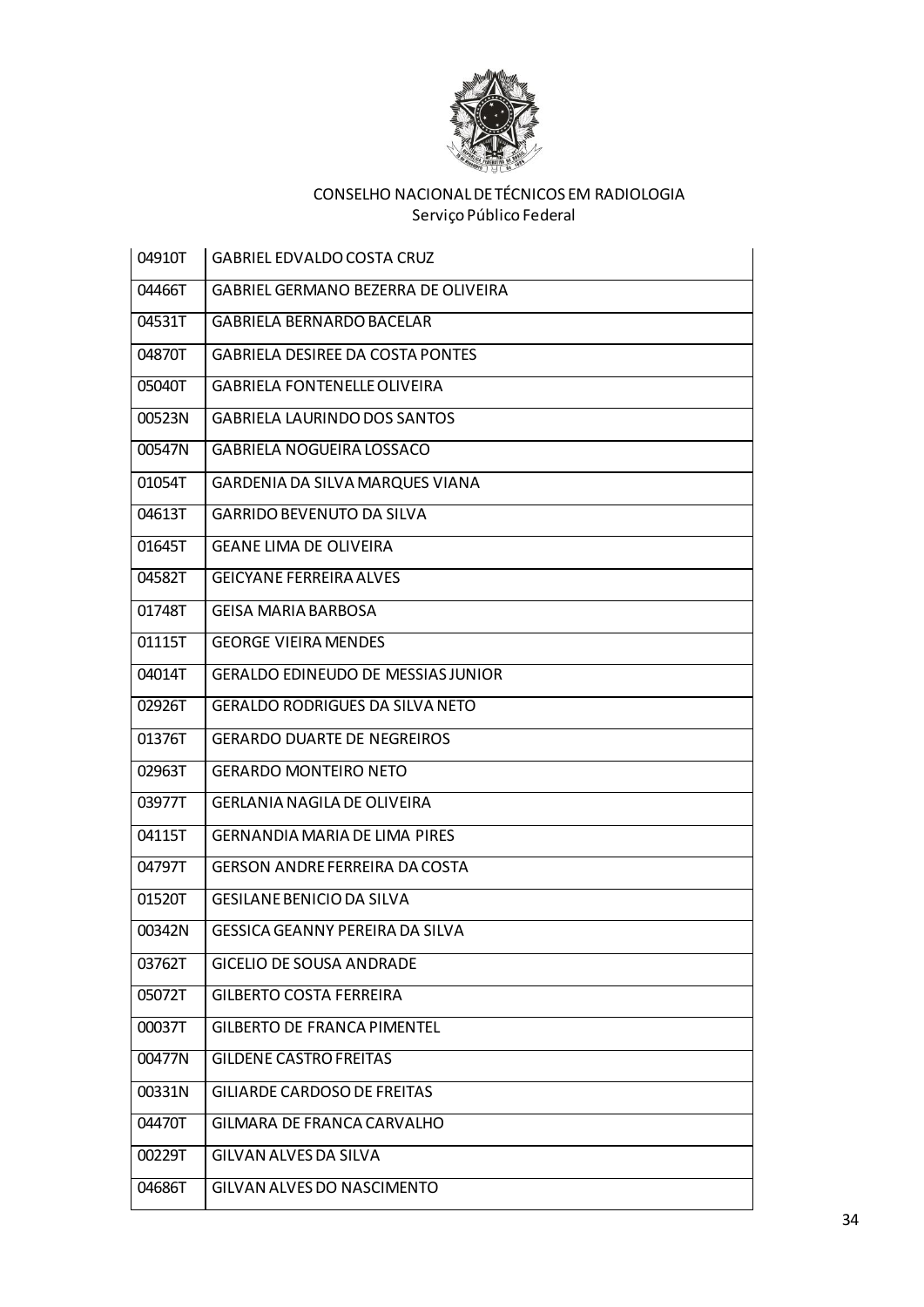

| 04910T | GABRIEL EDVALDO COSTA CRUZ                 |
|--------|--------------------------------------------|
| 04466T | <b>GABRIEL GERMANO BEZERRA DE OLIVEIRA</b> |
| 04531T | <b>GABRIELA BERNARDO BACELAR</b>           |
| 04870T | <b>GABRIELA DESIREE DA COSTA PONTES</b>    |
| 05040T | <b>GABRIELA FONTENELLE OLIVEIRA</b>        |
| 00523N | <b>GABRIELA LAURINDO DOS SANTOS</b>        |
| 00547N | <b>GABRIELA NOGUEIRA LOSSACO</b>           |
| 01054T | GARDENIA DA SILVA MARQUES VIANA            |
| 04613T | <b>GARRIDO BEVENUTO DA SILVA</b>           |
| 01645T | <b>GEANE LIMA DE OLIVEIRA</b>              |
| 04582T | <b>GEICYANE FERREIRA ALVES</b>             |
| 01748T | <b>GEISA MARIA BARBOSA</b>                 |
| 01115T | <b>GEORGE VIEIRA MENDES</b>                |
| 04014T | <b>GERALDO EDINEUDO DE MESSIAS JUNIOR</b>  |
| 02926T | <b>GERALDO RODRIGUES DA SILVA NETO</b>     |
| 01376T | <b>GERARDO DUARTE DE NEGREIROS</b>         |
| 02963T | <b>GERARDO MONTEIRO NETO</b>               |
| 03977T | <b>GERLANIA NAGILA DE OLIVEIRA</b>         |
| 04115T | <b>GERNANDIA MARIA DE LIMA PIRES</b>       |
| 04797T | <b>GERSON ANDRE FERREIRA DA COSTA</b>      |
| 01520T | GESILANE BENICIO DA SILVA                  |
| 00342N | GESSICA GEANNY PEREIRA DA SILVA            |
| 03762T | <b>GICELIO DE SOUSA ANDRADE</b>            |
| 05072T | <b>GILBERTO COSTA FERREIRA</b>             |
| 00037T | <b>GILBERTO DE FRANCA PIMENTEL</b>         |
| 00477N | <b>GILDENE CASTRO FREITAS</b>              |
| 00331N | <b>GILIARDE CARDOSO DE FREITAS</b>         |
| 04470T | GILMARA DE FRANCA CARVALHO                 |
| 00229T | GILVAN ALVES DA SILVA                      |
| 04686T | GILVAN ALVES DO NASCIMENTO                 |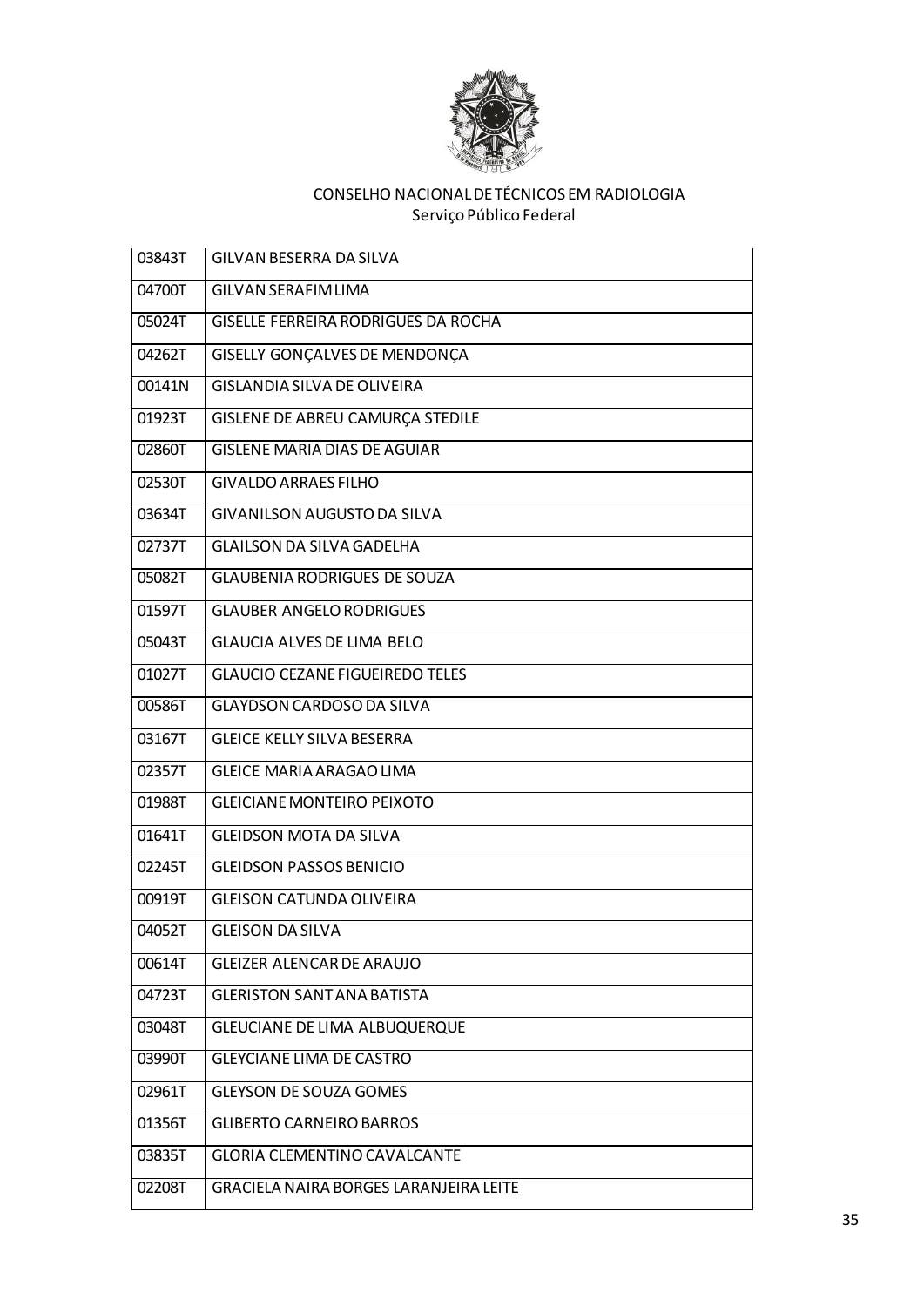

| 03843T | GILVAN BESERRA DA SILVA                       |
|--------|-----------------------------------------------|
| 04700T | <b>GILVAN SERAFIM LIMA</b>                    |
| 05024T | GISELLE FERREIRA RODRIGUES DA ROCHA           |
| 04262T | GISELLY GONÇALVES DE MENDONÇA                 |
| 00141N | <b>GISLANDIA SILVA DE OLIVEIRA</b>            |
| 01923T | GISLENE DE ABREU CAMURÇA STEDILE              |
| 02860T | <b>GISLENE MARIA DIAS DE AGUIAR</b>           |
| 02530T | <b>GIVALDO ARRAES FILHO</b>                   |
| 03634T | <b>GIVANILSON AUGUSTO DA SILVA</b>            |
| 02737T | <b>GLAILSON DA SILVA GADELHA</b>              |
| 05082T | <b>GLAUBENIA RODRIGUES DE SOUZA</b>           |
| 01597T | <b>GLAUBER ANGELO RODRIGUES</b>               |
| 05043T | <b>GLAUCIA ALVES DE LIMA BELO</b>             |
| 01027T | <b>GLAUCIO CEZANE FIGUEIREDO TELES</b>        |
| 00586T | <b>GLAYDSON CARDOSO DA SILVA</b>              |
| 03167T | <b>GLEICE KELLY SILVA BESERRA</b>             |
| 02357T | <b>GLEICE MARIA ARAGAO LIMA</b>               |
| 01988T | <b>GLEICIANE MONTEIRO PEIXOTO</b>             |
| 01641T | <b>GLEIDSON MOTA DA SILVA</b>                 |
| 02245T | <b>GLEIDSON PASSOS BENICIO</b>                |
| 00919T | <b>GLEISON CATUNDA OLIVEIRA</b>               |
| 04052T | <b>GLEISON DA SILVA</b>                       |
| 00614T | <b>GLEIZER ALENCAR DE ARAUJO</b>              |
| 04723T | <b>GLERISTON SANT ANA BATISTA</b>             |
| 03048T | GLEUCIANE DE LIMA ALBUQUERQUE                 |
| 03990T | <b>GLEYCIANE LIMA DE CASTRO</b>               |
| 02961T | <b>GLEYSON DE SOUZA GOMES</b>                 |
| 01356T | <b>GLIBERTO CARNEIRO BARROS</b>               |
| 03835T | <b>GLORIA CLEMENTINO CAVALCANTE</b>           |
| 02208T | <b>GRACIELA NAIRA BORGES LARANJEIRA LEITE</b> |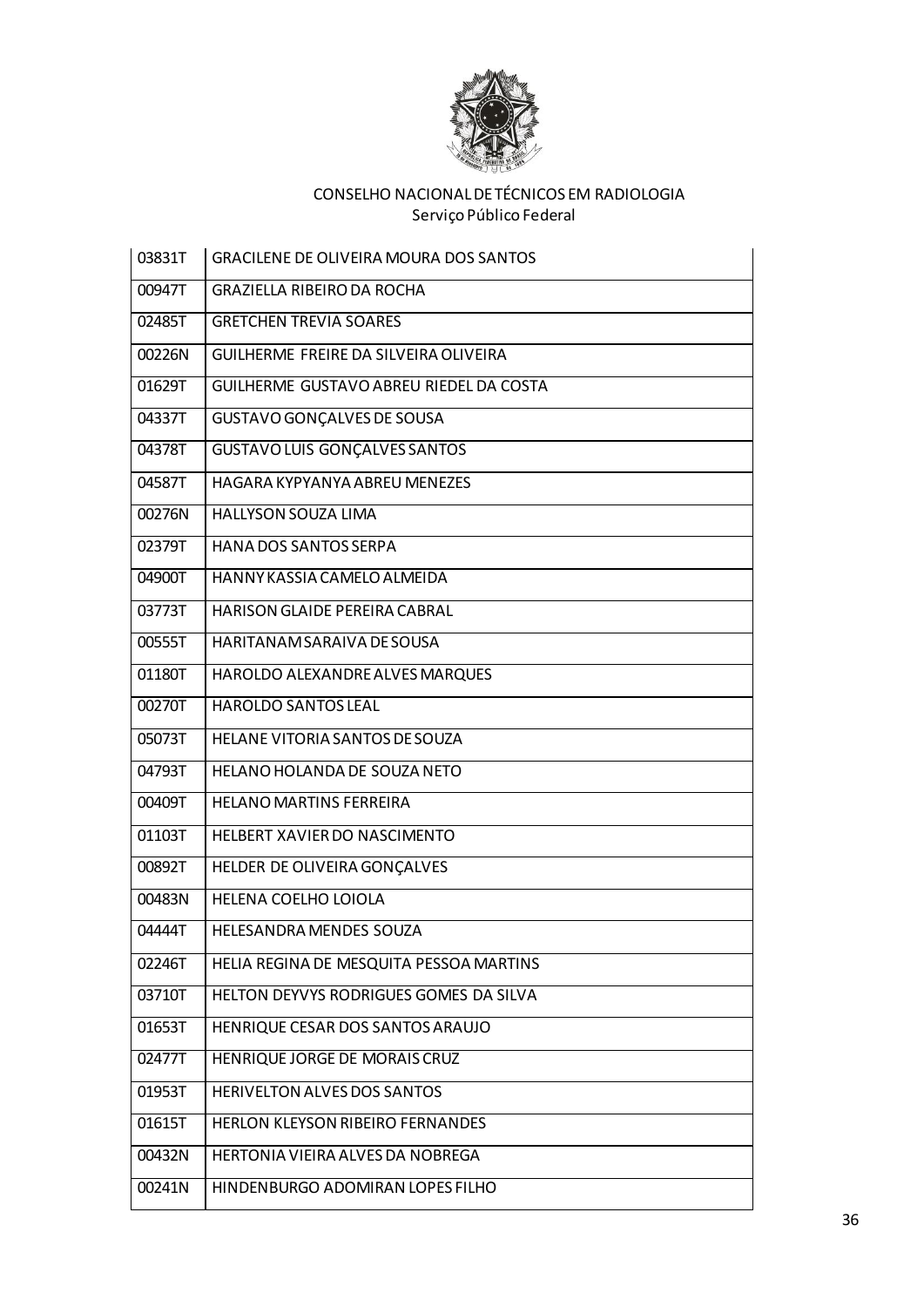

| 03831T | <b>GRACILENE DE OLIVEIRA MOURA DOS SANTOS</b> |
|--------|-----------------------------------------------|
| 00947T | <b>GRAZIELLA RIBEIRO DA ROCHA</b>             |
| 02485T | <b>GRETCHEN TREVIA SOARES</b>                 |
| 00226N | GUILHERME FREIRE DA SILVEIRA OLIVEIRA         |
| 01629T | GUILHERME GUSTAVO ABREU RIEDEL DA COSTA       |
| 04337T | GUSTAVO GONÇALVES DE SOUSA                    |
| 04378T | <b>GUSTAVO LUIS GONÇALVES SANTOS</b>          |
| 04587T | HAGARA KYPYANYA ABREU MENEZES                 |
| 00276N | <b>HALLYSON SOUZA LIMA</b>                    |
| 02379T | HANA DOS SANTOS SERPA                         |
| 04900T | HANNY KASSIA CAMELO ALMEIDA                   |
| 03773T | <b>HARISON GLAIDE PEREIRA CABRAL</b>          |
| 00555T | HARITANAM SARAIVA DE SOUSA                    |
| 01180T | HAROLDO ALEXANDRE ALVES MARQUES               |
| 00270T | <b>HAROLDO SANTOS LEAL</b>                    |
| 05073T | HELANE VITORIA SANTOS DE SOUZA                |
| 04793T | HELANO HOLANDA DE SOUZA NETO                  |
| 00409T | <b>HELANO MARTINS FERREIRA</b>                |
| 01103T | <b>HELBERT XAVIER DO NASCIMENTO</b>           |
| 00892T | HELDER DE OLIVEIRA GONÇALVES                  |
| 00483N | HELENA COELHO LOIOLA                          |
| 04444T | HELESANDRA MENDES SOUZA                       |
| 02246T | HELIA REGINA DE MESQUITA PESSOA MARTINS       |
| 03710T | HELTON DEYVYS RODRIGUES GOMES DA SILVA        |
| 01653T | HENRIQUE CESAR DOS SANTOS ARAUJO              |
| 02477T | HENRIQUE JORGE DE MORAIS CRUZ                 |
| 01953T | HERIVELTON ALVES DOS SANTOS                   |
| 01615T | HERLON KLEYSON RIBEIRO FERNANDES              |
| 00432N | HERTONIA VIEIRA ALVES DA NOBREGA              |
| 00241N | HINDENBURGO ADOMIRAN LOPES FILHO              |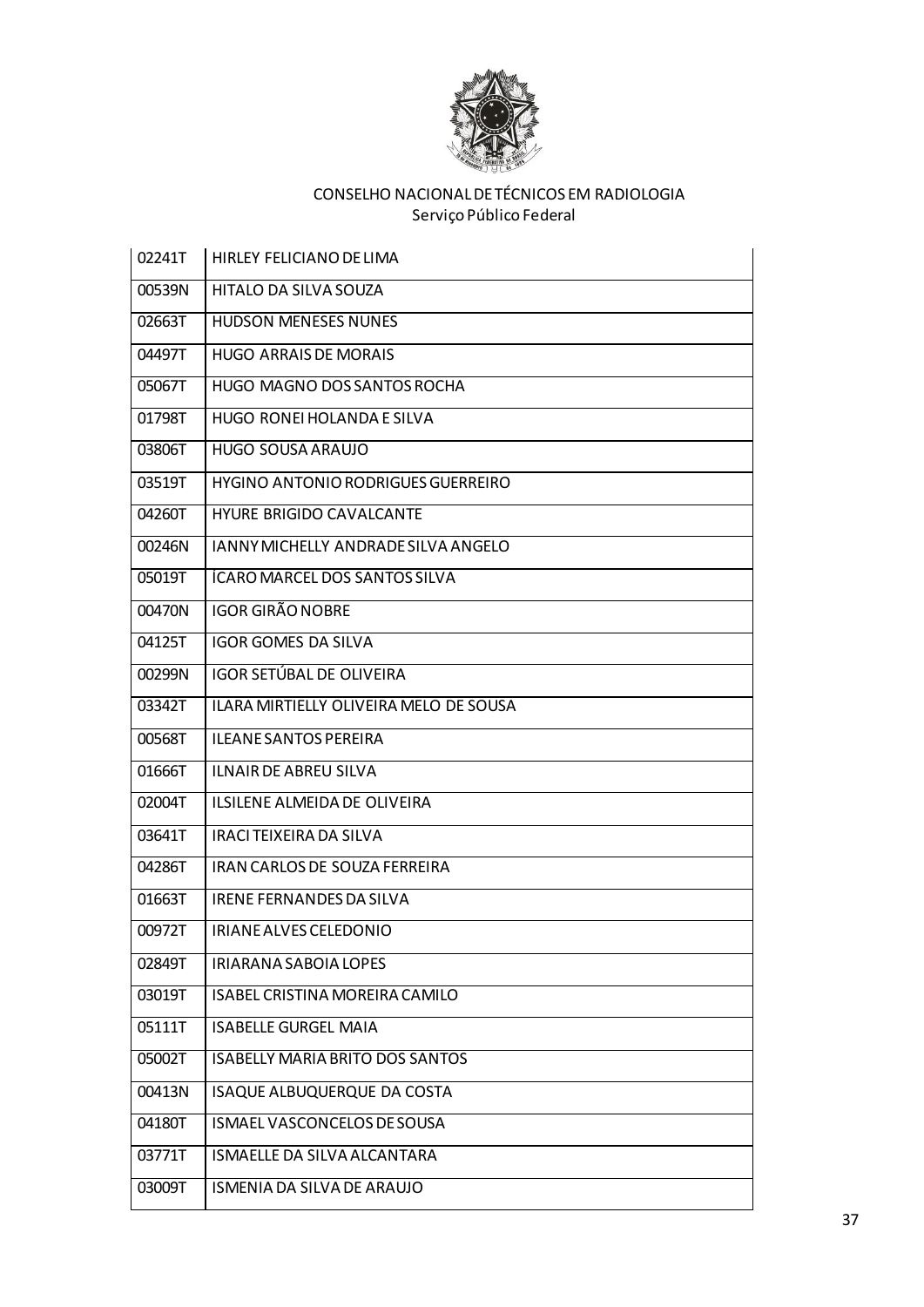

| HITALO DA SILVA SOUZA<br>00539N<br>02663T<br><b>HUDSON MENESES NUNES</b><br>04497T<br><b>HUGO ARRAIS DE MORAIS</b><br>HUGO MAGNO DOS SANTOS ROCHA<br>05067T<br>01798T<br>HUGO RONEI HOLANDA E SILVA |  |
|-----------------------------------------------------------------------------------------------------------------------------------------------------------------------------------------------------|--|
|                                                                                                                                                                                                     |  |
|                                                                                                                                                                                                     |  |
|                                                                                                                                                                                                     |  |
|                                                                                                                                                                                                     |  |
|                                                                                                                                                                                                     |  |
| HUGO SOUSA ARAUJO<br>03806T                                                                                                                                                                         |  |
| HYGINO ANTONIO RODRIGUES GUERREIRO<br>03519T                                                                                                                                                        |  |
| <b>HYURE BRIGIDO CAVALCANTE</b><br>04260T                                                                                                                                                           |  |
| 00246N<br>JANNY MICHELLY ANDRADE SILVA ANGELO                                                                                                                                                       |  |
| ÍCARO MARCEL DOS SANTOS SILVA<br>05019T                                                                                                                                                             |  |
| <b>IGOR GIRÃO NOBRE</b><br>00470N                                                                                                                                                                   |  |
| <b>IGOR GOMES DA SILVA</b><br>04125T                                                                                                                                                                |  |
| IGOR SETÚBAL DE OLIVEIRA<br>00299N                                                                                                                                                                  |  |
| <b>ILARA MIRTIELLY OLIVEIRA MELO DE SOUSA</b><br>03342T                                                                                                                                             |  |
| <b>ILEANE SANTOS PEREIRA</b><br>00568T                                                                                                                                                              |  |
| 01666T<br><b>ILNAIR DE ABREU SILVA</b>                                                                                                                                                              |  |
| 02004T<br><b>ILSILENE ALMEIDA DE OLIVEIRA</b>                                                                                                                                                       |  |
| 03641T<br>IRACI TEIXEIRA DA SILVA                                                                                                                                                                   |  |
| <b>IRAN CARLOS DE SOUZA FERREIRA</b><br>04286T                                                                                                                                                      |  |
| 01663T<br>IRENE FERNANDES DA SILVA                                                                                                                                                                  |  |
| 00972T<br>IRIANE ALVES CELEDONIO                                                                                                                                                                    |  |
| 02849T<br>IRIARANA SABOIA LOPES                                                                                                                                                                     |  |
| ISABEL CRISTINA MOREIRA CAMILO<br>03019T                                                                                                                                                            |  |
| 05111T<br><b>ISABELLE GURGEL MAIA</b>                                                                                                                                                               |  |
| 05002T<br><b>ISABELLY MARIA BRITO DOS SANTOS</b>                                                                                                                                                    |  |
| ISAQUE ALBUQUERQUE DA COSTA<br>00413N                                                                                                                                                               |  |
| 04180T<br>ISMAEL VASCONCELOS DE SOUSA                                                                                                                                                               |  |
| ISMAELLE DA SILVA ALCANTARA<br>03771T                                                                                                                                                               |  |
| 03009T<br>ISMENIA DA SILVA DE ARAUJO                                                                                                                                                                |  |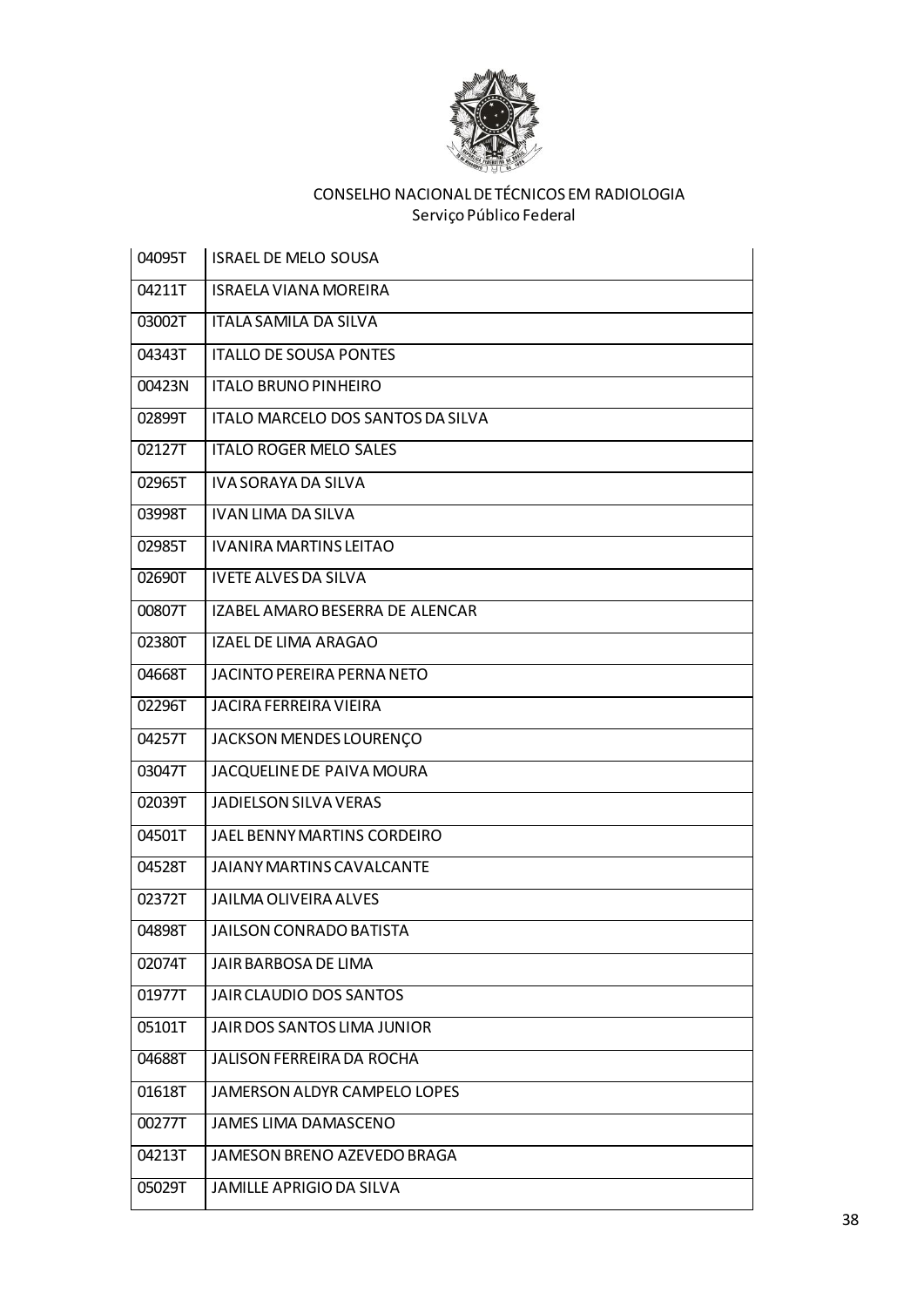

| 04095T | <b>ISRAEL DE MELO SOUSA</b>       |
|--------|-----------------------------------|
| 04211T | <b>ISRAELA VIANA MOREIRA</b>      |
| 03002T | <b>ITALA SAMILA DA SILVA</b>      |
| 04343T | <b>ITALLO DE SOUSA PONTES</b>     |
| 00423N | <b>ITALO BRUNO PINHEIRO</b>       |
| 02899T | ITALO MARCELO DOS SANTOS DA SILVA |
| 02127T | <b>ITALO ROGER MELO SALES</b>     |
| 02965T | <b>IVA SORAYA DA SILVA</b>        |
| 03998T | <b>IVAN LIMA DA SILVA</b>         |
| 02985T | <b>IVANIRA MARTINS LEITAO</b>     |
| 02690T | <b>IVETE ALVES DA SILVA</b>       |
| 00807T | IZABEL AMARO BESERRA DE ALENCAR   |
| 02380T | <b>IZAEL DE LIMA ARAGAO</b>       |
| 04668T | JACINTO PEREIRA PERNA NETO        |
| 02296T | <b>JACIRA FERREIRA VIEIRA</b>     |
| 04257T | JACKSON MENDES LOURENÇO           |
| 03047T | JACQUELINE DE PAIVA MOURA         |
| 02039T | JADIELSON SILVA VERAS             |
| 04501T | JAEL BENNY MARTINS CORDEIRO       |
| 04528T | <b>JAIANY MARTINS CAVALCANTE</b>  |
| 02372T | <b>JAILMA OLIVEIRA ALVES</b>      |
| 04898T | <b>JAILSON CONRADO BATISTA</b>    |
| 02074T | JAIR BARBOSA DE LIMA              |
| 01977T | JAIR CLAUDIO DOS SANTOS           |
| 05101T | JAIR DOS SANTOS LIMA JUNIOR       |
| 04688T | <b>JALISON FERREIRA DA ROCHA</b>  |
| 01618T | JAMERSON ALDYR CAMPELO LOPES      |
| 00277T | <b>JAMES LIMA DAMASCENO</b>       |
| 04213T | JAMESON BRENO AZEVEDO BRAGA       |
| 05029T | <b>JAMILLE APRIGIO DA SILVA</b>   |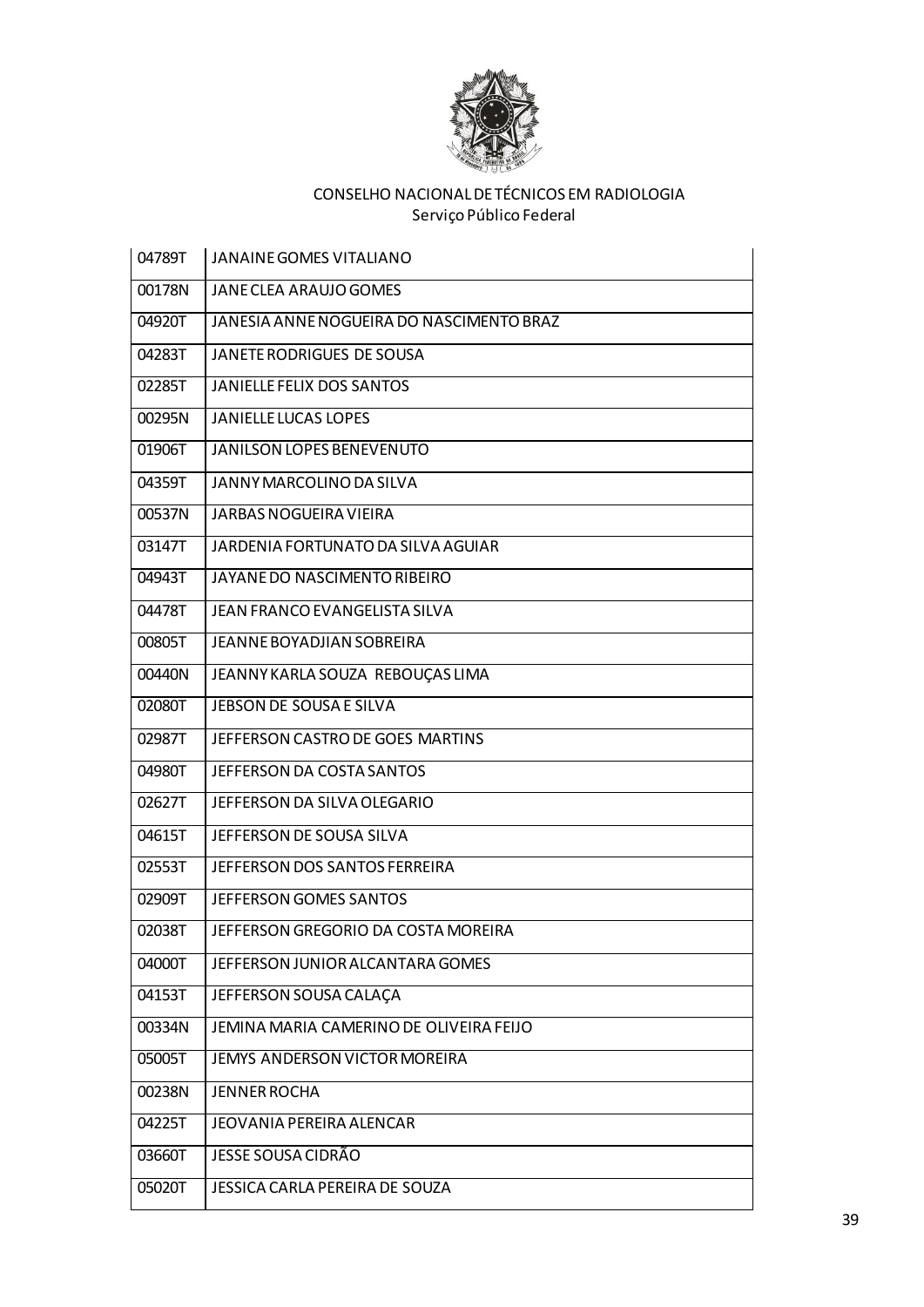

| 04789T | <b>JANAINE GOMES VITALIANO</b>           |
|--------|------------------------------------------|
| 00178N | JANE CLEA ARAUJO GOMES                   |
| 04920T | JANESIA ANNE NOGUEIRA DO NASCIMENTO BRAZ |
| 04283T | JANETE RODRIGUES DE SOUSA                |
| 02285T | <b>JANIELLE FELIX DOS SANTOS</b>         |
| 00295N | <b>JANIELLE LUCAS LOPES</b>              |
| 01906T | JANILSON LOPES BENEVENUTO                |
| 04359T | JANNY MARCOLINO DA SILVA                 |
| 00537N | <b>JARBAS NOGUEIRA VIEIRA</b>            |
| 03147T | JARDENIA FORTUNATO DA SILVA AGUIAR       |
| 04943T | JAYANE DO NASCIMENTO RIBEIRO             |
| 04478T | <b>JEAN FRANCO EVANGELISTA SILVA</b>     |
| 00805T | <b>JEANNE BOYADJIAN SOBREIRA</b>         |
| 00440N | JEANNY KARLA SOUZA REBOUÇAS LIMA         |
| 02080T | JEBSON DE SOUSA E SILVA                  |
| 02987T | JEFFERSON CASTRO DE GOES MARTINS         |
| 04980T | JEFFERSON DA COSTA SANTOS                |
| 02627T | JEFFERSON DA SILVA OLEGARIO              |
| 04615T | JEFFERSON DE SOUSA SILVA                 |
| 02553T | JEFFERSON DOS SANTOS FERREIRA            |
| 02909T | JEFFERSON GOMES SANTOS                   |
| 02038T | JEFFERSON GREGORIO DA COSTA MOREIRA      |
| 04000T | JEFFERSON JUNIOR ALCANTARA GOMES         |
| 04153T | JEFFERSON SOUSA CALAÇA                   |
| 00334N | JEMINA MARIA CAMERINO DE OLIVEIRA FEIJO  |
| 05005T | JEMYS ANDERSON VICTOR MOREIRA            |
| 00238N | <b>JENNER ROCHA</b>                      |
| 04225T | <b>JEOVANIA PEREIRA ALENCAR</b>          |
| 03660T | JESSE SOUSA CIDRÃO                       |
| 05020T | JESSICA CARLA PEREIRA DE SOUZA           |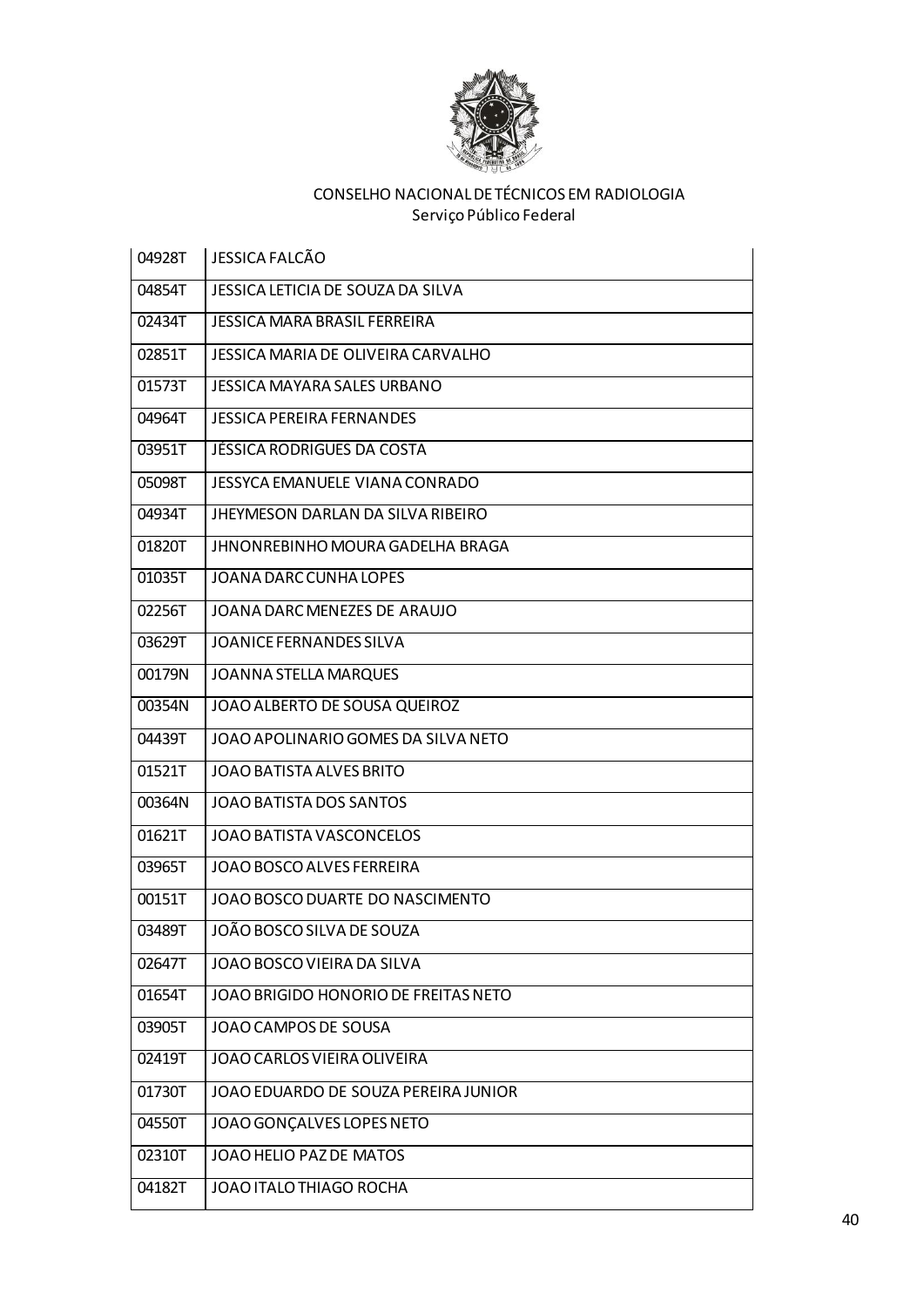

| 04928T | <b>JESSICA FALCÃO</b>                    |
|--------|------------------------------------------|
| 04854T | JESSICA LETICIA DE SOUZA DA SILVA        |
| 02434T | JESSICA MARA BRASIL FERREIRA             |
| 02851T | JESSICA MARIA DE OLIVEIRA CARVALHO       |
| 01573T | <b>JESSICA MAYARA SALES URBANO</b>       |
| 04964T | <b>JESSICA PEREIRA FERNANDES</b>         |
| 03951T | JÉSSICA RODRIGUES DA COSTA               |
| 05098T | JESSYCA EMANUELE VIANA CONRADO           |
| 04934T | <b>JHEYMESON DARLAN DA SILVA RIBEIRO</b> |
| 01820T | JHNONREBINHO MOURA GADELHA BRAGA         |
| 01035T | JOANA DARC CUNHA LOPES                   |
| 02256T | JOANA DARC MENEZES DE ARAUJO             |
| 03629T | <b>JOANICE FERNANDES SILVA</b>           |
| 00179N | <b>JOANNA STELLA MARQUES</b>             |
| 00354N | JOAO ALBERTO DE SOUSA QUEIROZ            |
| 04439T | JOAO APOLINARIO GOMES DA SILVA NETO      |
| 01521T | JOAO BATISTA ALVES BRITO                 |
| 00364N | JOAO BATISTA DOS SANTOS                  |
| 01621T | JOAO BATISTA VASCONCELOS                 |
| 03965T | JOAO BOSCO ALVES FERREIRA                |
| 00151T | JOAO BOSCO DUARTE DO NASCIMENTO          |
| 03489T | JOÃO BOSCO SILVA DE SOUZA                |
| 02647T | JOAO BOSCO VIEIRA DA SILVA               |
| 01654T | JOAO BRIGIDO HONORIO DE FREITAS NETO     |
| 03905T | JOAO CAMPOS DE SOUSA                     |
| 02419T | JOAO CARLOS VIEIRA OLIVEIRA              |
| 01730T | JOAO EDUARDO DE SOUZA PEREIRA JUNIOR     |
| 04550T | JOAO GONÇALVES LOPES NETO                |
| 02310T | JOAO HELIO PAZ DE MATOS                  |
| 04182T | JOAO ITALO THIAGO ROCHA                  |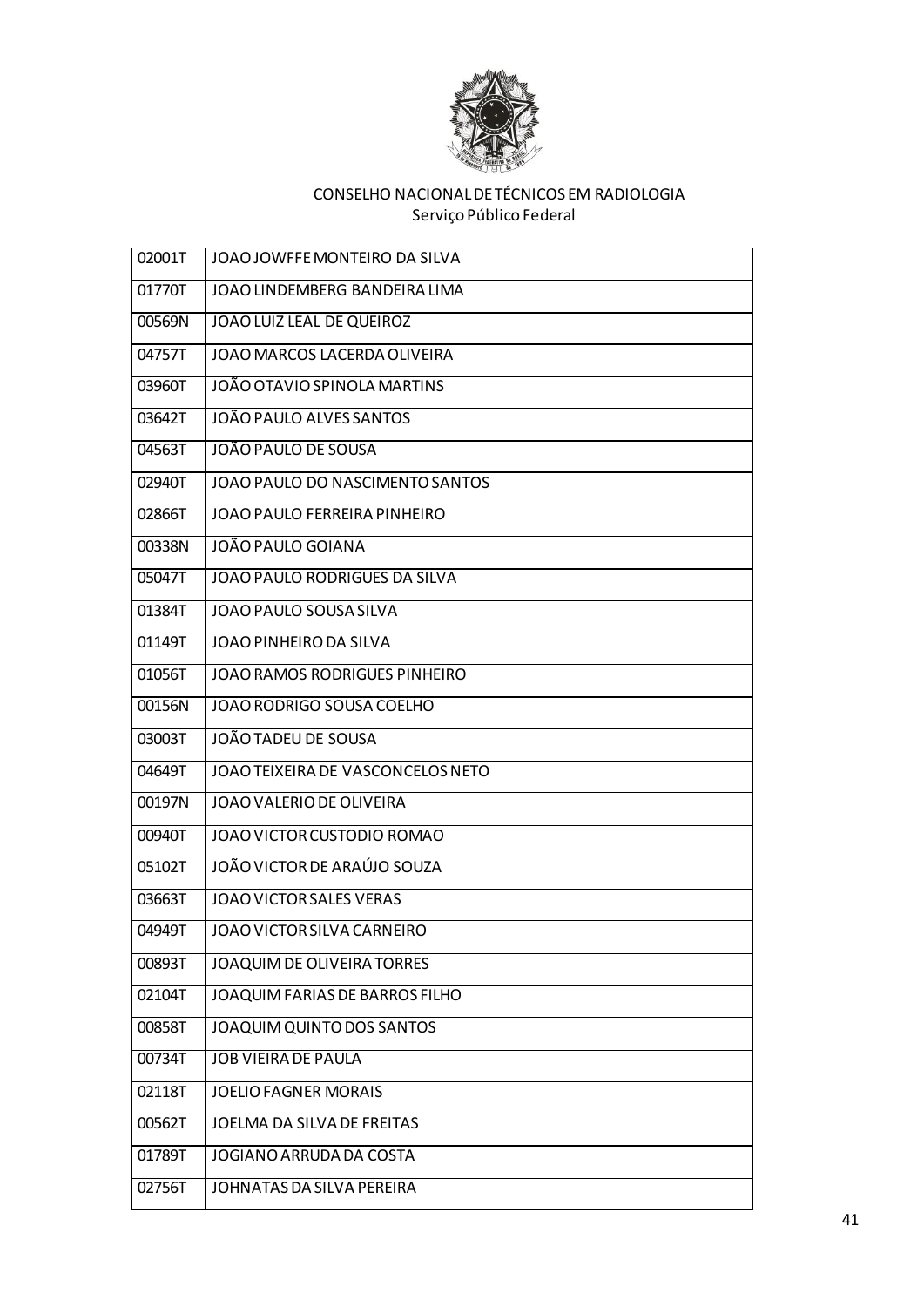

| 02001T | JOAO JOWFFE MONTEIRO DA SILVA       |
|--------|-------------------------------------|
| 01770T | JOAO LINDEMBERG BANDEIRA LIMA       |
| 00569N | JOAO LUIZ LEAL DE QUEIROZ           |
| 04757T | <b>JOAO MARCOS LACERDA OLIVEIRA</b> |
| 03960T | JOÃO OTAVIO SPINOLA MARTINS         |
| 03642T | JOÃO PAULO ALVES SANTOS             |
| 04563T | JOÃO PAULO DE SOUSA                 |
| 02940T | JOAO PAULO DO NASCIMENTO SANTOS     |
| 02866T | <b>JOAO PAULO FERREIRA PINHEIRO</b> |
| 00338N | JOÃO PAULO GOIANA                   |
| 05047T | JOAO PAULO RODRIGUES DA SILVA       |
| 01384T | JOAO PAULO SOUSA SILVA              |
| 01149T | JOAO PINHEIRO DA SILVA              |
| 01056T | JOAO RAMOS RODRIGUES PINHEIRO       |
| 00156N | JOAO RODRIGO SOUSA COELHO           |
| 03003T | JOÃO TADEU DE SOUSA                 |
| 04649T | JOAO TEIXEIRA DE VASCONCELOS NETO   |
| 00197N | JOAO VALERIO DE OLIVEIRA            |
| 00940T | JOAO VICTOR CUSTODIO ROMAO          |
| 05102T | JOÃO VICTOR DE ARAÚJO SOUZA         |
| 03663T | <b>JOAO VICTOR SALES VERAS</b>      |
| 04949T | JOAO VICTOR SILVA CARNEIRO          |
| 00893T | JOAQUIM DE OLIVEIRA TORRES          |
| 02104T | JOAQUIM FARIAS DE BARROS FILHO      |
| 00858T | JOAQUIM QUINTO DOS SANTOS           |
| 00734T | <b>JOB VIEIRA DE PAULA</b>          |
| 02118T | <b>JOELIO FAGNER MORAIS</b>         |
| 00562T | JOELMA DA SILVA DE FREITAS          |
| 01789T | JOGIANO ARRUDA DA COSTA             |
| 02756T | JOHNATAS DA SILVA PEREIRA           |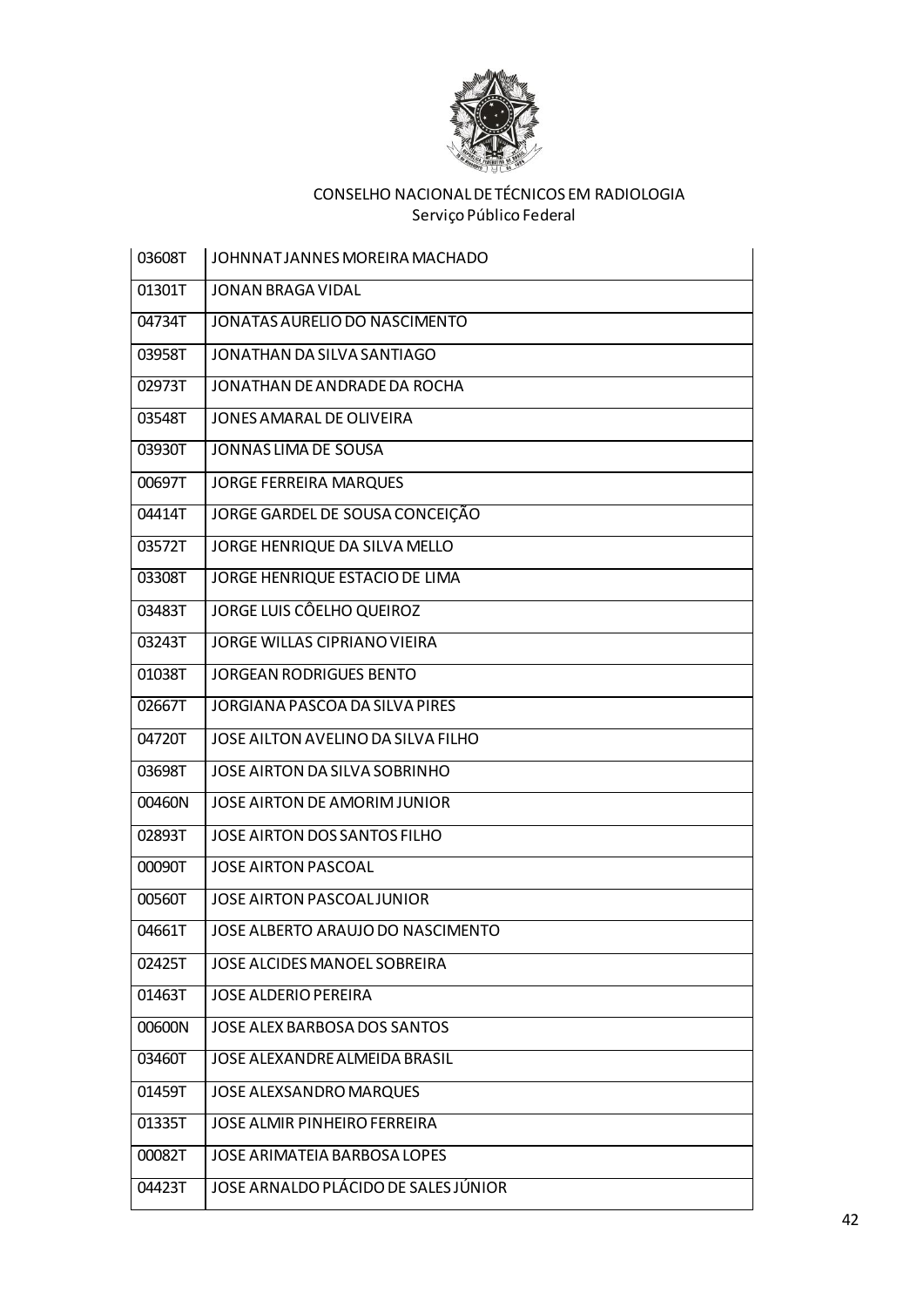

| 03608T | JOHNNATJANNES MOREIRA MACHADO        |
|--------|--------------------------------------|
| 01301T | <b>JONAN BRAGA VIDAL</b>             |
| 04734T | JONATAS AURELIO DO NASCIMENTO        |
| 03958T | JONATHAN DA SILVA SANTIAGO           |
| 02973T | JONATHAN DE ANDRADE DA ROCHA         |
| 03548T | JONES AMARAL DE OLIVEIRA             |
| 03930T | JONNAS LIMA DE SOUSA                 |
| 00697T | <b>JORGE FERREIRA MARQUES</b>        |
| 04414T | JORGE GARDEL DE SOUSA CONCEIÇÃO      |
| 03572T | JORGE HENRIQUE DA SILVA MELLO        |
| 03308T | JORGE HENRIQUE ESTACIO DE LIMA       |
| 03483T | JORGE LUIS CÔELHO QUEIROZ            |
| 03243T | <b>JORGE WILLAS CIPRIANO VIEIRA</b>  |
| 01038T | <b>JORGEAN RODRIGUES BENTO</b>       |
| 02667T | JORGIANA PASCOA DA SILVA PIRES       |
| 04720T | JOSE AILTON AVELINO DA SILVA FILHO   |
| 03698T | JOSE AIRTON DA SILVA SOBRINHO        |
| 00460N | JOSE AIRTON DE AMORIM JUNIOR         |
| 02893T | JOSE AIRTON DOS SANTOS FILHO         |
| 00090T | <b>JOSE AIRTON PASCOAL</b>           |
| 00560T | JOSE AIRTON PASCOAL JUNIOR           |
| 04661T | JOSE ALBERTO ARAUJO DO NASCIMENTO    |
| 02425T | JOSE ALCIDES MANOEL SOBREIRA         |
| 01463T | <b>JOSE ALDERIO PEREIRA</b>          |
| 00600N | JOSE ALEX BARBOSA DOS SANTOS         |
| 03460T | JOSE ALEXANDRE ALMEIDA BRASIL        |
| 01459T | JOSE ALEXSANDRO MARQUES              |
| 01335T | JOSE ALMIR PINHEIRO FERREIRA         |
| 00082T | JOSE ARIMATEIA BARBOSA LOPES         |
| 04423T | JOSE ARNALDO PLÁCIDO DE SALES JÚNIOR |
|        |                                      |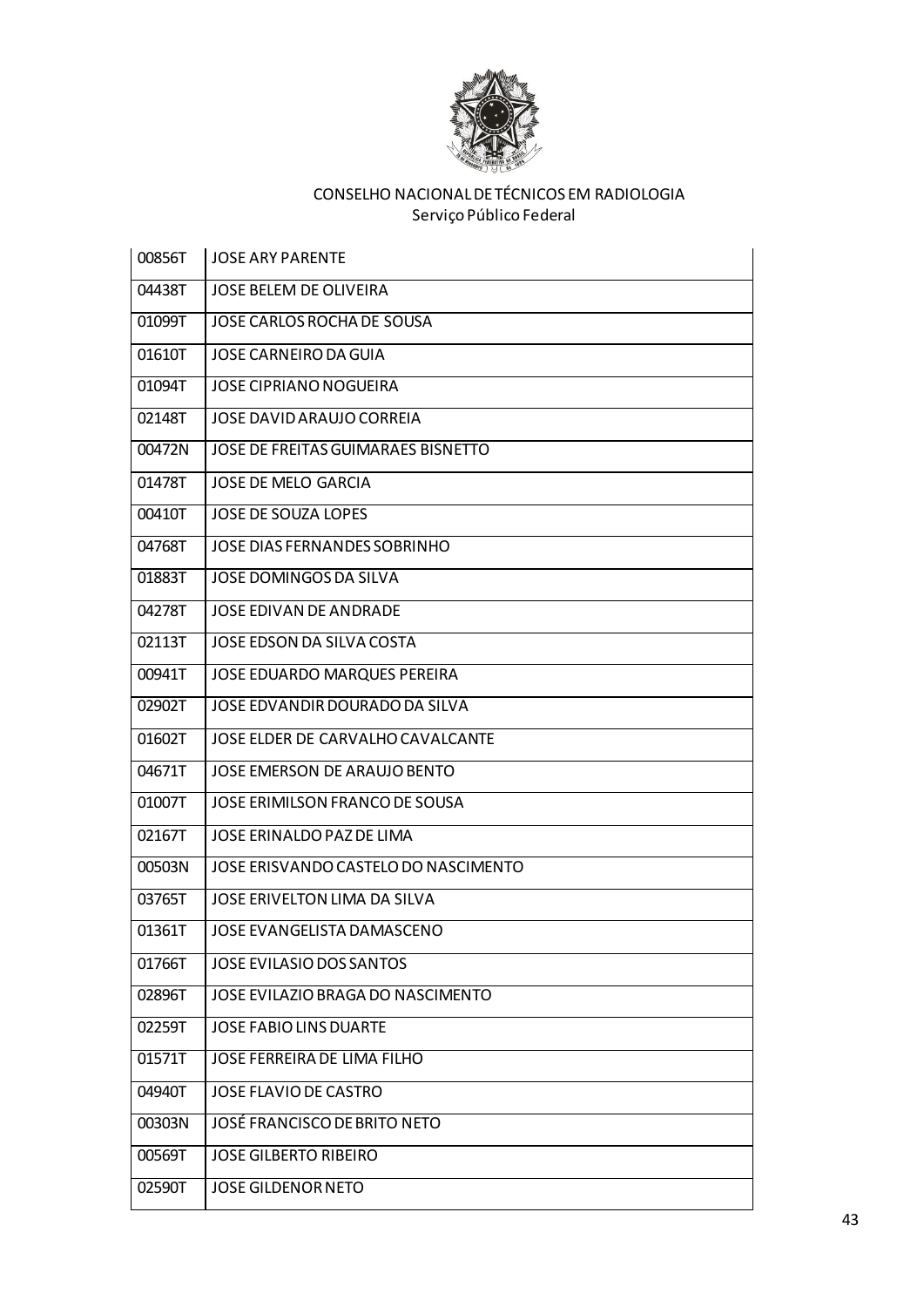

| 00856T | <b>JOSE ARY PARENTE</b>              |
|--------|--------------------------------------|
| 04438T | <b>JOSE BELEM DE OLIVEIRA</b>        |
| 01099T | JOSE CARLOS ROCHA DE SOUSA           |
| 01610T | <b>JOSE CARNEIRO DA GUIA</b>         |
| 01094T | <b>JOSE CIPRIANO NOGUEIRA</b>        |
| 02148T | <b>JOSE DAVID ARAUJO CORREIA</b>     |
| 00472N | JOSE DE FREITAS GUIMARAES BISNETTO   |
| 01478T | JOSE DE MELO GARCIA                  |
| 00410T | JOSE DE SOUZA LOPES                  |
| 04768T | JOSE DIAS FERNANDES SOBRINHO         |
| 01883T | JOSE DOMINGOS DA SILVA               |
| 04278T | JOSE EDIVAN DE ANDRADE               |
| 02113T | JOSE EDSON DA SILVA COSTA            |
| 00941T | JOSE EDUARDO MARQUES PEREIRA         |
| 02902T | JOSE EDVANDIR DOURADO DA SILVA       |
| 01602T | JOSE ELDER DE CARVALHO CAVALCANTE    |
| 04671T | <b>JOSE EMERSON DE ARAUJO BENTO</b>  |
| 01007T | JOSE ERIMILSON FRANCO DE SOUSA       |
| 02167T | JOSE ERINALDO PAZ DE LIMA            |
| 00503N | JOSE ERISVANDO CASTELO DO NASCIMENTO |
| 03765T | JOSE ERIVELTON LIMA DA SILVA         |
| 01361T | JOSE EVANGELISTA DAMASCENO           |
| 01766T | JOSE EVILASIO DOS SANTOS             |
| 02896T | JOSE EVILAZIO BRAGA DO NASCIMENTO    |
| 02259T | <b>JOSE FABIO LINS DUARTE</b>        |
| 01571T | JOSE FERREIRA DE LIMA FILHO          |
| 04940T | JOSE FLAVIO DE CASTRO                |
| 00303N | JOSÉ FRANCISCO DE BRITO NETO         |
| 00569T | <b>JOSE GILBERTO RIBEIRO</b>         |
| 02590T | <b>JOSE GILDENOR NETO</b>            |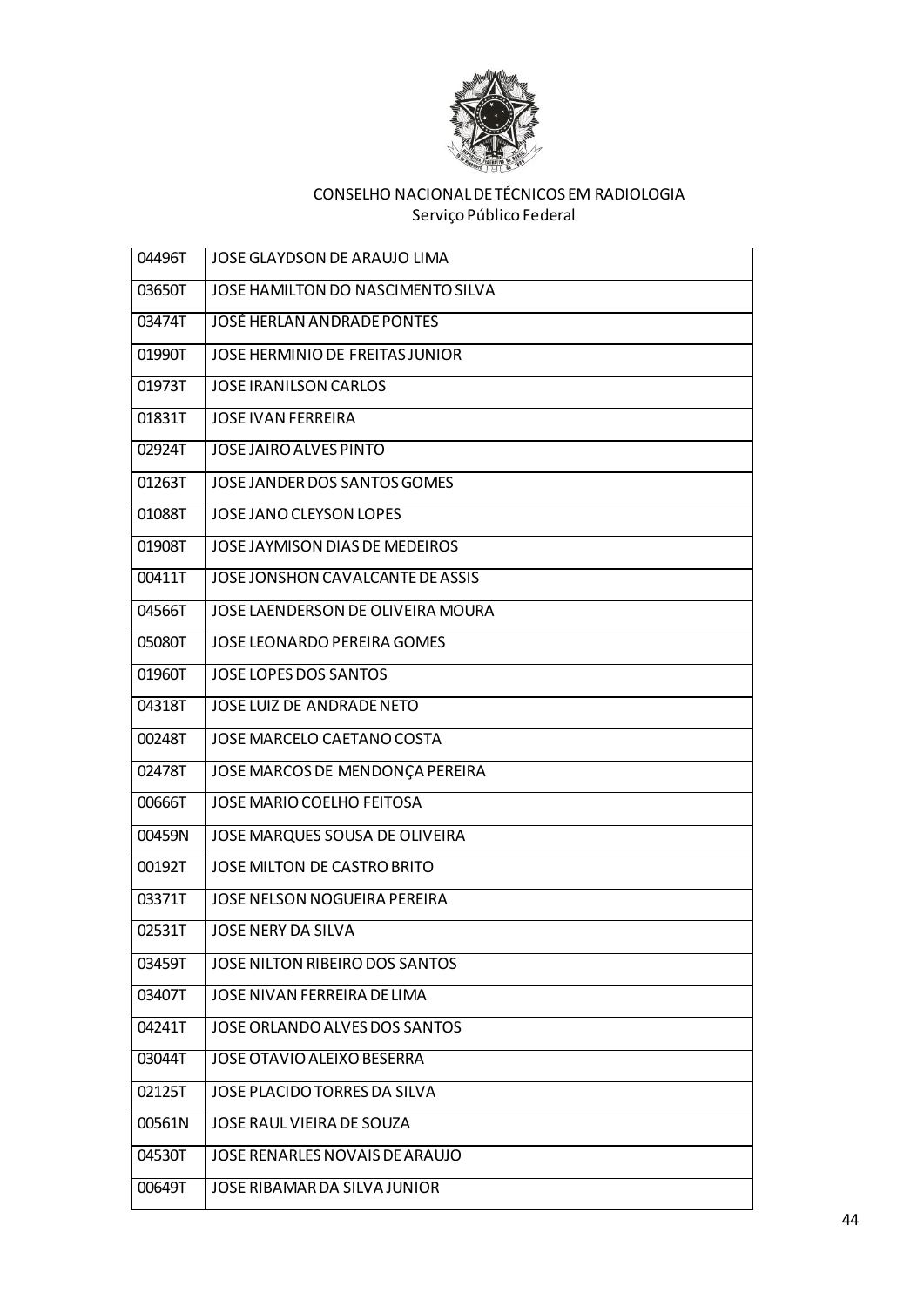

| 04496T | JOSE GLAYDSON DE ARAUJO LIMA      |
|--------|-----------------------------------|
| 03650T | JOSE HAMILTON DO NASCIMENTO SILVA |
| 03474T | <b>JOSÉ HERLAN ANDRADE PONTES</b> |
| 01990T | JOSE HERMINIO DE FREITAS JUNIOR   |
| 01973T | <b>JOSE IRANILSON CARLOS</b>      |
| 01831T | <b>JOSE IVAN FERREIRA</b>         |
| 02924T | <b>JOSE JAIRO ALVES PINTO</b>     |
| 01263T | JOSE JANDER DOS SANTOS GOMES      |
| 01088T | JOSE JANO CLEYSON LOPES           |
| 01908T | JOSE JAYMISON DIAS DE MEDEIROS    |
| 00411T | JOSE JONSHON CAVALCANTE DE ASSIS  |
| 04566T | JOSE LAENDERSON DE OLIVEIRA MOURA |
| 05080T | JOSE LEONARDO PEREIRA GOMES       |
| 01960T | JOSE LOPES DOS SANTOS             |
| 04318T | JOSE LUIZ DE ANDRADE NETO         |
| 00248T | JOSE MARCELO CAETANO COSTA        |
| 02478T | JOSE MARCOS DE MENDONÇA PEREIRA   |
| 00666T | <b>JOSE MARIO COELHO FEITOSA</b>  |
| 00459N | JOSE MARQUES SOUSA DE OLIVEIRA    |
| 00192T | JOSE MILTON DE CASTRO BRITO       |
| 03371T | JOSE NELSON NOGUEIRA PEREIRA      |
| 02531T | <b>JOSE NERY DA SILVA</b>         |
| 03459T | JOSE NILTON RIBEIRO DOS SANTOS    |
| 03407T | JOSE NIVAN FERREIRA DE LIMA       |
| 04241T | JOSE ORLANDO ALVES DOS SANTOS     |
| 03044T | JOSE OTAVIO ALEIXO BESERRA        |
| 02125T | JOSE PLACIDO TORRES DA SILVA      |
| 00561N | JOSE RAUL VIEIRA DE SOUZA         |
| 04530T | JOSE RENARLES NOVAIS DE ARAUJO    |
| 00649T | JOSE RIBAMAR DA SILVA JUNIOR      |
|        |                                   |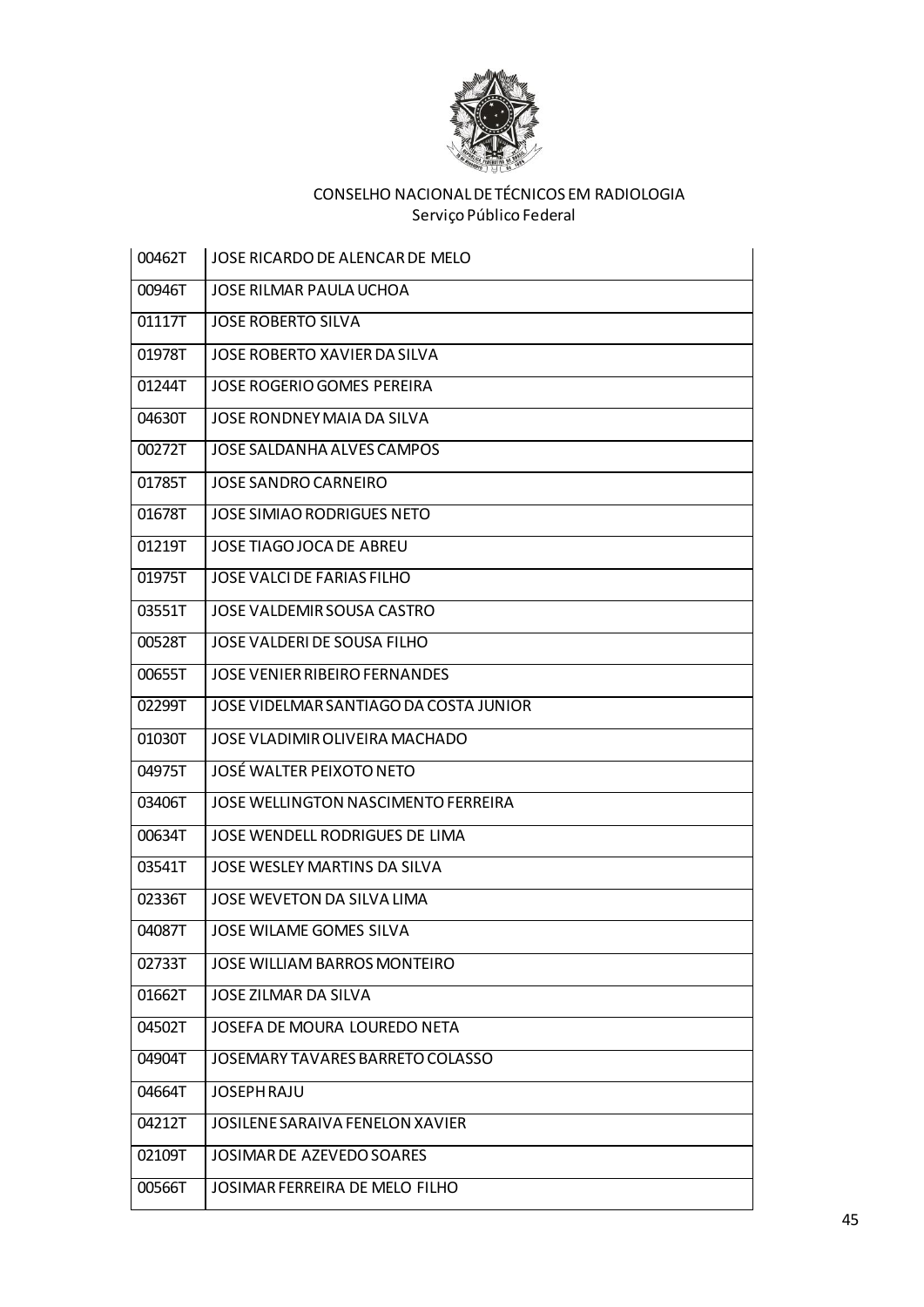

| 00462T | JOSE RICARDO DE ALENCAR DE MELO        |
|--------|----------------------------------------|
| 00946T | JOSE RILMAR PAULA UCHOA                |
| 01117T | <b>JOSE ROBERTO SILVA</b>              |
| 01978T | JOSE ROBERTO XAVIER DA SILVA           |
| 01244T | <b>JOSE ROGERIO GOMES PEREIRA</b>      |
| 04630T | JOSE RONDNEY MAIA DA SILVA             |
| 00272T | JOSE SALDANHA ALVES CAMPOS             |
| 01785T | <b>JOSE SANDRO CARNEIRO</b>            |
| 01678T | JOSE SIMIAO RODRIGUES NETO             |
| 01219T | JOSE TIAGO JOCA DE ABREU               |
| 01975T | JOSE VALCI DE FARIAS FILHO             |
| 03551T | JOSE VALDEMIR SOUSA CASTRO             |
| 00528T | JOSE VALDERI DE SOUSA FILHO            |
| 00655T | JOSE VENIER RIBEIRO FERNANDES          |
| 02299T | JOSE VIDELMAR SANTIAGO DA COSTA JUNIOR |
| 01030T | JOSE VLADIMIR OLIVEIRA MACHADO         |
| 04975T | JOSÉ WALTER PEIXOTO NETO               |
| 03406T | JOSE WELLINGTON NASCIMENTO FERREIRA    |
| 00634T | JOSE WENDELL RODRIGUES DE LIMA         |
| 03541T | JOSE WESLEY MARTINS DA SILVA           |
| 02336T | JOSE WEVETON DA SILVA LIMA             |
| 04087T | JOSE WILAME GOMES SILVA                |
| 02733T | JOSE WILLIAM BARROS MONTEIRO           |
| 01662T | JOSE ZILMAR DA SILVA                   |
| 04502T | JOSEFA DE MOURA LOUREDO NETA           |
| 04904T | JOSEMARY TAVARES BARRETO COLASSO       |
| 04664T | <b>JOSEPH RAJU</b>                     |
| 04212T | JOSILENE SARAIVA FENELON XAVIER        |
| 02109T | JOSIMAR DE AZEVEDO SOARES              |
| 00566T | JOSIMAR FERREIRA DE MELO FILHO         |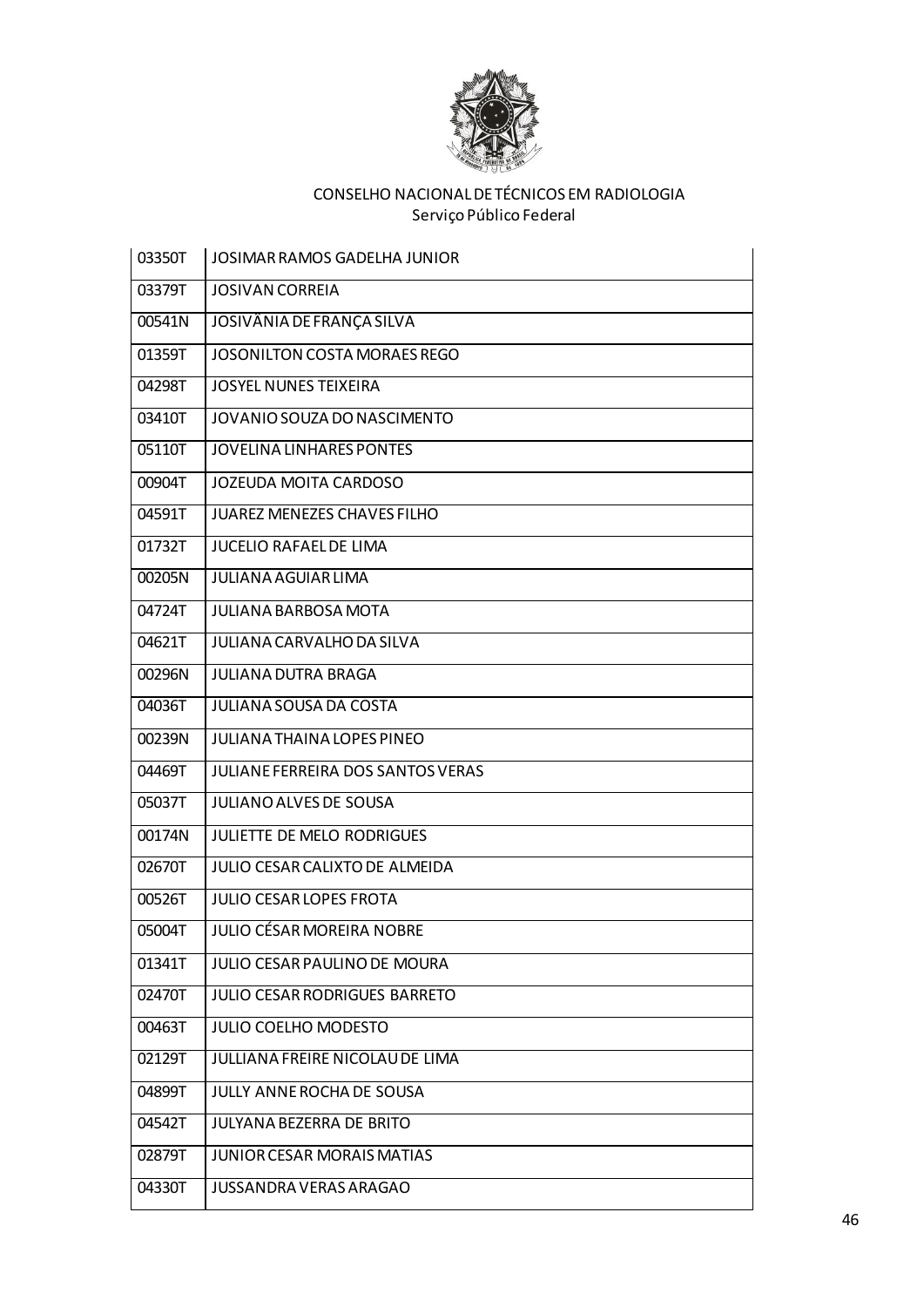

| 03350T | JOSIMAR RAMOS GADELHA JUNIOR             |
|--------|------------------------------------------|
| 03379T | <b>JOSIVAN CORREIA</b>                   |
| 00541N | JOSIVÂNIA DE FRANÇA SILVA                |
| 01359T | JOSONILTON COSTA MORAES REGO             |
| 04298T | <b>JOSYEL NUNES TEIXEIRA</b>             |
| 03410T | JOVANIO SOUZA DO NASCIMENTO              |
| 05110T | <b>JOVELINA LINHARES PONTES</b>          |
| 00904T | <b>JOZEUDA MOITA CARDOSO</b>             |
| 04591T | <b>JUAREZ MENEZES CHAVES FILHO</b>       |
| 01732T | <b>JUCELIO RAFAEL DE LIMA</b>            |
| 00205N | <b>JULIANA AGUIAR LIMA</b>               |
| 04724T | <b>JULIANA BARBOSA MOTA</b>              |
| 04621T | <b>JULIANA CARVALHO DA SILVA</b>         |
| 00296N | <b>JULIANA DUTRA BRAGA</b>               |
| 04036T | <b>JULIANA SOUSA DA COSTA</b>            |
| 00239N | <b>JULIANA THAINA LOPES PINEO</b>        |
| 04469T | <b>JULIANE FERREIRA DOS SANTOS VERAS</b> |
| 05037T | <b>JULIANO ALVES DE SOUSA</b>            |
| 00174N | JULIETTE DE MELO RODRIGUES               |
| 02670T | JULIO CESAR CALIXTO DE ALMEIDA           |
| 00526T | <b>JULIO CESAR LOPES FROTA</b>           |
| 05004T | <b>JULIO CÉSAR MOREIRA NOBRE</b>         |
| 01341T | JULIO CESAR PAULINO DE MOURA             |
| 02470T | JULIO CESAR RODRIGUES BARRETO            |
| 00463T | <b>JULIO COELHO MODESTO</b>              |
| 02129T | JULLIANA FREIRE NICOLAU DE LIMA          |
| 04899T | JULLY ANNE ROCHA DE SOUSA                |
| 04542T | <b>JULYANA BEZERRA DE BRITO</b>          |
| 02879T | <b>JUNIOR CESAR MORAIS MATIAS</b>        |
| 04330T | JUSSANDRA VERAS ARAGAO                   |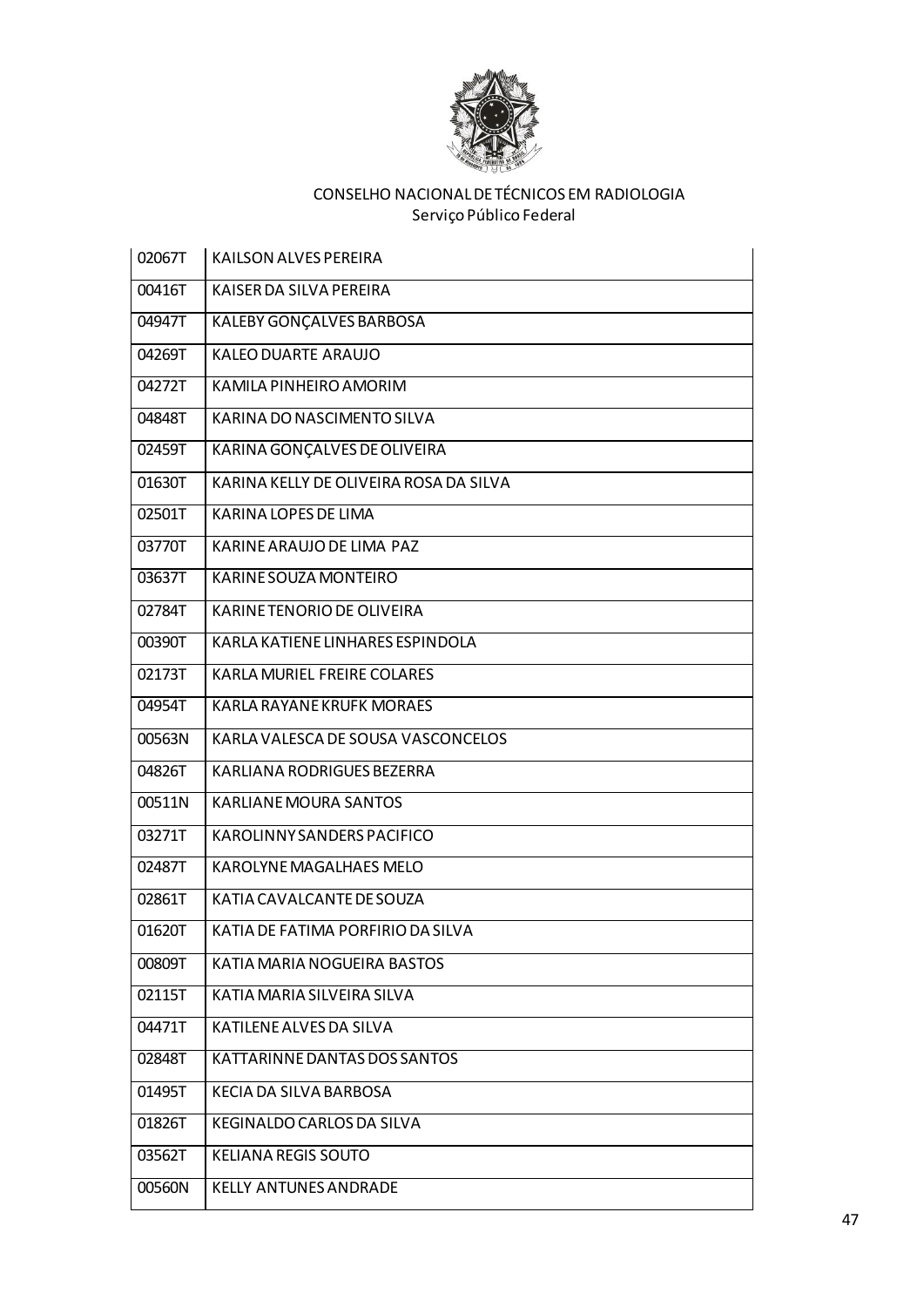

| 02067T | KAILSON ALVES PEREIRA                  |
|--------|----------------------------------------|
| 00416T | KAISER DA SILVA PEREIRA                |
| 04947T | KALEBY GONÇALVES BARBOSA               |
| 04269T | KALEO DUARTE ARAUJO                    |
| 04272T | KAMILA PINHEIRO AMORIM                 |
| 04848T | KARINA DO NASCIMENTO SILVA             |
| 02459T | KARINA GONÇALVES DE OLIVEIRA           |
| 01630T | KARINA KELLY DE OLIVEIRA ROSA DA SILVA |
| 02501T | <b>KARINA LOPES DE LIMA</b>            |
| 03770T | KARINE ARAUJO DE LIMA PAZ              |
| 03637T | KARINE SOUZA MONTEIRO                  |
| 02784T | KARINE TENORIO DE OLIVEIRA             |
| 00390T | KARLA KATIENE LINHARES ESPINDOLA       |
| 02173T | KARLA MURIEL FREIRE COLARES            |
| 04954T | <b>KARLA RAYANE KRUFK MORAES</b>       |
| 00563N | KARLA VALESCA DE SOUSA VASCONCELOS     |
| 04826T | KARLIANA RODRIGUES BEZERRA             |
| 00511N | KARLIANE MOURA SANTOS                  |
| 03271T | KAROLINNY SANDERS PACIFICO             |
| 02487T | KAROLYNE MAGALHAES MELO                |
| 02861T | KATIA CAVALCANTE DE SOUZA              |
| 01620T | KATIA DE FATIMA PORFIRIO DA SILVA      |
| 00809T | KATIA MARIA NOGUEIRA BASTOS            |
| 02115T | KATIA MARIA SILVEIRA SILVA             |
| 04471T | KATILENE ALVES DA SILVA                |
| 02848T | KATTARINNE DANTAS DOS SANTOS           |
| 01495T | KECIA DA SILVA BARBOSA                 |
| 01826T | <b>KEGINALDO CARLOS DA SILVA</b>       |
| 03562T | <b>KELIANA REGIS SOUTO</b>             |
| 00560N | <b>KELLY ANTUNES ANDRADE</b>           |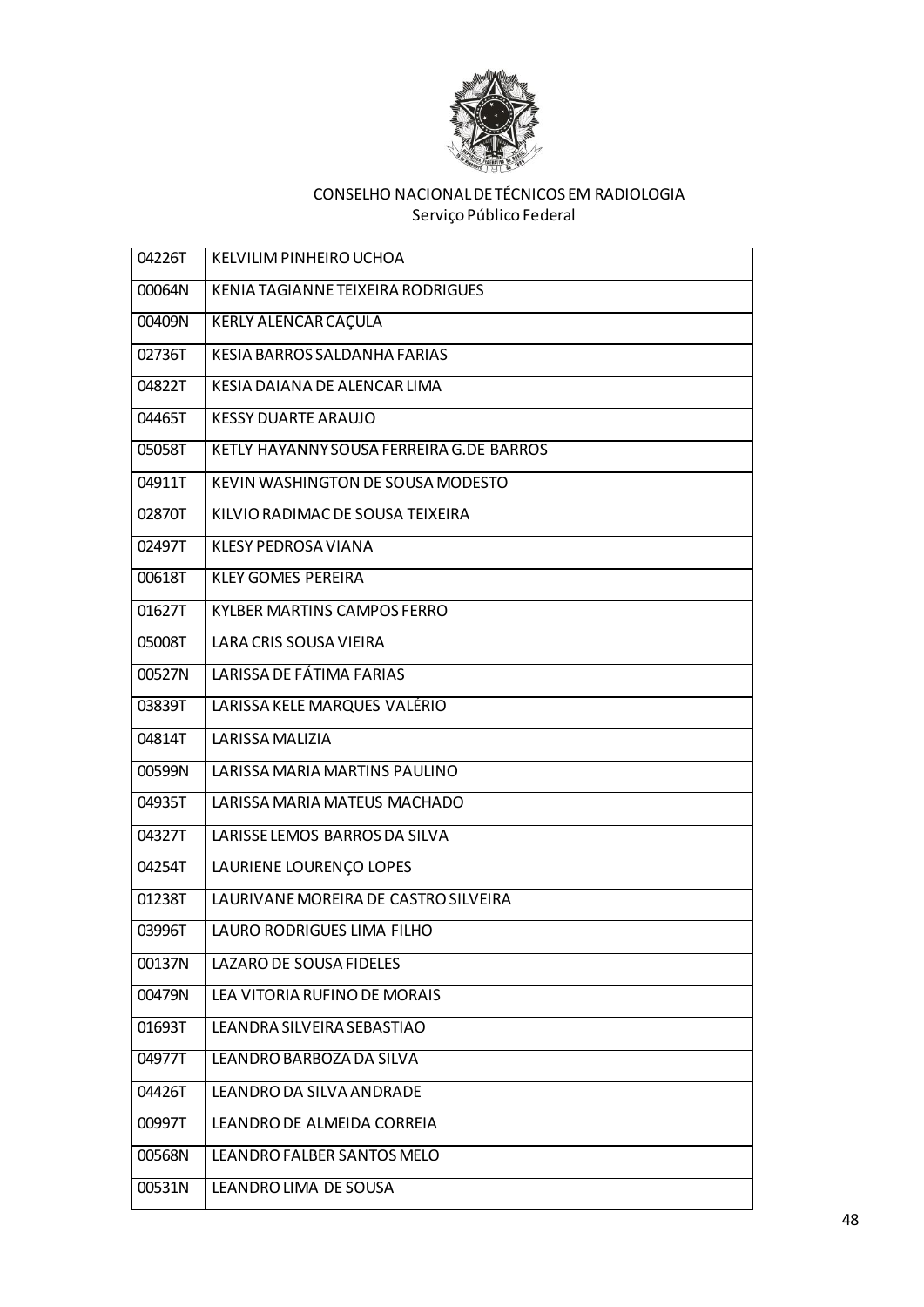

| 04226T | <b>KELVILIM PINHEIRO UCHOA</b>           |
|--------|------------------------------------------|
| 00064N | KENIA TAGIANNE TEIXEIRA RODRIGUES        |
| 00409N | KERLY ALENCAR CAÇULA                     |
| 02736T | KESIA BARROS SALDANHA FARIAS             |
| 04822T | KESIA DAIANA DE ALENCAR LIMA             |
| 04465T | <b>KESSY DUARTE ARAUJO</b>               |
| 05058T | KETLY HAYANNY SOUSA FERREIRA G.DE BARROS |
| 04911T | KEVIN WASHINGTON DE SOUSA MODESTO        |
| 02870T | KILVIO RADIMAC DE SOUSA TEIXEIRA         |
| 02497T | KLESY PEDROSA VIANA                      |
| 00618T | <b>KLEY GOMES PEREIRA</b>                |
| 01627T | KYLBER MARTINS CAMPOS FERRO              |
| 05008T | LARA CRIS SOUSA VIEIRA                   |
| 00527N | LARISSA DE FÁTIMA FARIAS                 |
| 03839T | LARISSA KELE MARQUES VALÉRIO             |
| 04814T | LARISSA MALIZIA                          |
| 00599N | LARISSA MARIA MARTINS PAULINO            |
| 04935T | LARISSA MARIA MATEUS MACHADO             |
| 04327T | LARISSE LEMOS BARROS DA SILVA            |
| 04254T | LAURIENE LOURENÇO LOPES                  |
| 01238T | LAURIVANE MOREIRA DE CASTRO SILVEIRA     |
| 03996T | LAURO RODRIGUES LIMA FILHO               |
| 00137N | LAZARO DE SOUSA FIDELES                  |
| 00479N | LEA VITORIA RUFINO DE MORAIS             |
| 01693T | LEANDRA SILVEIRA SEBASTIAO               |
| 04977T | LEANDRO BARBOZA DA SILVA                 |
| 04426T | LEANDRO DA SILVA ANDRADE                 |
| 00997T | LEANDRO DE ALMEIDA CORREIA               |
| 00568N | LEANDRO FALBER SANTOS MELO               |
| 00531N | LEANDRO LIMA DE SOUSA                    |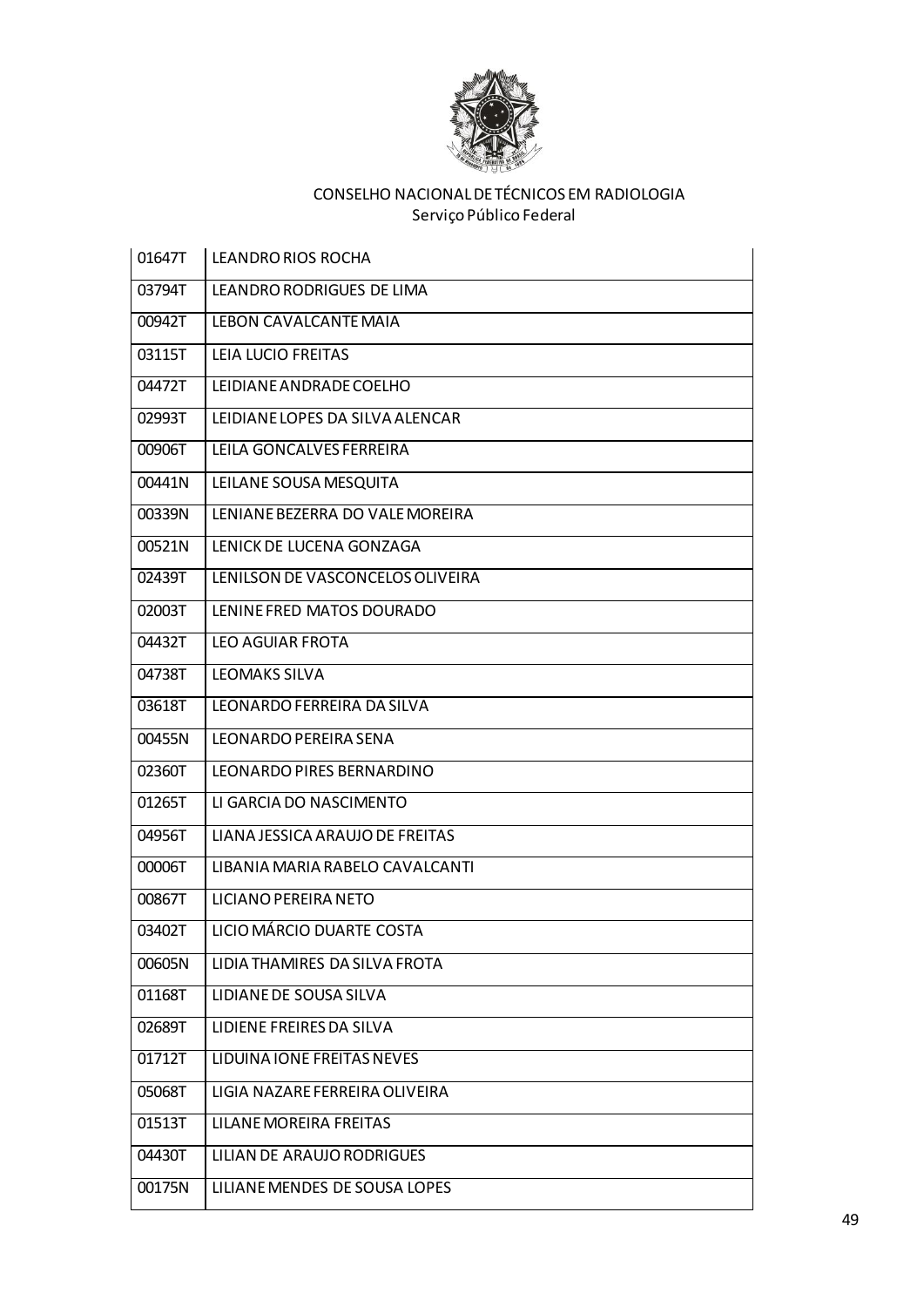

| 01647T              | LEANDRO RIOS ROCHA               |
|---------------------|----------------------------------|
| 03794T              | LEANDRO RODRIGUES DE LIMA        |
| 00942T              | LEBON CAVALCANTE MAIA            |
| 03115T              | LEIA LUCIO FREITAS               |
| 04472T              | LEIDIANE ANDRADE COELHO          |
| 02993T              | LEIDIANE LOPES DA SILVA ALENCAR  |
| 00906T              | LEILA GONCALVES FERREIRA         |
| 00441N              | LEILANE SOUSA MESQUITA           |
| 00339N              | LENIANE BEZERRA DO VALE MOREIRA  |
| 00521N              | LENICK DE LUCENA GONZAGA         |
| $02439\overline{T}$ | LENILSON DE VASCONCELOS OLIVEIRA |
| 02003T              | LENINE FRED MATOS DOURADO        |
| 04432T              | <b>LEO AGUIAR FROTA</b>          |
| 04738T              | <b>LEOMAKS SILVA</b>             |
| 03618T              | LEONARDO FERREIRA DA SILVA       |
| 00455N              | LEONARDO PEREIRA SENA            |
| 02360T              | LEONARDO PIRES BERNARDINO        |
| 01265T              | LI GARCIA DO NASCIMENTO          |
| 04956T              | LIANA JESSICA ARAUJO DE FREITAS  |
| 00006T              | LIBANIA MARIA RABELO CAVALCANTI  |
| 00867T              | LICIANO PEREIRA NETO             |
| 03402T              | LICIO MÁRCIO DUARTE COSTA        |
| 00605N              | LIDIA THAMIRES DA SILVA FROTA    |
| 01168T              | LIDIANE DE SOUSA SILVA           |
| 02689T              | LIDIENE FREIRES DA SILVA         |
| 01712T              | LIDUINA IONE FREITAS NEVES       |
| 05068T              | LIGIA NAZARE FERREIRA OLIVEIRA   |
| 01513T              | LILANE MOREIRA FREITAS           |
| 04430T              | LILIAN DE ARAUJO RODRIGUES       |
| 00175N              | LILIANE MENDES DE SOUSA LOPES    |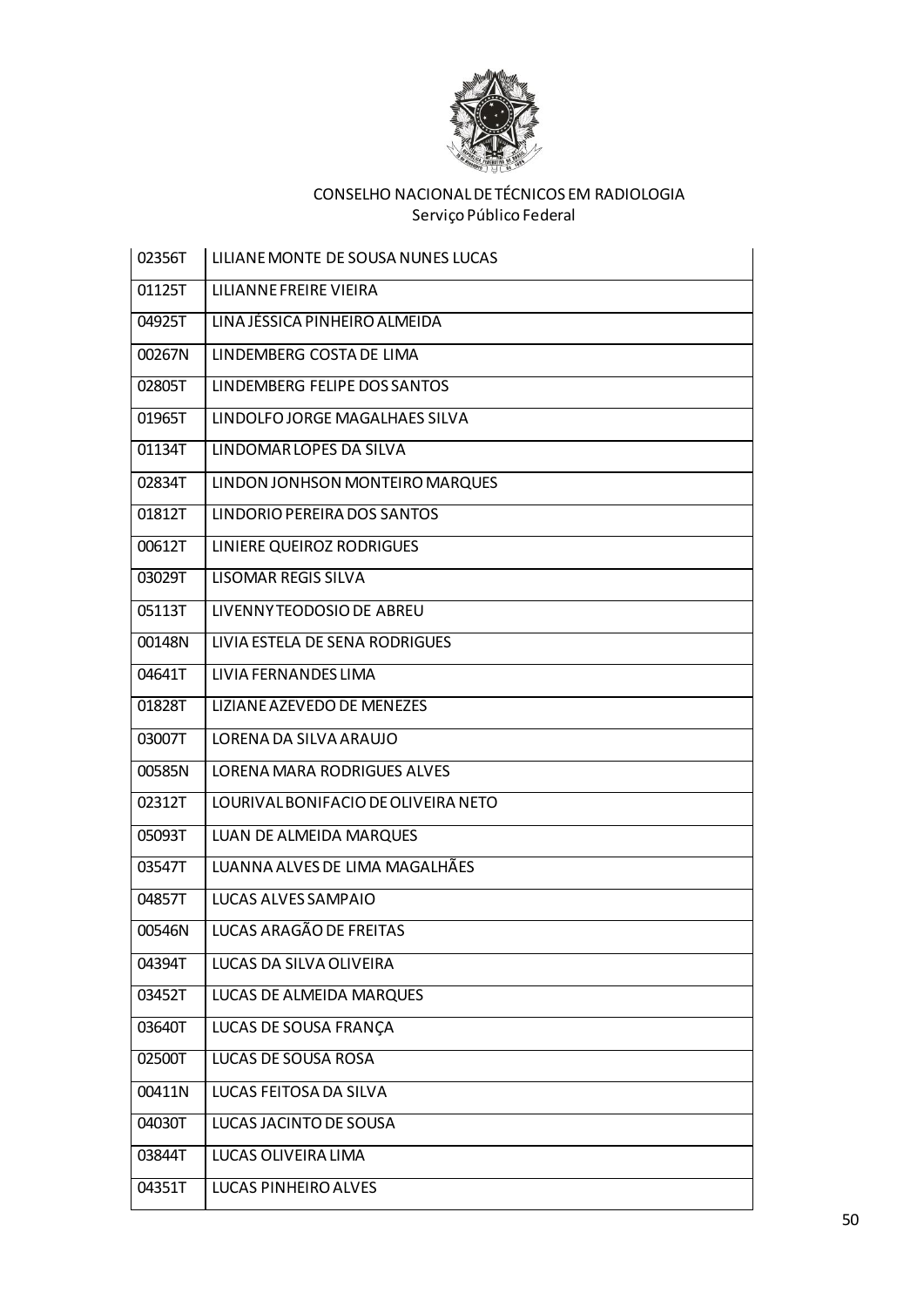

| 02356T              | LILIANE MONTE DE SOUSA NUNES LUCAS  |
|---------------------|-------------------------------------|
| 01125T              | LILIANNE FREIRE VIEIRA              |
| 04925T              | LINA JÉSSICA PINHEIRO ALMEIDA       |
| 00267N              | LINDEMBERG COSTA DE LIMA            |
| 02805T              | LINDEMBERG FELIPE DOS SANTOS        |
| 01965T              | LINDOLFO JORGE MAGALHAES SILVA      |
| 01134T              | LINDOMAR LOPES DA SILVA             |
| 02834T              | LINDON JONHSON MONTEIRO MARQUES     |
| $01812\overline{T}$ | LINDORIO PEREIRA DOS SANTOS         |
| 00612T              | LINIERE QUEIROZ RODRIGUES           |
| 03029T              | <b>LISOMAR REGIS SILVA</b>          |
| 05113T              | LIVENNY TEODOSIO DE ABREU           |
| 00148N              | LIVIA ESTELA DE SENA RODRIGUES      |
| 04641T              | LIVIA FERNANDES LIMA                |
| 01828T              | LIZIANE AZEVEDO DE MENEZES          |
| 03007T              | LORENA DA SILVA ARAUJO              |
| 00585N              | LORENA MARA RODRIGUES ALVES         |
| 02312T              | LOURIVAL BONIFACIO DE OLIVEIRA NETO |
| 05093T              | LUAN DE ALMEIDA MARQUES             |
| 03547T              | LUANNA ALVES DE LIMA MAGALHÃES      |
| 04857T              | LUCAS ALVES SAMPAIO                 |
| 00546N              | LUCAS ARAGÃO DE FREITAS             |
| 04394T              | LUCAS DA SILVA OLIVEIRA             |
| 03452T              | <b>LUCAS DE ALMEIDA MARQUES</b>     |
| 03640T              | LUCAS DE SOUSA FRANÇA               |
| 02500T              | LUCAS DE SOUSA ROSA                 |
| 00411N              | LUCAS FEITOSA DA SILVA              |
| 04030T              | LUCAS JACINTO DE SOUSA              |
| 03844T              | LUCAS OLIVEIRA LIMA                 |
| 04351T              | LUCAS PINHEIRO ALVES                |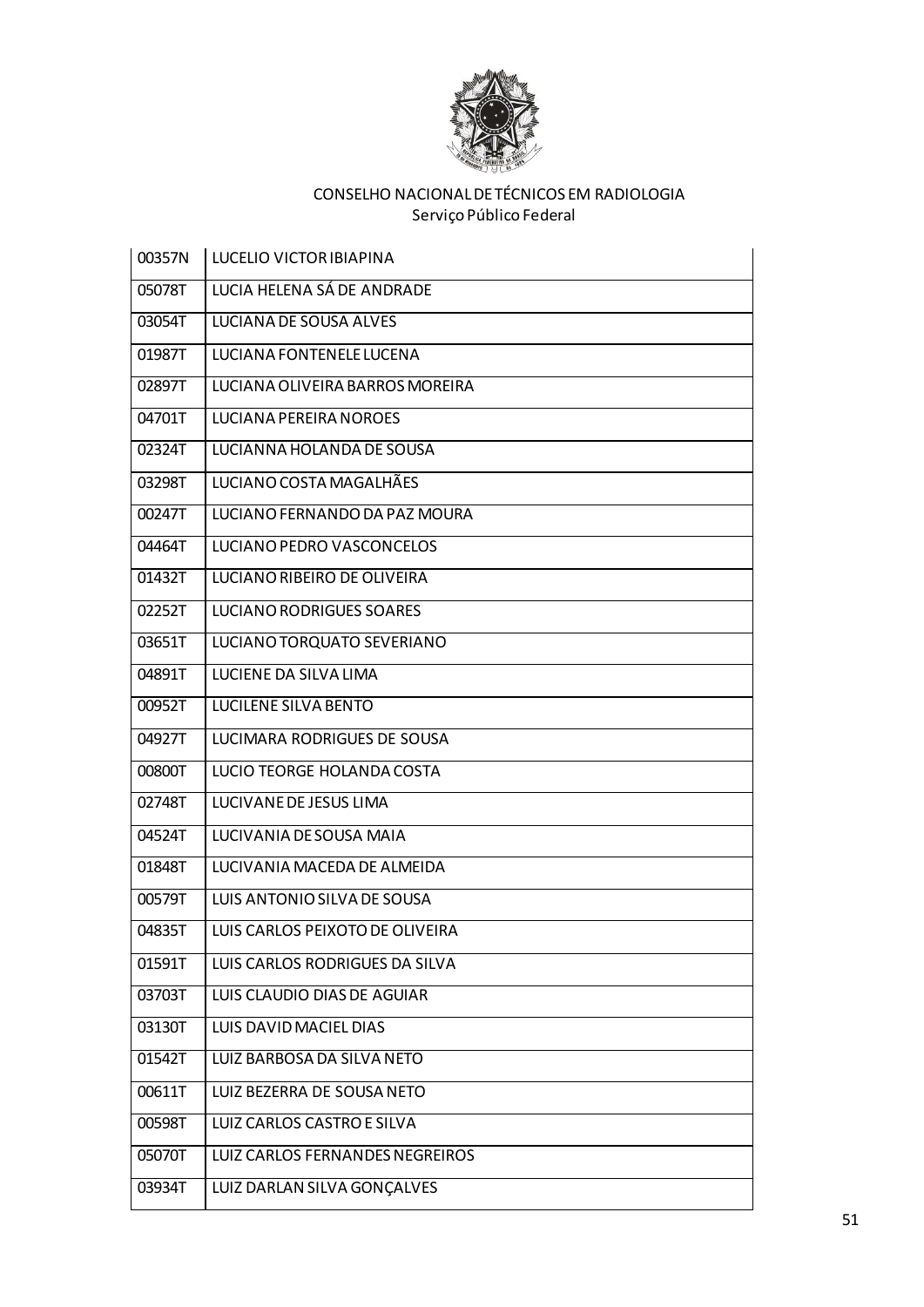

| 00357N | LUCELIO VICTOR IBIAPINA         |
|--------|---------------------------------|
| 05078T | LUCIA HELENA SÁ DE ANDRADE      |
| 03054T | LUCIANA DE SOUSA ALVES          |
| 01987T | LUCIANA FONTENELE LUCENA        |
| 02897T | LUCIANA OLIVEIRA BARROS MOREIRA |
| 04701T | LUCIANA PEREIRA NOROES          |
| 02324T | LUCIANNA HOLANDA DE SOUSA       |
| 03298T | LUCIANO COSTA MAGALHÃES         |
| 00247T | LUCIANO FERNANDO DA PAZ MOURA   |
| 04464T | LUCIANO PEDRO VASCONCELOS       |
| 01432T | LUCIANO RIBEIRO DE OLIVEIRA     |
| 02252T | <b>LUCIANO RODRIGUES SOARES</b> |
| 03651T | LUCIANO TORQUATO SEVERIANO      |
| 04891T | LUCIENE DA SILVA LIMA           |
| 00952T | <b>LUCILENE SILVA BENTO</b>     |
| 04927T | LUCIMARA RODRIGUES DE SOUSA     |
| 00800T | LUCIO TEORGE HOLANDA COSTA      |
| 02748T | LUCIVANE DE JESUS LIMA          |
| 04524T | LUCIVANIA DE SOUSA MAIA         |
| 01848T | LUCIVANIA MACEDA DE ALMEIDA     |
| 00579T | LUIS ANTONIO SILVA DE SOUSA     |
| 04835T | LUIS CARLOS PEIXOTO DE OLIVEIRA |
| 01591T | LUIS CARLOS RODRIGUES DA SILVA  |
| 03703T | LUIS CLAUDIO DIAS DE AGUIAR     |
| 03130T | LUIS DAVID MACIEL DIAS          |
| 01542T | LUIZ BARBOSA DA SILVA NETO      |
| 00611T | LUIZ BEZERRA DE SOUSA NETO      |
| 00598T | LUIZ CARLOS CASTRO E SILVA      |
| 05070T | LUIZ CARLOS FERNANDES NEGREIROS |
| 03934T | LUIZ DARLAN SILVA GONÇALVES     |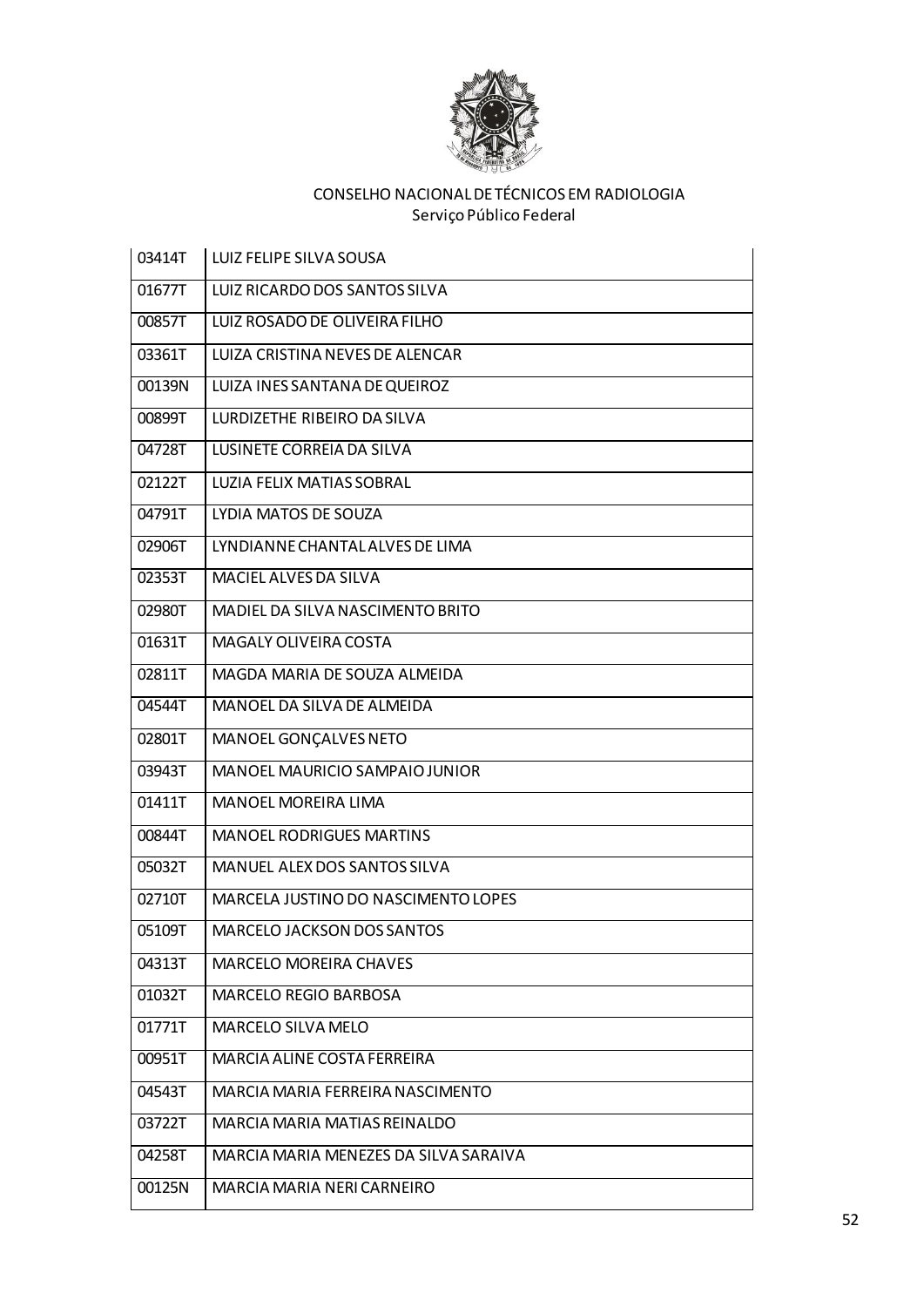

| 03414T | LUIZ FELIPE SILVA SOUSA               |
|--------|---------------------------------------|
| 01677T | LUIZ RICARDO DOS SANTOS SILVA         |
| 00857T | LUIZ ROSADO DE OLIVEIRA FILHO         |
| 03361T | LUIZA CRISTINA NEVES DE ALENCAR       |
| 00139N | LUIZA INES SANTANA DE QUEIROZ         |
| 00899T | LURDIZETHE RIBEIRO DA SILVA           |
| 04728T | LUSINETE CORREIA DA SILVA             |
| 02122T | <b>LUZIA FELIX MATIAS SOBRAL</b>      |
| 04791T | LYDIA MATOS DE SOUZA                  |
| 02906T | LYNDIANNE CHANTAL ALVES DE LIMA       |
| 02353T | MACIEL ALVES DA SILVA                 |
| 02980T | MADIEL DA SILVA NASCIMENTO BRITO      |
| 01631T | <b>MAGALY OLIVEIRA COSTA</b>          |
| 02811T | MAGDA MARIA DE SOUZA ALMEIDA          |
| 04544T | MANOEL DA SILVA DE ALMEIDA            |
| 02801T | MANOEL GONÇALVES NETO                 |
| 03943T | MANOEL MAURICIO SAMPAIO JUNIOR        |
| 01411T | MANOEL MOREIRA LIMA                   |
| 00844T | <b>MANOEL RODRIGUES MARTINS</b>       |
| 05032T | MANUEL ALEX DOS SANTOS SILVA          |
| 02710T | MARCELA JUSTINO DO NASCIMENTO LOPES   |
| 05109T | <b>MARCELO JACKSON DOS SANTOS</b>     |
| 04313T | <b>MARCELO MOREIRA CHAVES</b>         |
| 01032T | MARCELO REGIO BARBOSA                 |
| 01771T | MARCELO SILVA MELO                    |
| 00951T | MARCIA ALINE COSTA FERREIRA           |
| 04543T | MARCIA MARIA FERREIRA NASCIMENTO      |
| 03722T | MARCIA MARIA MATIAS REINALDO          |
| 04258T | MARCIA MARIA MENEZES DA SILVA SARAIVA |
| 00125N | MARCIA MARIA NERI CARNEIRO            |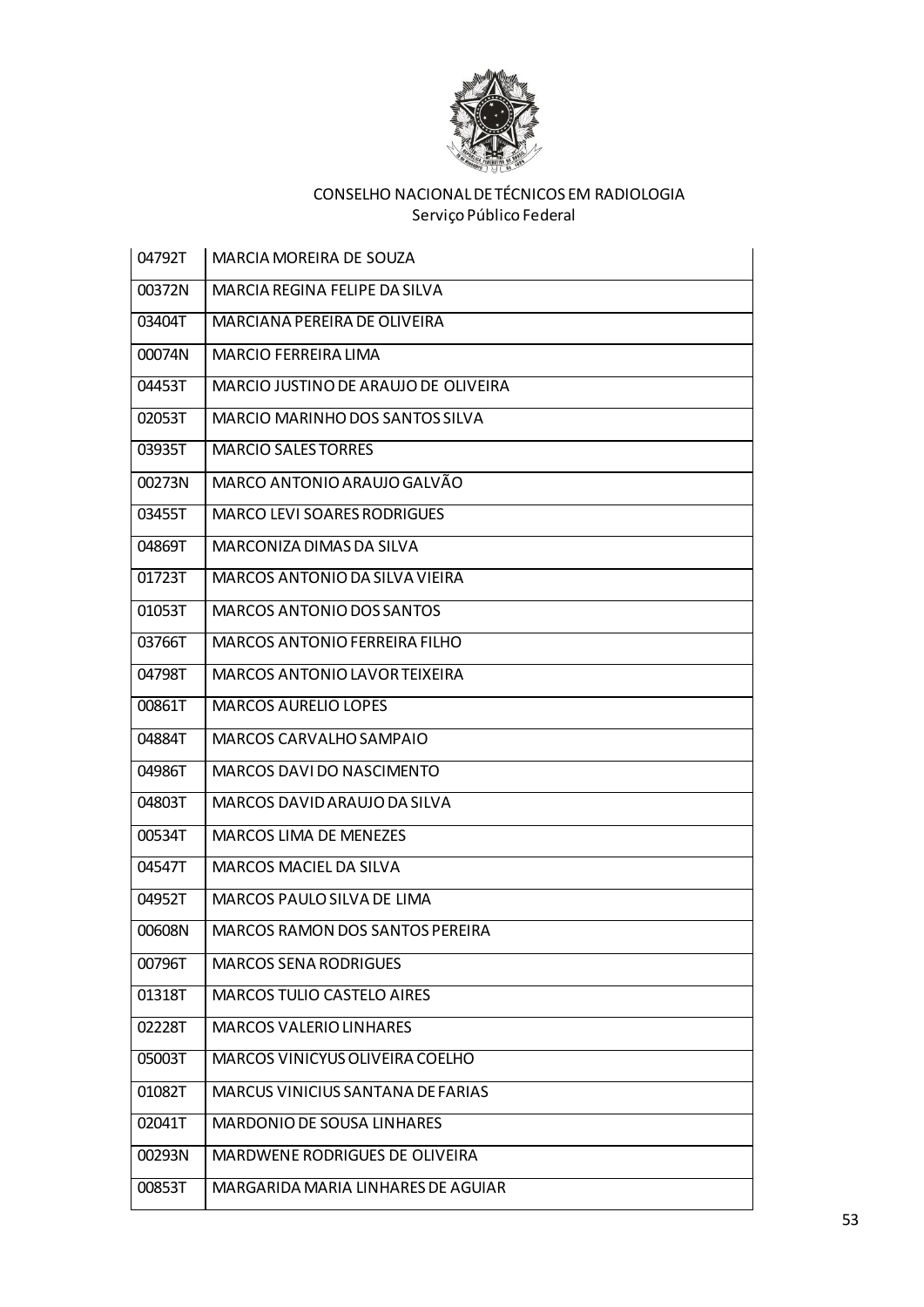

| 04792T | MARCIA MOREIRA DE SOUZA                |
|--------|----------------------------------------|
| 00372N | MARCIA REGINA FELIPE DA SILVA          |
| 03404T | MARCIANA PEREIRA DE OLIVEIRA           |
| 00074N | MARCIO FERREIRA LIMA                   |
| 04453T | MARCIO JUSTINO DE ARAUJO DE OLIVEIRA   |
| 02053T | <b>MARCIO MARINHO DOS SANTOS SILVA</b> |
| 03935T | <b>MARCIO SALES TORRES</b>             |
| 00273N | MARCO ANTONIO ARAUJO GALVÃO            |
| 03455T | <b>MARCO LEVI SOARES RODRIGUES</b>     |
| 04869T | MARCONIZA DIMAS DA SILVA               |
| 01723T | MARCOS ANTONIO DA SILVA VIEIRA         |
| 01053T | <b>MARCOS ANTONIO DOS SANTOS</b>       |
| 03766T | <b>MARCOS ANTONIO FERREIRA FILHO</b>   |
| 04798T | <b>MARCOS ANTONIO LAVOR TEIXEIRA</b>   |
| 00861T | <b>MARCOS AURELIO LOPES</b>            |
| 04884T | MARCOS CARVALHO SAMPAIO                |
| 04986T | <b>MARCOS DAVI DO NASCIMENTO</b>       |
| 04803T | MARCOS DAVID ARAUJO DA SILVA           |
| 00534T | <b>MARCOS LIMA DE MENEZES</b>          |
| 04547T | MARCOS MACIEL DA SILVA                 |
| 04952T | MARCOS PAULO SILVA DE LIMA             |
| 00608N | <b>MARCOS RAMON DOS SANTOS PEREIRA</b> |
| 00796T | <b>MARCOS SENA RODRIGUES</b>           |
| 01318T | MARCOS TULIO CASTELO AIRES             |
| 02228T | <b>MARCOS VALERIO LINHARES</b>         |
| 05003T | MARCOS VINICYUS OLIVEIRA COELHO        |
| 01082T | MARCUS VINICIUS SANTANA DE FARIAS      |
| 02041T | MARDONIO DE SOUSA LINHARES             |
| 00293N | MARDWENE RODRIGUES DE OLIVEIRA         |
| 00853T | MARGARIDA MARIA LINHARES DE AGUIAR     |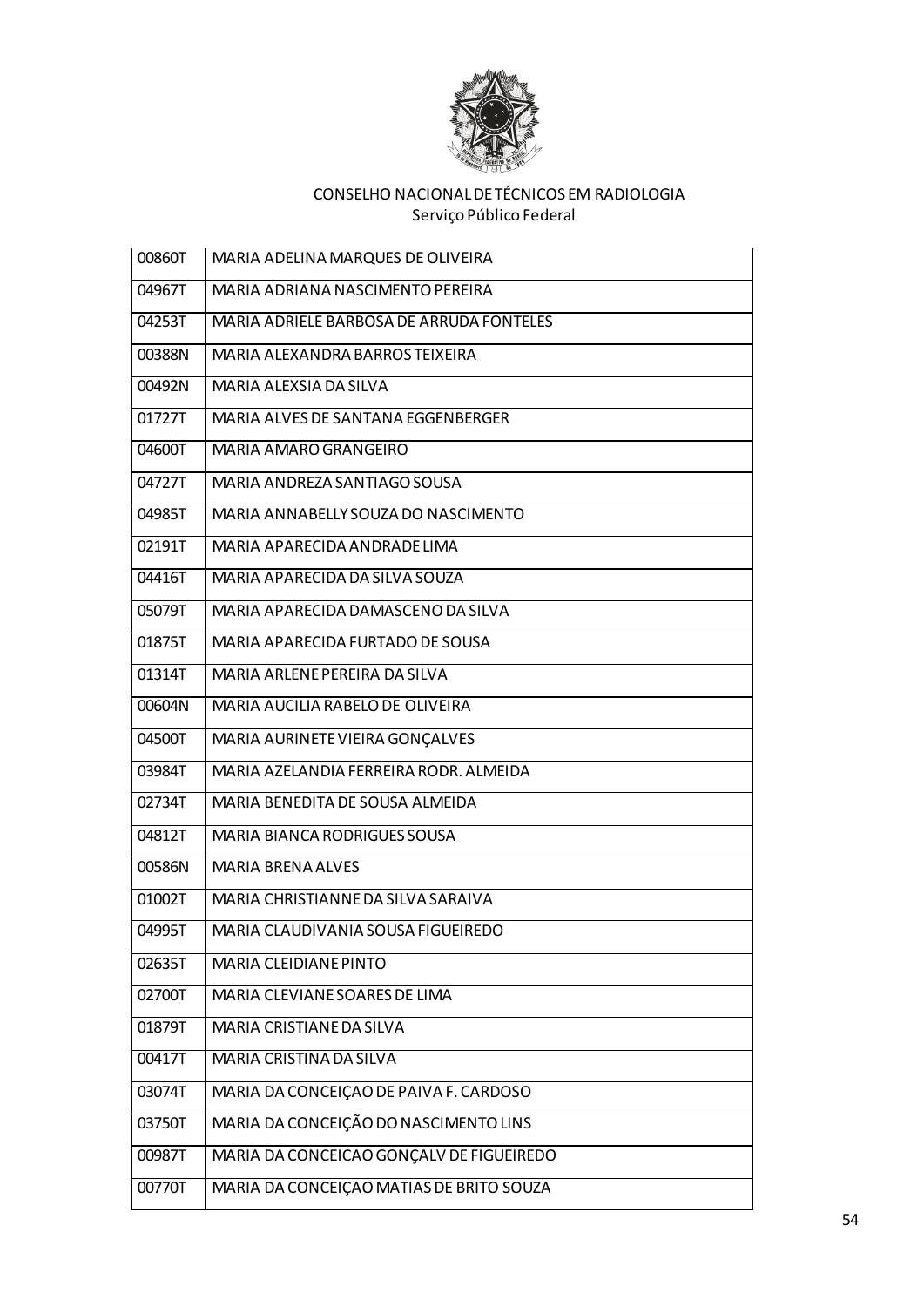

| 00860T | MARIA ADELINA MARQUES DE OLIVEIRA        |
|--------|------------------------------------------|
| 04967T | MARIA ADRIANA NASCIMENTO PEREIRA         |
| 04253T | MARIA ADRIELE BARBOSA DE ARRUDA FONTELES |
| 00388N | MARIA ALEXANDRA BARROS TEIXEIRA          |
| 00492N | MARIA ALEXSIA DA SILVA                   |
| 01727T | MARIA ALVES DE SANTANA EGGENBERGER       |
| 04600T | MARIA AMARO GRANGEIRO                    |
| 04727T | MARIA ANDREZA SANTIAGO SOUSA             |
| 04985T | MARIA ANNABELLY SOUZA DO NASCIMENTO      |
| 02191T | MARIA APARECIDA ANDRADE LIMA             |
| 04416T | MARIA APARECIDA DA SILVA SOUZA           |
| 05079T | MARIA APARECIDA DAMASCENO DA SILVA       |
| 01875T | MARIA APARECIDA FURTADO DE SOUSA         |
| 01314T | MARIA ARLENE PEREIRA DA SILVA            |
| 00604N | MARIA AUCILIA RABELO DE OLIVEIRA         |
| 04500T | MARIA AURINETE VIEIRA GONÇALVES          |
| 03984T | MARIA AZELANDIA FERREIRA RODR. ALMEIDA   |
| 02734T | MARIA BENEDITA DE SOUSA ALMEIDA          |
| 04812T | MARIA BIANCA RODRIGUES SOUSA             |
| 00586N | <b>MARIA BRENA ALVES</b>                 |
| 01002T | MARIA CHRISTIANNE DA SILVA SARAIVA       |
| 04995T | MARIA CLAUDIVANIA SOUSA FIGUEIREDO       |
| 02635T | MARIA CLEIDIANE PINTO                    |
| 02700T | MARIA CLEVIANE SOARES DE LIMA            |
| 01879T | MARIA CRISTIANE DA SILVA                 |
| 00417T | MARIA CRISTINA DA SILVA                  |
| 03074T | MARIA DA CONCEIÇÃO DE PAIVA F. CARDOSO   |
| 03750T | MARIA DA CONCEIÇÃO DO NASCIMENTO LINS    |
| 00987T | MARIA DA CONCEICAO GONÇALV DE FIGUEIREDO |
| 00770T | MARIA DA CONCEIÇÃO MATIAS DE BRITO SOUZA |
|        |                                          |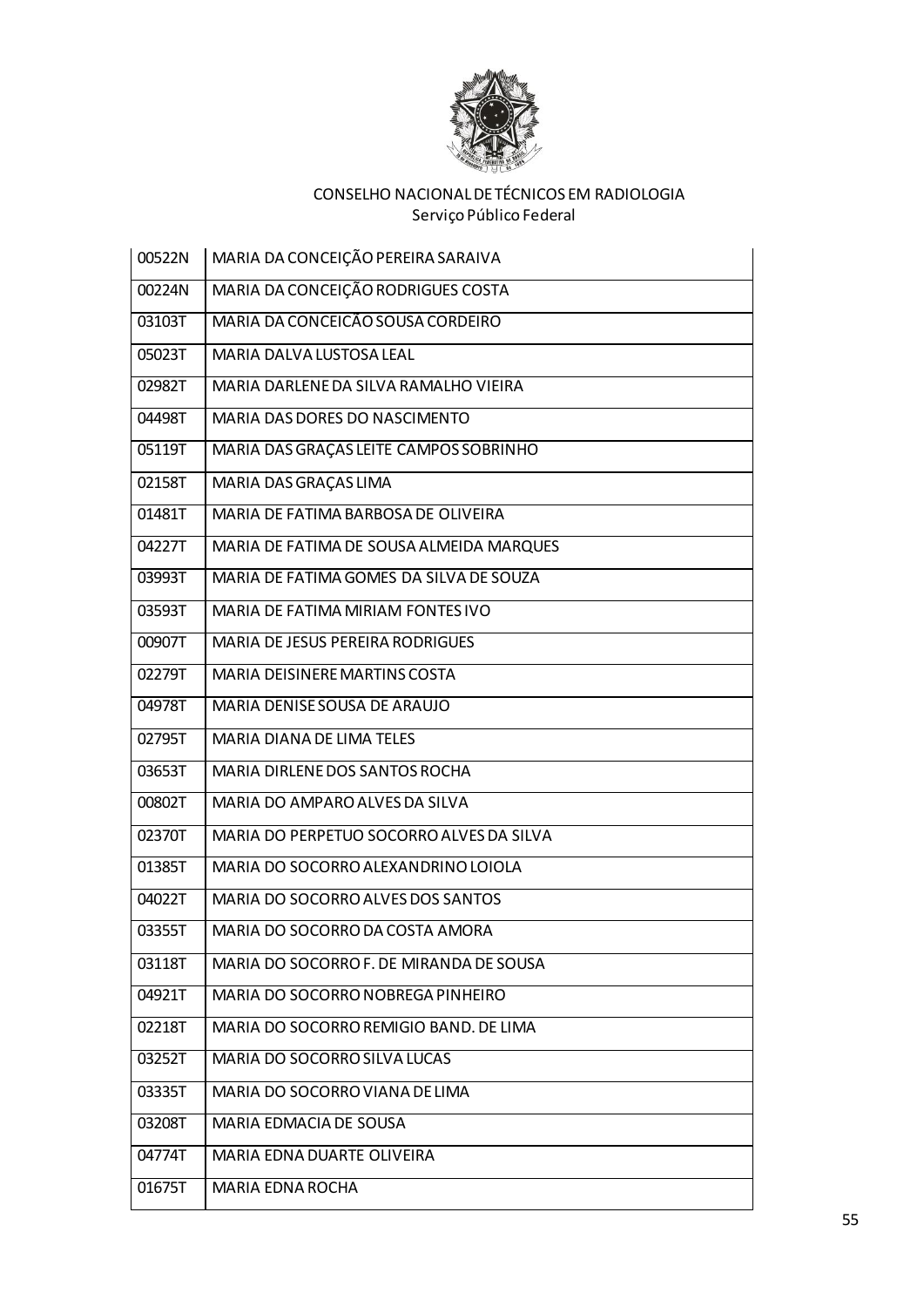

| 00522N | MARIA DA CONCEIÇÃO PEREIRA SARAIVA       |
|--------|------------------------------------------|
| 00224N | MARIA DA CONCEIÇÃO RODRIGUES COSTA       |
| 03103T | MARIA DA CONCEIÇÃO SOUSA CORDEIRO        |
| 05023T | <b>MARIA DALVA LUSTOSA LEAL</b>          |
| 02982T | MARIA DARLENE DA SILVA RAMALHO VIEIRA    |
| 04498T | MARIA DAS DORES DO NASCIMENTO            |
| 05119T | MARIA DAS GRAÇAS LEITE CAMPOS SOBRINHO   |
| 02158T | MARIA DAS GRAÇAS LIMA                    |
| 01481T | MARIA DE FATIMA BARBOSA DE OLIVEIRA      |
| 04227T | MARIA DE FATIMA DE SOUSA ALMEIDA MARQUES |
| 03993T | MARIA DE FATIMA GOMES DA SILVA DE SOUZA  |
| 03593T | MARIA DE FATIMA MIRIAM FONTES IVO        |
| 00907T | <b>MARIA DE JESUS PEREIRA RODRIGUES</b>  |
| 02279T | MARIA DEISINERE MARTINS COSTA            |
| 04978T | MARIA DENISE SOUSA DE ARAUJO             |
| 02795T | <b>MARIA DIANA DE LIMA TELES</b>         |
| 03653T | MARIA DIRLENE DOS SANTOS ROCHA           |
| 00802T | MARIA DO AMPARO ALVES DA SILVA           |
| 02370T | MARIA DO PERPETUO SOCORRO ALVES DA SILVA |
| 01385T | MARIA DO SOCORRO ALEXANDRINO LOIOLA      |
| 04022T | MARIA DO SOCORRO ALVES DOS SANTOS        |
| 03355T | MARIA DO SOCORRO DA COSTA AMORA          |
| 03118T | MARIA DO SOCORRO F. DE MIRANDA DE SOUSA  |
| 04921T | MARIA DO SOCORRO NOBREGA PINHEIRO        |
| 02218T | MARIA DO SOCORRO REMIGIO BAND. DE LIMA   |
| 03252T | MARIA DO SOCORRO SILVA LUCAS             |
| 03335T | MARIA DO SOCORRO VIANA DE LIMA           |
| 03208T | MARIA EDMACIA DE SOUSA                   |
| 04774T | MARIA EDNA DUARTE OLIVEIRA               |
| 01675T | MARIA EDNA ROCHA                         |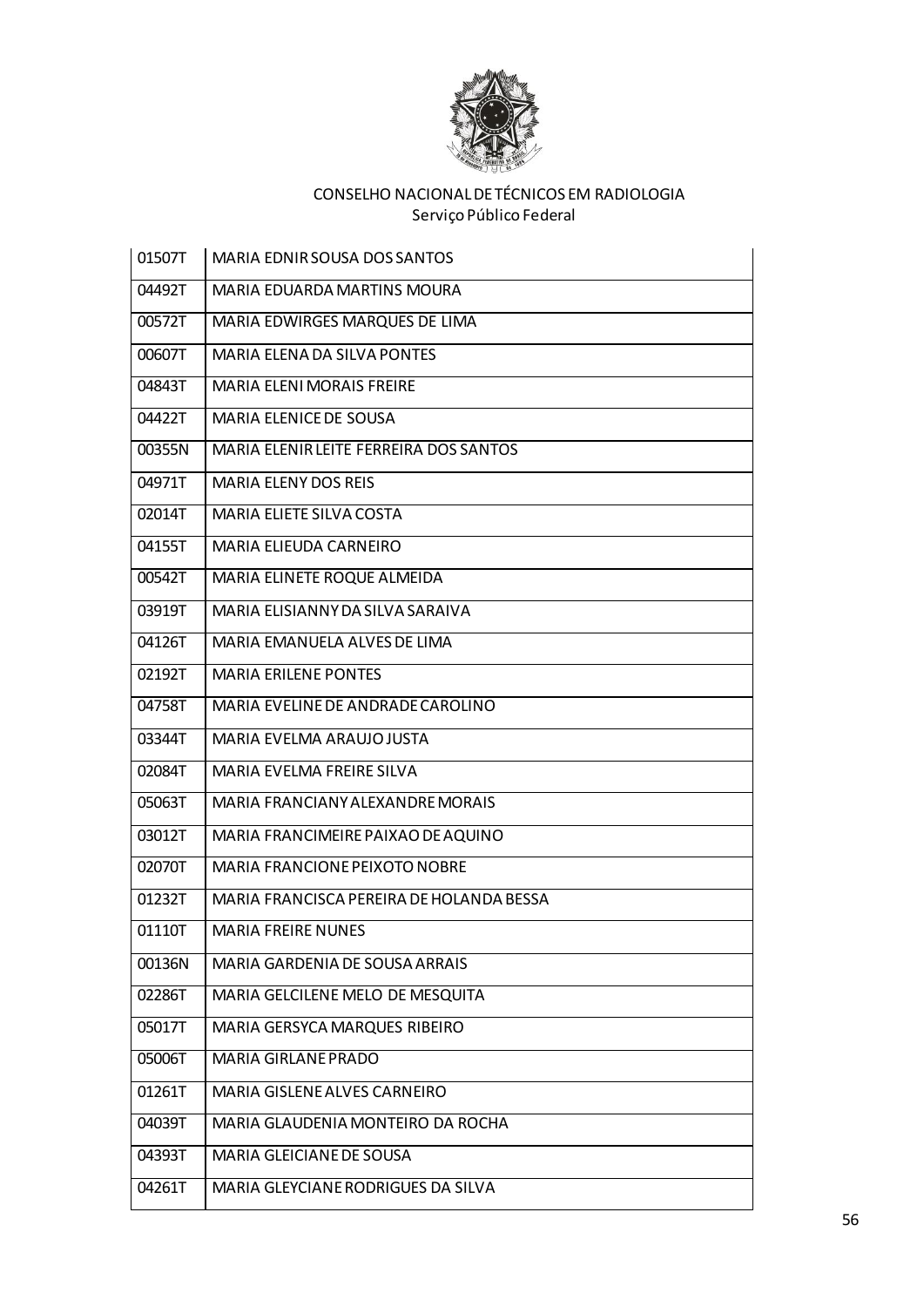

| 01507T | MARIA EDNIR SOUSA DOS SANTOS             |
|--------|------------------------------------------|
| 04492T | <b>MARIA EDUARDA MARTINS MOURA</b>       |
| 00572T | MARIA EDWIRGES MARQUES DE LIMA           |
| 00607T | <b>MARIA ELENA DA SILVA PONTES</b>       |
| 04843T | <b>MARIA ELENI MORAIS FREIRE</b>         |
| 04422T | MARIA ELENICE DE SOUSA                   |
| 00355N | MARIA ELENIR LEITE FERREIRA DOS SANTOS   |
| 04971T | <b>MARIA ELENY DOS REIS</b>              |
| 02014T | <b>MARIA ELIETE SILVA COSTA</b>          |
| 04155T | MARIA ELIEUDA CARNEIRO                   |
| 00542T | MARIA ELINETE ROQUE ALMEIDA              |
| 03919T | MARIA ELISIANNY DA SILVA SARAIVA         |
| 04126T | MARIA EMANUELA ALVES DE LIMA             |
| 02192T | <b>MARIA ERILENE PONTES</b>              |
| 04758T | MARIA EVELINE DE ANDRADE CAROLINO        |
| 03344T | MARIA EVELMA ARAUJO JUSTA                |
| 02084T | MARIA EVELMA FREIRE SILVA                |
| 05063T | MARIA FRANCIANY ALEXANDRE MORAIS         |
| 03012T | MARIA FRANCIMEIRE PAIXAO DE AQUINO       |
| 02070T | <b>MARIA FRANCIONE PEIXOTO NOBRE</b>     |
| 01232T | MARIA FRANCISCA PEREIRA DE HOLANDA BESSA |
| 01110T | <b>MARIA FREIRE NUNES</b>                |
| 00136N | MARIA GARDENIA DE SOUSA ARRAIS           |
| 02286T | MARIA GELCILENE MELO DE MESQUITA         |
| 05017T | MARIA GERSYCA MARQUES RIBEIRO            |
| 05006T | MARIA GIRLANE PRADO                      |
| 01261T | MARIA GISLENE ALVES CARNEIRO             |
| 04039T | MARIA GLAUDENIA MONTEIRO DA ROCHA        |
| 04393T | MARIA GLEICIANE DE SOUSA                 |
| 04261T | MARIA GLEYCIANE RODRIGUES DA SILVA       |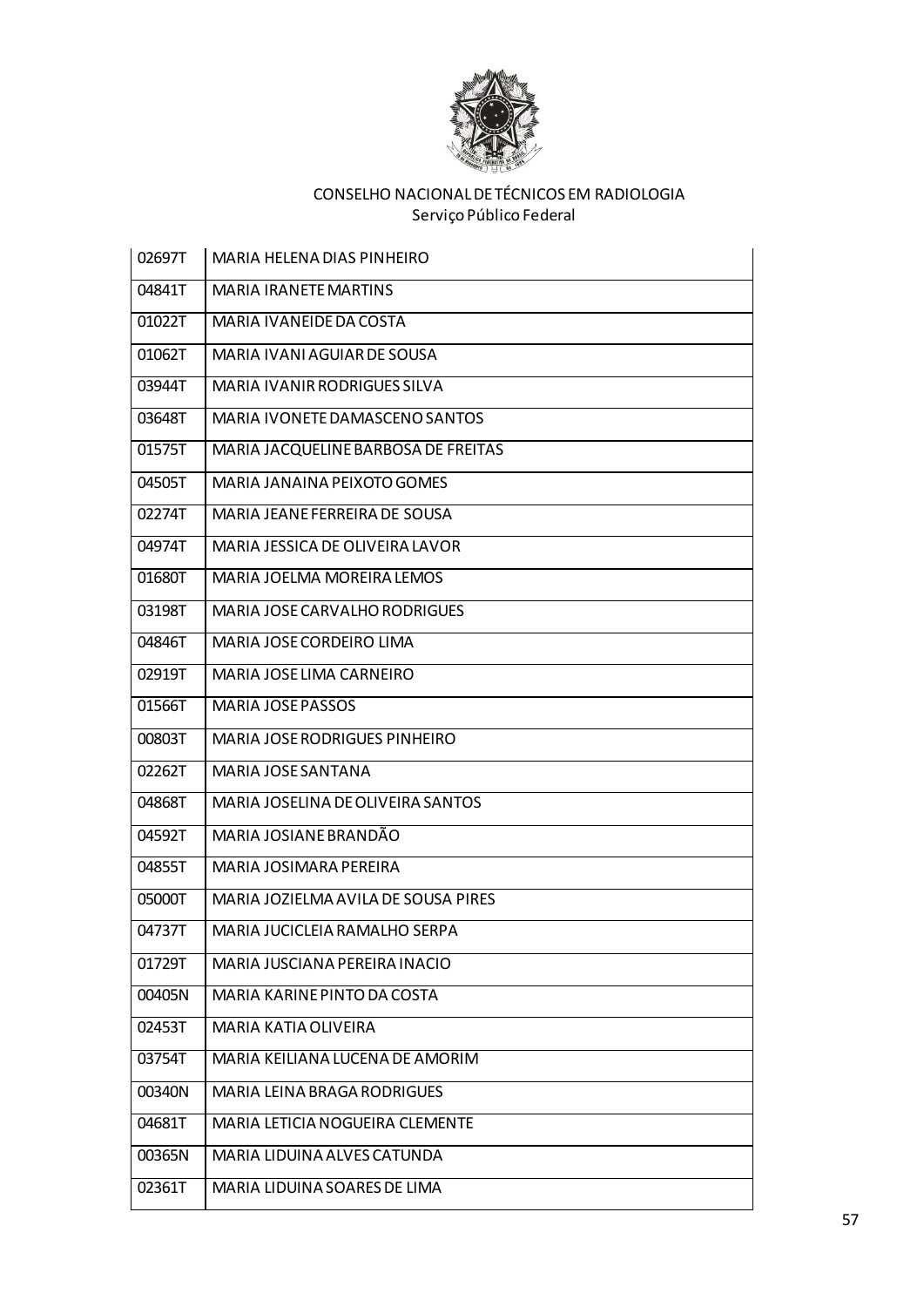

| 02697T | <b>MARIA HELENA DIAS PINHEIRO</b>    |
|--------|--------------------------------------|
| 04841T | <b>MARIA IRANETE MARTINS</b>         |
| 01022T | MARIA IVANEIDE DA COSTA              |
| 01062T | MARIA IVANI AGUIAR DE SOUSA          |
| 03944T | MARIA IVANIR RODRIGUES SILVA         |
| 03648T | MARIA IVONETE DAMASCENO SANTOS       |
| 01575T | MARIA JACQUELINE BARBOSA DE FREITAS  |
| 04505T | MARIA JANAINA PEIXOTO GOMES          |
| 02274T | MARIA JEANE FERREIRA DE SOUSA        |
| 04974T | MARIA JESSICA DE OLIVEIRA LAVOR      |
| 01680T | MARIA JOELMA MOREIRA LEMOS           |
| 03198T | MARIA JOSE CARVALHO RODRIGUES        |
| 04846T | MARIA JOSE CORDEIRO LIMA             |
| 02919T | MARIA JOSE LIMA CARNEIRO             |
| 01566T | <b>MARIA JOSE PASSOS</b>             |
| 00803T | <b>MARIA JOSE RODRIGUES PINHEIRO</b> |
| 02262T | MARIA JOSE SANTANA                   |
| 04868T | MARIA JOSELINA DE OLIVEIRA SANTOS    |
| 04592T | MARIA JOSIANE BRANDÃO                |
| 04855T | MARIA JOSIMARA PEREIRA               |
| 05000T | MARIA JOZIELMA AVILA DE SOUSA PIRES  |
| 04737T | MARIA JUCICLEIA RAMALHO SERPA        |
| 01729T | MARIA JUSCIANA PEREIRA INACIO        |
| 00405N | MARIA KARINE PINTO DA COSTA          |
| 02453T | <b>MARIA KATIA OLIVEIRA</b>          |
| 03754T | MARIA KEILIANA LUCENA DE AMORIM      |
| 00340N | MARIA LEINA BRAGA RODRIGUES          |
| 04681T | MARIA LETICIA NOGUEIRA CLEMENTE      |
| 00365N | MARIA LIDUINA ALVES CATUNDA          |
| 02361T | MARIA LIDUINA SOARES DE LIMA         |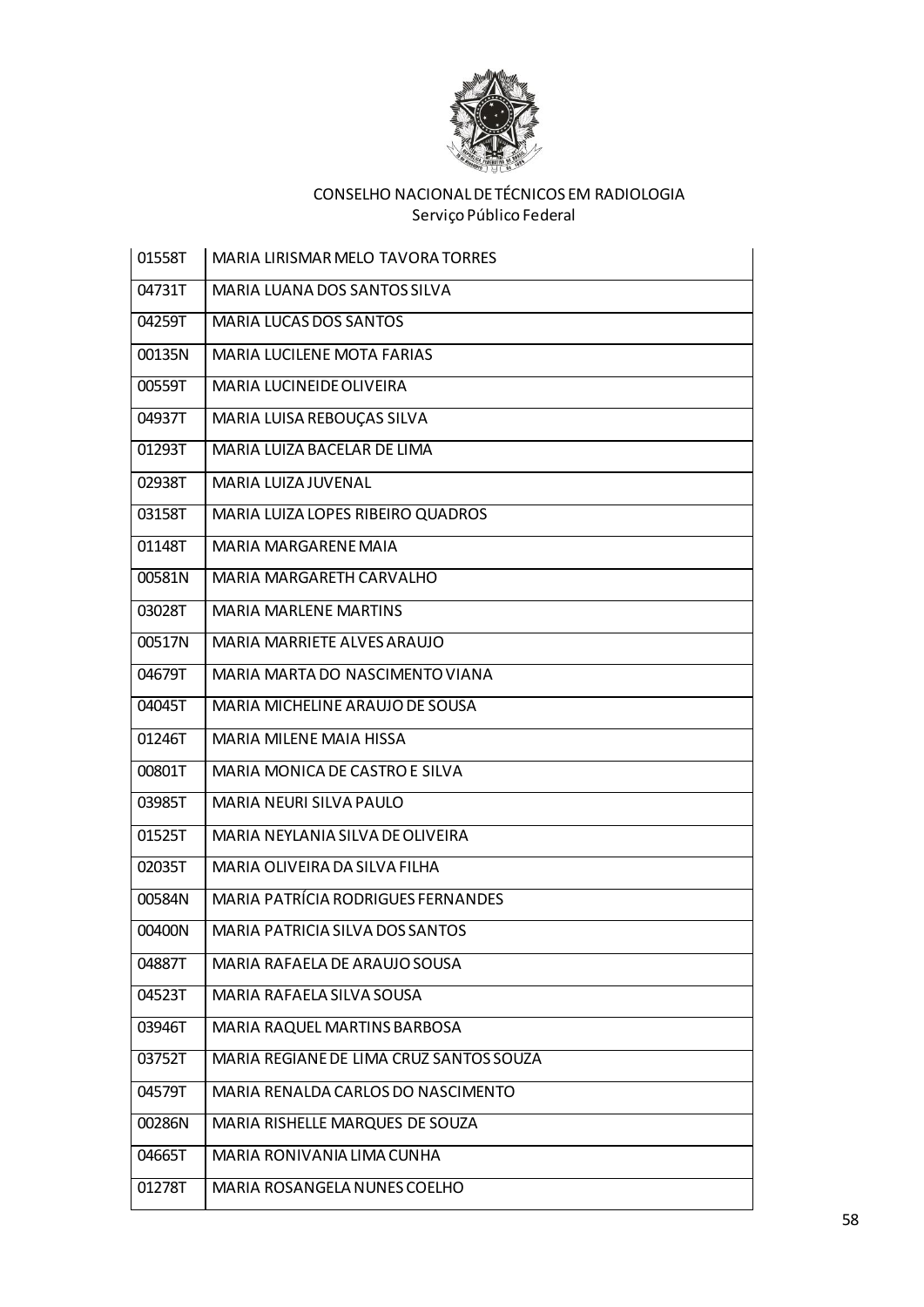

| 01558T | <b>MARIA LIRISMAR MELO TAVORA TORRES</b>  |
|--------|-------------------------------------------|
| 04731T | MARIA LUANA DOS SANTOS SILVA              |
| 04259T | <b>MARIA LUCAS DOS SANTOS</b>             |
| 00135N | <b>MARIA LUCILENE MOTA FARIAS</b>         |
| 00559T | MARIA LUCINEIDE OLIVEIRA                  |
| 04937T | MARIA LUISA REBOUÇAS SILVA                |
| 01293T | MARIA LUIZA BACELAR DE LIMA               |
| 02938T | MARIA LUIZA JUVENAL                       |
| 03158T | MARIA LUIZA LOPES RIBEIRO QUADROS         |
| 01148T | MARIA MARGARENE MAIA                      |
| 00581N | MARIA MARGARETH CARVALHO                  |
| 03028T | <b>MARIA MARLENE MARTINS</b>              |
| 00517N | MARIA MARRIETE ALVES ARAUJO               |
| 04679T | MARIA MARTA DO NASCIMENTO VIANA           |
| 04045T | MARIA MICHELINE ARAUJO DE SOUSA           |
| 01246T | <b>MARIA MILENE MAIA HISSA</b>            |
| 00801T | MARIA MONICA DE CASTRO E SILVA            |
| 03985T | <b>MARIA NEURI SILVA PAULO</b>            |
| 01525T | MARIA NEYLANIA SILVA DE OLIVEIRA          |
| 02035T | MARIA OLIVEIRA DA SILVA FILHA             |
| 00584N | <b>MARIA PATRÍCIA RODRIGUES FERNANDES</b> |
| 00400N | MARIA PATRICIA SILVA DOS SANTOS           |
| 04887T | MARIA RAFAELA DE ARAUJO SOUSA             |
| 04523T | MARIA RAFAELA SILVA SOUSA                 |
| 03946T | MARIA RAQUEL MARTINS BARBOSA              |
| 03752T | MARIA REGIANE DE LIMA CRUZ SANTOS SOUZA   |
| 04579T | MARIA RENALDA CARLOS DO NASCIMENTO        |
| 00286N | MARIA RISHELLE MARQUES DE SOUZA           |
| 04665T | MARIA RONIVANIA LIMA CUNHA                |
| 01278T | MARIA ROSANGELA NUNES COELHO              |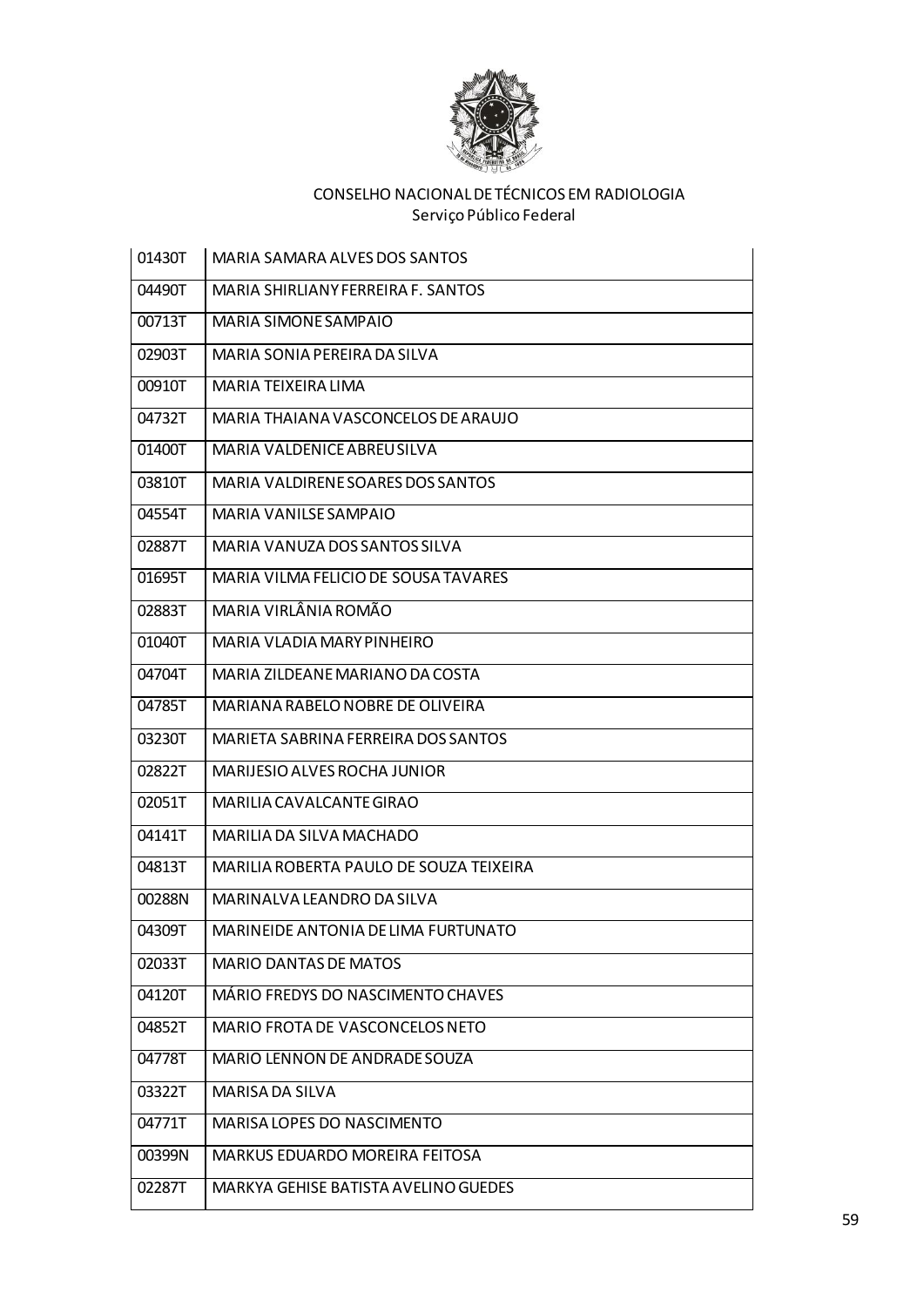

| 01430T | MARIA SAMARA ALVES DOS SANTOS           |
|--------|-----------------------------------------|
| 04490T | MARIA SHIRLIANY FERREIRA F. SANTOS      |
| 00713T | MARIA SIMONE SAMPAIO                    |
| 02903T | MARIA SONIA PEREIRA DA SILVA            |
| 00910T | MARIA TEIXEIRA LIMA                     |
| 04732T | MARIA THAIANA VASCONCELOS DE ARAUJO     |
| 01400T | MARIA VALDENICE ABREU SILVA             |
| 03810T | MARIA VALDIRENE SOARES DOS SANTOS       |
| 04554T | <b>MARIA VANILSE SAMPAIO</b>            |
| 02887T | MARIA VANUZA DOS SANTOS SILVA           |
| 01695T | MARIA VILMA FELICIO DE SOUSA TAVARES    |
| 02883T | MARIA VIRLÂNIA ROMÃO                    |
| 01040T | MARIA VLADIA MARY PINHEIRO              |
| 04704T | MARIA ZILDEANE MARIANO DA COSTA         |
| 04785T | MARIANA RABELO NOBRE DE OLIVEIRA        |
| 03230T | MARIETA SABRINA FERREIRA DOS SANTOS     |
| 02822T | MARIJESIO ALVES ROCHA JUNIOR            |
| 02051T | MARILIA CAVALCANTE GIRAO                |
| 04141T | MARILIA DA SILVA MACHADO                |
| 04813T | MARILIA ROBERTA PAULO DE SOUZA TEIXEIRA |
| 00288N | MARINALVA LEANDRO DA SILVA              |
| 04309T | MARINEIDE ANTONIA DE LIMA FURTUNATO     |
| 02033T | <b>MARIO DANTAS DE MATOS</b>            |
| 04120T | MÁRIO FREDYS DO NASCIMENTO CHAVES       |
| 04852T | MARIO FROTA DE VASCONCELOS NETO         |
| 04778T | MARIO LENNON DE ANDRADE SOUZA           |
| 03322T | MARISA DA SILVA                         |
| 04771T | MARISA LOPES DO NASCIMENTO              |
| 00399N | <b>MARKUS EDUARDO MOREIRA FEITOSA</b>   |
| 02287T | MARKYA GEHISE BATISTA AVELINO GUEDES    |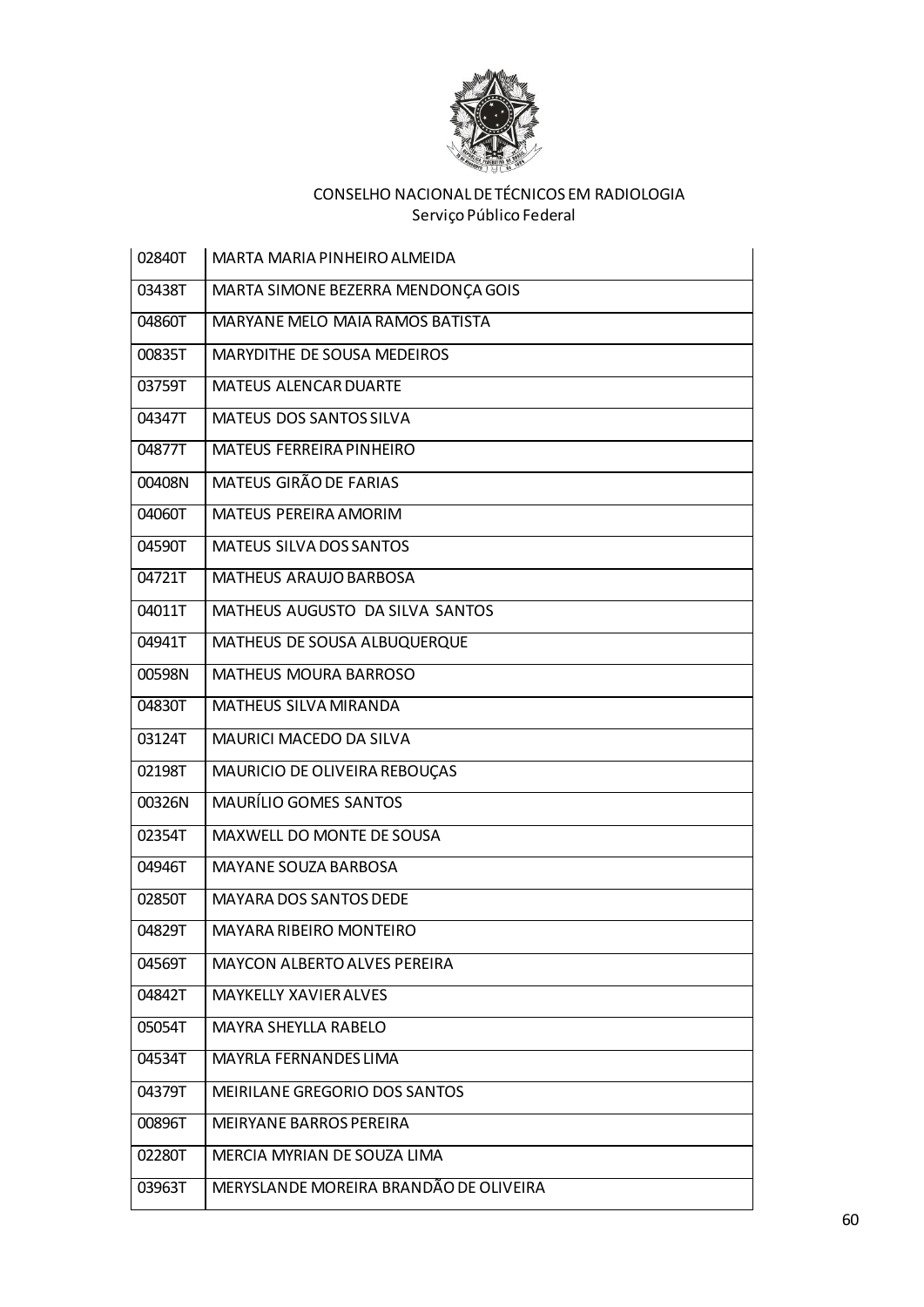

| 02840T | MARTA MARIA PINHEIRO ALMEIDA           |
|--------|----------------------------------------|
| 03438T | MARTA SIMONE BEZERRA MENDONÇA GOIS     |
| 04860T | MARYANE MELO MAIA RAMOS BATISTA        |
| 00835T | MARYDITHE DE SOUSA MEDEIROS            |
| 03759T | <b>MATEUS ALENCAR DUARTE</b>           |
| 04347T | <b>MATEUS DOS SANTOS SILVA</b>         |
| 04877T | MATEUS FERREIRA PINHEIRO               |
| 00408N | MATEUS GIRÃO DE FARIAS                 |
| 04060T | <b>MATEUS PEREIRA AMORIM</b>           |
| 04590T | MATEUS SILVA DOS SANTOS                |
| 04721T | <b>MATHEUS ARAUJO BARBOSA</b>          |
| 04011T | MATHEUS AUGUSTO DA SILVA SANTOS        |
| 04941T | MATHEUS DE SOUSA ALBUQUERQUE           |
| 00598N | <b>MATHEUS MOURA BARROSO</b>           |
| 04830T | <b>MATHEUS SILVA MIRANDA</b>           |
| 03124T | MAURICI MACEDO DA SILVA                |
| 02198T | MAURICIO DE OLIVEIRA REBOUÇAS          |
| 00326N | <b>MAURÍLIO GOMES SANTOS</b>           |
| 02354T | MAXWELL DO MONTE DE SOUSA              |
| 04946T | MAYANE SOUZA BARBOSA                   |
| 02850T | MAYARA DOS SANTOS DEDE                 |
| 04829T | <b>MAYARA RIBEIRO MONTEIRO</b>         |
| 04569T | <b>MAYCON ALBERTO ALVES PEREIRA</b>    |
| 04842T | <b>MAYKELLY XAVIER ALVES</b>           |
| 05054T | MAYRA SHEYLLA RABELO                   |
| 04534T | MAYRLA FERNANDES LIMA                  |
| 04379T | MEIRILANE GREGORIO DOS SANTOS          |
| 00896T | <b>MEIRYANE BARROS PEREIRA</b>         |
| 02280T | MERCIA MYRIAN DE SOUZA LIMA            |
| 03963T | MERYSLANDE MOREIRA BRANDÃO DE OLIVEIRA |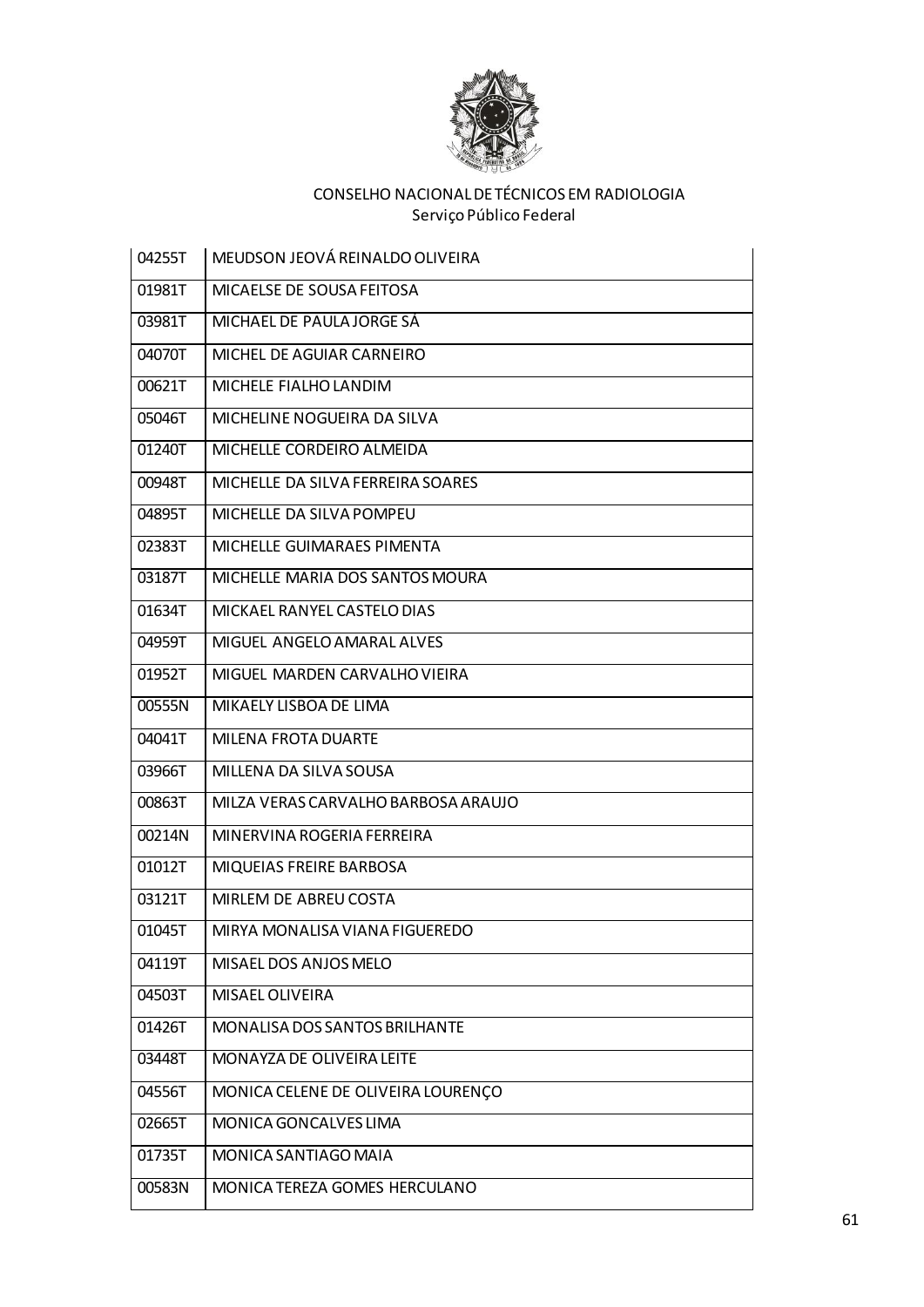

| 04255T | MEUDSON JEOVÁ REINALDO OLIVEIRA     |
|--------|-------------------------------------|
| 01981T | MICAELSE DE SOUSA FEITOSA           |
| 03981T | MICHAEL DE PAULA JORGE SÁ           |
| 04070T | MICHEL DE AGUIAR CARNEIRO           |
| 00621T | MICHELE FIALHO LANDIM               |
| 05046T | MICHELINE NOGUEIRA DA SILVA         |
| 01240T | MICHELLE CORDEIRO ALMEIDA           |
| 00948T | MICHELLE DA SILVA FERREIRA SOARES   |
| 04895T | MICHELLE DA SILVA POMPEU            |
| 02383T | MICHELLE GUIMARAES PIMENTA          |
| 03187T | MICHELLE MARIA DOS SANTOS MOURA     |
| 01634T | MICKAEL RANYEL CASTELO DIAS         |
| 04959T | MIGUEL ANGELO AMARAL ALVES          |
| 01952T | MIGUEL MARDEN CARVALHO VIEIRA       |
| 00555N | MIKAELY LISBOA DE LIMA              |
| 04041T | <b>MILENA FROTA DUARTE</b>          |
| 03966T | MILLENA DA SILVA SOUSA              |
| 00863T | MILZA VERAS CARVALHO BARBOSA ARAUJO |
| 00214N | MINERVINA ROGERIA FERREIRA          |
| 01012T | MIQUEIAS FREIRE BARBOSA             |
| 03121T | MIRLEM DE ABREU COSTA               |
| 01045T | MIRYA MONALISA VIANA FIGUEREDO      |
| 04119T | MISAEL DOS ANJOS MELO               |
| 04503T | MISAEL OLIVEIRA                     |
| 01426T | MONALISA DOS SANTOS BRILHANTE       |
| 03448T | MONAYZA DE OLIVEIRA LEITE           |
| 04556T | MONICA CELENE DE OLIVEIRA LOURENÇO  |
| 02665T | MONICA GONCALVES LIMA               |
| 01735T | MONICA SANTIAGO MAIA                |
| 00583N | MONICA TEREZA GOMES HERCULANO       |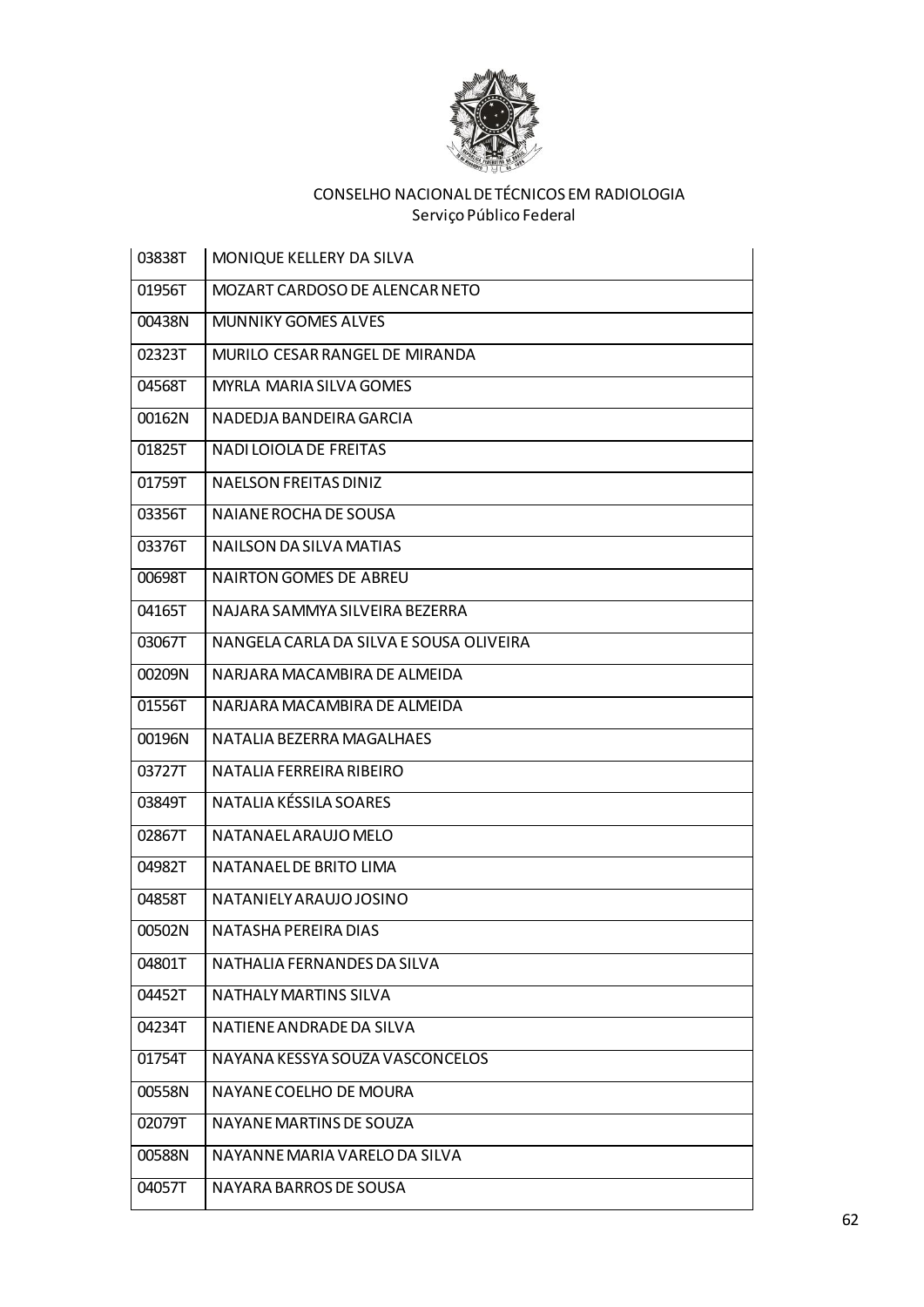

| 03838T | MONIQUE KELLERY DA SILVA                |
|--------|-----------------------------------------|
| 01956T | MOZART CARDOSO DE ALENCAR NETO          |
| 00438N | <b>MUNNIKY GOMES ALVES</b>              |
| 02323T | MURILO CESAR RANGEL DE MIRANDA          |
| 04568T | <b>MYRLA MARIA SILVA GOMES</b>          |
| 00162N | NADEDJA BANDEIRA GARCIA                 |
| 01825T | <b>NADI LOIOLA DE FREITAS</b>           |
| 01759T | <b>NAELSON FREITAS DINIZ</b>            |
| 03356T | NAIANE ROCHA DE SOUSA                   |
| 03376T | NAILSON DA SILVA MATIAS                 |
| 00698T | <b>NAIRTON GOMES DE ABREU</b>           |
| 04165T | NAJARA SAMMYA SILVEIRA BEZERRA          |
| 03067T | NANGELA CARLA DA SILVA E SOUSA OLIVEIRA |
| 00209N | NARJARA MACAMBIRA DE ALMEIDA            |
| 01556T | NARJARA MACAMBIRA DE ALMEIDA            |
| 00196N | NATALIA BEZERRA MAGALHAES               |
| 03727T | NATALIA FERREIRA RIBEIRO                |
| 03849T | NATALIA KÉSSILA SOARES                  |
| 02867T | NATANAELARAUJO MELO                     |
| 04982T | NATANAEL DE BRITO LIMA                  |
| 04858T | NATANIELY ARAUJO JOSINO                 |
| 00502N | NATASHA PEREIRA DIAS                    |
| 04801T | NATHALIA FERNANDES DA SILVA             |
| 04452T | NATHALY MARTINS SILVA                   |
| 04234T | NATIENE ANDRADE DA SILVA                |
| 01754T | NAYANA KESSYA SOUZA VASCONCELOS         |
| 00558N | NAYANE COELHO DE MOURA                  |
| 02079T | NAYANE MARTINS DE SOUZA                 |
| 00588N | NAYANNE MARIA VARELO DA SILVA           |
| 04057T | NAYARA BARROS DE SOUSA                  |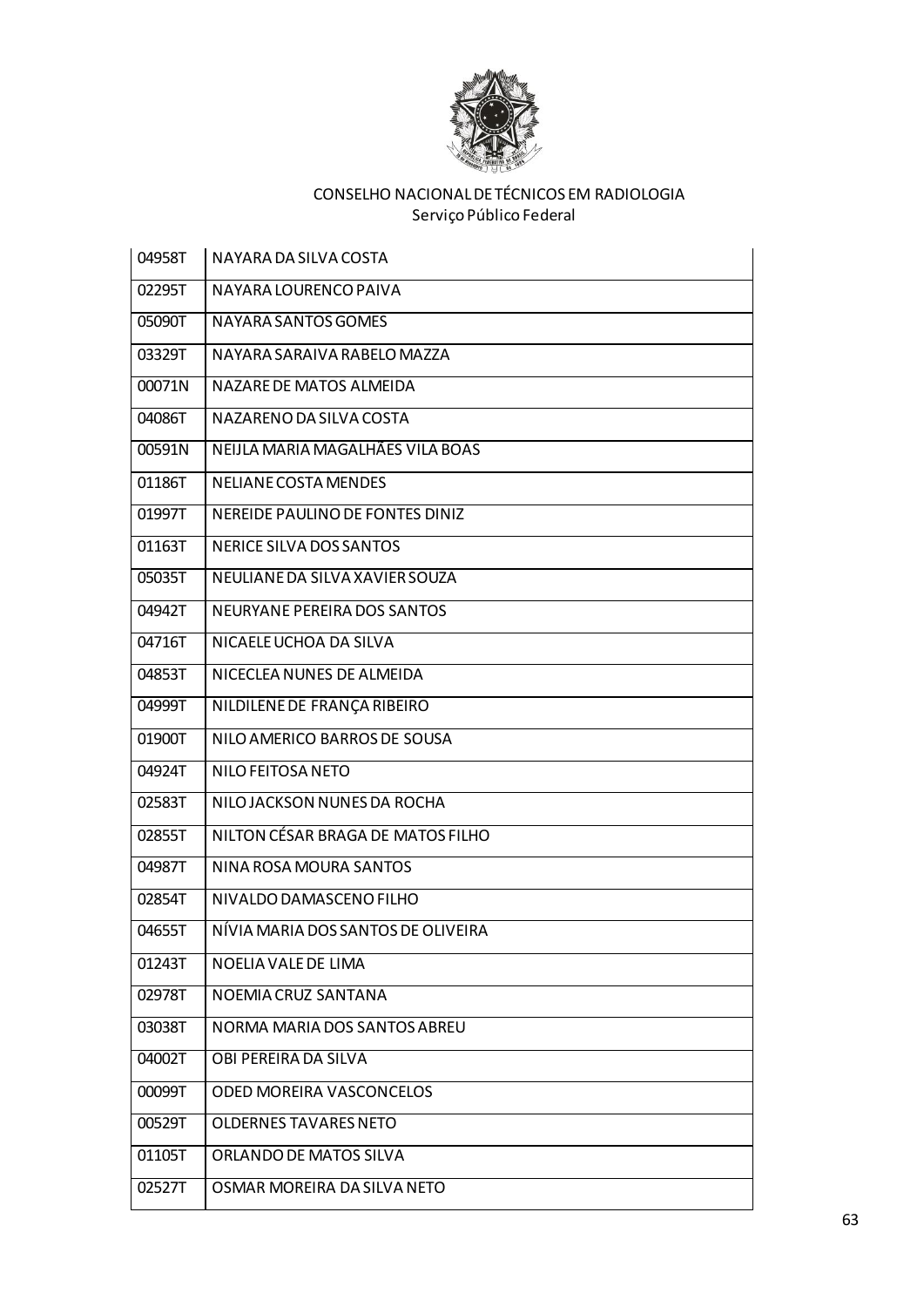

| 04958T | NAYARA DA SILVA COSTA              |
|--------|------------------------------------|
| 02295T | NAYARA LOURENCO PAIVA              |
| 05090T | NAYARA SANTOS GOMES                |
| 03329T | NAYARA SARAIVA RABELO MAZZA        |
| 00071N | NAZARE DE MATOS ALMEIDA            |
| 04086T | NAZARENO DA SILVA COSTA            |
| 00591N | NEIJLA MARIA MAGALHÃES VILA BOAS   |
| 01186T | NELIANE COSTA MENDES               |
| 01997T | NEREIDE PAULINO DE FONTES DINIZ    |
| 01163T | NERICE SILVA DOS SANTOS            |
| 05035T | NEULIANE DA SILVA XAVIER SOUZA     |
| 04942T | NEURYANE PEREIRA DOS SANTOS        |
| 04716T | NICAELE UCHOA DA SILVA             |
| 04853T | NICECLEA NUNES DE ALMEIDA          |
| 04999T | NILDILENE DE FRANÇA RIBEIRO        |
| 01900T | NILO AMERICO BARROS DE SOUSA       |
| 04924T | NILO FEITOSA NETO                  |
| 02583T | NILO JACKSON NUNES DA ROCHA        |
| 02855T | NILTON CÉSAR BRAGA DE MATOS FILHO  |
| 04987T | NINA ROSA MOURA SANTOS             |
| 02854T | NIVALDO DAMASCENO FILHO            |
| 04655T | NÍVIA MARIA DOS SANTOS DE OLIVEIRA |
| 01243T | NOELIA VALE DE LIMA                |
| 02978T | NOEMIA CRUZ SANTANA                |
| 03038T | NORMA MARIA DOS SANTOS ABREU       |
| 04002T | OBI PEREIRA DA SILVA               |
| 00099T | ODED MOREIRA VASCONCELOS           |
| 00529T | <b>OLDERNES TAVARES NETO</b>       |
| 01105T | ORLANDO DE MATOS SILVA             |
| 02527T | OSMAR MOREIRA DA SILVA NETO        |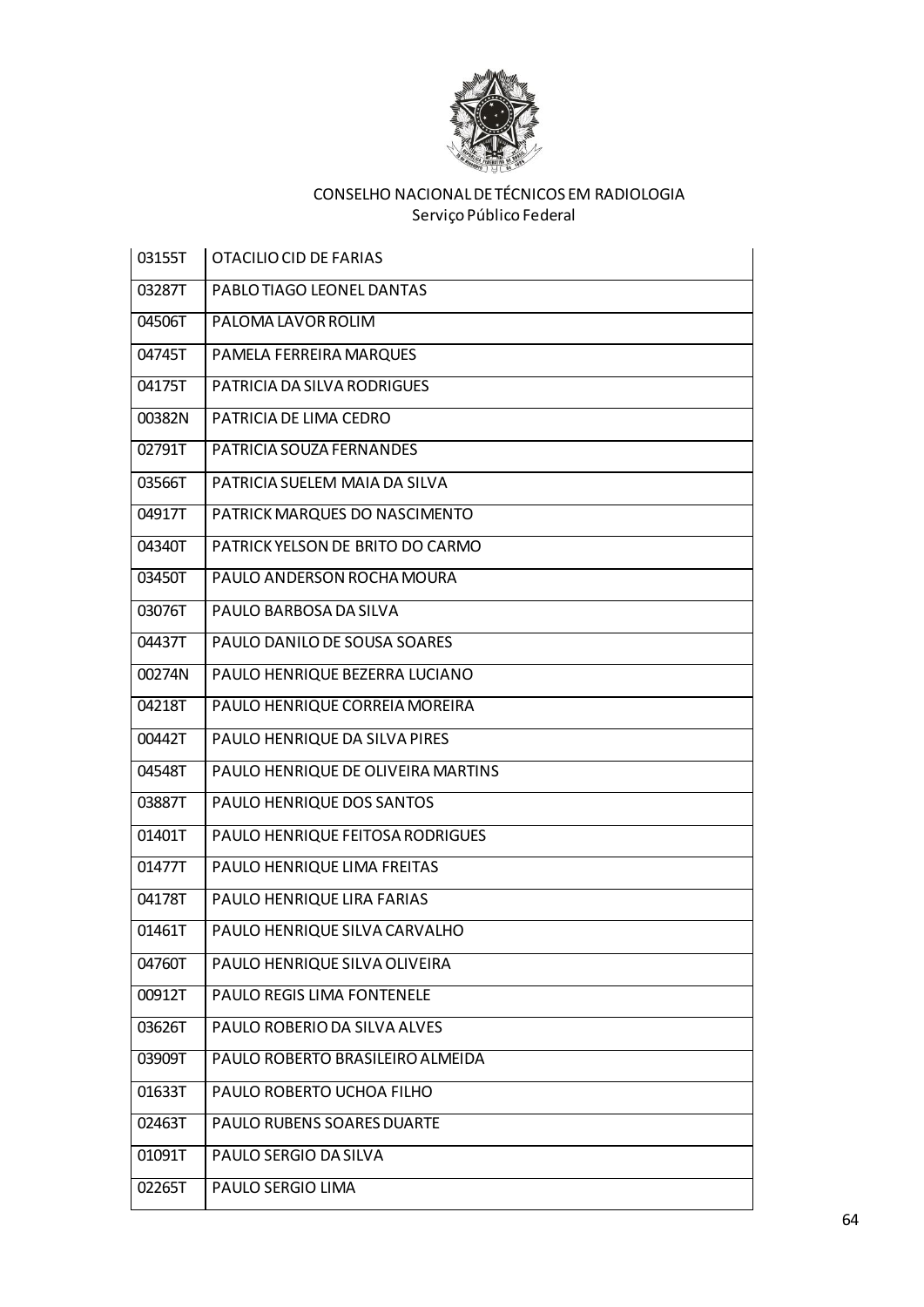

| 03155T | <b>OTACILIO CID DE FARIAS</b>      |
|--------|------------------------------------|
| 03287T | PABLO TIAGO LEONEL DANTAS          |
| 04506T | PALOMA LAVOR ROLIM                 |
| 04745T | PAMELA FERREIRA MARQUES            |
| 04175T | PATRICIA DA SILVA RODRIGUES        |
| 00382N | PATRICIA DE LIMA CEDRO             |
| 02791T | PATRICIA SOUZA FERNANDES           |
| 03566T | PATRICIA SUELEM MAIA DA SILVA      |
| 04917T | PATRICK MARQUES DO NASCIMENTO      |
| 04340T | PATRICK YELSON DE BRITO DO CARMO   |
| 03450T | PAULO ANDERSON ROCHA MOURA         |
| 03076T | PAULO BARBOSA DA SILVA             |
| 04437T | PAULO DANILO DE SOUSA SOARES       |
| 00274N | PAULO HENRIQUE BEZERRA LUCIANO     |
| 04218T | PAULO HENRIQUE CORREIA MOREIRA     |
| 00442T | PAULO HENRIQUE DA SILVA PIRES      |
| 04548T | PAULO HENRIQUE DE OLIVEIRA MARTINS |
| 03887T | PAULO HENRIQUE DOS SANTOS          |
| 01401T | PAULO HENRIQUE FEITOSA RODRIGUES   |
| 01477T | PAULO HENRIQUE LIMA FREITAS        |
| 04178T | PAULO HENRIQUE LIRA FARIAS         |
| 01461T | PAULO HENRIQUE SILVA CARVALHO      |
| 04760T | PAULO HENRIQUE SILVA OLIVEIRA      |
| 00912T | PAULO REGIS LIMA FONTENELE         |
| 03626T | PAULO ROBERIO DA SILVA ALVES       |
| 03909T | PAULO ROBERTO BRASILEIRO ALMEIDA   |
| 01633T | PAULO ROBERTO UCHOA FILHO          |
| 02463T | PAULO RUBENS SOARES DUARTE         |
| 01091T | PAULO SERGIO DA SILVA              |
| 02265T | PAULO SERGIO LIMA                  |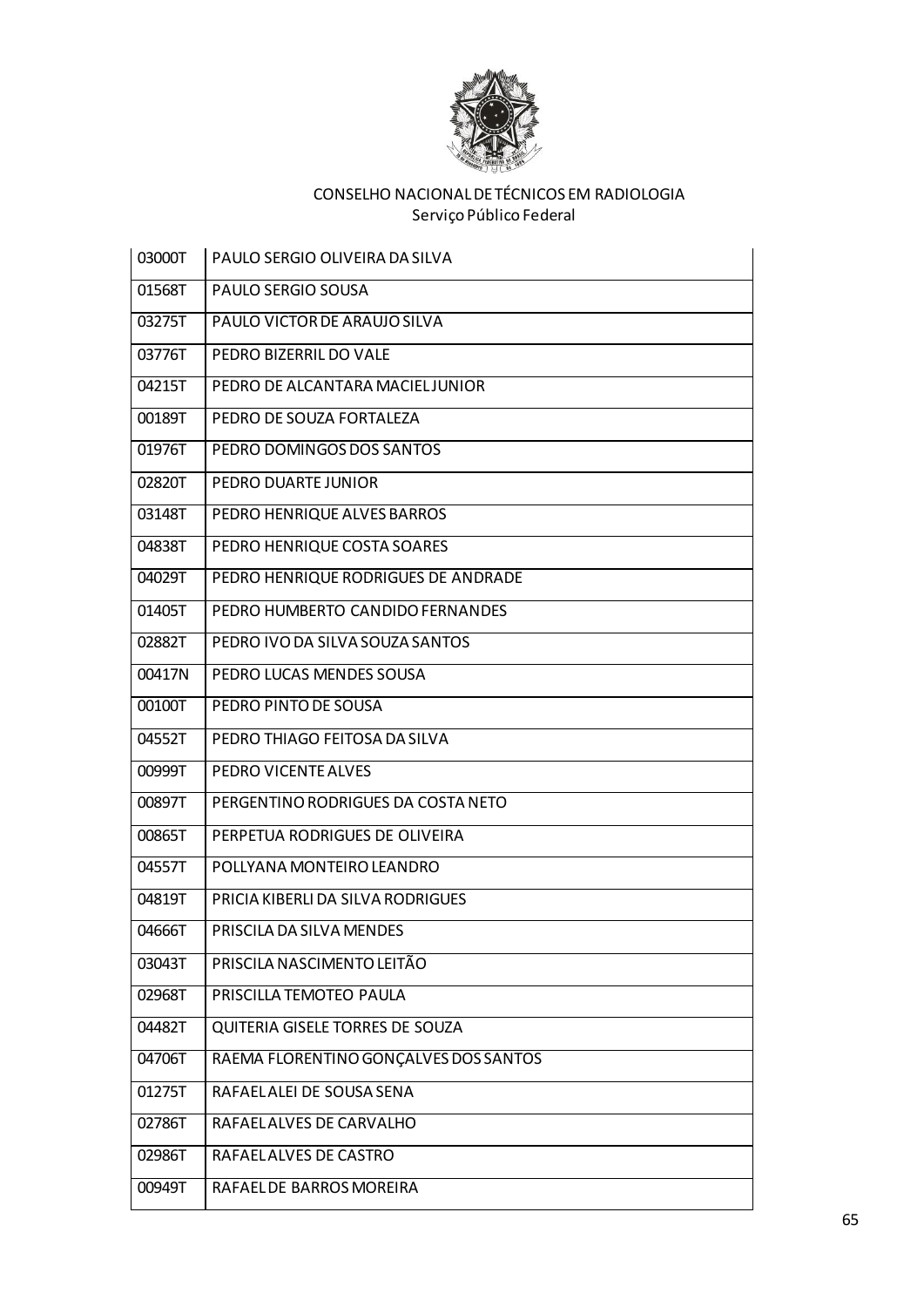

| 03000T | PAULO SERGIO OLIVEIRA DA SILVA        |
|--------|---------------------------------------|
| 01568T | PAULO SERGIO SOUSA                    |
| 03275T | PAULO VICTOR DE ARAUJO SILVA          |
| 03776T | PEDRO BIZERRIL DO VALE                |
| 04215T | PEDRO DE ALCANTARA MACIEL JUNIOR      |
| 00189T | PEDRO DE SOUZA FORTALEZA              |
| 01976T | PEDRO DOMINGOS DOS SANTOS             |
| 02820T | PEDRO DUARTE JUNIOR                   |
| 03148T | PEDRO HENRIQUE ALVES BARROS           |
| 04838T | PEDRO HENRIQUE COSTA SOARES           |
| 04029T | PEDRO HENRIQUE RODRIGUES DE ANDRADE   |
| 01405T | PEDRO HUMBERTO CANDIDO FERNANDES      |
| 02882T | PEDRO IVO DA SILVA SOUZA SANTOS       |
| 00417N | PEDRO LUCAS MENDES SOUSA              |
| 00100T | PEDRO PINTO DE SOUSA                  |
| 04552T | PEDRO THIAGO FEITOSA DA SILVA         |
| 00999T | PEDRO VICENTE ALVES                   |
| 00897T | PERGENTINO RODRIGUES DA COSTA NETO    |
| 00865T | PERPETUA RODRIGUES DE OLIVEIRA        |
| 04557T | POLLYANA MONTEIRO LEANDRO             |
| 04819T | PRICIA KIBERLI DA SILVA RODRIGUES     |
| 04666T | PRISCILA DA SILVA MENDES              |
| 03043T | PRISCILA NASCIMENTO LEITÃO            |
| 02968T | PRISCILLA TEMOTEO PAULA               |
| 04482T | QUITERIA GISELE TORRES DE SOUZA       |
| 04706T | RAEMA FLORENTINO GONÇALVES DOS SANTOS |
| 01275T | RAFAELALEI DE SOUSA SENA              |
| 02786T | RAFAELALVES DE CARVALHO               |
| 02986T | RAFAEL ALVES DE CASTRO                |
| 00949T | RAFAEL DE BARROS MOREIRA              |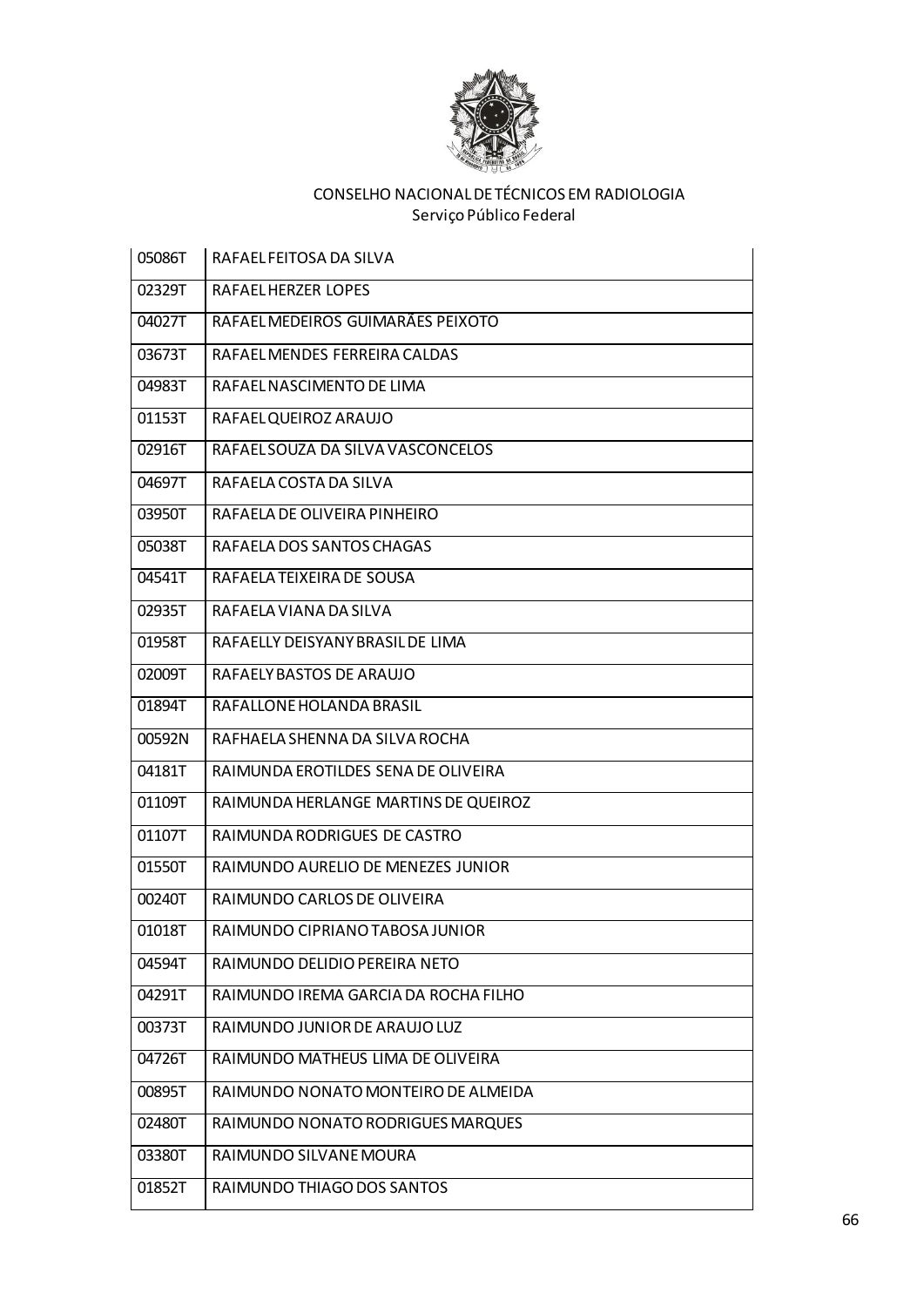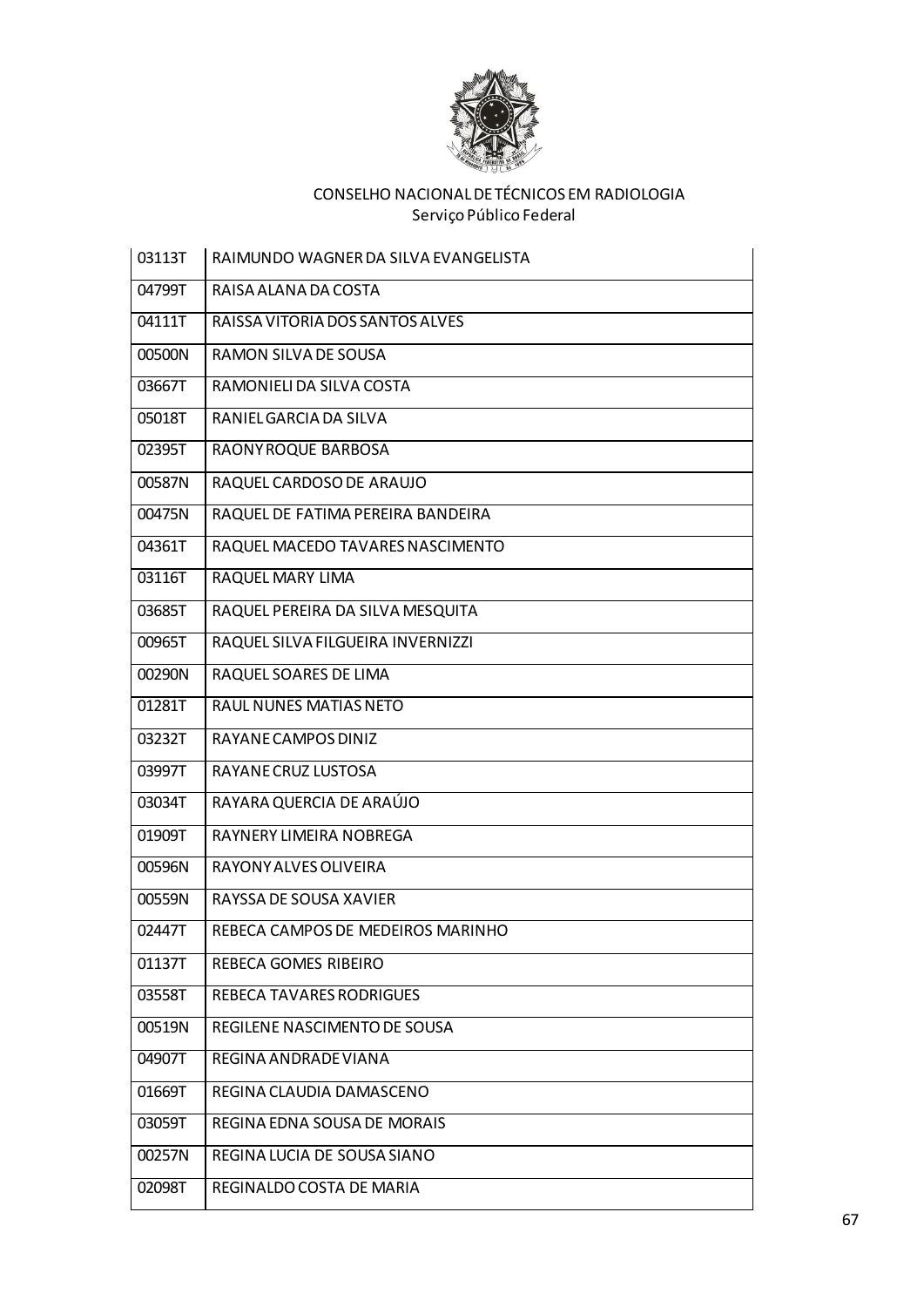

| 03113T | RAIMUNDO WAGNER DA SILVA EVANGELISTA |
|--------|--------------------------------------|
| 04799T | RAISA ALANA DA COSTA                 |
| 04111T | RAISSA VITORIA DOS SANTOS ALVES      |
| 00500N | RAMON SILVA DE SOUSA                 |
| 03667T | RAMONIELI DA SILVA COSTA             |
| 05018T | RANIEL GARCIA DA SILVA               |
| 02395T | RAONY ROQUE BARBOSA                  |
| 00587N | RAQUEL CARDOSO DE ARAUJO             |
| 00475N | RAQUEL DE FATIMA PEREIRA BANDEIRA    |
| 04361T | RAQUEL MACEDO TAVARES NASCIMENTO     |
| 03116T | RAQUEL MARY LIMA                     |
| 03685T | RAQUEL PEREIRA DA SILVA MESQUITA     |
| 00965T | RAQUEL SILVA FILGUEIRA INVERNIZZI    |
| 00290N | RAQUEL SOARES DE LIMA                |
| 01281T | <b>RAUL NUNES MATIAS NETO</b>        |
| 03232T | RAYANE CAMPOS DINIZ                  |
| 03997T | RAYANE CRUZ LUSTOSA                  |
| 03034T | RAYARA QUERCIA DE ARAÚJO             |
| 01909T | RAYNERY LIMEIRA NOBREGA              |
| 00596N | RAYONY ALVES OLIVEIRA                |
| 00559N | RAYSSA DE SOUSA XAVIER               |
| 02447T | REBECA CAMPOS DE MEDEIROS MARINHO    |
| 01137T | REBECA GOMES RIBEIRO                 |
| 03558T | REBECA TAVARES RODRIGUES             |
| 00519N | REGILENE NASCIMENTO DE SOUSA         |
| 04907T | REGINA ANDRADE VIANA                 |
| 01669T | REGINA CLAUDIA DAMASCENO             |
| 03059T | REGINA EDNA SOUSA DE MORAIS          |
| 00257N | REGINA LUCIA DE SOUSA SIANO          |
| 02098T | REGINALDO COSTA DE MARIA             |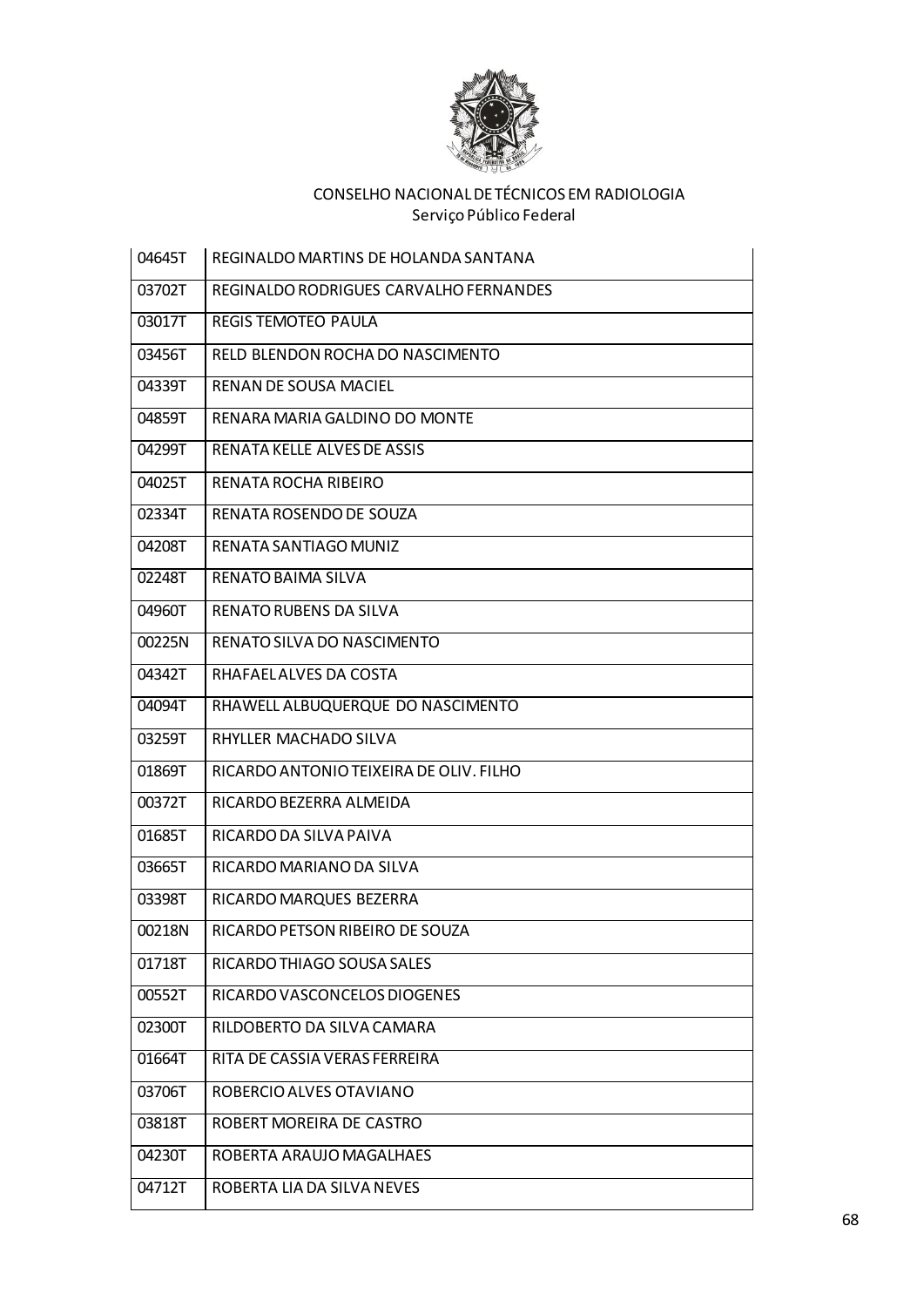

| 04645T | REGINALDO MARTINS DE HOLANDA SANTANA    |
|--------|-----------------------------------------|
| 03702T | REGINALDO RODRIGUES CARVALHO FERNANDES  |
| 03017T | REGIS TEMOTEO PAULA                     |
| 03456T | RELD BLENDON ROCHA DO NASCIMENTO        |
| 04339T | RENAN DE SOUSA MACIEL                   |
| 04859T | RENARA MARIA GALDINO DO MONTE           |
| 04299T | RENATA KELLE ALVES DE ASSIS             |
| 04025T | RENATA ROCHA RIBEIRO                    |
| 02334T | RENATA ROSENDO DE SOUZA                 |
| 04208T | RENATA SANTIAGO MUNIZ                   |
| 02248T | RENATO BAIMA SILVA                      |
| 04960T | <b>RENATO RUBENS DA SILVA</b>           |
| 00225N | RENATO SILVA DO NASCIMENTO              |
| 04342T | RHAFAEL ALVES DA COSTA                  |
| 04094T | RHAWELL ALBUQUERQUE DO NASCIMENTO       |
| 03259T | RHYLLER MACHADO SILVA                   |
| 01869T | RICARDO ANTONIO TEIXEIRA DE OLIV. FILHO |
| 00372T | RICARDO BEZERRA ALMEIDA                 |
| 01685T | RICARDO DA SILVA PAIVA                  |
| 03665T | RICARDO MARIANO DA SILVA                |
| 03398T | RICARDO MARQUES BEZERRA                 |
| 00218N | RICARDO PETSON RIBEIRO DE SOUZA         |
| 01718T | RICARDO THIAGO SOUSA SALES              |
| 00552T | RICARDO VASCONCELOS DIOGENES            |
| 02300T | RILDOBERTO DA SILVA CAMARA              |
| 01664T | RITA DE CASSIA VERAS FERREIRA           |
| 03706T | ROBERCIO ALVES OTAVIANO                 |
| 03818T | ROBERT MOREIRA DE CASTRO                |
| 04230T | ROBERTA ARAUJO MAGALHAES                |
| 04712T | ROBERTA LIA DA SILVA NEVES              |
|        |                                         |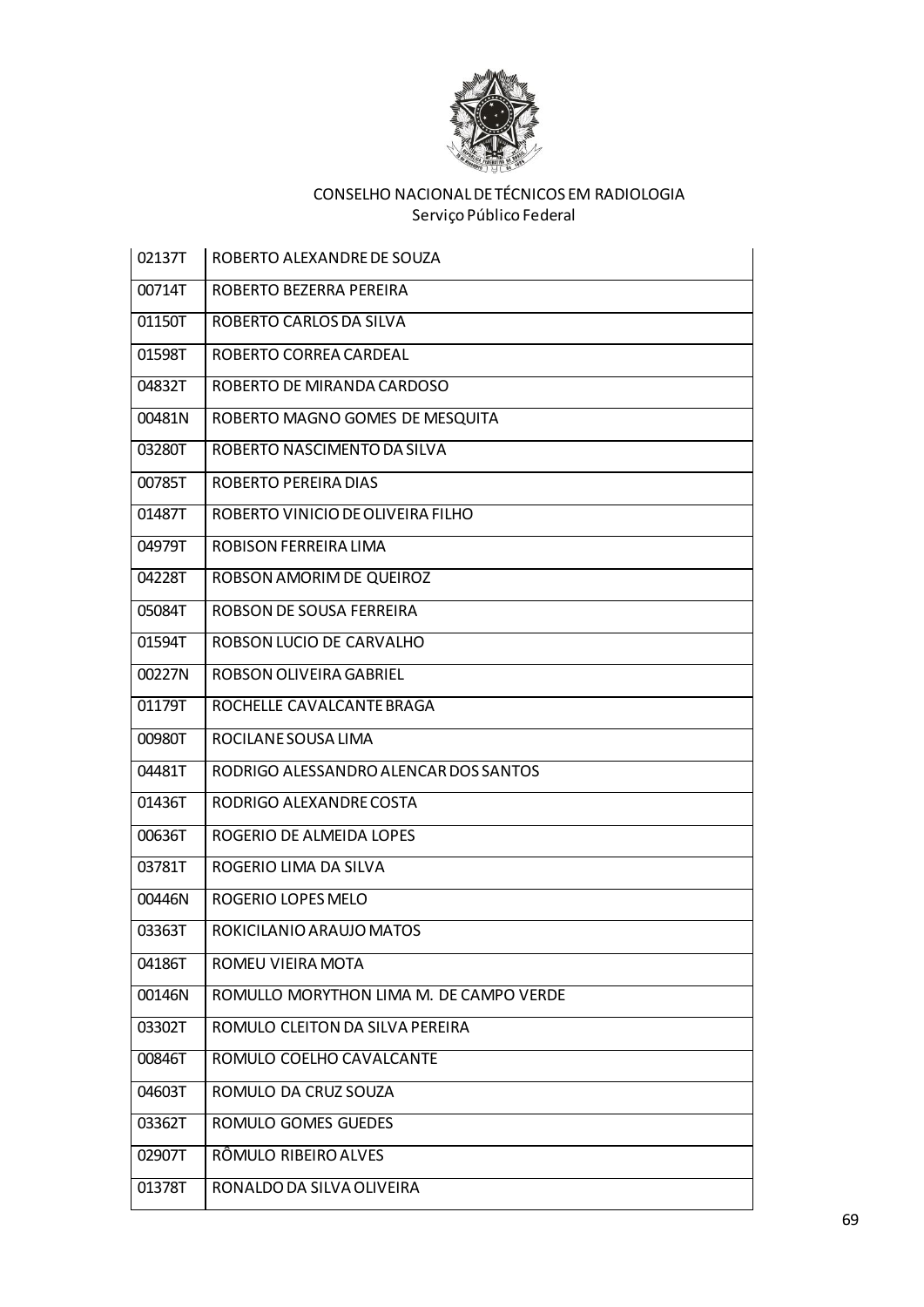

| 02137T | ROBERTO ALEXANDRE DE SOUZA              |
|--------|-----------------------------------------|
| 00714T | ROBERTO BEZERRA PEREIRA                 |
| 01150T | ROBERTO CARLOS DA SILVA                 |
| 01598T | ROBERTO CORREA CARDEAL                  |
| 04832T | ROBERTO DE MIRANDA CARDOSO              |
| 00481N | ROBERTO MAGNO GOMES DE MESQUITA         |
| 03280T | ROBERTO NASCIMENTO DA SILVA             |
| 00785T | ROBERTO PEREIRA DIAS                    |
| 01487T | ROBERTO VINICIO DE OLIVEIRA FILHO       |
| 04979T | ROBISON FERREIRA LIMA                   |
| 04228T | ROBSON AMORIM DE QUEIROZ                |
| 05084T | ROBSON DE SOUSA FERREIRA                |
| 01594T | ROBSON LUCIO DE CARVALHO                |
| 00227N | ROBSON OLIVEIRA GABRIEL                 |
| 01179T | ROCHELLE CAVALCANTE BRAGA               |
| 00980T | ROCILANE SOUSA LIMA                     |
| 04481T | RODRIGO ALESSANDRO ALENCAR DOS SANTOS   |
| 01436T | RODRIGO ALEXANDRE COSTA                 |
| 00636T | ROGERIO DE ALMEIDA LOPES                |
| 03781T | ROGERIO LIMA DA SILVA                   |
| 00446N | ROGERIO LOPES MELO                      |
| 03363T | ROKICILANIO ARAUJO MATOS                |
| 04186T | ROMEU VIEIRA MOTA                       |
| 00146N | ROMULLO MORYTHON LIMA M. DE CAMPO VERDE |
| 03302T | ROMULO CLEITON DA SILVA PEREIRA         |
| 00846T | ROMULO COELHO CAVALCANTE                |
| 04603T | ROMULO DA CRUZ SOUZA                    |
| 03362T | ROMULO GOMES GUEDES                     |
| 02907T | RÔMULO RIBEIRO ALVES                    |
| 01378T | RONALDO DA SILVA OLIVEIRA               |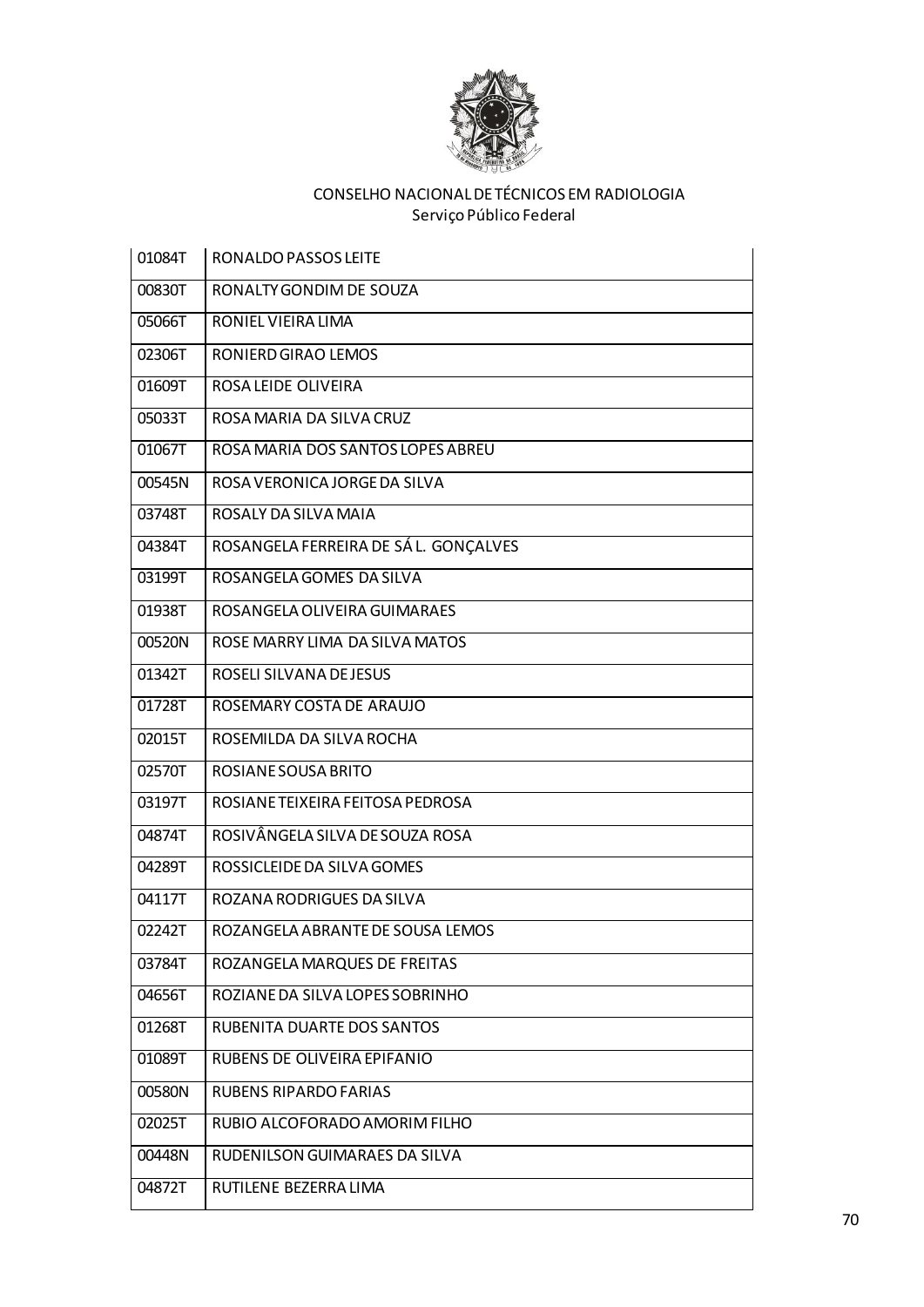

| 01084T | RONALDO PASSOS LEITE                  |
|--------|---------------------------------------|
| 00830T | RONALTY GONDIM DE SOUZA               |
| 05066T | RONIEL VIEIRA LIMA                    |
| 02306T | RONIERD GIRAO LEMOS                   |
| 01609T | ROSA LEIDE OLIVEIRA                   |
| 05033T | ROSA MARIA DA SILVA CRUZ              |
| 01067T | ROSA MARIA DOS SANTOS LOPES ABREU     |
| 00545N | ROSA VERONICA JORGE DA SILVA          |
| 03748T | ROSALY DA SILVA MAIA                  |
| 04384T | ROSANGELA FERREIRA DE SÁ L. GONÇALVES |
| 03199T | ROSANGELA GOMES DA SILVA              |
| 01938T | ROSANGELA OLIVEIRA GUIMARAES          |
| 00520N | ROSE MARRY LIMA DA SILVA MATOS        |
| 01342T | ROSELI SILVANA DE JESUS               |
| 01728T | ROSEMARY COSTA DE ARAUJO              |
| 02015T | ROSEMILDA DA SILVA ROCHA              |
| 02570T | ROSIANE SOUSA BRITO                   |
| 03197T | ROSIANE TEIXEIRA FEITOSA PEDROSA      |
| 04874T | ROSIVÂNGELA SILVA DE SOUZA ROSA       |
| 04289T | ROSSICLEIDE DA SILVA GOMES            |
| 04117T | ROZANA RODRIGUES DA SILVA             |
| 02242T | ROZANGELA ABRANTE DE SOUSA LEMOS      |
| 03784T | ROZANGELA MARQUES DE FREITAS          |
| 04656T | ROZIANE DA SILVA LOPES SOBRINHO       |
| 01268T | RUBENITA DUARTE DOS SANTOS            |
| 01089T | RUBENS DE OLIVEIRA EPIFANIO           |
| 00580N | <b>RUBENS RIPARDO FARIAS</b>          |
| 02025T | RUBIO ALCOFORADO AMORIM FILHO         |
| 00448N | RUDENILSON GUIMARAES DA SILVA         |
| 04872T | RUTILENE BEZERRA LIMA                 |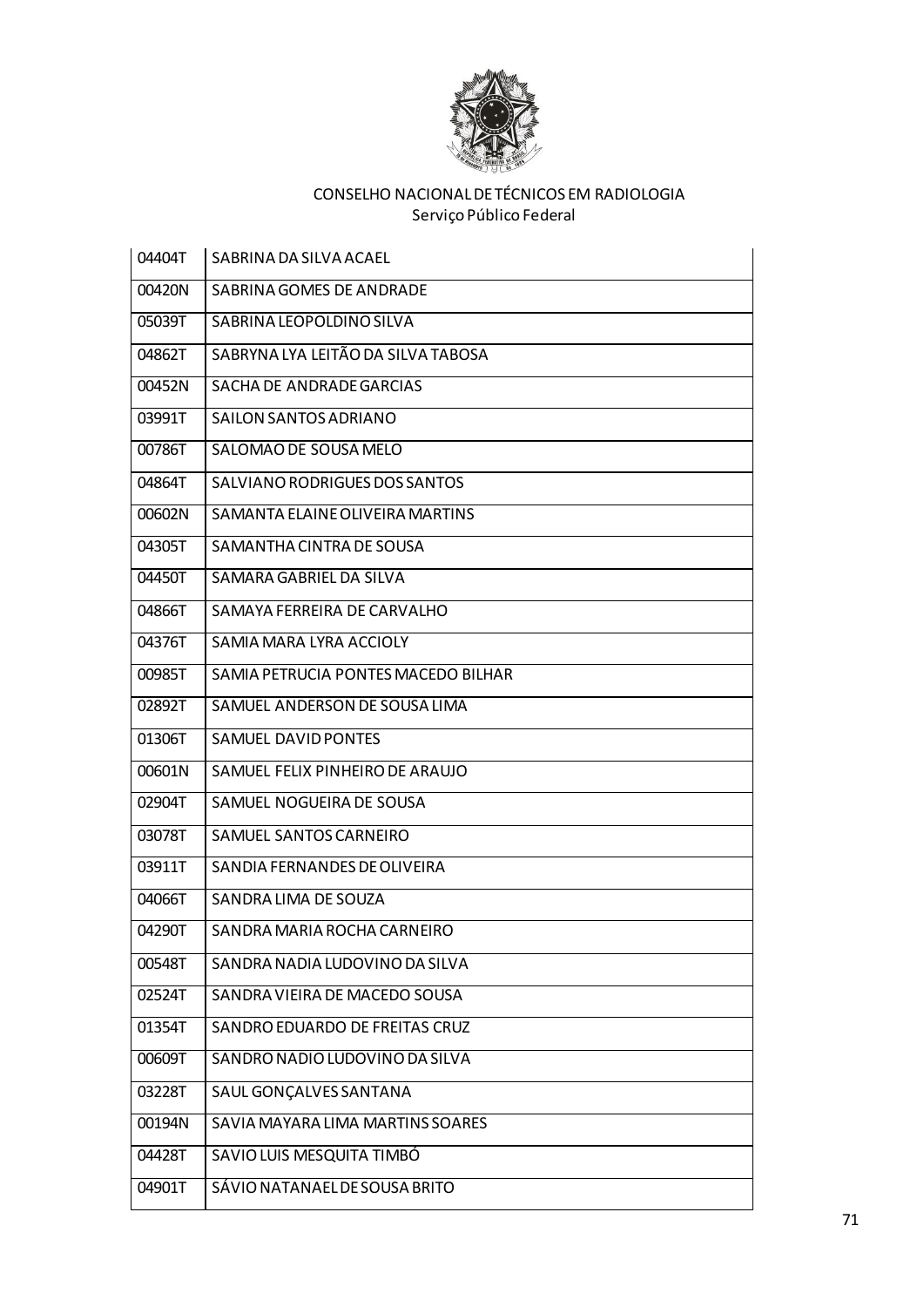

| 04404T | SABRINA DA SILVA ACAEL              |
|--------|-------------------------------------|
| 00420N | SABRINA GOMES DE ANDRADE            |
| 05039T | SABRINA LEOPOLDINO SILVA            |
| 04862T | SABRYNA LYA LEITÃO DA SILVA TABOSA  |
| 00452N | SACHA DE ANDRADE GARCIAS            |
| 03991T | SAILON SANTOS ADRIANO               |
| 00786T | SALOMAO DE SOUSA MELO               |
| 04864T | SALVIANO RODRIGUES DOS SANTOS       |
| 00602N | SAMANTA ELAINE OLIVEIRA MARTINS     |
| 04305T | SAMANTHA CINTRA DE SOUSA            |
| 04450T | SAMARA GABRIEL DA SILVA             |
| 04866T | SAMAYA FERREIRA DE CARVALHO         |
| 04376T | SAMIA MARA LYRA ACCIOLY             |
| 00985T | SAMIA PETRUCIA PONTES MACEDO BILHAR |
| 02892T | SAMUEL ANDERSON DE SOUSA LIMA       |
| 01306T | SAMUEL DAVID PONTES                 |
| 00601N | SAMUEL FELIX PINHEIRO DE ARAUJO     |
| 02904T | SAMUEL NOGUEIRA DE SOUSA            |
| 03078T | SAMUEL SANTOS CARNEIRO              |
| 03911T | SANDIA FERNANDES DE OLIVEIRA        |
| 04066T | SANDRA LIMA DE SOUZA                |
| 04290T | SANDRA MARIA ROCHA CARNEIRO         |
| 00548T | SANDRA NADIA LUDOVINO DA SILVA      |
| 02524T | SANDRA VIEIRA DE MACEDO SOUSA       |
| 01354T | SANDRO EDUARDO DE FREITAS CRUZ      |
| 00609T | SANDRO NADIO LUDOVINO DA SILVA      |
| 03228T | SAUL GONÇALVES SANTANA              |
| 00194N | SAVIA MAYARA LIMA MARTINS SOARES    |
| 04428T | SAVIO LUIS MESQUITA TIMBÓ           |
| 04901T | SÁVIO NATANAEL DE SOUSA BRITO       |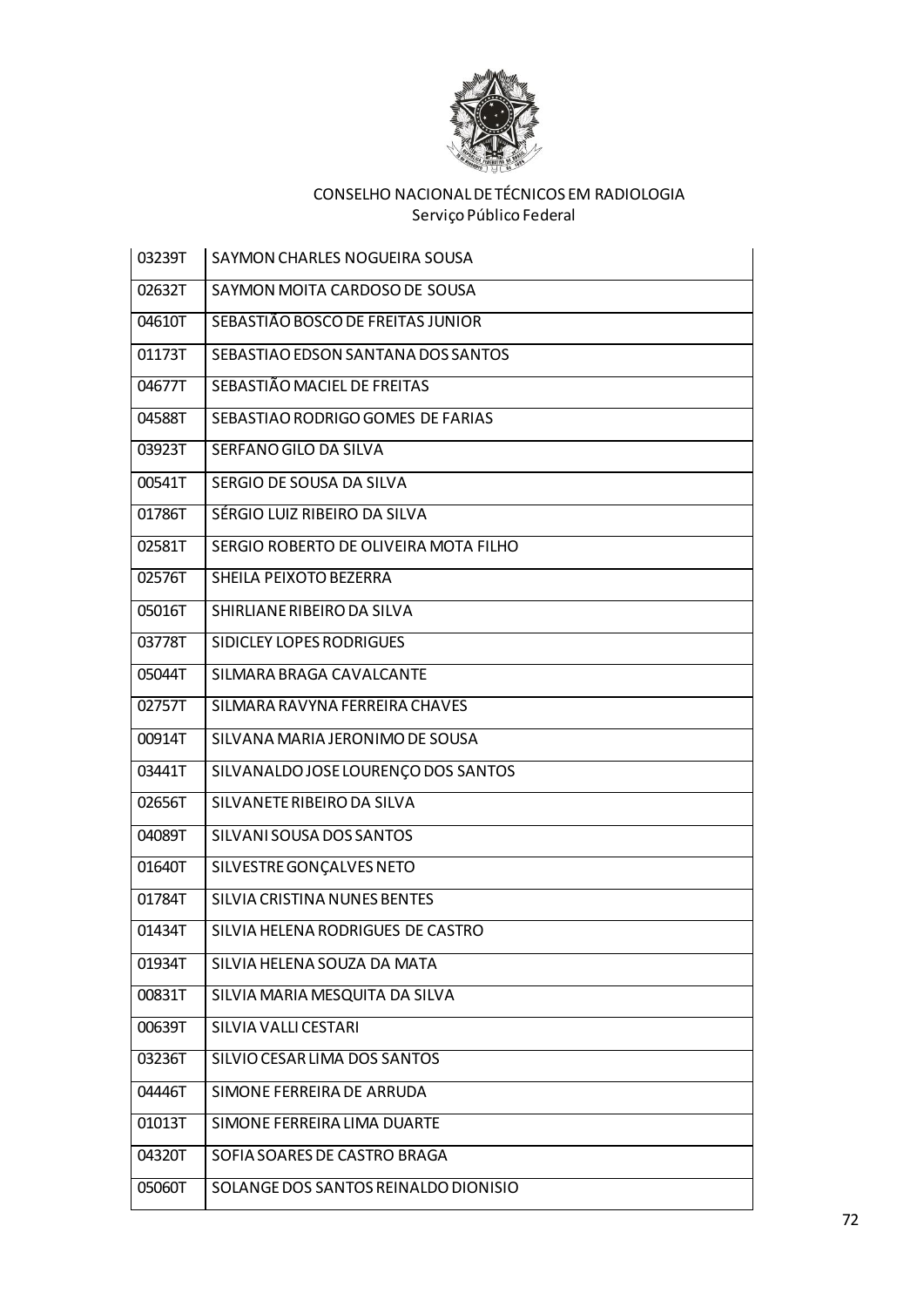

| 03239T | SAYMON CHARLES NOGUEIRA SOUSA         |
|--------|---------------------------------------|
| 02632T | SAYMON MOITA CARDOSO DE SOUSA         |
| 04610T | SEBASTIÃO BOSCO DE FREITAS JUNIOR     |
| 01173T | SEBASTIAO EDSON SANTANA DOS SANTOS    |
| 04677T | SEBASTIÃO MACIEL DE FREITAS           |
| 04588T | SEBASTIAO RODRIGO GOMES DE FARIAS     |
| 03923T | SERFANO GILO DA SILVA                 |
| 00541T | SERGIO DE SOUSA DA SILVA              |
| 01786T | SÉRGIO LUIZ RIBEIRO DA SILVA          |
| 02581T | SERGIO ROBERTO DE OLIVEIRA MOTA FILHO |
| 02576T | SHEILA PEIXOTO BEZERRA                |
| 05016T | SHIRLIANE RIBEIRO DA SILVA            |
| 03778T | SIDICLEY LOPES RODRIGUES              |
| 05044T | SILMARA BRAGA CAVALCANTE              |
| 02757T | SILMARA RAVYNA FERREIRA CHAVES        |
| 00914T | SILVANA MARIA JERONIMO DE SOUSA       |
| 03441T | SILVANALDO JOSE LOURENÇO DOS SANTOS   |
| 02656T | SILVANETE RIBEIRO DA SILVA            |
| 04089T | SILVANI SOUSA DOS SANTOS              |
| 01640T | SILVESTRE GONÇALVES NETO              |
| 01784T | SILVIA CRISTINA NUNES BENTES          |
| 01434T | SILVIA HELENA RODRIGUES DE CASTRO     |
| 01934T | SILVIA HELENA SOUZA DA MATA           |
| 00831T | SILVIA MARIA MESQUITA DA SILVA        |
| 00639T | SILVIA VALLI CESTARI                  |
| 03236T | SILVIO CESAR LIMA DOS SANTOS          |
| 04446T | SIMONE FERREIRA DE ARRUDA             |
| 01013T | SIMONE FERREIRA LIMA DUARTE           |
| 04320T | SOFIA SOARES DE CASTRO BRAGA          |
| 05060T | SOLANGE DOS SANTOS REINALDO DIONISIO  |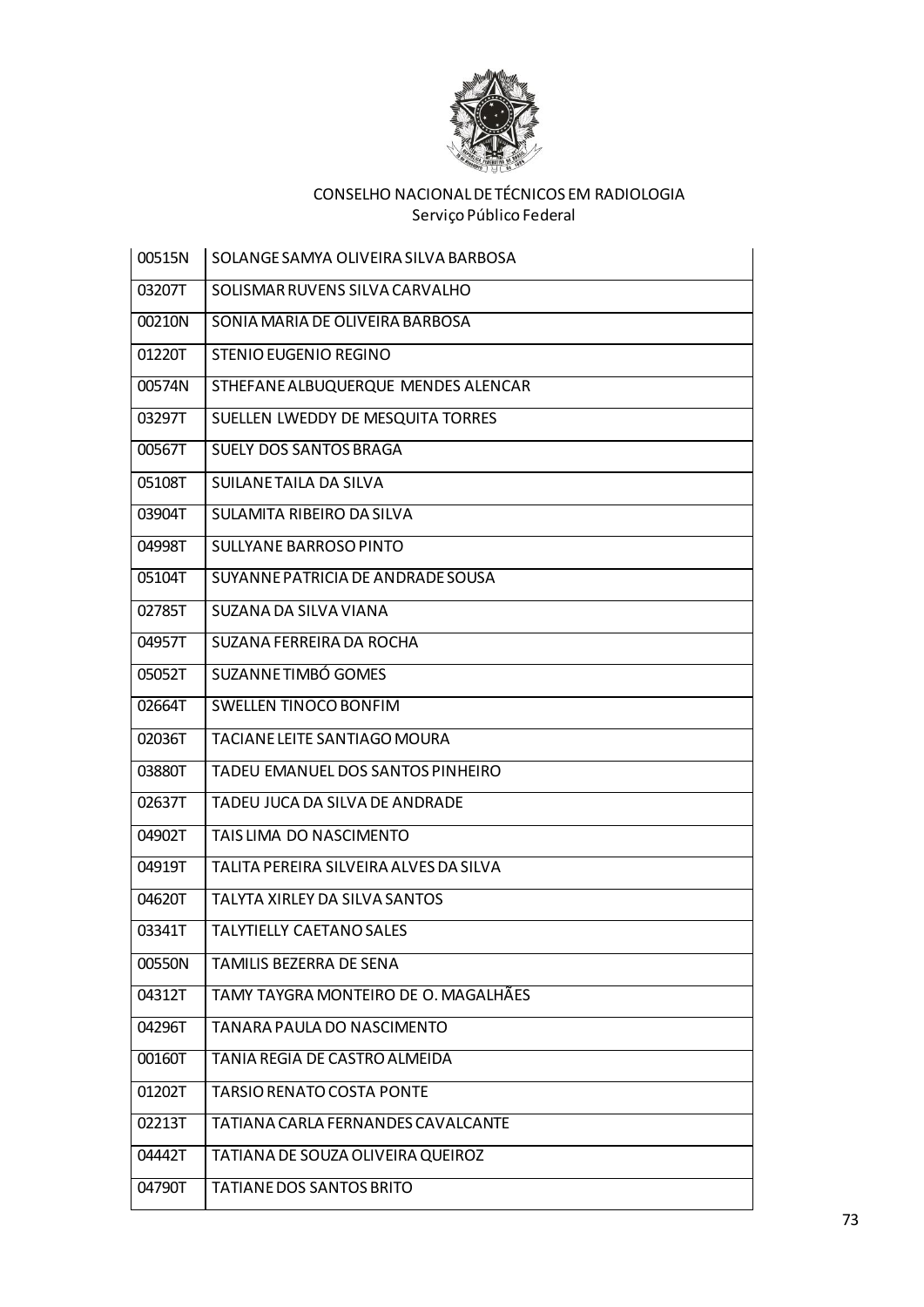

| 00515N | SOLANGE SAMYA OLIVEIRA SILVA BARBOSA   |
|--------|----------------------------------------|
| 03207T | SOLISMAR RUVENS SILVA CARVALHO         |
| 00210N | SONIA MARIA DE OLIVEIRA BARBOSA        |
| 01220T | STENIO EUGENIO REGINO                  |
| 00574N | STHEFANE ALBUQUERQUE MENDES ALENCAR    |
| 03297T | SUELLEN LWEDDY DE MESQUITA TORRES      |
| 00567T | <b>SUELY DOS SANTOS BRAGA</b>          |
| 05108T | SUILANE TAILA DA SILVA                 |
| 03904T | SULAMITA RIBEIRO DA SILVA              |
| 04998T | SULLYANE BARROSO PINTO                 |
| 05104T | SUYANNE PATRICIA DE ANDRADE SOUSA      |
| 02785T | SUZANA DA SILVA VIANA                  |
| 04957T | SUZANA FERREIRA DA ROCHA               |
| 05052T | SUZANNE TIMBÓ GOMES                    |
| 02664T | <b>SWELLEN TINOCO BONFIM</b>           |
| 02036T | TACIANE LEITE SANTIAGO MOURA           |
| 03880T | TADEU EMANUEL DOS SANTOS PINHEIRO      |
| 02637T | TADEU JUCA DA SILVA DE ANDRADE         |
| 04902T | TAIS LIMA DO NASCIMENTO                |
| 04919T | TALITA PEREIRA SILVEIRA ALVES DA SILVA |
| 04620T | TALYTA XIRLEY DA SILVA SANTOS          |
| 03341T | <b>TALYTIELLY CAETANO SALES</b>        |
| 00550N | <b>TAMILIS BEZERRA DE SENA</b>         |
| 04312T | TAMY TAYGRA MONTEIRO DE O. MAGALHÃES   |
| 04296T | TANARA PAULA DO NASCIMENTO             |
| 00160T | TANIA REGIA DE CASTRO ALMEIDA          |
| 01202T | <b>TARSIO RENATO COSTA PONTE</b>       |
| 02213T | TATIANA CARLA FERNANDES CAVALCANTE     |
| 04442T | TATIANA DE SOUZA OLIVEIRA QUEIROZ      |
| 04790T | TATIANE DOS SANTOS BRITO               |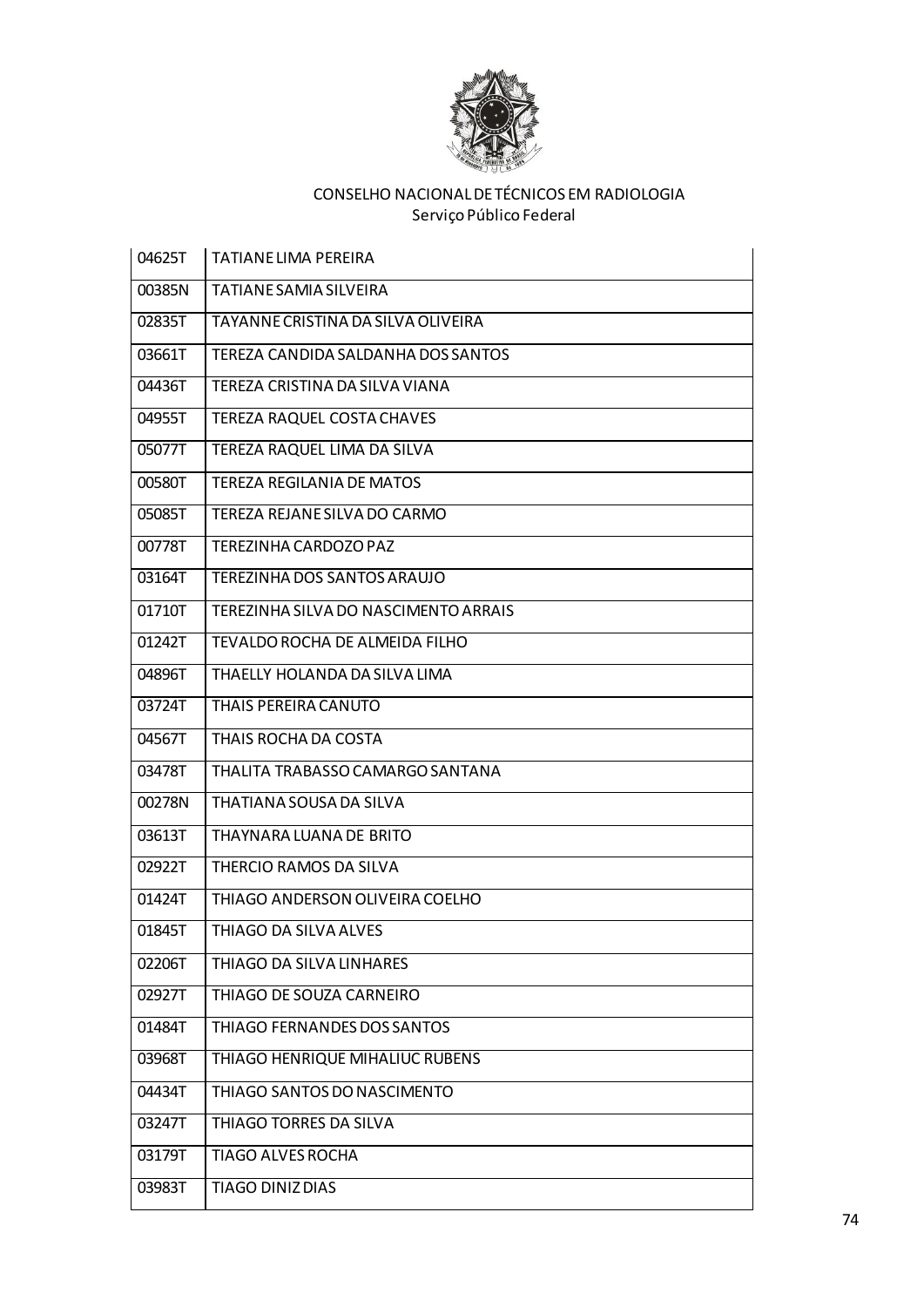

| 04625T | <b>TATIANE LIMA PEREIRA</b>          |
|--------|--------------------------------------|
| 00385N | <b>TATIANE SAMIA SILVEIRA</b>        |
| 02835T | TAYANNE CRISTINA DA SILVA OLIVEIRA   |
| 03661T | TEREZA CANDIDA SALDANHA DOS SANTOS   |
| 04436T | TEREZA CRISTINA DA SILVA VIANA       |
| 04955T | <b>TEREZA RAQUEL COSTA CHAVES</b>    |
| 05077T | TEREZA RAQUEL LIMA DA SILVA          |
| 00580T | <b>TEREZA REGILANIA DE MATOS</b>     |
| 05085T | TEREZA REJANE SILVA DO CARMO         |
| 00778T | TEREZINHA CARDOZO PAZ                |
| 03164T | TEREZINHA DOS SANTOS ARAUJO          |
| 01710T | TEREZINHA SILVA DO NASCIMENTO ARRAIS |
| 01242T | TEVALDO ROCHA DE ALMEIDA FILHO       |
| 04896T | THAELLY HOLANDA DA SILVA LIMA        |
| 03724T | THAIS PEREIRA CANUTO                 |
| 04567T | THAIS ROCHA DA COSTA                 |
| 03478T | THALITA TRABASSO CAMARGO SANTANA     |
| 00278N | THATIANA SOUSA DA SILVA              |
| 03613T | THAYNARA LUANA DE BRITO              |
| 02922T | THERCIO RAMOS DA SILVA               |
| 01424T | THIAGO ANDERSON OLIVEIRA COELHO      |
| 01845T | THIAGO DA SILVA ALVES                |
| 02206T | THIAGO DA SILVA LINHARES             |
| 02927T | THIAGO DE SOUZA CARNEIRO             |
| 01484T | THIAGO FERNANDES DOS SANTOS          |
| 03968T | THIAGO HENRIQUE MIHALIUC RUBENS      |
| 04434T | THIAGO SANTOS DO NASCIMENTO          |
| 03247T | THIAGO TORRES DA SILVA               |
| 03179T | <b>TIAGO ALVES ROCHA</b>             |
| 03983T | TIAGO DINIZ DIAS                     |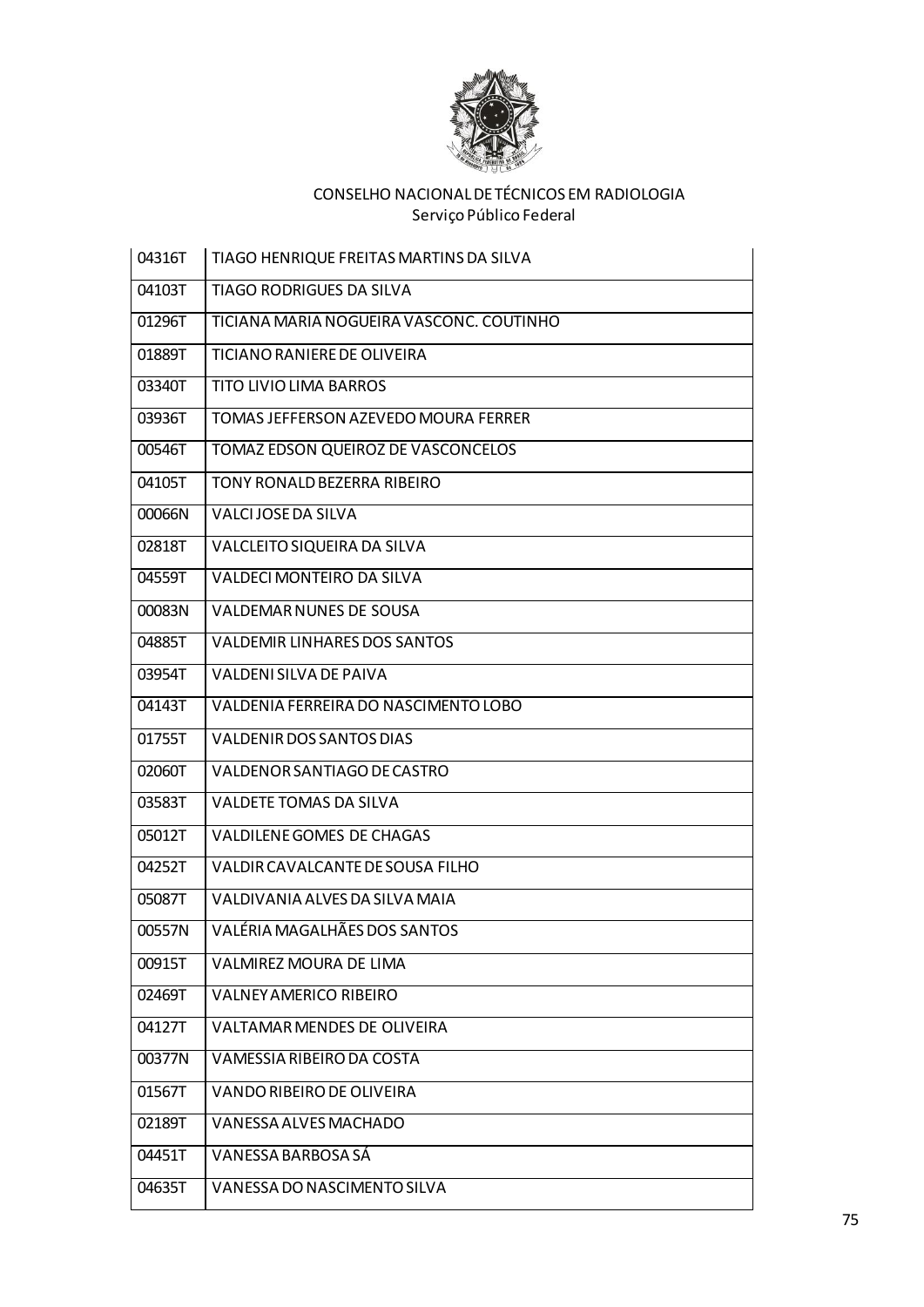

l.

| 04316T | TIAGO HENRIQUE FREITAS MARTINS DA SILVA  |
|--------|------------------------------------------|
| 04103T | <b>TIAGO RODRIGUES DA SILVA</b>          |
| 01296T | TICIANA MARIA NOGUEIRA VASCONC. COUTINHO |
| 01889T | TICIANO RANIERE DE OLIVEIRA              |
| 03340T | TITO LIVIO LIMA BARROS                   |
| 03936T | TOMAS JEFFERSON AZEVEDO MOURA FERRER     |
| 00546T | TOMAZ EDSON QUEIROZ DE VASCONCELOS       |
| 04105T | TONY RONALD BEZERRA RIBEIRO              |
| 00066N | VALCIJOSE DA SILVA                       |
| 02818T | VALCLEITO SIQUEIRA DA SILVA              |
| 04559T | VALDECI MONTEIRO DA SILVA                |
| 00083N | <b>VALDEMAR NUNES DE SOUSA</b>           |
| 04885T | <b>VALDEMIR LINHARES DOS SANTOS</b>      |
| 03954T | <b>VALDENI SILVA DE PAIVA</b>            |
| 04143T | VALDENIA FERREIRA DO NASCIMENTO LOBO     |
| 01755T | VALDENIR DOS SANTOS DIAS                 |
| 02060T | VALDENOR SANTIAGO DE CASTRO              |
| 03583T | <b>VALDETE TOMAS DA SILVA</b>            |
| 05012T | VALDILENE GOMES DE CHAGAS                |
| 04252T | VALDIR CAVALCANTE DE SOUSA FILHO         |
| 05087T | VALDIVANIA ALVES DA SILVA MAJA           |
| 00557N | VALÉRIA MAGALHÃES DOS SANTOS             |
| 00915T | <b>VALMIREZ MOURA DE LIMA</b>            |
| 02469T | <b>VALNEY AMERICO RIBEIRO</b>            |
| 04127T | <b>VALTAMAR MENDES DE OLIVEIRA</b>       |
| 00377N | VAMESSIA RIBEIRO DA COSTA                |
| 01567T | VANDO RIBEIRO DE OLIVEIRA                |
| 02189T | VANESSA ALVES MACHADO                    |
| 04451T | VANESSA BARBOSA SÁ                       |
| 04635T | VANESSA DO NASCIMENTO SILVA              |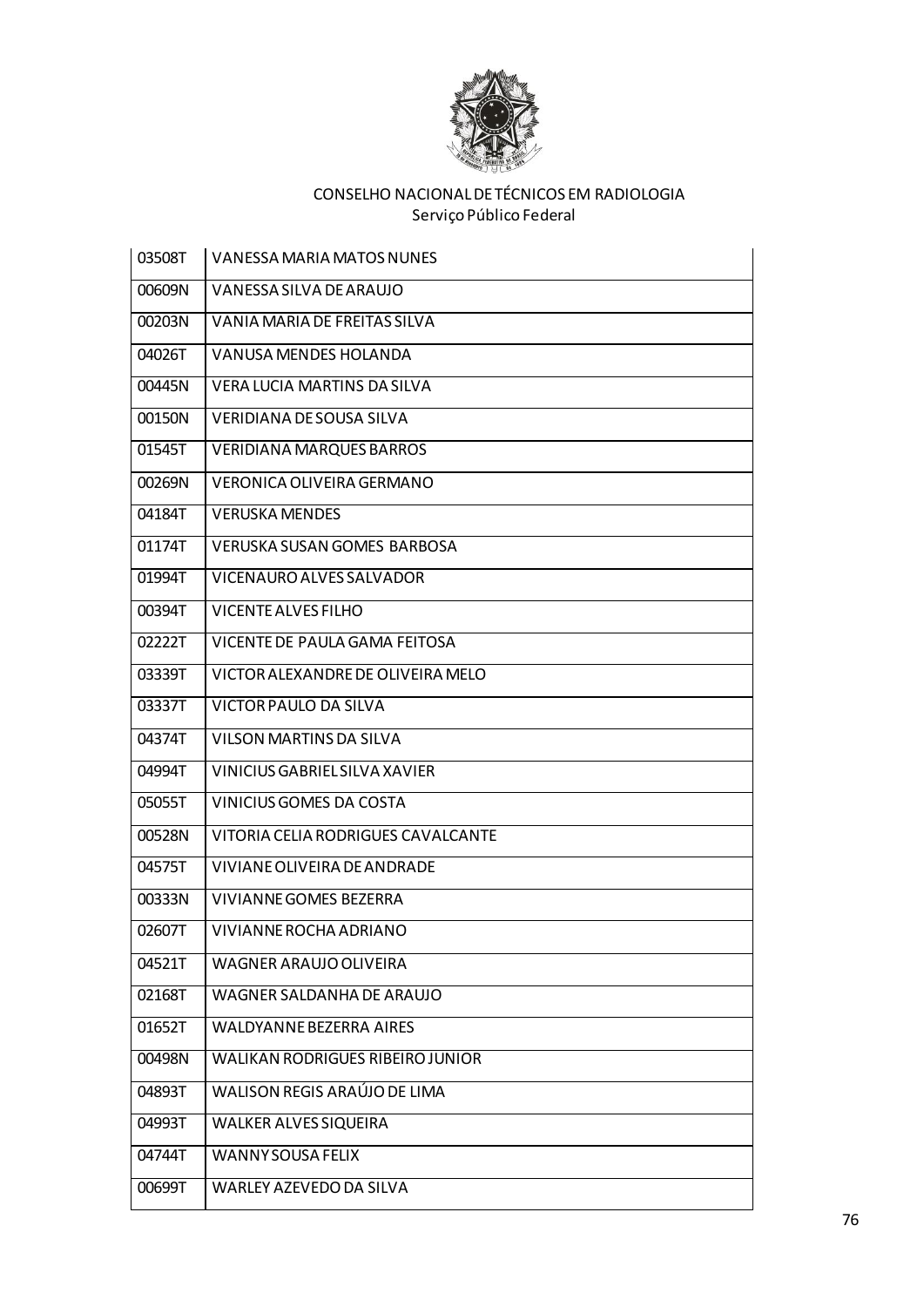

| 03508T | <b>VANESSA MARIA MATOS NUNES</b>        |
|--------|-----------------------------------------|
| 00609N | VANESSA SILVA DE ARAUJO                 |
| 00203N | VANIA MARIA DE FREITAS SILVA            |
| 04026T | VANUSA MENDES HOLANDA                   |
| 00445N | VERA LUCIA MARTINS DA SILVA             |
| 00150N | VERIDIANA DE SOUSA SILVA                |
| 01545T | <b>VERIDIANA MARQUES BARROS</b>         |
| 00269N | VERONICA OLIVEIRA GERMANO               |
| 04184T | <b>VERUSKA MENDES</b>                   |
| 01174T | VERUSKA SUSAN GOMES BARBOSA             |
| 01994T | VICENAURO ALVES SALVADOR                |
| 00394T | VICENTE ALVES FILHO                     |
| 02222T | VICENTE DE PAULA GAMA FEITOSA           |
| 03339T | VICTOR ALEXANDRE DE OLIVEIRA MELO       |
| 03337T | VICTOR PAULO DA SILVA                   |
| 04374T | VILSON MARTINS DA SILVA                 |
| 04994T | VINICIUS GABRIEL SILVA XAVIER           |
| 05055T | VINICIUS GOMES DA COSTA                 |
| 00528N | VITORIA CELIA RODRIGUES CAVALCANTE      |
| 04575T | VIVIANE OLIVEIRA DE ANDRADE             |
| 00333N | VIVIANNE GOMES BEZERRA                  |
| 02607T | VIVIANNE ROCHA ADRIANO                  |
| 04521T | WAGNER ARAUJO OLIVEIRA                  |
| 02168T | WAGNER SALDANHA DE ARAUJO               |
| 01652T | <b>WALDYANNE BEZERRA AIRES</b>          |
| 00498N | <b>WALIKAN RODRIGUES RIBEIRO JUNIOR</b> |
| 04893T | WALISON REGIS ARAÚJO DE LIMA            |
| 04993T | <b>WALKER ALVES SIQUEIRA</b>            |
| 04744T | <b>WANNY SOUSA FELIX</b>                |
| 00699T | WARLEY AZEVEDO DA SILVA                 |